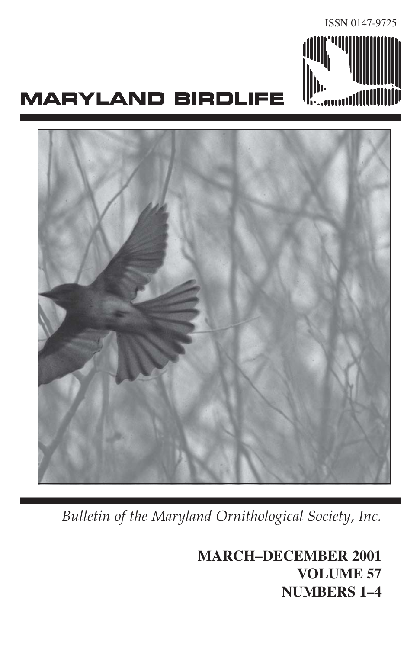

# **MARYLAND BIRDLIFE**



*Bulletin of the Maryland Ornithological Society, Inc.*

**MARCH–DECEMBER 2001 VOLUME 57 NUMBERS 1–4**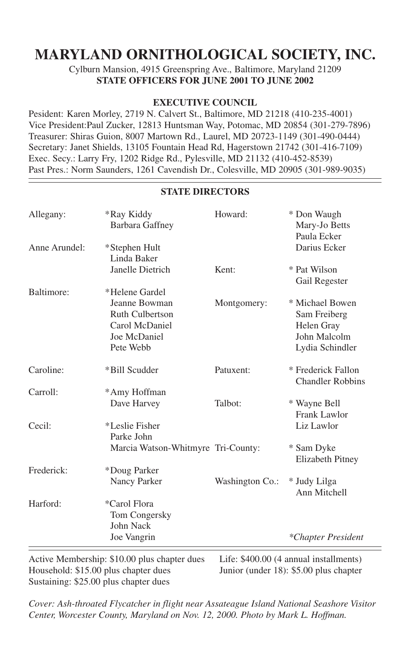# **MARYLAND ORNITHOLOGICAL SOCIETY, INC.**

Cylburn Mansion, 4915 Greenspring Ave., Baltimore, Maryland 21209 **STATE OFFICERS FOR JUNE 2001 TO JUNE 2002**

#### **EXECUTIVE COUNCIL**

Pesident: Karen Morley, 2719 N. Calvert St., Baltimore, MD 21218 (410-235-4001) Vice President:Paul Zucker, 12813 Huntsman Way, Potomac, MD 20854 (301-279-7896) Treasurer: Shiras Guion, 8007 Martown Rd., Laurel, MD 20723-1149 (301-490-0444) Secretary: Janet Shields, 13105 Fountain Head Rd, Hagerstown 21742 (301-416-7109) Exec. Secy.: Larry Fry, 1202 Ridge Rd., Pylesville, MD 21132 (410-452-8539) Past Pres.: Norm Saunders, 1261 Cavendish Dr., Colesville, MD 20905 (301-989-9035)

#### **STATE DIRECTORS**

| *Ray Kiddy<br>Barbara Gaffney                                                          | Howard:         | * Don Waugh<br>Mary-Jo Betts<br>Paula Ecker                                      |
|----------------------------------------------------------------------------------------|-----------------|----------------------------------------------------------------------------------|
| *Stephen Hult<br>Linda Baker                                                           |                 | Darius Ecker                                                                     |
| Janelle Dietrich                                                                       | Kent:           | * Pat Wilson<br>Gail Regester                                                    |
| *Helene Gardel                                                                         |                 |                                                                                  |
| Jeanne Bowman<br><b>Ruth Culbertson</b><br>Carol McDaniel<br>Joe McDaniel<br>Pete Webb | Montgomery:     | * Michael Bowen<br>Sam Freiberg<br>Helen Gray<br>John Malcolm<br>Lydia Schindler |
|                                                                                        |                 |                                                                                  |
| *Bill Scudder                                                                          | Patuxent:       | * Frederick Fallon<br><b>Chandler Robbins</b>                                    |
| *Amy Hoffman                                                                           |                 |                                                                                  |
| Dave Harvey                                                                            | Talbot:         | * Wayne Bell<br>Frank Lawlor                                                     |
| *Leslie Fisher<br>Parke John                                                           |                 | Liz Lawlor                                                                       |
|                                                                                        |                 | * Sam Dyke<br>Elizabeth Pitney                                                   |
| *Doug Parker                                                                           |                 |                                                                                  |
| Nancy Parker                                                                           | Washington Co.: | * Judy Lilga<br>Ann Mitchell                                                     |
| *Carol Flora                                                                           |                 |                                                                                  |
| Tom Congersky                                                                          |                 |                                                                                  |
| John Nack                                                                              |                 |                                                                                  |
| Joe Vangrin                                                                            |                 | *Chapter President                                                               |
|                                                                                        |                 | Marcia Watson-Whitmyre Tri-County:                                               |

Active Membership: \$10.00 plus chapter dues Life: \$400.00 (4 annual installments)<br>Household: \$15.00 plus chapter dues Junior (under 18): \$5.00 plus chapter Household: \$15.00 plus chapter dues Sustaining: \$25.00 plus chapter dues

*Cover: Ash-throated Flycatcher in flight near Assateague Island National Seashore Visitor Center, Worcester County, Maryland on Nov. 12, 2000. Photo by Mark L. Hoffman.*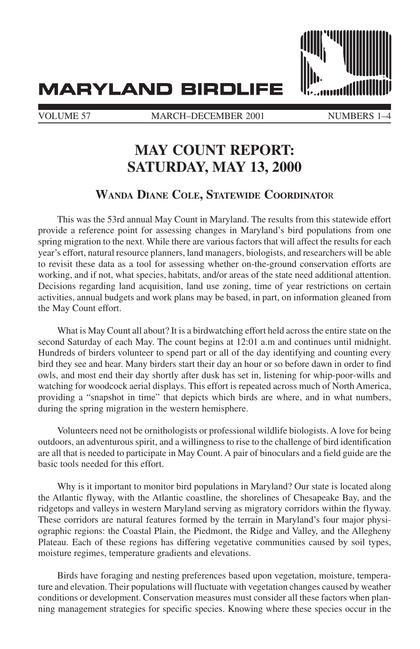**MARYLAND BIRDLIFE** 



VOLUME 57 MARCH–DECEMBER 2001 NUMBERS 1-

# **MAY COUNT REPORT: SATURDAY, MAY 13, 2000**

#### **WANDA DIANE COLE, STATEWIDE COORDINATO**<sup>R</sup>

This was the 53rd annual May Count in Maryland. The results from this statewide effort provide a reference point for assessing changes in Maryland's bird populations from one spring migration to the next. While there are various factors that will affect the results for each year's effort, natural resource planners, land managers, biologists, and researchers will be able to revisit these data as a tool for assessing whether on-the-ground conservation efforts are working, and if not, what species, habitats, and/or areas of the state need additional attention. Decisions regarding land acquisition, land use zoning, time of year restrictions on certain activities, annual budgets and work plans may be based, in part, on information gleaned from the May Count effort.

What is May Count all about? It is a birdwatching effort held across the entire state on the second Saturday of each May. The count begins at 12:01 a.m and continues until midnight. Hundreds of birders volunteer to spend part or all of the day identifying and counting every bird they see and hear. Many birders start their day an hour or so before dawn in order to find owls, and most end their day shortly after dusk has set in, listening for whip-poor-wills and watching for woodcock aerial displays. This effort is repeated across much of North America, providing a "snapshot in time" that depicts which birds are where, and in what numbers, during the spring migration in the western hemisphere.

Volunteers need not be ornithologists or professional wildlife biologists. A love for being outdoors, an adventurous spirit, and a willingness to rise to the challenge of bird identification are all that is needed to participate in May Count. A pair of binoculars and a field guide are the basic tools needed for this effort.

Why is it important to monitor bird populations in Maryland? Our state is located along the Atlantic flyway, with the Atlantic coastline, the shorelines of Chesapeake Bay, and the ridgetops and valleys in western Maryland serving as migratory corridors within the flyway. These corridors are natural features formed by the terrain in Maryland's four major physiographic regions: the Coastal Plain, the Piedmont, the Ridge and Valley, and the Allegheny Plateau. Each of these regions has differing vegetative communities caused by soil types, moisture regimes, temperature gradients and elevations.

Birds have foraging and nesting preferences based upon vegetation, moisture, temperature and elevation. Their populations will fluctuate with vegetation changes caused by weather conditions or development. Conservation measures must consider all these factors when planning management strategies for specific species. Knowing where these species occur in the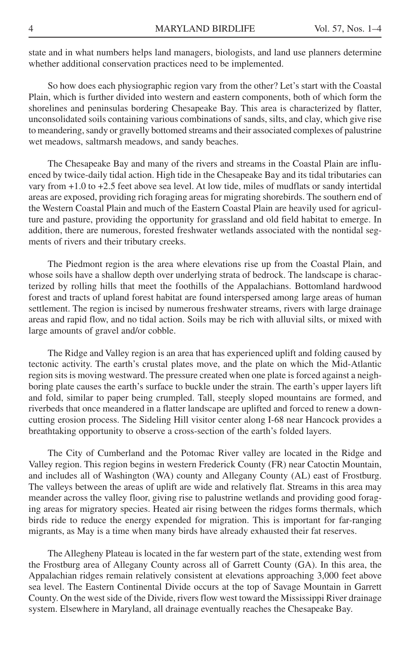state and in what numbers helps land managers, biologists, and land use planners determine whether additional conservation practices need to be implemented.

So how does each physiographic region vary from the other? Let's start with the Coastal Plain, which is further divided into western and eastern components, both of which form the shorelines and peninsulas bordering Chesapeake Bay. This area is characterized by flatter, unconsolidated soils containing various combinations of sands, silts, and clay, which give rise to meandering, sandy or gravelly bottomed streams and their associated complexes of palustrine wet meadows, saltmarsh meadows, and sandy beaches.

The Chesapeake Bay and many of the rivers and streams in the Coastal Plain are influenced by twice-daily tidal action. High tide in the Chesapeake Bay and its tidal tributaries can vary from +1.0 to +2.5 feet above sea level. At low tide, miles of mudflats or sandy intertidal areas are exposed, providing rich foraging areas for migrating shorebirds. The southern end of the Western Coastal Plain and much of the Eastern Coastal Plain are heavily used for agriculture and pasture, providing the opportunity for grassland and old field habitat to emerge. In addition, there are numerous, forested freshwater wetlands associated with the nontidal segments of rivers and their tributary creeks.

The Piedmont region is the area where elevations rise up from the Coastal Plain, and whose soils have a shallow depth over underlying strata of bedrock. The landscape is characterized by rolling hills that meet the foothills of the Appalachians. Bottomland hardwood forest and tracts of upland forest habitat are found interspersed among large areas of human settlement. The region is incised by numerous freshwater streams, rivers with large drainage areas and rapid flow, and no tidal action. Soils may be rich with alluvial silts, or mixed with large amounts of gravel and/or cobble.

The Ridge and Valley region is an area that has experienced uplift and folding caused by tectonic activity. The earth's crustal plates move, and the plate on which the Mid-Atlantic region sits is moving westward. The pressure created when one plate is forced against a neighboring plate causes the earth's surface to buckle under the strain. The earth's upper layers lift and fold, similar to paper being crumpled. Tall, steeply sloped mountains are formed, and riverbeds that once meandered in a flatter landscape are uplifted and forced to renew a downcutting erosion process. The Sideling Hill visitor center along I-68 near Hancock provides a breathtaking opportunity to observe a cross-section of the earth's folded layers.

The City of Cumberland and the Potomac River valley are located in the Ridge and Valley region. This region begins in western Frederick County (FR) near Catoctin Mountain, and includes all of Washington (WA) county and Allegany County (AL) east of Frostburg. The valleys between the areas of uplift are wide and relatively flat. Streams in this area may meander across the valley floor, giving rise to palustrine wetlands and providing good foraging areas for migratory species. Heated air rising between the ridges forms thermals, which birds ride to reduce the energy expended for migration. This is important for far-ranging migrants, as May is a time when many birds have already exhausted their fat reserves.

The Allegheny Plateau is located in the far western part of the state, extending west from the Frostburg area of Allegany County across all of Garrett County (GA). In this area, the Appalachian ridges remain relatively consistent at elevations approaching 3,000 feet above sea level. The Eastern Continental Divide occurs at the top of Savage Mountain in Garrett County. On the west side of the Divide, rivers flow west toward the Mississippi River drainage system. Elsewhere in Maryland, all drainage eventually reaches the Chesapeake Bay.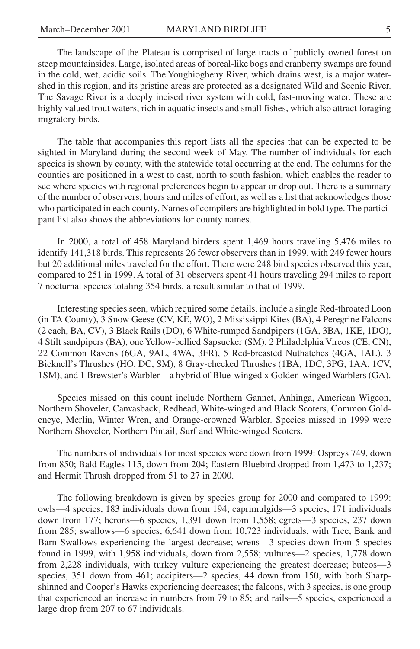The landscape of the Plateau is comprised of large tracts of publicly owned forest on steep mountainsides. Large, isolated areas of boreal-like bogs and cranberry swamps are found in the cold, wet, acidic soils. The Youghiogheny River, which drains west, is a major watershed in this region, and its pristine areas are protected as a designated Wild and Scenic River. The Savage River is a deeply incised river system with cold, fast-moving water. These are highly valued trout waters, rich in aquatic insects and small fishes, which also attract foraging migratory birds.

The table that accompanies this report lists all the species that can be expected to be sighted in Maryland during the second week of May. The number of individuals for each species is shown by county, with the statewide total occurring at the end. The columns for the counties are positioned in a west to east, north to south fashion, which enables the reader to see where species with regional preferences begin to appear or drop out. There is a summary of the number of observers, hours and miles of effort, as well as a list that acknowledges those who participated in each county. Names of compilers are highlighted in bold type. The participant list also shows the abbreviations for county names.

In 2000, a total of 458 Maryland birders spent 1,469 hours traveling 5,476 miles to identify 141,318 birds. This represents 26 fewer observers than in 1999, with 249 fewer hours but 20 additional miles traveled for the effort. There were 248 bird species observed this year, compared to 251 in 1999. A total of 31 observers spent 41 hours traveling 294 miles to report 7 nocturnal species totaling 354 birds, a result similar to that of 1999.

Interesting species seen, which required some details, include a single Red-throated Loon (in TA County), 3 Snow Geese (CV, KE, WO), 2 Mississippi Kites (BA), 4 Peregrine Falcons (2 each, BA, CV), 3 Black Rails (DO), 6 White-rumped Sandpipers (1GA, 3BA, 1KE, 1DO), 4 Stilt sandpipers (BA), one Yellow-bellied Sapsucker (SM), 2 Philadelphia Vireos (CE, CN), 22 Common Ravens (6GA, 9AL, 4WA, 3FR), 5 Red-breasted Nuthatches (4GA, 1AL), 3 Bicknell's Thrushes (HO, DC, SM), 8 Gray-cheeked Thrushes (1BA, 1DC, 3PG, 1AA, 1CV, 1SM), and 1 Brewster's Warbler—a hybrid of Blue-winged x Golden-winged Warblers (GA).

Species missed on this count include Northern Gannet, Anhinga, American Wigeon, Northern Shoveler, Canvasback, Redhead, White-winged and Black Scoters, Common Goldeneye, Merlin, Winter Wren, and Orange-crowned Warbler. Species missed in 1999 were Northern Shoveler, Northern Pintail, Surf and White-winged Scoters.

The numbers of individuals for most species were down from 1999: Ospreys 749, down from 850; Bald Eagles 115, down from 204; Eastern Bluebird dropped from 1,473 to 1,237; and Hermit Thrush dropped from 51 to 27 in 2000.

The following breakdown is given by species group for 2000 and compared to 1999: owls—4 species, 183 individuals down from 194; caprimulgids—3 species, 171 individuals down from 177; herons—6 species, 1,391 down from 1,558; egrets—3 species, 237 down from 285; swallows—6 species, 6,641 down from 10,723 individuals, with Tree, Bank and Barn Swallows experiencing the largest decrease; wrens—3 species down from 5 species found in 1999, with 1,958 individuals, down from 2,558; vultures—2 species, 1,778 down from 2,228 individuals, with turkey vulture experiencing the greatest decrease; buteos—3 species, 351 down from 461; accipiters—2 species, 44 down from 150, with both Sharpshinned and Cooper's Hawks experiencing decreases; the falcons, with 3 species, is one group that experienced an increase in numbers from 79 to 85; and rails—5 species, experienced a large drop from 207 to 67 individuals.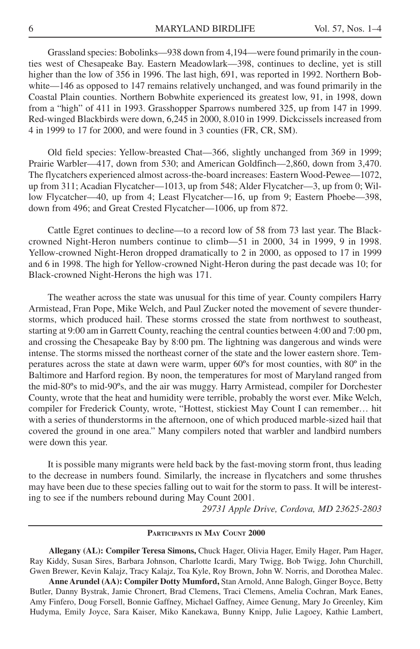Grassland species: Bobolinks—938 down from 4,194—were found primarily in the counties west of Chesapeake Bay. Eastern Meadowlark—398, continues to decline, yet is still higher than the low of 356 in 1996. The last high, 691, was reported in 1992. Northern Bobwhite—146 as opposed to 147 remains relatively unchanged, and was found primarily in the Coastal Plain counties. Northern Bobwhite experienced its greatest low, 91, in 1998, down from a "high" of 411 in 1993. Grasshopper Sparrows numbered 325, up from 147 in 1999. Red-winged Blackbirds were down, 6,245 in 2000, 8.010 in 1999. Dickcissels increased from 4 in 1999 to 17 for 2000, and were found in 3 counties (FR, CR, SM).

Old field species: Yellow-breasted Chat—366, slightly unchanged from 369 in 1999; Prairie Warbler—417, down from 530; and American Goldfinch—2,860, down from 3,470. The flycatchers experienced almost across-the-board increases: Eastern Wood-Pewee—1072, up from 311; Acadian Flycatcher—1013, up from 548; Alder Flycatcher—3, up from 0; Willow Flycatcher—40, up from 4; Least Flycatcher—16, up from 9; Eastern Phoebe—398, down from 496; and Great Crested Flycatcher—1006, up from 872.

Cattle Egret continues to decline—to a record low of 58 from 73 last year. The Blackcrowned Night-Heron numbers continue to climb—51 in 2000, 34 in 1999, 9 in 1998. Yellow-crowned Night-Heron dropped dramatically to 2 in 2000, as opposed to 17 in 1999 and 6 in 1998. The high for Yellow-crowned Night-Heron during the past decade was 10; for Black-crowned Night-Herons the high was 171.

The weather across the state was unusual for this time of year. County compilers Harry Armistead, Fran Pope, Mike Welch, and Paul Zucker noted the movement of severe thunderstorms, which produced hail. These storms crossed the state from northwest to southeast, starting at 9:00 am in Garrett County, reaching the central counties between 4:00 and 7:00 pm, and crossing the Chesapeake Bay by 8:00 pm. The lightning was dangerous and winds were intense. The storms missed the northeast corner of the state and the lower eastern shore. Temperatures across the state at dawn were warm, upper 60ºs for most counties, with 80º in the Baltimore and Harford region. By noon, the temperatures for most of Maryland ranged from the mid-80ºs to mid-90ºs, and the air was muggy. Harry Armistead, compiler for Dorchester County, wrote that the heat and humidity were terrible, probably the worst ever. Mike Welch, compiler for Frederick County, wrote, "Hottest, stickiest May Count I can remember… hit with a series of thunderstorms in the afternoon, one of which produced marble-sized hail that covered the ground in one area." Many compilers noted that warbler and landbird numbers were down this year.

It is possible many migrants were held back by the fast-moving storm front, thus leading to the decrease in numbers found. Similarly, the increase in flycatchers and some thrushes may have been due to these species falling out to wait for the storm to pass. It will be interesting to see if the numbers rebound during May Count 2001.

*29731 Apple Drive, Cordova, MD 23625-2803*

#### **PARTICIPANTS IN MAY COUNT 2000**

**Allegany (AL): Compiler Teresa Simons,** Chuck Hager, Olivia Hager, Emily Hager, Pam Hager, Ray Kiddy, Susan Sires, Barbara Johnson, Charlotte Icardi, Mary Twigg, Bob Twigg, John Churchill, Gwen Brewer, Kevin Kalajz, Tracy Kalajz, Toa Kyle, Roy Brown, John W. Norris, and Dorothea Malec.

**Anne Arundel (AA): Compiler Dotty Mumford,** Stan Arnold, Anne Balogh, Ginger Boyce, Betty Butler, Danny Bystrak, Jamie Chronert, Brad Clemens, Traci Clemens, Amelia Cochran, Mark Eanes, Amy Finfero, Doug Forsell, Bonnie Gaffney, Michael Gaffney, Aimee Genung, Mary Jo Greenley, Kim Hudyma, Emily Joyce, Sara Kaiser, Miko Kanekawa, Bunny Knipp, Julie Lagoey, Kathie Lambert,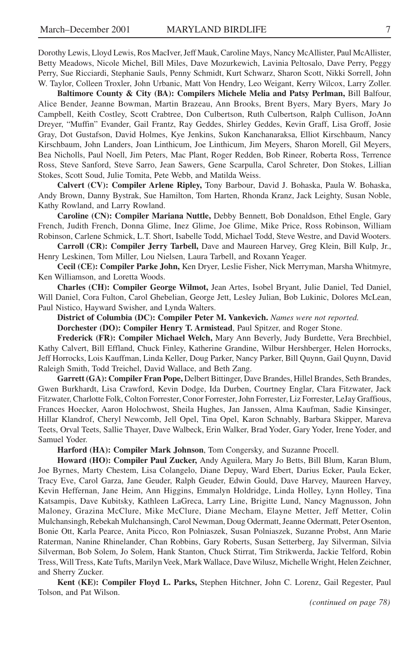Dorothy Lewis, Lloyd Lewis, Ros MacIver, Jeff Mauk, Caroline Mays, Nancy McAllister, Paul McAllister, Betty Meadows, Nicole Michel, Bill Miles, Dave Mozurkewich, Lavinia Peltosalo, Dave Perry, Peggy Perry, Sue Ricciardi, Stephanie Sauls, Penny Schmidt, Kurt Schwarz, Sharon Scott, Nikki Sorrell, John W. Taylor, Colleen Troxler, John Urbanic, Matt Von Hendry, Leo Weigant, Kerry Wilcox, Larry Zoller.

**Baltimore County & City (BA): Compilers Michele Melia and Patsy Perlman,** Bill Balfour, Alice Bender, Jeanne Bowman, Martin Brazeau, Ann Brooks, Brent Byers, Mary Byers, Mary Jo Campbell, Keith Costley, Scott Crabtree, Don Culbertson, Ruth Culbertson, Ralph Cullison, JoAnn Dreyer, "Muffin" Evander, Gail Frantz, Ray Geddes, Shirley Geddes, Kevin Graff, Lisa Groff, Josie Gray, Dot Gustafson, David Holmes, Kye Jenkins, Sukon Kanchanaraksa, Elliot Kirschbaum, Nancy Kirschbaum, John Landers, Joan Linthicum, Joe Linthicum, Jim Meyers, Sharon Morell, Gil Meyers, Bea Nicholls, Paul Noell, Jim Peters, Mac Plant, Roger Redden, Bob Rineer, Roberta Ross, Terrence Ross, Steve Sanford, Steve Sarro, Jean Sawers, Gene Scarpulla, Carol Schreter, Don Stokes, Lillian Stokes, Scott Soud, Julie Tomita, Pete Webb, and Matilda Weiss.

**Calvert (CV): Compiler Arlene Ripley,** Tony Barbour, David J. Bohaska, Paula W. Bohaska, Andy Brown, Danny Bystrak, Sue Hamilton, Tom Harten, Rhonda Kranz, Jack Leighty, Susan Noble, Kathy Rowland, and Larry Rowland.

**Caroline (CN): Compiler Mariana Nuttle,** Debby Bennett, Bob Donaldson, Ethel Engle, Gary French, Judith French, Donna Glime, Inez Glime, Joe Glime, Mike Price, Ross Robinson, William Robinson, Carlene Schmick, L.T. Short, Isabelle Todd, Michael Todd, Steve Westre, and David Wooters.

**Carroll (CR): Compiler Jerry Tarbell,** Dave and Maureen Harvey, Greg Klein, Bill Kulp, Jr., Henry Leskinen, Tom Miller, Lou Nielsen, Laura Tarbell, and Roxann Yeager.

**Cecil (CE): Compiler Parke John,** Ken Dryer, Leslie Fisher, Nick Merryman, Marsha Whitmyre, Ken Williamson, and Loretta Woods.

**Charles (CH): Compiler George Wilmot,** Jean Artes, Isobel Bryant, Julie Daniel, Ted Daniel, Will Daniel, Cora Fulton, Carol Ghebelian, George Jett, Lesley Julian, Bob Lukinic, Dolores McLean, Paul Nistico, Hayward Swisher, and Lynda Walters.

**District of Columbia (DC): Compiler Peter M. Vankevich.** *Names were not reported.*

**Dorchester (DO): Compiler Henry T. Armistead**, Paul Spitzer, and Roger Stone.

**Frederick (FR): Compiler Michael Welch,** Mary Ann Beverly, Judy Burdette, Vera Brechbiel, Kathy Calvert, Bill Effland, Chuck Finley, Katherine Grandine, Wilbur Hershberger, Helen Horrocks, Jeff Horrocks, Lois Kauffman, Linda Keller, Doug Parker, Nancy Parker, Bill Quynn, Gail Quynn, David Raleigh Smith, Todd Treichel, David Wallace, and Beth Zang.

**Garrett (GA): Compiler Fran Pope,** Delbert Bittinger, Dave Brandes, Hillel Brandes, Seth Brandes, Gwen Burkhardt, Lisa Crawford, Kevin Dodge, Ida Durben, Courtney Englar, Clara Fitzwater, Jack Fitzwater, Charlotte Folk, Colton Forrester, Conor Forrester, John Forrester, Liz Forrester, LeJay Graffious, Frances Hoecker, Aaron Holochwost, Sheila Hughes, Jan Janssen, Alma Kaufman, Sadie Kinsinger, Hillar Klandrof, Cheryl Newcomb, Jell Opel, Tina Opel, Karon Schnably, Barbara Skipper, Mareva Teets, Orval Teets, Sallie Thayer, Dave Walbeck, Erin Walker, Brad Yoder, Gary Yoder, Irene Yoder, and Samuel Yoder.

**Harford (HA): Compiler Mark Johnson**, Tom Congersky, and Suzanne Procell.

**Howard (HO): Compiler Paul Zucker,** Andy Aguilera, Mary Jo Betts, Bill Blum, Karan Blum, Joe Byrnes, Marty Chestem, Lisa Colangelo, Diane Depuy, Ward Ebert, Darius Ecker, Paula Ecker, Tracy Eve, Carol Garza, Jane Geuder, Ralph Geuder, Edwin Gould, Dave Harvey, Maureen Harvey, Kevin Heffernan, Jane Heim, Ann Higgins, Emmalyn Holdridge, Linda Holley, Lynn Holley, Tina Katsampis, Dave Kubitsky, Kathleen LaGreca, Larry Line, Brigitte Lund, Nancy Magnusson, John Maloney, Grazina McClure, Mike McClure, Diane Mecham, Elayne Metter, Jeff Metter, Colin Mulchansingh, Rebekah Mulchansingh, Carol Newman, Doug Odermatt, Jeanne Odermatt, Peter Osenton, Bonie Ott, Karla Pearce, Anita Picco, Ron Polniaszek, Susan Polniaszek, Suzanne Probst, Ann Marie Raterman, Nanine Rhinelander, Chan Robbins, Gary Roberts, Susan Setterberg, Jay Silverman, Silvia Silverman, Bob Solem, Jo Solem, Hank Stanton, Chuck Stirrat, Tim Strikwerda, Jackie Telford, Robin Tress, Will Tress, Kate Tufts, Marilyn Veek, Mark Wallace, Dave Wilusz, Michelle Wright, Helen Zeichner, and Sherry Zucker.

**Kent (KE): Compiler Floyd L. Parks,** Stephen Hitchner, John C. Lorenz, Gail Regester, Paul Tolson, and Pat Wilson.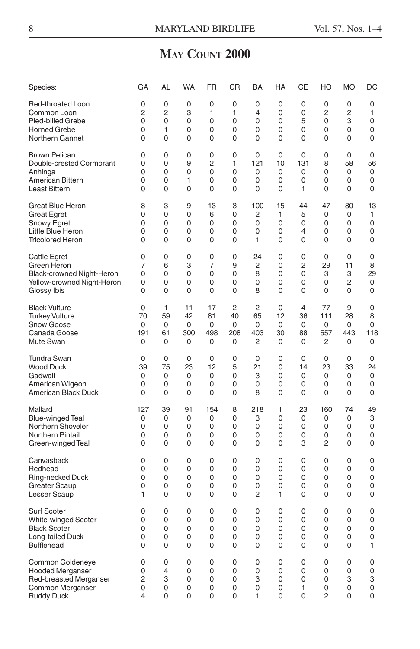# **MAY COUNT 2000**

| Species:                   | GA             | AL | WA          | FR             | СR             | BA             | HA | CЕ             | HO             | <b>MO</b>   | DC          |
|----------------------------|----------------|----|-------------|----------------|----------------|----------------|----|----------------|----------------|-------------|-------------|
| Red-throated Loon          | $\mathbf 0$    | 0  | 0           | $\mathbf 0$    | 0              | 0              | 0  | $\mathbf 0$    | $\mathbf 0$    | 0           | 0           |
| Common Loon                | $\overline{2}$ | 2  | 3           | 1              | 1              | 4              | 0  | 0              | $\overline{2}$ | 2           | 1           |
| Pied-billed Grebe          | 0              | 0  | 0           | 0              | 0              | 0              | 0  | 5              | 0              | 3           | 0           |
| <b>Horned Grebe</b>        | 0              | 1  | 0           | 0              | 0              | $\mathbf 0$    | 0  | $\mathbf 0$    | $\mathbf 0$    | 0           | 0           |
| Northern Gannet            | 0              | 0  | 0           | 0              | 0              | 0              | 0  | $\mathbf 0$    | 0              | 0           | 0           |
| <b>Brown Pelican</b>       | 0              | 0  | $\mathbf 0$ | $\mathbf 0$    | 0              | 0              | 0  | 0              | 0              | 0           | $\mathbf 0$ |
| Double-crested Cormorant   | $\Omega$       | 0  | 9           | $\overline{2}$ | 1              | 121            | 10 | 131            | 8              | 58          | 56          |
| Anhinga                    | 0              | 0  | 0           | 0              | 0              | 0              | 0  | 0              | 0              | 0           | 0           |
| American Bittern           | 0              | 0  | 1           | 0              | 0              | 0              | 0  | 0              | 0              | 0           | 0           |
| <b>Least Bittern</b>       | $\Omega$       | 0  | 0           | $\Omega$       | 0              | $\mathbf 0$    | 0  | 1              | $\Omega$       | $\Omega$    | 0           |
| Great Blue Heron           | 8              | 3  | 9           | 13             | 3              | 100            | 15 | 44             | 47             | 80          | 13          |
| <b>Great Egret</b>         | 0              | 0  | 0           | 6              | 0              | $\overline{c}$ | 1  | 5              | $\mathbf 0$    | 0           | 1           |
| Snowy Egret                | 0              | 0  | 0           | 0              | 0              | $\mathbf 0$    | 0  | $\mathbf 0$    | 0              | 0           | 0           |
| Little Blue Heron          | 0              | 0  | 0           | 0              | 0              | 0              | 0  | 4              | 0              | 0           | 0           |
| <b>Tricolored Heron</b>    | 0              | 0  | 0           | 0              | 0              | 1              | 0  | 0              | 0              | 0           | 0           |
| Cattle Egret               | 0              | 0  | $\mathbf 0$ | 0              | 0              | 24             | 0  | $\mathbf 0$    | 0              | 0           | 0           |
| Green Heron                | 7              | 6  | 3           | $\overline{7}$ | 9              | $\overline{c}$ | 0  | $\overline{2}$ | 29             | 11          | 8           |
| Black-crowned Night-Heron  | $\mathbf 0$    | 0  | $\Omega$    | 0              | 0              | 8              | 0  | 0              | 3              | 3           | 29          |
| Yellow-crowned Night-Heron | 0              | 0  | 0           | $\mathbf 0$    | 0              | 0              | 0  | $\mathbf 0$    | 0              | 2           | 0           |
| Glossy Ibis                | 0              | 0  | 0           | 0              | 0              | 8              | 0  | $\mathbf 0$    | 0              | 0           | 0           |
| <b>Black Vulture</b>       | 0              | 1  | 11          | 17             | $\overline{c}$ | 2              | 0  | $\overline{4}$ | 77             | 9           | 0           |
| <b>Turkey Vulture</b>      | 70             | 59 | 42          | 81             | 40             | 65             | 12 | 36             | 111            | 28          | 8           |
| <b>Snow Goose</b>          | 0              | 0  | 0           | 0              | 0              | 0              | 0  | 0              | 0              | 0           | 0           |
| Canada Goose               | 191            | 61 | 300         | 498            | 208            | 403            | 30 | 88             | 557            | 443         | 118         |
| Mute Swan                  | 0              | 0  | 0           | 0              | 0              | 2              | 0  | $\mathbf 0$    | 2              | 0           | 0           |
| Tundra Swan                | 0              | 0  | $\mathbf 0$ | 0              | 0              | 0              | 0  | 0              | $\mathbf 0$    | $\mathbf 0$ | 0           |
| <b>Wood Duck</b>           | 39             | 75 | 23          | 12             | 5              | 21             | 0  | 14             | 23             | 33          | 24          |
| Gadwall                    | 0              | 0  | 0           | 0              | 0              | 3              | 0  | 0              | 0              | 0           | 0           |
| American Wigeon            | 0              | 0  | 0           | $\mathbf 0$    | 0              | $\mathbf 0$    | 0  | 0              | 0              | 0           | 0           |
| American Black Duck        | 0              | 0  | 0           | 0              | 0              | 8              | 0  | $\mathbf 0$    | $\mathbf 0$    | 0           | 0           |
| Mallard                    | 127            | 39 | 91          | 154            | 8              | 218            | 1  | 23             | 160            | 74          | 49          |
| <b>Blue-winged Teal</b>    | 0              | 0  | $\Omega$    | $\mathbf 0$    | 0              | 3              | 0  | 0              | $\Omega$       | 0           | 3           |
| Northern Shoveler          | $\Omega$       | 0  | 0           | 0              | $\Omega$       | 0              | 0  | $\mathbf 0$    | $\Omega$       | 0           | 0           |
| Northern Pintail           | 0              | 0  | 0           | 0              | 0              | 0              | 0  | $\mathbf 0$    | 0              | 0           | 0           |
| Green-winged Teal          | 0              | 0  | 0           | $\Omega$       | 0              | $\Omega$       | 0  | 3              | $\overline{2}$ | 0           | 0           |
| Canvasback                 | 0              | 0  | $\mathbf 0$ | $\mathbf 0$    | 0              | 0              | 0  | 0              | 0              | 0           | 0           |
| Redhead                    | 0              | 0  | 0           | $\mathbf 0$    | 0              | $\mathbf 0$    | 0  | $\mathbf 0$    | 0              | 0           | 0           |
| Ring-necked Duck           | 0              | 0  | 0           | 0              | 0              | 0              | 0  | $\mathbf 0$    | 0              | 0           | 0           |
| <b>Greater Scaup</b>       | 0              | 0  | 0           | 0              | 0              | 0              | 0  | 0              | 0              | 0           | 0           |
| Lesser Scaup               | 1              | 0  | 0           | 0              | 0              | 2              | 1  | 0              | 0              | 0           | 0           |
| <b>Surf Scoter</b>         | 0              | 0  | 0           | 0              | 0              | 0              | 0  | 0              | 0              | 0           | 0           |
| <b>White-winged Scoter</b> | 0              | 0  | 0           | 0              | 0              | 0              | 0  | 0              | 0              | 0           | 0           |
| <b>Black Scoter</b>        | 0              | 0  | 0           | $\Omega$       | 0              | $\Omega$       | 0  | 0              | 0              | 0           | 0           |
| Long-tailed Duck           | 0              | 0  | 0           | 0              | 0              | 0              | 0  | 0              | 0              | 0           | 0           |
| <b>Bufflehead</b>          | 0              | 0  | 0           | 0              | 0              | 0              | 0  | $\mathbf 0$    | 0              | 0           | 1           |
| Common Goldeneye           | 0              | 0  | 0           | $\mathbf 0$    | 0              | 0              | 0  | $\mathbf 0$    | 0              | $\mathbf 0$ | $\mathbf 0$ |
| <b>Hooded Merganser</b>    | 0              | 4  | 0           | $\mathbf 0$    | 0              | 0              | 0  | 0              | 0              | 0           | 0           |
| Red-breasted Merganser     | 2              | 3  | 0           | 0              | 0              | 3              | 0  | 0              | 0              | 3           | 3           |
| Common Merganser           | 0              | 0  | 0           | 0              | 0              | $\Omega$       | 0  | 1              | 0              | 0           | 0           |
| <b>Ruddy Duck</b>          | 4              | 0  | $\Omega$    | $\Omega$       | 0              | 1              | 0  | $\Omega$       | $\overline{2}$ | 0           | 0           |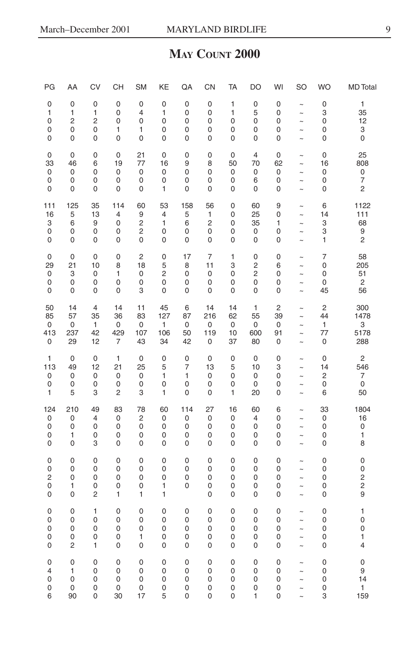#### **MAY COUNT 2000**

| PG                                           | AA                              | <b>CV</b>                          | <b>CH</b>              | <b>SM</b>                        | KE                                                  | QA                                   | CN                    | TA                                 | DO                              | WI                    | <b>SO</b>                                                        | <b>WO</b>             | <b>MD</b> Total                 |
|----------------------------------------------|---------------------------------|------------------------------------|------------------------|----------------------------------|-----------------------------------------------------|--------------------------------------|-----------------------|------------------------------------|---------------------------------|-----------------------|------------------------------------------------------------------|-----------------------|---------------------------------|
| 0                                            | 0                               | $\mathbf 0$                        | 0                      | 0                                | 0                                                   | 0                                    | 0                     | 1                                  | 0                               | 0                     | $\tilde{\phantom{a}}$                                            | 0                     | 1                               |
| 1                                            | 1                               | 1                                  | 0                      | 4                                | 1                                                   | 0                                    | 0                     | 1                                  | 5                               | 0                     | $\sim$                                                           | 3                     | 35                              |
| 0                                            | $\overline{2}$                  | $\overline{c}$                     | 0                      | 0                                | $\mathbf 0$                                         | $\mathbf 0$                          | 0                     | 0                                  | 0                               | 0                     | $\ddot{\phantom{0}}$                                             | $\mathbf 0$           | 12                              |
| 0                                            | 0                               | 0                                  | 1                      | 1                                | 0                                                   | 0                                    | 0                     | 0                                  | 0                               | 0                     | $\tilde{\phantom{a}}$                                            | 0                     | 3                               |
| 0                                            | 0                               | 0                                  | 0                      | 0                                | $\mathbf 0$                                         | 0                                    | 0                     | 0                                  | 0                               | 0                     | $\sim$                                                           | 0                     | 0                               |
| 0                                            | 0                               | $\mathbf 0$                        | 0                      | 21                               | $\mathbf 0$                                         | 0                                    | 0                     | $\mathsf 0$                        | 4                               | 0                     | $\tilde{\phantom{a}}$                                            | 0                     | 25                              |
| 33                                           | 46                              | 6                                  | 19                     | 77                               | 16                                                  | 9                                    | 8                     | 50                                 | 70                              | 62                    | $\ddot{\phantom{1}}$                                             | 16                    | 808                             |
| 0                                            | 0                               | 0                                  | 0                      | $\pmb{0}$                        | 0                                                   | 0                                    | 0                     | 0                                  | 0                               | 0                     | $\tilde{}$                                                       | 0                     | 0                               |
| 0                                            | 0                               | 0                                  | 0                      | $\pmb{0}$                        | $\mathbf 0$                                         | 0                                    | 0                     | 0                                  | 6                               | 0                     | $\ddot{\phantom{1}}$                                             | 0                     | 7                               |
| 0                                            | 0                               | 0                                  | 0                      | $\mathbf 0$                      | 1                                                   | $\mathbf 0$                          | 0                     | 0                                  | 0                               | 0                     | $\sim$                                                           | 0                     | 2                               |
| 111                                          | 125                             | 35                                 | 114                    | 60                               | 53                                                  | 158                                  | 56                    | $\mathbf 0$                        | 60                              | 9                     | $\tilde{\phantom{a}}$                                            | 6                     | 1122                            |
| 16                                           | 5                               | 13                                 | $\overline{4}$         | 9                                | $\overline{4}$                                      | 5                                    | 1                     | 0                                  | 25                              | 0                     | $\tilde{\phantom{a}}$                                            | 14                    | 111                             |
| 3                                            | 6                               | 9                                  | 0                      | 2                                | 1                                                   | 6                                    | $\overline{c}$        | 0                                  | 35                              | 1                     | $\ddot{\phantom{1}}$                                             | 3                     | 68                              |
| 0                                            | 0                               | 0                                  | 0                      | 2                                | $\mathbf 0$                                         | 0                                    | 0                     | 0                                  | 0                               | 0                     | $\ddot{\phantom{1}}$                                             | 3                     | 9                               |
| 0                                            | 0                               | 0                                  | 0                      | 0                                | 0                                                   | 0                                    | 0                     | 0                                  | 0                               | 0                     | $\ddot{\phantom{1}}$                                             | 1                     | 2                               |
| 0                                            | 0                               | 0                                  | 0                      | 2                                | $\mathbf 0$                                         | 17                                   | 7                     | 1                                  | 0                               | 0                     | $\sim$                                                           | 7                     | 58                              |
| 29                                           | 21                              | 10                                 | 8                      | 18                               | 5                                                   | 8                                    | 11                    | 3                                  | 2                               | 6                     | $\tilde{}$                                                       | 0                     | 205                             |
| 0                                            | 3                               | 0                                  | 1                      | 0                                | $\overline{c}$                                      | 0                                    | $\mathbf 0$           | 0                                  | $\overline{c}$                  | 0                     | $\sim$                                                           | 0                     | 51                              |
| 0                                            | 0                               | 0                                  | 0                      | 0                                | 0                                                   | 0                                    | 0                     | 0                                  | 0                               | 0                     | $\sim$                                                           | 0                     | $\overline{c}$                  |
| 0                                            | 0                               | 0                                  | 0                      | 3                                | $\mathbf 0$                                         | 0                                    | $\mathbf 0$           | 0                                  | 0                               | 0                     | $\sim$                                                           | 45                    | 56                              |
| 50                                           | 14                              | $\overline{4}$                     | 14                     | 11                               | 45                                                  | 6                                    | 14                    | 14                                 | $\mathbf{1}$                    | $\overline{c}$        | $\sim$                                                           | $\overline{c}$        | 300                             |
| 85                                           | 57                              | 35                                 | 36                     | 83                               | 127                                                 | 87                                   | 216                   | 62                                 | 55                              | 39                    | $\ddot{\phantom{1}}$                                             | 44                    | 1478                            |
| 0                                            | 0                               | 1                                  | 0                      | 0                                | 1                                                   | 0                                    | 0                     | $\pmb{0}$                          | 0                               | 0                     | $\tilde{}$                                                       | 1                     | 3                               |
| 413                                          | 237                             | 42                                 | 429                    | 107                              | 106                                                 | 50                                   | 119                   | 10                                 | 600                             | 91                    | $\widetilde{\phantom{m}}$                                        | 77                    | 5178                            |
| 0                                            | 29                              | 12                                 | $\overline{7}$         | 43                               | 34                                                  | 42                                   | 0                     | 37                                 | 80                              | 0                     | $\sim$                                                           | $\mathbf 0$           | 288                             |
| 1                                            | 0                               | 0                                  | $\mathbf{1}$           | 0                                | $\mathbf 0$                                         | 0                                    | $\mathbf 0$           | $\mathbf 0$                        | 0                               | 0                     | $\tilde{ }$                                                      | $\mathbf 0$           | $\overline{c}$                  |
| 113                                          | 49                              | 12                                 | 21                     | 25                               | 5                                                   | 7                                    | 13                    | 5                                  | 10                              | 3                     | $\tilde{ }$                                                      | 14                    | 546                             |
| 0                                            | 0                               | 0                                  | 0                      | 0                                | 1                                                   | 1                                    | 0                     | 0                                  | 0                               | 0                     | $\widetilde{\phantom{m}}$                                        | $\overline{c}$        | 7                               |
| 0                                            | 0                               | 0                                  | 0                      | 0                                | $\mathbf 0$                                         | 0                                    | 0                     | 0                                  | 0                               | 0                     | $\ddot{\phantom{1}}$                                             | 0                     | $\mathbf 0$                     |
| 1                                            | 5                               | 3                                  | $\overline{c}$         | 3                                | 1                                                   | $\mathbf 0$                          | 0                     | 1                                  | 20                              | 0                     | $\ddot{\phantom{1}}$                                             | 6                     | 50                              |
| 124                                          | 210                             | 49                                 | 83                     | 78                               | 60                                                  | 114                                  | 27                    | 16                                 | 60                              | 6                     | $\sim$                                                           | 33                    | 1804                            |
| 0                                            | 0                               | $\overline{4}$                     | 0                      | 2                                | 0                                                   | 0                                    | $\mathsf 0$           | 0                                  | $\overline{4}$                  | 0                     | $\thicksim$                                                      | 0                     | 16                              |
| 0                                            | 0                               | 0                                  | 0                      | $\mathbf 0$                      | $\mathbf 0$                                         | 0                                    | 0                     | 0                                  | 0                               | 0                     | $\ddot{\phantom{1}}$                                             | 0                     | 0                               |
| 0                                            | 1                               | 0                                  | 0                      | 0                                | 0                                                   | 0                                    | 0                     | 0                                  | 0                               | 0                     | $\tilde{}$                                                       | 0                     | 1                               |
| 0                                            | 0                               | 3                                  | $\mathbf 0$            | 0                                | $\mathbf 0$                                         | 0                                    | 0                     | 0                                  | 0                               | 0                     | $\sim$                                                           | $\mathbf 0$           | 8                               |
| $\mathbf 0$<br>0<br>$\overline{c}$<br>0<br>0 | $\mathbf 0$<br>0<br>0<br>1<br>0 | $\overline{0}$<br>0<br>0<br>0<br>2 | 0<br>0<br>0<br>0<br>1  | $\mathbf 0$<br>0<br>0<br>0<br>1  | $\mathbf 0$<br>0<br>$\mathbf 0$<br>1<br>1           | $\mathbf 0$<br>0<br>0<br>$\mathbf 0$ | 0<br>0<br>0<br>0<br>0 | $\overline{0}$<br>0<br>0<br>0<br>0 | $\mathbf 0$<br>0<br>0<br>0<br>0 | 0<br>0<br>0<br>0<br>0 | $\sim$<br>$\sim$<br>$\ddot{\phantom{1}}$<br>$\sim$<br>$\sim$     | 0<br>0<br>0<br>0<br>0 | $\mathbf 0$<br>0<br>2<br>2<br>9 |
| 0                                            | 0                               | 1                                  | 0                      | 0                                | 0                                                   | 0                                    | $\mathbf 0$           | $\mathbf 0$                        | 0                               | 0                     | $\tilde{ }$                                                      | 0                     | 1                               |
| 0                                            | 0                               | 0                                  | 0                      | 0                                | 0                                                   | 0                                    | 0                     | 0                                  | 0                               | 0                     | $\tilde{}$                                                       | 0                     | 0                               |
| 0                                            | 0                               | 0                                  | 0                      | 0                                | 0                                                   | 0                                    | 0                     | 0                                  | 0                               | 0                     | $\sim$                                                           | 0                     | 0                               |
| 0                                            | 0                               | 0                                  | 0                      | 1                                | 0                                                   | 0                                    | 0                     | 0                                  | 0                               | 0                     | $\ddot{\phantom{1}}$                                             | 0                     | 1                               |
| 0                                            | $\overline{c}$                  | 1                                  | 0                      | 0                                | 0                                                   | 0                                    | 0                     | 0                                  | 0                               | 0                     | $\tilde{\phantom{a}}$                                            | 0                     | 4                               |
| 0<br>4<br>0<br>0<br>6                        | 0<br>1<br>0<br>0<br>90          | $\mathbf 0$<br>0<br>0<br>0<br>0    | 0<br>0<br>0<br>0<br>30 | $\mathbf 0$<br>0<br>0<br>0<br>17 | $\mathbf 0$<br>$\mathbf 0$<br>0<br>$\mathbf 0$<br>5 | $\mathbf 0$<br>0<br>0<br>0<br>0      | 0<br>0<br>0<br>0<br>0 | 0<br>0<br>0<br>0<br>$\mathbf 0$    | 0<br>0<br>0<br>0<br>1           | 0<br>0<br>0<br>0<br>0 | $\ddot{\phantom{1}}$<br>$\sim$<br>$\ddot{\phantom{1}}$<br>$\sim$ | 0<br>0<br>0<br>0<br>3 | 0<br>9<br>14<br>1<br>159        |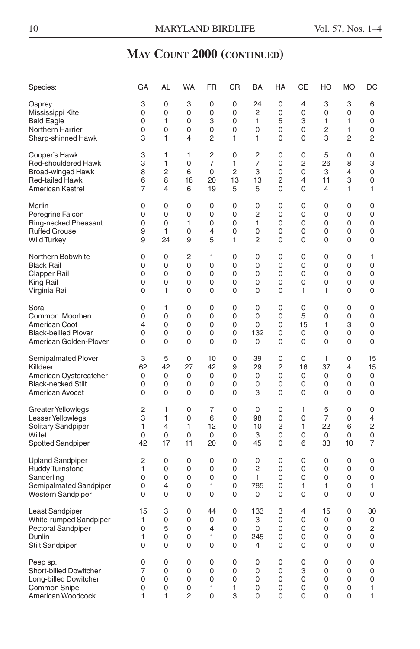| Species:                    | GA             | AL | <b>WA</b>      | <b>FR</b>      | CR | BA             | HA | СE             | HO             | <b>MO</b>      | DC          |
|-----------------------------|----------------|----|----------------|----------------|----|----------------|----|----------------|----------------|----------------|-------------|
| Osprey                      | 3              | 0  | 3              | 0              | 0  | 24             | 0  | 4              | 3              | 3              | 6           |
| Mississippi Kite            | 0              | 0  | 0              | $\Omega$       | 0  | $\overline{c}$ | 0  | $\Omega$       | $\Omega$       | $\overline{0}$ | 0           |
| <b>Bald Eagle</b>           | 0              | 1  | 0              | 3              | 0  | 1              | 5  | 3              | 1              | 1              | 0           |
| Northern Harrier            | 0              | 0  | 0              | 0              | 0  | 0              | 0  | 0              | 2              | 1              | 0           |
| Sharp-shinned Hawk          | 3              | 1  | 4              | 2              | 1  | 1              | 0  | 0              | 3              | $\overline{c}$ | 2           |
| Cooper's Hawk               | 3              | 1  | 1              | $\overline{c}$ | 0  | 2              | 0  | $\mathbf 0$    | 5              | 0              | 0           |
| Red-shouldered Hawk         | 3              | 1  | 0              | $\overline{7}$ | 1  | 7              | 0  | 2              | 26             | 8              | 3           |
| Broad-winged Hawk           | 8              | 2  | 6              | 0              | 2  | 3              | 0  | 0              | 3              | 4              | 0           |
| <b>Red-tailed Hawk</b>      | 6              | 8  | 18             | 20             | 13 | 13             | 2  | 4              | 11             | 3              | 0           |
| American Kestrel            | 7              | 4  | 6              | 19             | 5  | 5              | 0  | 0              | 4              | 1              | 1           |
| Merlin                      | 0              | 0  | 0              | 0              | 0  | 0              | 0  | 0              | $\mathbf 0$    | 0              | $\mathbf 0$ |
| Peregrine Falcon            | 0              | 0  | 0              | 0              | 0  | $\overline{2}$ | 0  | $\mathbf 0$    | 0              | 0              | 0           |
| Ring-necked Pheasant        | 0              | 0  | 1              | 0              | 0  | 1              | 0  | 0              | 0              | 0              | 0           |
| <b>Ruffed Grouse</b>        | 9              | 1  | 0              | $\overline{4}$ | 0  | 0              | 0  | 0              | 0              | 0              | 0           |
| <b>Wild Turkey</b>          | 9              | 24 | 9              | 5              | 1  | 2              | 0  | 0              | 0              | 0              | 0           |
| Northern Bobwhite           | 0              | 0  | 2              | 1              | 0  | 0              | 0  | 0              | 0              | 0              | 1           |
| <b>Black Rail</b>           | 0              | 0  | 0              | 0              | 0  | 0              | 0  | 0              | 0              | 0              | 0           |
| Clapper Rail                | 0              | 0  | 0              | 0              | 0  | 0              | 0  | $\mathbf 0$    | 0              | $\mathbf 0$    | 0           |
| King Rail                   | 0              | 0  | 0              | 0              | 0  | 0              | 0  | $\mathbf 0$    | 0              | 0              | 0           |
| Virginia Rail               | 0              | 1  | 0              | 0              | 0  | 0              | 0  | 1              | 1              | 0              | 0           |
| Sora                        | $\mathbf 0$    | 1  | 0              | $\mathbf 0$    | 0  | 0              | 0  | $\mathbf 0$    | 0              | 0              | $\mathbf 0$ |
| Common Moorhen              | 0              | 0  | 0              | $\mathbf 0$    | 0  | $\mathbf 0$    | 0  | 5              | 0              | $\mathbf 0$    | 0           |
| <b>American Coot</b>        | 4              | 0  | 0              | 0              | 0  | 0              | 0  | 15             | 1              | 3              | 0           |
| <b>Black-bellied Plover</b> | 0              | 0  | 0              | 0              | 0  | 132            | 0  | 0              | 0              | 0              | 0           |
| American Golden-Plover      | 0              | 0  | 0              | $\mathbf 0$    | 0  | $\mathbf 0$    | 0  | $\mathbf 0$    | 0              | $\mathbf 0$    | 0           |
| Semipalmated Plover         | 3              | 5  | $\mathbf 0$    | 10             | 0  | 39             | 0  | $\mathbf 0$    | 1              | 0              | 15          |
| Killdeer                    | 62             | 42 | 27             | 42             | 9  | 29             | 2  | 16             | 37             | 4              | 15          |
| American Oystercatcher      | 0              | 0  | 0              | 0              | 0  | 0              | 0  | 0              | 0              | 0              | 0           |
| <b>Black-necked Stilt</b>   | 0              | 0  | 0              | 0              | 0  | 0              | 0  | $\mathbf 0$    | 0              | 0              | 0           |
| American Avocet             | $\mathbf 0$    | 0  | 0              | 0              | 0  | 3              | 0  | $\mathbf 0$    | $\mathbf 0$    | 0              | 0           |
| Greater Yellowlegs          | $\overline{c}$ | 1  | 0              | 7              | 0  | 0              | 0  | 1              | 5              | 0              | 0           |
| Lesser Yellowlegs           | 3              | 1  | $\overline{0}$ | 6              | 0  | 98             | 0  | $\mathbf 0$    | $\overline{7}$ | 0              | 4           |
| Solitary Sandpiper          | 1              | 4  | 1              | 12             | 0  | 10             | 2  | 1              | 22             | 6              | 2           |
| Willet                      | 0              | 0  | 0              | 0              | 0  | 3              | 0  | 0              | 0              | 0              | 0           |
| <b>Spotted Sandpiper</b>    | 42             | 17 | 11             | 20             | 0  | 45             | 0  | 6              | 33             | 10             | 7           |
| Upland Sandpiper            | $\overline{c}$ | 0  | 0              | $\mathbf 0$    | 0  | 0              | 0  | $\mathbf 0$    | $\mathbf 0$    | $\mathbf 0$    | $\mathbf 0$ |
| <b>Ruddy Turnstone</b>      | 1              | 0  | 0              | 0              | 0  | $\overline{c}$ | 0  | $\mathbf 0$    | 0              | 0              | 0           |
| Sanderling                  | 0              | 0  | 0              | 0              | 0  | 1              | 0  | $\mathbf 0$    | $\mathbf 0$    | 0              | 0           |
| Semipalmated Sandpiper      | 0              | 4  | 0              | 1              | 0  | 785            | 0  | 1              | 1              | 0              | 1           |
| Western Sandpiper           | 0              | 0  | 0              | 0              | 0  | 0              | 0  | 0              | 0              | 0              | 0           |
| Least Sandpiper             | 15             | 3  | $\Omega$       | 44             | 0  | 133            | 3  | $\overline{4}$ | 15             | 0              | 30          |
| White-rumped Sandpiper      | 1              | 0  | 0              | 0              | 0  | 3              | 0  | $\mathbf 0$    | $\Omega$       | 0              | 0           |
| <b>Pectoral Sandpiper</b>   | 0              | 5  | 0              | $\overline{4}$ | 0  | 0              | 0  | 0              | 0              | 0              | 2           |
| Dunlin                      | 1              | 0  | 0              | 1              | 0  | 245            | 0  | 0              | 0              | 0              | 0           |
| <b>Stilt Sandpiper</b>      | 0              | 0  | 0              | 0              | 0  | 4              | 0  | $\mathbf 0$    | $\mathbf 0$    | 0              | 0           |
| Peep sp.                    | 0              | 0  | 0              | 0              | 0  | 0              | 0  | 0              | 0              | 0              | 0           |
| Short-billed Dowitcher      | 7              | 0  | 0              | 0              | 0  | 0              | 0  | 3              | 0              | 0              | 0           |
| Long-billed Dowitcher       | 0              | 0  | 0              | 0              | 0  | $\Omega$       | 0  | 0              | 0              | 0              | 0           |
| Common Snipe                | 0              | 0  | 0              | 1              | 1  | $\Omega$       | 0  | 0              | 0              | 0              | 1           |
| American Woodcock           | 1              | 1  | 2              | $\Omega$       | 3  | $\Omega$       | 0  | $\Omega$       | 0              | $\Omega$       | 1           |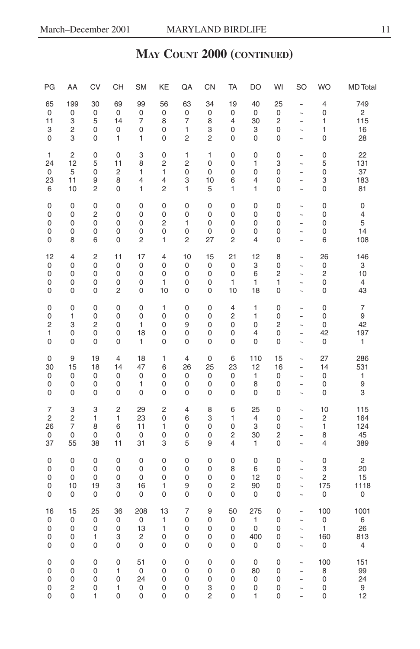| PG             | AA             | CV | CH             | <b>SM</b>    | KE                      | QA             | CN          | <b>TA</b>      | DO             | WI                      | SO                    | <b>WO</b>      | <b>MD</b> Total           |
|----------------|----------------|----|----------------|--------------|-------------------------|----------------|-------------|----------------|----------------|-------------------------|-----------------------|----------------|---------------------------|
| 65             | 199            | 30 | 69             | 99           | 56                      | 63             | 34          | 19             | 40             | 25                      | $\tilde{\phantom{a}}$ | 4              | 749                       |
| 0              | 0              | 0  | $\pmb{0}$      | 0            | 0                       | 0              | $\mathbf 0$ | 0              | 0              | $\mathbf 0$             | $\ddot{\phantom{1}}$  | 0              | $\overline{c}$            |
| 11             | 3              | 5  | 14             | 7            | 8                       | 7              | 8           | 4              | 30             | $\overline{c}$          | $\ddot{\phantom{1}}$  | 1              | 115                       |
| 3              | 2              | 0  | 0              | 0            | 0                       | 1              | 3           | 0              | 3              | 0                       | $\ddot{\phantom{1}}$  | 1              | 16                        |
| $\mathbf 0$    | 3              | 0  | 1              | $\mathbf{1}$ | $\mathbf 0$             | $\overline{c}$ | 2           | 0              | 0              | 0                       | $\ddot{\phantom{1}}$  | 0              | 28                        |
| 1              | $\overline{c}$ | 0  | $\mathbf 0$    | 3            | 0                       | 1              | 1           | $\mathbf 0$    | $\mathbf 0$    | $\mathbf 0$             | $\sim$                | 0              | 22                        |
| 24             | 12             | 5  | 11             | 8            | $\overline{c}$          | 2              | 0           | 0              | 1              | 3                       | $\sim$                | 5              | 131                       |
| 0              | 5              | 0  | $\overline{c}$ | 1            | 1                       | 0              | 0           | 0              | 0              | 0                       | $\ddot{\phantom{1}}$  | 0              | 37                        |
| 23             | 11             | 9  | 8              | 4            | $\overline{4}$          | 3              | 10          | 6              | 4              | 0                       | $\tilde{}$            | 3              | 183                       |
| 6              | 10             | 2  | 0              | $\mathbf{1}$ | $\overline{c}$          | 1              | 5           | 1              | 1              | 0                       | $\ddot{\phantom{1}}$  | 0              | 81                        |
| 0              | 0              | 0  | 0              | 0            | 0                       | 0              | 0           | 0              | 0              | 0                       | $\ddot{\phantom{1}}$  | 0              | $\mathbf 0$               |
| $\mathbf 0$    | 0              | 2  | 0              | 0            | $\mathbf 0$             | 0              | 0           | 0              | 0              | 0                       | $\ddot{\phantom{1}}$  | 0              | 4                         |
| 0              | 0              | 0  | 0              | 0            | $\overline{c}$          | 1              | 0           | 0              | 0              | 0                       | $\tilde{\phantom{a}}$ | 0              | 5                         |
| 0              | 0              | 0  | 0              | 0            | $\mathbf 0$             | 0              | 0           | 0              | 0              | 0                       | $\sim$                | 0              | 14                        |
| $\mathbf 0$    | 8              | 6  | 0              | 2            | 1                       | 2              | 27          | $\overline{c}$ | 4              | 0                       | $\sim$                | 6              | 108                       |
| 12             | $\overline{4}$ | 2  | 11             | 17           | $\overline{4}$          | 10             | 15          | 21             | 12             | 8                       | $\tilde{ }$           | 26             | 146                       |
| 0              | $\mathbf 0$    | 0  | 0              | 0            | $\mathbf 0$             | 0              | 0           | $\mathbf 0$    | 3              | 0                       | $\ddot{\phantom{1}}$  | 0              | $\ensuremath{\mathsf{3}}$ |
| $\mathbf 0$    | 0              | 0  | 0              | 0            | $\mathbf 0$             | $\mathbf 0$    | $\mathbf 0$ | $\mathbf 0$    | 6              | $\overline{c}$          | $\ddot{\phantom{1}}$  | 2              | 10                        |
| 0              | 0              | 0  | 0              | 0            | 1                       | 0              | 0           | 1              | 1              | 1                       | $\ddot{\phantom{1}}$  | 0              | 4                         |
| 0              | $\mathbf 0$    | 0  | $\overline{c}$ | 0            | 10                      | 0              | 0           | 10             | 18             | 0                       | $\ddot{\phantom{1}}$  | 0              | 43                        |
| 0              | $\mathbf 0$    | 0  | $\mathbf 0$    | $\mathbf 0$  | 1                       | $\mathbf 0$    | 0           | $\overline{4}$ | $\mathbf{1}$   | $\mathbf 0$             | $\sim$                | 0              | $\overline{7}$            |
| 0              | 1              | 0  | 0              | 0            | 0                       | 0              | 0           | $\overline{c}$ | 1              | 0                       | $\sim$                | 0              | 9                         |
| $\overline{c}$ | 3              | 2  | 0              | $\mathbf{1}$ | $\mathbf 0$             | 9              | 0           | 0              | 0              | $\overline{\mathbf{c}}$ | $\ddot{\phantom{1}}$  | 0              | 42                        |
| 1              | 0              | 0  | 0              | 18           | 0                       | 0              | 0           | 0              | 4              | 0                       | $\tilde{}$            | 42             | 197                       |
| 0              | 0              | 0  | 0              | $\mathbf{1}$ | 0                       | 0              | 0           | 0              | 0              | 0                       | $\ddot{\phantom{1}}$  | 0              | 1                         |
| 0              | 9              | 19 | $\overline{4}$ | 18           | $\mathbf{1}$            | 4              | 0           | 6              | 110            | 15                      | $\ddot{\phantom{1}}$  | 27             | 286                       |
| 30             | 15             | 18 | 14             | 47           | 6                       | 26             | 25          | 23             | 12             | 16                      | $\ddot{\phantom{1}}$  | 14             | 531                       |
| 0              | 0              | 0  | 0              | 0            | $\mathbf 0$             | 0              | 0           | 0              | 1              | 0                       | $\tilde{\phantom{a}}$ | 0              | 1                         |
| 0              | 0              | 0  | 0              | 1            | 0                       | 0              | 0           | 0              | 8              | 0                       | $\ddot{\phantom{1}}$  | 0              | 9                         |
| $\mathbf 0$    | 0              | 0  | 0              | 0            | $\mathbf 0$             | 0              | 0           | 0              | 0              | 0                       | $\sim$                | 0              | 3                         |
| $\overline{7}$ | 3              | 3  | $\overline{c}$ | 29           | $\overline{\mathbf{c}}$ | 4              | 8           | 6              | 25             | $\mathbf 0$             | $\tilde{\phantom{a}}$ | 10             | 115                       |
| $\overline{c}$ | $\overline{c}$ | 1  | 1              | 23           | $\mathbf 0$             | 6              | 3           | 1              | $\overline{4}$ | 0                       | $\ddot{\phantom{1}}$  | 2              | 164                       |
| 26             | 7              | 8  | 6              | 11           | 1                       | 0              | 0           | 0              | 3              | 0                       | $\ddot{\phantom{0}}$  | 1              | 124                       |
| 0              | 0              | 0  | 0              | 0            | 0                       | 0              | 0           | $\overline{c}$ | 30             | 2                       | $\tilde{ }$           | 8              | 45                        |
| 37             | 55             | 38 | 11             | 31           | 3                       | 5              | 9           | 4              | 1              | 0                       | $\ddot{\phantom{1}}$  | 4              | 389                       |
| 0              | $\mathbf 0$    | 0  | $\mathbf 0$    | 0            | 0                       | 0              | 0           | $\mathbf 0$    | $\mathbf 0$    | $\mathbf 0$             | $\tilde{ }$           | 0              | $\overline{c}$            |
| 0              | 0              | 0  | 0              | 0            | $\mathbf 0$             | 0              | 0           | 8              | 6              | 0                       | $\sim$                | 3              | 20                        |
| $\mathbf 0$    | 0              | 0  | 0              | 0            | $\mathbf 0$             | 0              | 0           | 0              | 12             | 0                       | $\ddot{\phantom{1}}$  | $\overline{c}$ | 15                        |
| 0              | 10             | 19 | 3              | 16           | 1                       | 9              | 0           | 2              | 90             | 0                       | $\tilde{}$            | 175            | 1118                      |
| $\mathbf 0$    | 0              | 0  | 0              | 0            | $\mathbf 0$             | 0              | 0           | 0              | 0              | 0                       | $\ddot{\phantom{1}}$  | 0              | 0                         |
| 16             | 15             | 25 | 36             | 208          | 13                      | $\overline{7}$ | 9           | 50             | 275            | 0                       | $\ddot{\phantom{1}}$  | 100            | 1001                      |
| 0              | 0              | 0  | $\pmb{0}$      | 0            | 1                       | 0              | 0           | 0              | 1              | 0                       | $\ddot{\phantom{1}}$  | 0              | 6                         |
| 0              | 0              | 0  | 0              | 13           | $\mathbf{1}$            | 0              | 0           | 0              | $\mathbf 0$    | 0                       | $\ddot{\phantom{1}}$  | 1              | 26                        |
| 0              | 0              | 1  | 3              | 2            | 0                       | 0              | 0           | 0              | 400            | 0                       | $\ddot{\phantom{1}}$  | 160            | 813                       |
| $\mathbf 0$    | 0              | 0  | 0              | 0            | $\mathbf 0$             | 0              | 0           | 0              | 0              | 0                       | $\sim$                | 0              | 4                         |
| $\mathbf 0$    | 0              | 0  | 0              | 51           | $\mathbf 0$             | 0              | 0           | 0              | $\mathbf 0$    | 0                       | $\tilde{\phantom{a}}$ | 100            | 151                       |
| $\mathbf 0$    | 0              | 0  | 1              | $\mathbf 0$  | $\mathbf 0$             | 0              | 0           | 0              | 80             | 0                       | $\ddot{\phantom{1}}$  | 8              | 99                        |
| $\mathbf 0$    | 0              | 0  | 0              | 24           | $\mathbf 0$             | 0              | 0           | 0              | 0              | 0                       | $\tilde{ }$           | 0              | 24                        |
| 0              | 2              | 0  | 1              | 0            | 0                       | 0              | 3           | 0              | 0              | 0                       | $\tilde{ }$           | 0              | 9                         |
| $\mathbf 0$    | $\mathbf 0$    | 1  | $\mathbf 0$    | 0            | $\mathbf 0$             | $\mathbf 0$    | 2           | 0              | 1              | 0                       | $\ddot{\phantom{0}}$  | 0              | 12                        |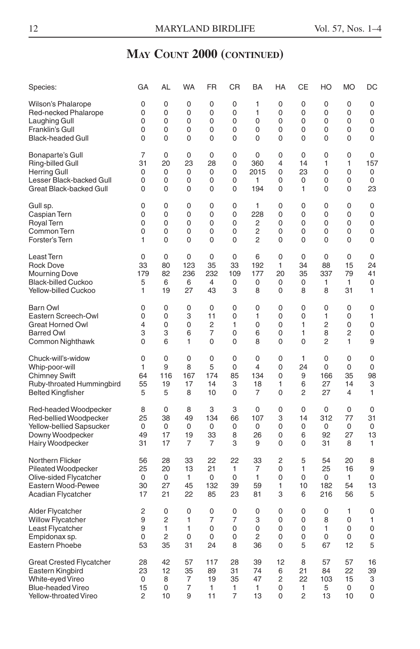| Species:                        | GА  | AL             | WA          | FR             | СR       | BA   | HA | CЕ             | HO          | <b>MO</b>   | DC  |
|---------------------------------|-----|----------------|-------------|----------------|----------|------|----|----------------|-------------|-------------|-----|
| Wilson's Phalarope              | 0   | 0              | 0           | 0              | 0        | 1    | 0  | 0              | $\mathbf 0$ | 0           | 0   |
| Red-necked Phalarope            | 0   | 0              | 0           | 0              | 0        | 1    | 0  | 0              | 0           | 0           | 0   |
| Laughing Gull                   | 0   | 0              | 0           | 0              | 0        | 0    | 0  | 0              | 0           | 0           | 0   |
| Franklin's Gull                 | 0   | 0              | 0           | 0              | 0        | 0    | 0  | 0              | 0           | 0           | 0   |
| <b>Black-headed Gull</b>        | 0   | 0              | 0           | 0              | 0        | 0    | 0  | 0              | 0           | 0           | 0   |
| Bonaparte's Gull                | 7   | 0              | $\mathbf 0$ | 0              | 0        | 0    | 0  | 0              | 0           | $\mathbf 0$ | 0   |
| Ring-billed Gull                | 31  | 20             | 23          | 28             | 0        | 360  | 4  | 14             | 1           | 1           | 157 |
| <b>Herring Gull</b>             | 0   | 0              | 0           | 0              | 0        | 2015 | 0  | 23             | 0           | 0           | 0   |
| Lesser Black-backed Gull        | 0   | 0              | 0           | 0              | 0        | 1    | 0  | 0              | 0           | 0           | 0   |
| Great Black-backed Gull         | 0   | $\Omega$       | 0           | 0              | 0        | 194  | 0  | 1              | 0           | $\mathbf 0$ | 23  |
| Gull sp.                        | 0   | 0              | 0           | 0              | 0        | 1    | 0  | 0              | 0           | 0           | 0   |
| Caspian Tern                    | 0   | 0              | 0           | 0              | 0        | 228  | 0  | 0              | 0           | 0           | 0   |
| Royal Tern                      | 0   | $\Omega$       | 0           | $\Omega$       | 0        | 2    | 0  | 0              | 0           | 0           | 0   |
| Common Tern                     | 0   | 0              | 0           | 0              | 0        | 2    | 0  | 0              | 0           | 0           | 0   |
| Forster's Tern                  | 1   | 0              | 0           | 0              | 0        | 2    | 0  | $\mathbf 0$    | 0           | $\mathbf 0$ | 0   |
| Least Tern                      | 0   | 0              | 0           | 0              | 0        | 6    | 0  | 0              | $\mathbf 0$ | 0           | 0   |
| <b>Rock Dove</b>                | 33  | 80             | 123         | 35             | 33       | 192  | 1  | 34             | 88          | 15          | 24  |
| <b>Mourning Dove</b>            | 179 | 82             | 236         | 232            | 109      | 177  | 20 | 35             | 337         | 79          | 41  |
| <b>Black-billed Cuckoo</b>      | 5   | 6              | 6           | $\overline{4}$ | 0        | 0    | 0  | 0              | 1           | 1           | 0   |
| Yellow-billed Cuckoo            | 1   | 19             | 27          | 43             | 3        | 8    | 0  | 8              | 8           | 31          | 1   |
| Barn Owl                        | 0   | 0              | 0           | 0              | 0        | 0    | 0  | 0              | 0           | $\mathbf 0$ | 0   |
| Eastern Screech-Owl             | 0   | 0              | 3           | 11             | 0        | 1    | 0  | $\mathbf 0$    | 1           | $\mathbf 0$ | 1   |
| <b>Great Horned Owl</b>         | 4   | 0              | 0           | $\overline{c}$ | 1        | 0    | 0  | 1              | 2           | 0           | 0   |
| <b>Barred Owl</b>               | 3   | 3              | 6           | 7              | 0        | 6    | 0  | 1              | 8           | 2           | 0   |
| Common Nighthawk                | 0   | 6              | 1           | 0              | 0        | 8    | 0  | $\mathbf 0$    | 2           | 1           | 9   |
| Chuck-will's-widow              | 0   | 0              | 0           | 0              | 0        | 0    | 0  | 1              | 0           | 0           | 0   |
| Whip-poor-will                  | 1   | 9              | 8           | 5              | 0        | 4    | 0  | 24             | 0           | 0           | 0   |
| <b>Chimney Swift</b>            | 64  | 116            | 167         | 174            | 85       | 134  | 0  | 9              | 166         | 35          | 98  |
| Ruby-throated Hummingbird       | 55  | 19             | 17          | 14             | 3        | 18   | 1  | 6              | 27          | 14          | 3   |
| <b>Belted Kingfisher</b>        | 5   | 5              | 8           | 10             | 0        | 7    | 0  | $\overline{2}$ | 27          | 4           | 1   |
| Red-headed Woodpecker           | 8   | 0              | 8           | 3              | 3        | 0    | 0  | 0              | 0           | 0           | 0   |
| Red-bellied Woodpecker          | 25  | 38             | 49          | 134            | 66       | 107  | 3  | 14             | 312         | 77          | 31  |
| Yellow-bellied Sapsucker        | 0   | 0              | 0           | 0              | 0        | 0    | 0  | 0              | 0           | 0           | 0   |
| Downy Woodpecker                | 49  | 17             | 19          | 33             | 8        | 26   | 0  | 6              | 92          | 27          | 13  |
| Hairy Woodpecker                | 31  | 17             | 7           | 7              | 3        | 9    | 0  | 0              | 31          | 8           | 1   |
| Northern Flicker                | 56  | 28             | 33          | 22             | 22       | 33   | 2  | 5              | 54          | 20          | 8   |
| <b>Pileated Woodpecker</b>      | 25  | 20             | 13          | 21             | 1        | 7    | 0  | 1              | 25          | 16          | 9   |
| Olive-sided Flycatcher          | 0   | 0              | 1           | 0              | 0        | 1    | 0  | 0              | 0           | 1           | 0   |
| Eastern Wood-Pewee              | 30  | 27             | 45          | 132            | 39       | 59   | 1  | 10             | 182         | 54          | 13  |
| Acadian Flycatcher              | 17  | 21             | 22          | 85             | 23       | 81   | 3  | 6              | 216         | 56          | 5   |
| Alder Flycatcher                | 2   | 0              | 0           | 0              | 0        | 0    | 0  | 0              | 0           | 1           | 0   |
| <b>Willow Flycatcher</b>        | 9   | 2              | 1           | 7              | 7        | 3    | 0  | 0              | 8           | 0           | 1   |
| Least Flycatcher                | 9   | 1              | 1           | $\Omega$       | $\Omega$ | 0    | 0  | 0              | 1           | 0           | 0   |
| Empidonax sp.                   | 0   | $\overline{2}$ | 0           | 0              | 0        | 2    | 0  | 0              | 0           | 0           | 0   |
| <b>Eastern Phoebe</b>           | 53  | 35             | 31          | 24             | 8        | 36   | 0  | 5              | 67          | 12          | 5   |
| <b>Great Crested Flycatcher</b> | 28  | 42             | 57          | 117            | 28       | 39   | 12 | 8              | 57          | 57          | 16  |
| Eastern Kingbird                | 23  | 12             | 35          | 89             | 31       | 74   | 6  | 21             | 84          | 22          | 39  |
| White-eyed Vireo                | 0   | 8              | 7           | 19             | 35       | 47   | 2  | 22             | 103         | 15          | 3   |
| <b>Blue-headed Vireo</b>        | 15  | 0              | 7           | 1              | 1        | 1    | 0  | 1              | 5           | 0           | 0   |
| Yellow-throated Vireo           | 2   | 10             | 9           | 11             | 7        | 13   | 0  | 2              | 13          | 10          | 0   |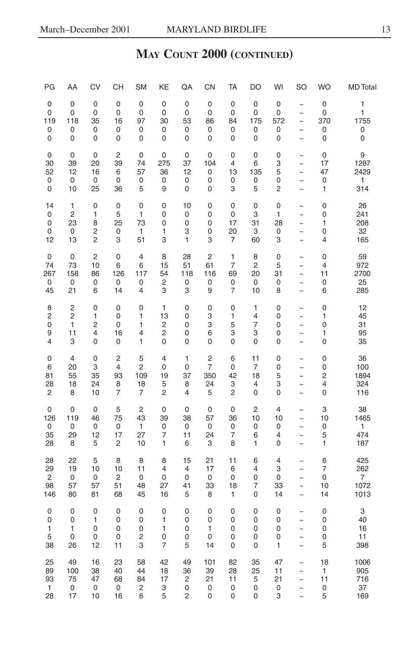| PG             | AA             | CV             | CН             | <b>SM</b>               | KE             | QA             | CN                      | <b>TA</b>      | DO             | WI             | <b>SO</b>             | <b>WO</b>      | <b>MD</b> Total |
|----------------|----------------|----------------|----------------|-------------------------|----------------|----------------|-------------------------|----------------|----------------|----------------|-----------------------|----------------|-----------------|
| 0              | $\mathbf 0$    | 0              | 0              | $\mathbf 0$             | $\mathbf 0$    | $\mathbf 0$    | 0                       | 0              | 0              | 0              | $\tilde{ }$           | $\mathbf 0$    | 1               |
| 0              | 0              | 0              | 0              | $\mathbf 0$             | $\mathbf 0$    | $\mathbf 0$    | 0                       | 0              | 0              | 0              | $\tilde{}$            | 0              | 1               |
| 119            | 118            | 35             | 16             | 97                      | 30             | 53             | 86                      | 84             | 175            | 572            | $\tilde{ }$           | 370            | 1755            |
| 0              | 0              | 0              | 0              | 0                       | 0              | 0              | 0                       | 0              | 0              | 0              | $\tilde{ }$           | 0              | 0               |
| 0              | $\mathbf 0$    | 0              | 0              | $\mathbf 0$             | 0              | $\mathbf 0$    | 0                       | 0              | 0              | $\mathbf 0$    | $\sim$                | 0              | 0               |
| 0              | $\mathbf 0$    | 0              | $\overline{2}$ | $\mathbf 0$             | 0              | $\mathbf 0$    | 0                       | 0              | $\mathbf 0$    | 0              | $\sim$                | 0              | 9               |
| 30             | 39             | 20             | 39             | 74                      | 275            | 37             | 104                     | 4              | 6              | 3              | $\tilde{ }$           | 17             | 1287            |
| 52             | 12             | 16             | 6              | 57                      | 36             | 12             | $\mathbf 0$             | 13             | 135            | 5              | $\ddot{\phantom{1}}$  | 47             | 2429            |
| 0              | 0              | $\mathbf 0$    | 0              | 0                       | $\mathbf 0$    | 0              | 0                       | 0              | 0              | 0              | $\tilde{}$            | $\mathbf 0$    | 1               |
| 0              | 10             | 25             | 36             | 5                       | 9              | 0              | $\mathbf 0$             | 3              | 5              | 2              | $\ddot{\phantom{1}}$  | 1              | 314             |
| 14             | 1              | 0              | 0              | $\mathbf 0$             | 0              | 10             | $\mathbf 0$             | 0              | 0              | $\mathbf 0$    | $\sim$                | 0              | 26              |
| 0              | 2              | 1              | 5              | 1                       | 0              | 0              | 0                       | 0              | 3              | 1              | $\sim$                | 0              | 241             |
| 0              | 23             | 8              | 25             | 73                      | 0              | 0              | 0                       | 17             | 31             | 28             | $\sim$                | 1              | 208             |
| 0              | $\mathbf 0$    | 2              | 0              | $\mathbf{1}$            | 1              | 3              | 0                       | 20             | 3              | 0              | $\tilde{}$            | 0              | 32              |
| 12             | 13             | $\overline{c}$ | 3              | 51                      | 3              | $\mathbf{1}$   | 3                       | $\overline{7}$ | 60             | 3              | $\tilde{\phantom{a}}$ | $\overline{4}$ | 165             |
| 0              | $\mathbf 0$    | $\overline{c}$ | 0              | 4                       | 8              | 28             | $\overline{c}$          | 1              | 8              | 0              | $\sim$                | $\mathbf 0$    | 59              |
| 74             | 73             | 10             | 6              | 6                       | 15             | 51             | 61                      | $\overline{7}$ | $\overline{c}$ | 5              | $\tilde{ }$           | 4              | 972             |
| 267            | 158            | 86             | 126            | 117                     | 54             | 118            | 116                     | 69             | 20             | 31             | $\tilde{ }$           | 11             | 2700            |
| 0              | 0              | 0              | 0              | 0                       | $\overline{c}$ | 0              | 0                       | 0              | 0              | 0              | $\tilde{\phantom{a}}$ | 0              | 25              |
| 45             | 21             | 6              | 14             | 4                       | 3              | 3              | 9                       | 7              | 10             | 8              | $\sim$                | 6              | 285             |
| 8              | $\overline{c}$ | 0              | 0              | $\mathbf 0$             | 1              | 0              | 0                       | $\mathbf 0$    | 1              | $\mathbf 0$    | $\tilde{ }$           | $\mathbf 0$    | 12              |
| 2              | $\overline{c}$ | 1              | 0              | 1                       | 13             | 0              | 3                       | 1              | 4              | 0              | $\tilde{\phantom{a}}$ | 1              | 45              |
| 0              | 1              | $\overline{c}$ | 0              | 1                       | $\overline{c}$ | 0              | 3                       | 5              | 7              | 0              | $\tilde{}$            | 0              | 31              |
| 9              | 11             | 4              | 16             | 4                       | 2              | 0              | 6                       | 3              | 3              | 0              | $\ddot{\phantom{1}}$  | 1              | 95              |
| 4              | 3              | 0              | 0              | 1                       | 0              | 0              | 0                       | 0              | 0              | 0              | $\sim$                | 0              | 35              |
| 0              | 4              | 0              | $\overline{c}$ | 5                       | 4              | 1              | $\overline{\mathbf{c}}$ | 6              | 11             | 0              | $\tilde{ }$           | 0              | 36              |
| 6              | 20             | 3              | 4              | $\overline{c}$          | $\mathbf 0$    | 0              | 7                       | 0              | 7              | 0              | $\tilde{\phantom{a}}$ | 0              | 100             |
| 81             | 55             | 35             | 93             | 109                     | 19             | 37             | 350                     | 42             | 18             | 5              | $\sim$                | 2              | 1894            |
| 28             | 18             | 24             | 8              | 18                      | 5              | 8              | 24                      | 3              | 4              | 3              | $\ddot{\phantom{1}}$  | 4              | 324             |
| $\overline{c}$ | 8              | 10             | $\overline{7}$ | $\overline{7}$          | $\overline{c}$ | 4              | 5                       | 2              | 0              | 0              | $\tilde{\phantom{a}}$ | 0              | 116             |
| 0              | $\mathbf 0$    | $\mathbf 0$    | 5              | $\overline{\mathbf{c}}$ | $\mathbf 0$    | 0              | 0                       | $\pmb{0}$      | $\overline{c}$ | $\overline{4}$ | $\sim$                | 3              | 38              |
| 126            | 119            | 46             | 75             | 43                      | 39             | 38             | 57                      | 36             | 10             | 10             | $\sim$                | 10             | 1465            |
| 0              | 0              | $\mathbf 0$    | 0              | 1                       | $\mathbf 0$    | $\mathbf 0$    | 0                       | 0              | 0              | 0              | $\sim$                | 0              | 1               |
| 35             | 29             | 12             | 17             | 27                      | 7              | 11             | 24                      | 7              | 6              | 4              | $\tilde{ }$           | 5              | 474             |
| 28             | 8              | 5              | $\overline{c}$ | 10                      | 1              | 6              | 3                       | 8              | 1              | 0              | $\sim$                | 1              | 187             |
| 28             | 22             | 5              | 8              | 8                       | 8              | 15             | 21                      | 11             | 6              | 4              | $\sim$                | 6              | 425             |
| 29             | 19             | 10             | 10             | 11                      | 4              | $\overline{4}$ | 17                      | 6              | 4              | 3              | $\ddot{\phantom{0}}$  | $\overline{7}$ | 262             |
| 2              | 0              | 0              | 2              | $\mathbf 0$             | 0              | 0              | 0                       | 0              | 0              | 0              | $\tilde{}$            | 0              | 7               |
| 98             | 57             | 57             | 51             | 48                      | 27             | 41             | 33                      | 18             | 7              | 33             | $\ddot{\phantom{1}}$  | 10             | 1072            |
| 146            | 80             | 81             | 68             | 45                      | 16             | 5              | 8                       | 1              | 0              | 14             | $\sim$                | 14             | 1013            |
| 0              | 0              | 0              | 0              | 0                       | 0              | 0              | $\mathbf 0$             | 0              | 0              | 0              | $\tilde{ }$           | $\mathbf 0$    | 3               |
| 0              | 0              | 1              | 0              | 0                       | 1              | 0              | 0                       | 0              | 0              | 0              | $\tilde{\phantom{a}}$ | 0              | 40              |
| 1              | 1              | 0              | 0              | 0                       | 1              | 0              | 1                       | 0              | 0              | 0              | $\tilde{\phantom{a}}$ | 0              | 16              |
| 5              | $\mathbf 0$    | 0              | 0              | 2                       | 0              | 0              | 0                       | 0              | 0              | 0              | $\sim$                | 0              | 11              |
| 38             | 26             | 12             | 11             | 3                       | $\overline{7}$ | 5              | 14                      | 0              | 0              | 1              | $\ddot{\phantom{1}}$  | 5              | 398             |
| 25             | 49             | 16             | 23             | 58                      | 42             | 49             | 101                     | 82             | 35             | 47             | $\sim$                | 18             | 1006            |
| 89             | 100            | 38             | 40             | 44                      | 18             | 36             | 39                      | 28             | 25             | 11             | $\tilde{ }$           | 1              | 905             |
| 93             | 75             | 47             | 68             | 84                      | 17             | 2              | 21                      | 11             | 5              | 21             | $\sim$                | 11             | 716             |
| 1              | 0              | 0              | 0              | 2                       | 3              | 0              | 0                       | 0              | 0              | 0              | $\tilde{\phantom{a}}$ | 0              | 37              |
| 28             | 17             | 10             | 16             | 6                       | 5              | $\overline{2}$ | 0                       | 0              | 0              | 3              | $\sim$                | 5              | 169             |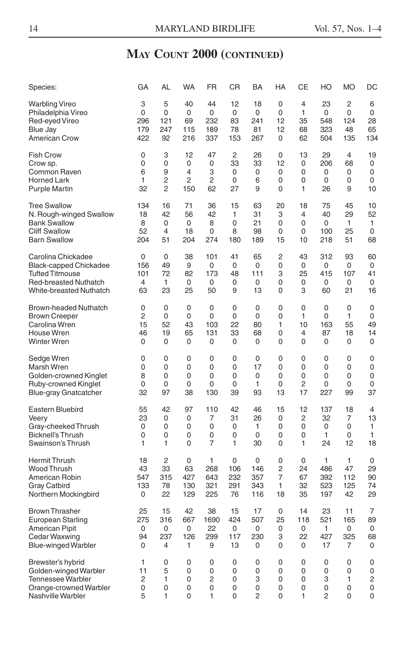| Species:                      | GA  | AL             | <b>WA</b> | <b>FR</b> | <b>CR</b>      | BA             | HA             | СE             | HO           | <b>MO</b>   | DC             |
|-------------------------------|-----|----------------|-----------|-----------|----------------|----------------|----------------|----------------|--------------|-------------|----------------|
| <b>Warbling Vireo</b>         | 3   | 5              | 40        | 44        | 12             | 18             | 0              | 4              | 23           | 2           | 6              |
| Philadelphia Vireo            | 0   | 0              | 0         | 0         | $\mathbf 0$    | 0              | 0              | $\mathbf{1}$   | 0            | 0           | 0              |
| Red-eyed Vireo                | 296 | 121            | 69        | 232       | 83             | 241            | 12             | 35             | 548          | 124         | 28             |
| <b>Blue Jay</b>               | 179 | 247            | 115       | 189       | 78             | 81             | 12             | 68             | 323          | 48          | 65             |
| <b>American Crow</b>          | 422 | 92             | 216       | 337       | 153            | 267            | 0              | 62             | 504          | 135         | 134            |
| Fish Crow                     | 0   | 3              | 12        | 47        | $\overline{2}$ | 26             | $\mathbf 0$    | 13             | 29           | 4           | 19             |
| Crow sp.                      | 0   | 0              | 0         | 0         | 33             | 33             | 12             | 0              | 206          | 68          | 0              |
| Common Raven                  | 6   | 9              | 4         | 3         | 0              | 0              | 0              | 0              | 0            | 0           | 0              |
| <b>Horned Lark</b>            | 1   | 2              | 2         | 2         | 0              | 6              | 0              | 0              | 0            | 0           | 0              |
| <b>Purple Martin</b>          | 32  | $\overline{2}$ | 150       | 62        | 27             | 9              | 0              | 1              | 26           | 9           | 10             |
| Tree Swallow                  | 134 | 16             | 71        | 36        | 15             | 63             | 20             | 18             | 75           | 45          | 10             |
| N. Rough-winged Swallow       | 18  | 42             | 56        | 42        | 1              | 31             | 3              | 4              | 40           | 29          | 52             |
| <b>Bank Swallow</b>           | 8   | 0              | 0         | 8         | 0              | 21             | 0              | $\Omega$       | 0            | 1           | 1              |
| <b>Cliff Swallow</b>          | 52  | 4              | 18        | 0         | 8              | 98             | 0              | 0              | 100          | 25          | 0              |
| <b>Barn Swallow</b>           | 204 | 51             | 204       | 274       | 180            | 189            | 15             | 10             | 218          | 51          | 68             |
| Carolina Chickadee            | 0   | $\pmb{0}$      | 38        | 101       | 41             | 65             | 2              | 43             | 312          | 93          | 60             |
| <b>Black-capped Chickadee</b> | 156 | 49             | 9         | 0         | 0              | 0              | 0              | 0              | 0            | 0           | 0              |
| <b>Tufted Titmouse</b>        | 101 | 72             | 82        | 173       | 48             | 111            | 3              | 25             | 415          | 107         | 41             |
| <b>Red-breasted Nuthatch</b>  | 4   | 1              | 0         | 0         | 0              | 0              | 0              | 0              | 0            | 0           | 0              |
| White-breasted Nuthatch       | 63  | 23             | 25        | 50        | 9              | 13             | 0              | 3              | 60           | 21          | 16             |
| <b>Brown-headed Nuthatch</b>  | 0   | 0              | 0         | 0         | 0              | 0              | $\mathbf 0$    | 0              | 0            | $\mathbf 0$ | 0              |
| <b>Brown Creeper</b>          | 2   | 0              | 0         | 0         | $\mathbf 0$    | 0              | $\mathbf 0$    | $\mathbf{1}$   | 0            | 1           | 0              |
| Carolina Wren                 | 15  | 52             | 43        | 103       | 22             | 80             | 1              | 10             | 163          | 55          | 49             |
| House Wren                    | 46  | 19             | 65        | 131       | 33             | 68             | 0              | 4              | 87           | 18          | 14             |
| Winter Wren                   | 0   | 0              | 0         | 0         | 0              | 0              | 0              | 0              | 0            | 0           | 0              |
| Sedge Wren                    | 0   | 0              | 0         | 0         | 0              | 0              | 0              | 0              | 0            | $\mathbf 0$ | 0              |
| Marsh Wren                    | 0   | 0              | $\Omega$  | 0         | $\Omega$       | 17             | $\Omega$       | $\Omega$       | 0            | $\Omega$    | 0              |
| Golden-crowned Kinglet        | 8   | 0              | 0         | 0         | 0              | 0              | 0              | 0              | 0            | 0           | 0              |
| Ruby-crowned Kinglet          | 0   | 0              | 0         | 0         | $\mathbf 0$    | 1              | 0              | $\overline{2}$ | 0            | 0           | 0              |
| <b>Blue-gray Gnatcatcher</b>  | 32  | 97             | 38        | 130       | 39             | 93             | 13             | 17             | 227          | 99          | 37             |
| Eastern Bluebird              | 55  | 42             | 97        | 110       | 42             | 46             | 15             | 12             | 137          | 18          | $\overline{4}$ |
| Veery                         | 23  | 0              | 0         | 7         | 31             | 26             | 0              | 2              | 32           | 7           | 13             |
| Gray-cheeked Thrush           | 0   | 0              | 0         | 0         | 0              | 1              | 0              | 0              | 0            | 0           | 1              |
| <b>Bicknell's Thrush</b>      | 0   | 0              | 0         | 0         | $\Omega$       | 0              | 0              | 0              | $\mathbf{1}$ | $\Omega$    | $\mathbf{1}$   |
| Swainson's Thrush             | 1   | 1              | 0         | 7         | 1              | 30             | 0              | 1              | 24           | 12          | 18             |
| Hermit Thrush                 | 18  | $\overline{2}$ | 0         | 1         | 0              | 0              | 0              | 0              | 1            | 1           | 0              |
| Wood Thrush                   | 43  | 33             | 63        | 268       | 106            | 146            | $\overline{c}$ | 24             | 486          | 47          | 29             |
| American Robin                | 547 | 315            | 427       | 643       | 232            | 357            | 7              | 67             | 392          | 112         | 90             |
| <b>Gray Catbird</b>           | 133 | 78             | 130       | 321       | 291            | 343            | 1              | 32             | 523          | 125         | 74             |
| Northern Mockingbird          | 0   | 22             | 129       | 225       | 76             | 116            | 18             | 35             | 197          | 42          | 29             |
| <b>Brown Thrasher</b>         | 25  | 15             | 42        | 38        | 15             | 17             | $\Omega$       | 14             | 23           | 11          | $\overline{7}$ |
| <b>European Starling</b>      | 275 | 316            | 667       | 1690      | 424            | 507            | 25             | 118            | 521          | 165         | 89             |
| <b>American Pipit</b>         | 0   | 0              | 0         | 22        | 0              | 0              | 0              | 0              | 1            | 0           | 0              |
| Cedar Waxwing                 | 94  | 237            | 126       | 299       | 117            | 230            | 3              | 22             | 427          | 325         | 68             |
| <b>Blue-winged Warbler</b>    | 0   | 4              | 1         | 9         | 13             | 0              | 0              | 0              | 17           | 7           | 0              |
| Brewster's hybrid             | 1   | 0              | 0         | 0         | 0              | 0              | 0              | 0              | 0            | 0           | 0              |
| Golden-winged Warbler         | 11  | 5              | 0         | 0         | 0              | 0              | 0              | 0              | 0            | 0           | 0              |
| Tennessee Warbler             | 2   | 1              | 0         | 2         | 0              | 3              | 0              | $\Omega$       | 3            | 1           | 2              |
| Orange-crowned Warbler        | 0   | 0              | 0         | 0         | 0              | 0              | 0              | 0              | 0            | 0           | 0              |
| Nashville Warbler             | 5   | 1              | 0         | 1         | $\Omega$       | $\overline{2}$ | 0              | 1              | 2            | $\Omega$    | 0              |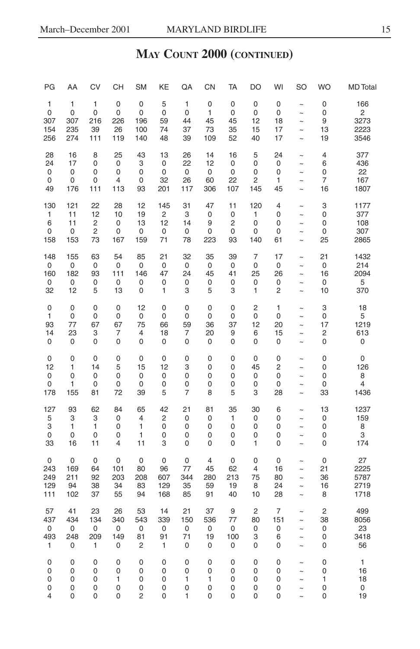| PG                    | AA                    | <b>CV</b>             | CН                    | <b>SM</b>             | KE                    | QA                    | CN                              | TA                    | <b>DO</b>             | WI                    | SO                                   | <b>WO</b>               | <b>MD</b> Total          |
|-----------------------|-----------------------|-----------------------|-----------------------|-----------------------|-----------------------|-----------------------|---------------------------------|-----------------------|-----------------------|-----------------------|--------------------------------------|-------------------------|--------------------------|
| 1                     | 1                     | 1                     | 0                     | 0                     | 5                     | 1                     | 0                               | 0                     | 0                     | 0                     | $\tilde{ }$                          | 0                       | 166                      |
| 0                     | 0                     | $\mathbf 0$           | 0                     | 0                     | 0                     | 0                     | 1                               | 0                     | 0                     | $\mathbf 0$           | $\tilde{ }$                          | $\mathbf 0$             | 2                        |
| 307                   | 307                   | 216                   | 226                   | 196                   | 59                    | 44                    | 45                              | 45                    | 12                    | 18                    | $\sim$                               | 9                       | 3273                     |
| 154                   | 235                   | 39                    | 26                    | 100                   | 74                    | 37                    | 73                              | 35                    | 15                    | 17                    | $\tilde{ }$                          | 13                      | 2223                     |
| 256                   | 274                   | 111                   | 119                   | 140                   | 48                    | 39                    | 109                             | 52                    | 40                    | 17                    | $\sim$                               | 19                      | 3546                     |
| 28                    | 16                    | 8                     | 25                    | 43                    | 13                    | 26                    | 14                              | 16                    | 5                     | 24                    | $\sim$                               | 4                       | 377                      |
| 24                    | 17                    | $\mathbf 0$           | $\pmb{0}$             | 3                     | 0                     | 22                    | 12                              | 0                     | 0                     | $\mathbf 0$           | $\ddot{\phantom{1}}$                 | 6                       | 436                      |
| 0                     | 0                     | 0                     | 0                     | 0                     | 0                     | 0                     | 0                               | 0                     | 0                     | 0                     | $\sim$                               | 0                       | 22                       |
| 0                     | 0                     | $\mathbf 0$           | 4                     | 0                     | 32                    | 26                    | 60                              | 22                    | 2                     | 1                     | $\ddot{\phantom{0}}$                 | 7                       | 167                      |
| 49                    | 176                   | 111                   | 113                   | 93                    | 201                   | 117                   | 306                             | 107                   | 145                   | 45                    | $\sim$                               | 16                      | 1807                     |
| 130                   | 121                   | 22                    | 28                    | 12                    | 145                   | 31                    | 47                              | 11                    | 120                   | 4                     | $\tilde{}$                           | 3                       | 1177                     |
| 1                     | 11                    | 12                    | 10                    | 19                    | $\overline{c}$        | 3                     | 0                               | 0                     | 1                     | 0                     | $\sim$                               | 0                       | 377                      |
| 6                     | 11                    | $\overline{c}$        | $\mathbf 0$           | 13                    | 12                    | 14                    | 9                               | 2                     | 0                     | 0                     | $\ddot{\phantom{1}}$                 | 0                       | 108                      |
| 0                     | 0                     | $\overline{c}$        | 0                     | 0                     | 0                     | 0                     | 0                               | 0                     | 0                     | 0                     | $\ddot{\phantom{1}}$                 | 0                       | 307                      |
| 158                   | 153                   | 73                    | 167                   | 159                   | 71                    | 78                    | 223                             | 93                    | 140                   | 61                    | $\ddot{ }$                           | 25                      | 2865                     |
| 148                   | 155                   | 63                    | 54                    | 85                    | 21                    | 32                    | 35                              | 39                    | 7                     | 17                    | $\sim$                               | 21                      | 1432                     |
| 0                     | 0                     | 0                     | 0                     | 0                     | $\mathbf 0$           | 0                     | 0                               | 0                     | 0                     | 0                     | $\sim$                               | 0                       | 214                      |
| 160                   | 182                   | 93                    | 111                   | 146                   | 47                    | 24                    | 45                              | 41                    | 25                    | 26                    | $\sim$                               | 16                      | 2094                     |
| 0                     | 0                     | 0                     | 0                     | 0                     | 0                     | 0                     | 0                               | 0                     | 0                     | 0                     | $\sim$                               | 0                       | 5                        |
| 32                    | 12                    | 5                     | 13                    | 0                     | 1                     | 3                     | 5                               | 3                     | 1                     | 2                     | $\sim$                               | 10                      | 370                      |
| 0                     | 0                     | 0                     | 0                     | 12                    | 0                     | $\mathbf 0$           | $\mathbf 0$                     | 0                     | $\overline{c}$        | 1                     | $\ddot{ }$                           | 3                       | 18                       |
| 1                     | 0                     | $\mathbf 0$           | $\pmb{0}$             | 0                     | 0                     | 0                     | $\mathbf 0$                     | 0                     | 0                     | $\mathbf 0$           | $\ddot{ }$                           | $\mathbf 0$             | 5                        |
| 93                    | 77                    | 67                    | 67                    | 75                    | 66                    | 59                    | 36                              | 37                    | 12                    | 20                    | $\ddot{\phantom{0}}$                 | 17                      | 1219                     |
| 14                    | 23                    | 3                     | 7                     | 4                     | 18                    | 7                     | 20                              | 9                     | 6                     | 15                    | $\tilde{ }$                          | 2                       | 613                      |
| 0                     | 0                     | 0                     | 0                     | 0                     | 0                     | 0                     | 0                               | 0                     | 0                     | 0                     | $\sim$                               | 0                       | 0                        |
| 0                     | 0                     | 0                     | 0                     | 0                     | 0                     | $\mathbf 0$           | $\mathbf 0$                     | 0                     | 0                     | 0                     | $\tilde{ }$                          | 0                       | 0                        |
| 12                    | 1                     | 14                    | 5                     | 15                    | 12                    | 3                     | 0                               | 0                     | 45                    | 2                     | $\sim$                               | 0                       | 126                      |
| 0                     | 0                     | 0                     | 0                     | 0                     | 0                     | 0                     | 0                               | 0                     | 0                     | 0                     | $\ddot{\phantom{1}}$                 | 0                       | 8                        |
| 0                     | 1                     | 0                     | 0                     | 0                     | 0                     | 0                     | 0                               | 0                     | 0                     | 0                     | $\sim$                               | 0                       | $\overline{4}$           |
| 178                   | 155                   | 81                    | 72                    | 39                    | 5                     | $\overline{7}$        | 8                               | 5                     | 3                     | 28                    | $\sim$                               | 33                      | 1436                     |
| 127                   | 93                    | 62                    | 84                    | 65                    | 42                    | 21                    | 81                              | 35                    | 30                    | 6                     | $\ddot{ }$                           | 13                      | 1237                     |
| 5                     | 3                     | 3                     | 0                     | 4                     | 2                     | $\mathbf 0$           | $\mathbf 0$                     | 1                     | 0                     | 0                     | $\ddot{\phantom{0}}$                 | 0                       | 159                      |
| 3                     | 1                     | 1                     | 0                     | 1                     | 0                     | 0                     | 0                               | 0                     | 0                     | 0                     | $\sim$                               | $\mathbf 0$             | 8                        |
| 0                     | 0                     | 0                     | 0                     | 1                     | 0                     | 0                     | 0                               | 0                     | 0                     | 0                     | $\sim$                               | 0                       | 3                        |
| 33                    | 16                    | 11                    | 4                     | 11                    | 3                     | 0                     | 0                               | 0                     | 1                     | 0                     | $\sim$                               | 0                       | 174                      |
| 0                     | $\mathbf 0$           | 0                     | 0                     | 0                     | 0                     | 0                     | $\overline{4}$                  | 0                     | $\mathbf 0$           | 0                     | $\ddot{ }$                           | $\mathbf 0$             | 27                       |
| 243                   | 169                   | 64                    | 101                   | 80                    | 96                    | 77                    | 45                              | 62                    | 4                     | 16                    | $\sim$                               | 21                      | 2225                     |
| 249                   | 211                   | 92                    | 203                   | 208                   | 607                   | 344                   | 280                             | 213                   | 75                    | 80                    | $\ddot{\phantom{0}}$                 | 36                      | 5787                     |
| 129                   | 94                    | 38                    | 34                    | 83                    | 129                   | 35                    | 59                              | 19                    | 8                     | 24                    | $\ddot{\phantom{1}}$                 | 16                      | 2719                     |
| 111                   | 102                   | 37                    | 55                    | 94                    | 168                   | 85                    | 91                              | 40                    | 10                    | 28                    | $\ddot{\phantom{0}}$                 | 8                       | 1718                     |
| 57                    | 41                    | 23                    | 26                    | 53                    | 14                    | 21                    | 37                              | 9                     | $\overline{c}$        | 7                     | $\sim$                               | $\overline{\mathbf{c}}$ | 499                      |
| 437                   | 434                   | 134                   | 340                   | 543                   | 339                   | 150                   | 536                             | 77                    | 80                    | 151                   | $\ddot{\phantom{1}}$                 | 38                      | 8056                     |
| 0                     | 0                     | 0                     | 0                     | 0                     | 0                     | 0                     | 0                               | 0                     | 0                     | 0                     | $\sim$                               | 0                       | 23                       |
| 493                   | 248                   | 209                   | 149                   | 81                    | 91                    | 71                    | 19                              | 100                   | 3                     | 6                     | $\ddot{\phantom{1}}$                 | 0                       | 3418                     |
| 1                     | 0                     | 1                     | 0                     | 2                     | 1                     | 0                     | 0                               | 0                     | 0                     | 0                     | $\sim$                               | 0                       | 56                       |
| 0<br>0<br>0<br>0<br>4 | 0<br>0<br>0<br>0<br>0 | 0<br>0<br>0<br>0<br>0 | 0<br>0<br>1<br>0<br>0 | 0<br>0<br>0<br>0<br>2 | 0<br>0<br>0<br>0<br>0 | 0<br>0<br>1<br>0<br>1 | $\mathbf 0$<br>0<br>1<br>0<br>0 | 0<br>0<br>0<br>0<br>0 | 0<br>0<br>0<br>0<br>0 | 0<br>0<br>0<br>0<br>0 | $\sim$<br>$\sim$<br>$\sim$<br>$\sim$ | 0<br>0<br>1<br>0<br>0   | 1<br>16<br>18<br>0<br>19 |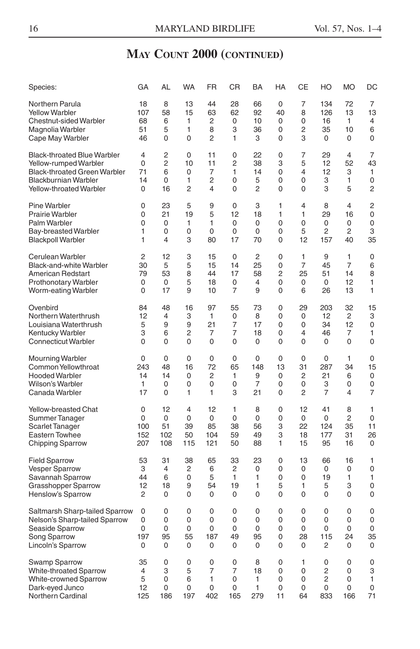| Species:                            | GA             | AL             | <b>WA</b>      | <b>FR</b>      | <b>CR</b>      | <b>BA</b>      | <b>HA</b> | СE             | HO             | <b>MO</b>      | DC             |
|-------------------------------------|----------------|----------------|----------------|----------------|----------------|----------------|-----------|----------------|----------------|----------------|----------------|
| Northern Parula                     | 18             | 8              | 13             | 44             | 28             | 66             | 0         | 7              | 134            | 72             | 7              |
| <b>Yellow Warbler</b>               | 107            | 58             | 15             | 63             | 62             | 92             | 40        | 8              | 126            | 13             | 13             |
| <b>Chestnut-sided Warbler</b>       | 68             | 6              | 1              | 2              | 0              | 10             | 0         | 0              | 16             | 1              | $\overline{4}$ |
| Magnolia Warbler                    | 51             | 5              | 1              | 8              | 3              | 36             | 0         | $\overline{2}$ | 35             | 10             | 6              |
| Cape May Warbler                    | 46             | 0              | 0              | 2              | 1              | 3              | 0         | 3              | 0              | 0              | 0              |
| <b>Black-throated Blue Warbler</b>  | 4              | $\overline{2}$ | 0              | 11             | 0              | 22             | 0         | 7              | 29             | 4              | $\overline{7}$ |
| Yellow-rumped Warbler               | 0              | 2              | 10             | 11             | 2              | 38             | 3         | 5              | 12             | 52             | 43             |
| <b>Black-throated Green Warbler</b> | 71             | 6              | 0              | 7              | 1              | 14             | 0         | 4              | 12             | 3              | 1              |
| <b>Blackburnian Warbler</b>         | 14             | 0              | 1              | $\overline{c}$ | 0              | 5              | 0         | 0              | 3              | 1              | 0              |
| Yellow-throated Warbler             | 0              | 16             | $\overline{2}$ | 4              | 0              | $\overline{2}$ | 0         | 0              | 3              | 5              | 2              |
| Pine Warbler                        | 0              | 23             | 5              | 9              | 0              | 3              | 1         | 4              | 8              | 4              | $\overline{c}$ |
| Prairie Warbler                     | 0              | 21             | 19             | 5              | 12             | 18             | 1         | 1              | 29             | 16             | 0              |
| Palm Warbler                        | 0              | 0              | 1              | 1              | $\Omega$       | 0              | 0         | 0              | $\Omega$       | 0              | 0              |
| <b>Bay-breasted Warbler</b>         | 1              | 0              | 0              | 0              | 0              | 0              | 0         | 5              | 2              | $\overline{c}$ | 3              |
| <b>Blackpoll Warbler</b>            | 1              | $\overline{4}$ | 3              | 80             | 17             | 70             | 0         | 12             | 157            | 40             | 35             |
| Cerulean Warbler                    | $\overline{c}$ | 12             | 3              | 15             | 0              | $\overline{c}$ | 0         | 1              | 9              | 1              | 0              |
| <b>Black-and-white Warbler</b>      | 30             | 5              | 5              | 15             | 14             | 25             | 0         | $\overline{7}$ | 45             | $\overline{7}$ | 6              |
| American Redstart                   | 79             | 53             | 8              | 44             | 17             | 58             | 2         | 25             | 51             | 14             | 8              |
| <b>Prothonotary Warbler</b>         | 0              | 0              | 5              | 18             | 0              | $\overline{4}$ | 0         | 0              | 0              | 12             | 1              |
| Worm-eating Warbler                 | 0              | 17             | 9              | 10             | 7              | 9              | 0         | 6              | 26             | 13             | 1              |
| Ovenbird                            | 84             | 48             | 16             | 97             | 55             | 73             | 0         | 29             | 203            | 32             | 15             |
| Northern Waterthrush                | 12             | $\overline{4}$ | 3              | 1              | 0              | 8              | 0         | $\mathbf 0$    | 12             | 2              | 3              |
| Louisiana Waterthrush               | 5              | 9              | 9              | 21             | 7              | 17             | 0         | 0              | 34             | 12             | 0              |
| Kentucky Warbler                    | 3              | 6              | $\overline{2}$ | 7              | 7              | 18             | 0         | 4              | 46             | 7              | 1              |
| <b>Connecticut Warbler</b>          | 0              | $\Omega$       | 0              | 0              | 0              | $\Omega$       | 0         | 0              | 0              | 0              | $\mathbf 0$    |
| Mourning Warbler                    | 0              | 0              | 0              | 0              | 0              | 0              | 0         | 0              | 0              | $\mathbf{1}$   | 0              |
| Common Yellowthroat                 | 243            | 48             | 16             | 72             | 65             | 148            | 13        | 31             | 287            | 34             | 15             |
| <b>Hooded Warbler</b>               | 14             | 14             | 0              | 2              | 1              | 9              | 0         | 2              | 21             | 6              | 0              |
| Wilson's Warbler                    | 1              | 0              | 0              | 0              | 0              | $\overline{7}$ | 0         | 0              | 3              | 0              | 0              |
| Canada Warbler                      | 17             | 0              | $\mathbf{1}$   | 1              | 3              | 21             | 0         | $\overline{c}$ | $\overline{7}$ | 4              | $\overline{7}$ |
| Yellow-breasted Chat                | 0              | 12             | 4              | 12             | 1              | 8              | 0         | 12             | 41             | 8              | 1              |
| Summer Tanager                      | 0              | 0              | 0              | 0              | 0              | 0              | 0         | 0              | $\Omega$       | 2              | 0              |
| Scarlet Tanager                     | 100            | 51             | 39             | 85             | 38             | 56             | 3         | 22             | 124            | 35             | 11             |
| <b>Eastern Towhee</b>               | 152            | 102            | 50             | 104            | 59             | 49             | 3         | 18             | 177            | 31             | 26             |
| <b>Chipping Sparrow</b>             | 207            | 108            | 115            | 121            | 50             | 88             | 1         | 15             | 95             | 16             | 0              |
| <b>Field Sparrow</b>                | 53             | 31             | 38             | 65             | 33             | 23             | 0         | 13             | 66             | 16             | 1              |
| <b>Vesper Sparrow</b>               | 3              | $\overline{4}$ | $\overline{c}$ | 6              | $\overline{c}$ | 0              | 0         | $\mathbf 0$    | 0              | 0              | $\mathbf 0$    |
| Savannah Sparrow                    | 44             | 6              | 0              | 5              | 1              | 1              | 0         | 0              | 19             | 1              | 1              |
| <b>Grasshopper Sparrow</b>          | 12             | 18             | 9              | 54             | 19             | 1              | 5         | 1              | 5              | 3              | 0              |
| <b>Henslow's Sparrow</b>            | 2              | 0              | 0              | 0              | 0              | 0              | 0         | 0              | 0              | 0              | 0              |
| Saltmarsh Sharp-tailed Sparrow      | 0              | $\Omega$       | $\Omega$       | $\Omega$       | $\Omega$       | 0              | 0         | $\Omega$       | $\Omega$       | 0              | 0              |
| Nelson's Sharp-tailed Sparrow       | 0              | 0              | 0              | 0              | $\Omega$       | 0              | 0         | $\Omega$       | $\Omega$       | 0              | 0              |
| Seaside Sparrow                     | 0              | 0              | 0              | 0              | 0              | 0              | 0         | 0              | 0              | 0              | 0              |
| Song Sparrow                        | 197            | 95             | 55             | 187            | 49             | 95             | 0         | 28             | 115            | 24             | 35             |
| Lincoln's Sparrow                   | 0              | 0              | 0              | 0              | 0              | 0              | 0         | 0              | $\overline{c}$ | 0              | 0              |
| <b>Swamp Sparrow</b>                | 35             | 0              | 0              | 0              | 0              | 8              | 0         | 1              | 0              | 0              | 0              |
| <b>White-throated Sparrow</b>       | 4              | 3              | 5              | 7              | 7              | 18             | 0         | 0              | 2              | 0              | 3              |
| White-crowned Sparrow               | 5              | 0              | 6              | 1              | 0              | 1              | 0         | $\Omega$       | $\overline{c}$ | 0              | 1              |
| Dark-eyed Junco                     | 12             | $\Omega$       | 0              | 0              | 0              | 1              | 0         | $\Omega$       | $\Omega$       | 0              | $\mathbf 0$    |
| Northern Cardinal                   | 125            | 186            | 197            | 402            | 165            | 279            | 11        | 64             | 833            | 166            | 71             |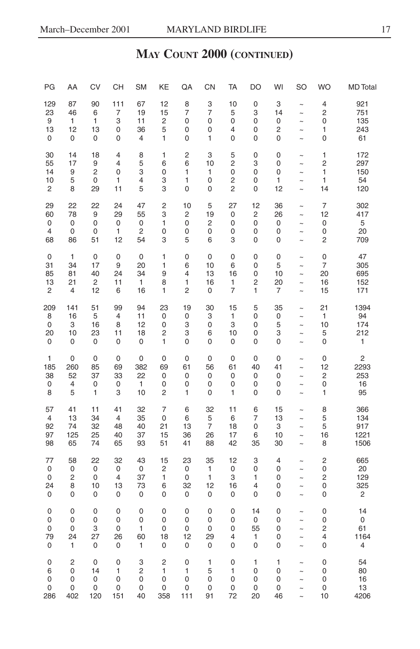| PG                                     | AA                                | CV                                 | <b>CH</b>                              | <b>SM</b>                        | KE                                 | QA                       | CN                                    | <b>TA</b>                                  | DO                     | WI                        | SO                                                       | <b>WO</b>               | <b>MD</b> Total                   |
|----------------------------------------|-----------------------------------|------------------------------------|----------------------------------------|----------------------------------|------------------------------------|--------------------------|---------------------------------------|--------------------------------------------|------------------------|---------------------------|----------------------------------------------------------|-------------------------|-----------------------------------|
| 129                                    | 87                                | 90                                 | 111                                    | 67                               | 12                                 | 8                        | 3                                     | 10                                         | 0                      | 3                         | $\ddot{ }$                                               | $\overline{4}$          | 921                               |
| 23                                     | 46                                | 6                                  | 7                                      | 19                               | 15                                 | 7                        | 7                                     | 5                                          | 3                      | 14                        | $\tilde{}$                                               | $\overline{c}$          | 751                               |
| 9                                      | 1                                 | 1                                  | 3                                      | 11                               | $\overline{\mathbf{c}}$            | 0                        | 0                                     | 0                                          | 0                      | 0                         | $\sim$                                                   | 0                       | 135                               |
| 13                                     | 12                                | 13                                 | 0                                      | 36                               | 5                                  | 0                        | 0                                     | 4                                          | 0                      | 2                         | $\sim$                                                   | 1                       | 243                               |
| 0                                      | 0                                 | 0                                  | 0                                      | 4                                | 1                                  | 0                        | 1                                     | 0                                          | 0                      | $\mathbf 0$               | $\sim$                                                   | 0                       | 61                                |
| 30                                     | 14                                | 18                                 | $\overline{4}$                         | 8                                | 1                                  | $\overline{c}$           | 3                                     | 5                                          | 0                      | 0                         | $\tilde{ }$                                              | 1                       | 172                               |
| 55                                     | 17                                | 9                                  | $\overline{4}$                         | 5                                | 6                                  | 6                        | 10                                    | $\overline{c}$                             | 3                      | 0                         | $\tilde{ }$                                              | $\overline{c}$          | 297                               |
| 14                                     | 9                                 | $\overline{c}$                     | 0                                      | 3                                | 0                                  | 1                        | 1                                     | 0                                          | 0                      | 0                         | $\tilde{}$                                               | $\mathbf{1}$            | 150                               |
| 10                                     | 5                                 | 0                                  | 1                                      | 4                                | 3                                  | 1                        | 0                                     | 2                                          | 0                      | 1                         | $\ddot{\phantom{0}}$                                     | 1                       | 54                                |
| $\overline{c}$                         | 8                                 | 29                                 | 11                                     | 5                                | 3                                  | $\mathbf 0$              | $\mathbf 0$                           | $\overline{c}$                             | 0                      | 12                        | $\sim$                                                   | 14                      | 120                               |
| 29                                     | 22                                | 22                                 | 24                                     | 47                               | 2                                  | 10                       | 5                                     | 27                                         | 12                     | 36                        | $\tilde{ }$                                              | 7                       | 302                               |
| 60                                     | 78                                | 9                                  | 29                                     | 55                               | 3                                  | 2                        | 19                                    | 0                                          | 2                      | 26                        | $\tilde{}$                                               | 12                      | 417                               |
| 0                                      | 0                                 | 0                                  | 0                                      | $\mathbf 0$                      | 1                                  | 0                        | $\overline{\mathbf{c}}$               | 0                                          | 0                      | 0                         | $\sim$                                                   | 0                       | 5                                 |
| $\overline{4}$                         | $\mathbf 0$                       | 0                                  | $\mathbf{1}$                           | $\overline{\mathbf{c}}$          | 0                                  | 0                        | 0                                     | 0                                          | 0                      | 0                         | $\sim$                                                   | 0                       | 20                                |
| 68                                     | 86                                | 51                                 | 12                                     | 54                               | 3                                  | 5                        | 6                                     | 3                                          | 0                      | 0                         | $\sim$                                                   | $\overline{c}$          | 709                               |
| 0                                      | 1                                 | 0                                  | 0                                      | $\mathbf 0$                      | 1                                  | $\mathbf 0$              | $\mathbf 0$                           | $\mathbf 0$                                | 0                      | 0                         | $\sim$                                                   | 0                       | 47                                |
| 31                                     | 34                                | 17                                 | 9                                      | 20                               | 1                                  | 6                        | 10                                    | 6                                          | 0                      | 5                         | $\sim$                                                   | $\overline{7}$          | 305                               |
| 85                                     | 81                                | 40                                 | 24                                     | 34                               | 9                                  | 4                        | 13                                    | 16                                         | 0                      | 10                        | $\tilde{ }$                                              | 20                      | 695                               |
| 13                                     | 21                                | $\overline{c}$                     | 11                                     | 1                                | 8                                  | 1                        | 16                                    | 1                                          | 2                      | 20                        | $\tilde{\phantom{a}}$                                    | 16                      | 152                               |
| 2                                      | 4                                 | 12                                 | 6                                      | 16                               | 1                                  | 2                        | 0                                     | 7                                          | 1                      | 7                         | $\tilde{\phantom{a}}$                                    | 15                      | 171                               |
| 209                                    | 141                               | 51                                 | 99                                     | 94                               | 23                                 | 19                       | 30                                    | 15                                         | 5                      | 35                        | $\sim$                                                   | 21                      | 1394                              |
| 8                                      | 16                                | 5                                  | 4                                      | 11                               | 0                                  | 0                        | 3                                     | 1                                          | 0                      | 0                         | $\tilde{ }$                                              | 1                       | 94                                |
| 0                                      | 3                                 | 16                                 | 8                                      | 12                               | 0                                  | 3                        | 0                                     | 3                                          | 0                      | 5                         | $\tilde{}$                                               | 10                      | 174                               |
| 20                                     | 10                                | 23                                 | 11                                     | 18                               | $\overline{c}$                     | 3                        | 6                                     | 10                                         | 0                      | 3                         | $\tilde{ }$                                              | 5                       | 212                               |
| 0                                      | $\mathbf 0$                       | 0                                  | 0                                      | 0                                | 1                                  | $\mathbf 0$              | 0                                     | 0                                          | 0                      | 0                         | $\sim$                                                   | 0                       | 1                                 |
| 1                                      | $\mathbf 0$                       | 0                                  | 0                                      | 0                                | 0                                  | 0                        | 0                                     | $\mathbf 0$                                | 0                      | 0                         | $\tilde{ }$                                              | 0                       | $\overline{c}$                    |
| 185                                    | 260                               | 85                                 | 69                                     | 382                              | 69                                 | 61                       | 56                                    | 61                                         | 40                     | 41                        | $\widetilde{\phantom{m}}$                                | 12                      | 2293                              |
| 38                                     | 52                                | 37                                 | 33                                     | 22                               | 0                                  | 0                        | 0                                     | 0                                          | 0                      | 0                         | $\tilde{ }$                                              | 2                       | 253                               |
| 0                                      | $\overline{4}$                    | 0                                  | 0                                      | 1                                | 0                                  | 0                        | 0                                     | 0                                          | 0                      | 0                         | $\sim$                                                   | $\mathbf 0$             | 16                                |
| 8                                      | 5                                 | 1                                  | 3                                      | 10                               | 2                                  | 1                        | 0                                     | 1                                          | 0                      | 0                         | $\tilde{ }$                                              | 1                       | 95                                |
| 57<br>$\overline{4}$<br>92<br>97<br>98 | 41<br>13<br>74<br>125<br>65       | 11<br>34<br>32<br>25<br>74         | 41<br>$\overline{4}$<br>48<br>40<br>65 | 32<br>35<br>40<br>37<br>93       | 7<br>$\mathbf 0$<br>21<br>15<br>51 | 6<br>6<br>13<br>36<br>41 | 32<br>5<br>$\overline{7}$<br>26<br>88 | 11<br>6<br>18<br>17<br>42                  | 6<br>7<br>0<br>6<br>35 | 15<br>13<br>3<br>10<br>30 | $\tilde{ }$<br>$\sim$<br>$\tilde{\phantom{a}}$<br>$\sim$ | 8<br>5<br>5<br>16<br>8  | 366<br>134<br>917<br>1221<br>1506 |
| 77                                     | 58                                | 22                                 | 32                                     | 43                               | 15                                 | 23                       | 35                                    | 12                                         | 3                      | $\overline{4}$            | $\tilde{ }$                                              | $\overline{\mathbf{c}}$ | 665                               |
| 0                                      | 0                                 | 0                                  | 0                                      | $\mathbf 0$                      | 2                                  | 0                        | $\mathbf{1}$                          | 0                                          | 0                      | 0                         | $\tilde{ }$                                              | 0                       | 20                                |
| 0                                      | $\overline{c}$                    | 0                                  | 4                                      | 37                               | 1                                  | 0                        | 1                                     | 3                                          | 1                      | 0                         | $\sim$                                                   | $\overline{c}$          | 129                               |
| 24                                     | 8                                 | 10                                 | 13                                     | 73                               | 6                                  | 32                       | 12                                    | 16                                         | 4                      | 0                         | $\tilde{ }$                                              | 0                       | 325                               |
| 0                                      | $\mathbf 0$                       | 0                                  | 0                                      | 0                                | 0                                  | 0                        | 0                                     | 0                                          | 0                      | 0                         | $\sim$                                                   | 0                       | 2                                 |
| 0                                      | 0                                 | $\mathbf 0$                        | 0                                      | 0                                | 0                                  | 0                        | 0                                     | 0                                          | 14                     | 0                         | $\sim$                                                   | 0                       | 14                                |
| 0                                      | 0                                 | 0                                  | 0                                      | 0                                | 0                                  | 0                        | 0                                     | 0                                          | 0                      | 0                         | $\ddot{\phantom{1}}$                                     | 0                       | 0                                 |
| 0                                      | 0                                 | 3                                  | 0                                      | 1                                | 0                                  | 0                        | 0                                     | 0                                          | 55                     | 0                         | $\sim$                                                   | 2                       | 61                                |
| 79                                     | 24                                | 27                                 | 26                                     | 60                               | 18                                 | 12                       | 29                                    | 4                                          | 1                      | 0                         | $\sim$                                                   | 4                       | 1164                              |
| 0                                      | 1                                 | 0                                  | 0                                      | 1                                | 0                                  | 0                        | 0                                     | 0                                          | 0                      | $\mathbf 0$               | $\tilde{\phantom{a}}$                                    | 0                       | $\overline{4}$                    |
| 0<br>6<br>0<br>0<br>286                | 2<br>$\mathbf 0$<br>0<br>0<br>402 | 0<br>14<br>$\mathbf 0$<br>0<br>120 | 0<br>1<br>0<br>0<br>151                | 3<br>2<br>$\mathbf 0$<br>0<br>40 | 2<br>1<br>0<br>0<br>358            | 0<br>1<br>0<br>0<br>111  | 1<br>5<br>$\mathbf 0$<br>0<br>91      | $\mathbf 0$<br>1<br>$\mathbf 0$<br>0<br>72 | 1<br>0<br>0<br>0<br>20 | 1<br>0<br>0<br>0<br>46    | $\tilde{ }$<br>$\sim$<br>$\ddot{\phantom{1}}$            | 0<br>0<br>0<br>0<br>10  | 54<br>80<br>16<br>13<br>4206      |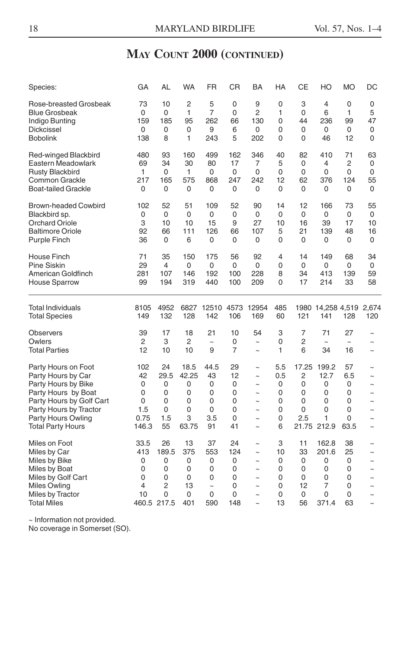| Species:                                                                                                                                                                                 | GA                                               | AL                                                  | <b>WA</b>                                       | <b>FR</b>                                                    | CR                                        | BA                                                                                                                                | HA                                       | CЕ                                       | HO                                                    | <b>MO</b>                                  | DC                                                                                                                             |
|------------------------------------------------------------------------------------------------------------------------------------------------------------------------------------------|--------------------------------------------------|-----------------------------------------------------|-------------------------------------------------|--------------------------------------------------------------|-------------------------------------------|-----------------------------------------------------------------------------------------------------------------------------------|------------------------------------------|------------------------------------------|-------------------------------------------------------|--------------------------------------------|--------------------------------------------------------------------------------------------------------------------------------|
| Rose-breasted Grosbeak                                                                                                                                                                   | 73                                               | 10                                                  | 2                                               | 5                                                            | 0                                         | 9                                                                                                                                 | 0                                        | 3                                        | 4                                                     | 0                                          | 0                                                                                                                              |
| <b>Blue Grosbeak</b>                                                                                                                                                                     | 0                                                | 0                                                   | 1                                               | 7                                                            | 0                                         | 2                                                                                                                                 | 1                                        | 0                                        | 6                                                     | 1                                          | 5                                                                                                                              |
| Indigo Bunting                                                                                                                                                                           | 159                                              | 185                                                 | 95                                              | 262                                                          | 66                                        | 130                                                                                                                               | 0                                        | 44                                       | 236                                                   | 99                                         | 47                                                                                                                             |
| Dickcissel                                                                                                                                                                               | 0                                                | 0                                                   | 0                                               | 9                                                            | 6                                         | 0                                                                                                                                 | 0                                        | 0                                        | 0                                                     | 0                                          | 0                                                                                                                              |
| <b>Bobolink</b>                                                                                                                                                                          | 138                                              | 8                                                   | 1                                               | 243                                                          | 5                                         | 202                                                                                                                               | 0                                        | 0                                        | 46                                                    | 12                                         | 0                                                                                                                              |
| Red-winged Blackbird                                                                                                                                                                     | 480                                              | 93                                                  | 160                                             | 499                                                          | 162                                       | 346                                                                                                                               | 40                                       | 82                                       | 410                                                   | 71                                         | 63                                                                                                                             |
| Eastern Meadowlark                                                                                                                                                                       | 69                                               | 34                                                  | 30                                              | 80                                                           | 17                                        | 7                                                                                                                                 | 5                                        | 0                                        | 4                                                     | 2                                          | 0                                                                                                                              |
| <b>Rusty Blackbird</b>                                                                                                                                                                   | 1                                                | 0                                                   | 1                                               | 0                                                            | 0                                         | 0                                                                                                                                 | 0                                        | 0                                        | 0                                                     | 0                                          | 0                                                                                                                              |
| Common Grackle                                                                                                                                                                           | 217                                              | 165                                                 | 575                                             | 868                                                          | 247                                       | 242                                                                                                                               | 12                                       | 62                                       | 376                                                   | 124                                        | 55                                                                                                                             |
| <b>Boat-tailed Grackle</b>                                                                                                                                                               | 0                                                | 0                                                   | 0                                               | 0                                                            | 0                                         | 0                                                                                                                                 | 0                                        | 0                                        | 0                                                     | 0                                          | 0                                                                                                                              |
| <b>Brown-headed Cowbird</b>                                                                                                                                                              | 102                                              | 52                                                  | 51                                              | 109                                                          | 52                                        | 90                                                                                                                                | 14                                       | 12                                       | 166                                                   | 73                                         | 55                                                                                                                             |
| Blackbird sp.                                                                                                                                                                            | 0                                                | 0                                                   | 0                                               | 0                                                            | 0                                         | 0                                                                                                                                 | 0                                        | 0                                        | 0                                                     | 0                                          | 0                                                                                                                              |
| <b>Orchard Oriole</b>                                                                                                                                                                    | 3                                                | 10                                                  | 10                                              | 15                                                           | 9                                         | 27                                                                                                                                | 10                                       | 16                                       | 39                                                    | 17                                         | 10                                                                                                                             |
| <b>Baltimore Oriole</b>                                                                                                                                                                  | 92                                               | 66                                                  | 111                                             | 126                                                          | 66                                        | 107                                                                                                                               | 5                                        | 21                                       | 139                                                   | 48                                         | 16                                                                                                                             |
| Purple Finch                                                                                                                                                                             | 36                                               | 0                                                   | 6                                               | 0                                                            | 0                                         | 0                                                                                                                                 | 0                                        | 0                                        | 0                                                     | 0                                          | 0                                                                                                                              |
| House Finch                                                                                                                                                                              | 71                                               | 35                                                  | 150                                             | 175                                                          | 56                                        | 92                                                                                                                                | 4                                        | 14                                       | 149                                                   | 68                                         | 34                                                                                                                             |
| <b>Pine Siskin</b>                                                                                                                                                                       | 29                                               | 4                                                   | $\mathbf 0$                                     | 0                                                            | 0                                         | 0                                                                                                                                 | 0                                        | 0                                        | 0                                                     | 0                                          | 0                                                                                                                              |
| American Goldfinch                                                                                                                                                                       | 281                                              | 107                                                 | 146                                             | 192                                                          | 100                                       | 228                                                                                                                               | 8                                        | 34                                       | 413                                                   | 139                                        | 59                                                                                                                             |
| <b>House Sparrow</b>                                                                                                                                                                     | 99                                               | 194                                                 | 319                                             | 440                                                          | 100                                       | 209                                                                                                                               | 0                                        | 17                                       | 214                                                   | 33                                         | 58                                                                                                                             |
| Total Individuals<br><b>Total Species</b>                                                                                                                                                | 8105<br>149                                      | 4952<br>132                                         | 6827<br>128                                     | 12510<br>142                                                 | 4573<br>106                               | 12954<br>169                                                                                                                      | 485<br>60                                | 121                                      | 1980 14,258 4,519<br>141                              | 128                                        | 2,674<br>120                                                                                                                   |
| <b>Observers</b>                                                                                                                                                                         | 39                                               | 17                                                  | 18                                              | 21                                                           | 10                                        | 54                                                                                                                                | 3                                        | 7                                        | 71                                                    | 27                                         | $\tilde{ }$                                                                                                                    |
| Owlers                                                                                                                                                                                   | 2                                                | 3                                                   | 2                                               | $\sim$                                                       | 0                                         | $\tilde{\phantom{a}}$                                                                                                             | 0                                        | 2                                        | $\tilde{}$                                            | $\tilde{\phantom{a}}$                      | $\tilde{ }$                                                                                                                    |
| <b>Total Parties</b>                                                                                                                                                                     | 12                                               | 10                                                  | 10                                              | 9                                                            | 7                                         | $\tilde{}$                                                                                                                        | 1                                        | 6                                        | 34                                                    | 16                                         | $\tilde{ }$                                                                                                                    |
| Party Hours on Foot<br>Party Hours by Car<br>Party Hours by Bike<br>Party Hours by Boat<br>Party Hours by Golf Cart<br>Party Hours by Tractor<br>Party Hours Owling<br>Total Party Hours | 102<br>42<br>0<br>0<br>0<br>1.5<br>0.75<br>146.3 | 24<br>29.5<br>0<br>0<br>0<br>0<br>1.5<br>55         | 18.5<br>42.25<br>0<br>0<br>0<br>0<br>3<br>63.75 | 44.5<br>43<br>0<br>0<br>0<br>0<br>3.5<br>91                  | 29<br>12<br>0<br>0<br>0<br>0<br>0<br>41   | $\tilde{}$<br>$\tilde{}$<br>$\tilde{ }$<br>$\sim$<br>$\tilde{ }$<br>$\sim$<br>$\tilde{\phantom{a}}$<br>$\tilde{}$                 | 5.5<br>0.5<br>0<br>0<br>0<br>0<br>0<br>6 | 17.25<br>2<br>0<br>0<br>0<br>0<br>2.5    | 199.2<br>12.7<br>0<br>0<br>0<br>0<br>1<br>21.75 212.9 | 57<br>6.5<br>0<br>0<br>0<br>0<br>0<br>63.5 | $\tilde{}$<br>$\tilde{\phantom{a}}$<br>$\tilde{}$<br>$\tilde{ }$<br>$\tilde{\phantom{a}}$<br>$\sim$<br>$\tilde{ }$<br>$\sim$   |
| Miles on Foot<br>Miles by Car<br>Miles by Bike<br>Miles by Boat<br>Miles by Golf Cart<br>Miles Owling<br>Miles by Tractor<br><b>Total Miles</b>                                          | 33.5<br>413<br>0<br>0<br>0<br>4<br>10            | 26<br>189.5<br>0<br>0<br>0<br>2<br>0<br>460.5 217.5 | 13<br>375<br>0<br>0<br>0<br>13<br>0<br>401      | 37<br>553<br>0<br>0<br>0<br>$\ddot{\phantom{0}}$<br>0<br>590 | 24<br>124<br>0<br>0<br>0<br>0<br>0<br>148 | $\sim$<br>$\tilde{\phantom{a}}$<br>$\tilde{}$<br>$\tilde{\phantom{a}}$<br>$\tilde{}$<br>$\tilde{ }$<br>$\tilde{ }$<br>$\tilde{ }$ | 3<br>10<br>0<br>0<br>0<br>0<br>0<br>13   | 11<br>33<br>0<br>0<br>0<br>12<br>0<br>56 | 162.8<br>201.6<br>0<br>0<br>0<br>7<br>0<br>371.4      | 38<br>25<br>0<br>0<br>0<br>0<br>0<br>63    | $\tilde{\phantom{a}}$<br>$\tilde{ }$<br>$\tilde{ }$<br>$\tilde{ }$<br>$\tilde{ }$<br>$\tilde{ }$<br>$\tilde{ }$<br>$\tilde{ }$ |

~ Information not provided.

No coverage in Somerset (SO).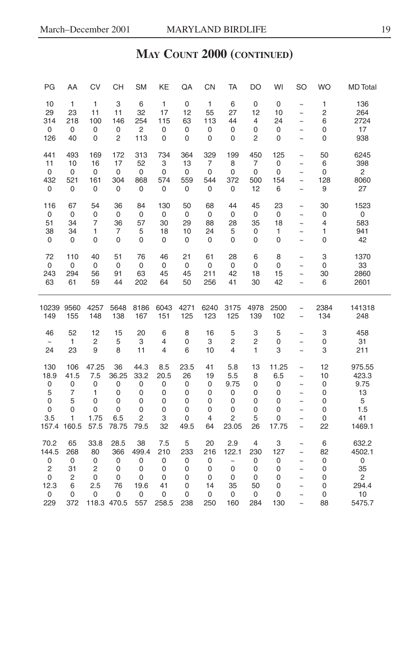| PG                   | AA                       | CV                        | CH                  | <b>SM</b>            | KE                  | QA                          | CN                    | TA                            | DO                       | WI                 | <b>SO</b>                                      | <b>WO</b>         | <b>MD</b> Total            |
|----------------------|--------------------------|---------------------------|---------------------|----------------------|---------------------|-----------------------------|-----------------------|-------------------------------|--------------------------|--------------------|------------------------------------------------|-------------------|----------------------------|
| 10                   | $\mathbf{1}$             | $\mathbf{1}$              | 3                   | 6                    | 1                   | 0                           | $\mathbf{1}$          | 6                             | 0                        | 0                  | $\tilde{ }$                                    | 1                 | 136                        |
| 29                   | 23                       | 11                        | 11                  | 32                   | 17                  | 12                          | 55                    | 27                            | 12                       | 10                 | $\tilde{}$                                     | $\overline{c}$    | 264                        |
| 314                  | 218                      | 100                       | 146                 | 254                  | 115                 | 63                          | 113                   | 44                            | 4                        | 24                 | $\tilde{ }$                                    | 6                 | 2724                       |
| 0                    | 0                        | 0                         | 0                   | $\sqrt{2}$           | 0                   | 0                           | 0                     | 0                             | 0                        | 0                  | $\tilde{\phantom{a}}$                          | 0                 | 17                         |
| 126                  | 40                       | 0                         | 2                   | 113                  | 0                   | 0                           | 0                     | 0                             | $\overline{\mathbf{c}}$  | 0                  | $\tilde{ }$                                    | 0                 | 938                        |
| 441                  | 493                      | 169                       | 172                 | 313                  | 734                 | 364                         | 329                   | 199                           | 450                      | 125                | $\tilde{}$                                     | 50                | 6245                       |
| 11                   | 10                       | 16                        | 17                  | 52                   | 3                   | 13                          | $\overline{7}$        | 8                             | 7                        | 0                  | $\tilde{\phantom{a}}$                          | 6                 | 398                        |
| 0                    | 0                        | 0                         | 0                   | 0                    | 0                   | 0                           | 0                     | 0                             | 0                        | 0                  | $\tilde{ }$                                    | 0                 | $\overline{2}$             |
| 432                  | 521                      | 161                       | 304                 | 868                  | 574                 | 559                         | 544                   | 372                           | 500                      | 154                | $\tilde{}$                                     | 128               | 8060                       |
| 0                    | 0                        | 0                         | 0                   | 0                    | 0                   | 0                           | 0                     | 0                             | 12                       | 6                  | $\tilde{ }$                                    | 9                 | 27                         |
| 116                  | 67                       | 54                        | 36                  | 84                   | 130                 | 50                          | 68                    | 44                            | 45                       | 23                 | $\tilde{ }$                                    | 30                | 1523                       |
| 0                    | 0                        | 0                         | 0                   | 0                    | 0                   | 0                           | 0                     | $\mathbf 0$                   | 0                        | 0                  | $\sim$                                         | 0                 | 0                          |
| 51                   | 34                       | 7                         | 36                  | 57                   | 30                  | 29                          | 88                    | 28                            | 35                       | 18                 | $\tilde{ }$                                    | 4                 | 583                        |
| 38                   | 34                       | 1                         | 7                   | 5                    | 18                  | 10                          | 24                    | 5                             | 0                        | 1                  | $\tilde{\phantom{a}}$                          | 1                 | 941                        |
| 0                    | 0                        | 0                         | 0                   | 0                    | 0                   | 0                           | $\pmb{0}$             | $\mathbf 0$                   | $\mathbf 0$              | 0                  | $\tilde{\phantom{a}}$                          | 0                 | 42                         |
| 72<br>0<br>243<br>63 | 110<br>0<br>294<br>61    | 40<br>0<br>56<br>59       | 51<br>0<br>91<br>44 | 76<br>0<br>63<br>202 | 46<br>0<br>45<br>64 | 21<br>$\pmb{0}$<br>45<br>50 | 61<br>0<br>211<br>256 | 28<br>$\mathsf 0$<br>42<br>41 | 6<br>0<br>18<br>30       | 8<br>0<br>15<br>42 | $\tilde{\phantom{a}}$<br>$\tilde{\phantom{a}}$ | 3<br>0<br>30<br>6 | 1370<br>33<br>2860<br>2601 |
|                      |                          |                           |                     |                      |                     |                             |                       |                               |                          |                    |                                                |                   |                            |
| 10239                | 9560                     | 4257                      | 5648                | 8186                 | 6043                | 4271                        | 6240                  | 3175                          | 4978                     | 2500               | $\tilde{ }$                                    | 2384              | 141318                     |
| 149                  | 155                      | 148                       | 138                 | 167                  | 151                 | 125                         | 123                   | 125                           | 139                      | 102                | $\ddot{\phantom{0}}$                           | 134               | 248                        |
| 46<br>24             | 52<br>$\mathbf{1}$<br>23 | 12<br>$\overline{c}$<br>9 | 15<br>5<br>8        | 20<br>3<br>11        | 6<br>4<br>4         | 8<br>$\mathsf 0$<br>6       | 16<br>3<br>10         | 5<br>$\overline{c}$<br>4      | 3<br>$\overline{c}$<br>1 | 5<br>0<br>3        | $\tilde{\phantom{a}}$<br>$\sim$<br>$\sim$      | 3<br>0<br>3       | 458<br>31<br>211           |
| 130                  | 106                      | 47.25                     | 36                  | 44.3                 | 8.5                 | 23.5                        | 41                    | 5.8                           | 13                       | 11.25              | $\tilde{}$                                     | 12                | 975.55                     |
| 18.9                 | 41.5                     | 7.5                       | 36.25               | 33.2                 | 20.5                | 26                          | 19                    | 5.5                           | 8                        | 6.5                | $\sim$                                         | 10                | 423.3                      |
| 0                    | 0                        | 0                         | 0                   | 0                    | 0                   | 0                           | 0                     | 9.75                          | 0                        | 0                  | $\sim$                                         | 0                 | 9.75                       |
| 5                    | $\overline{7}$           | 1                         | 0                   | 0                    | 0                   | 0                           | 0                     | 0                             | 0                        | 0                  | $\sim$                                         | 0                 | 13                         |
| 0                    | 5                        | 0                         | 0                   | 0                    | 0                   | 0                           | 0                     | 0                             | 0                        | 0                  | $\sim$                                         | 0                 | 5                          |
| 0                    | $\mathbf 0$              | 0                         | $\mathsf 0$         | 0                    | 0                   | 0                           | 0                     | 0                             | 0                        | 0                  | $\sim$                                         | 0                 | 1.5                        |
| 3.5                  | 1                        | 1.75                      | 6.5                 | $\overline{c}$       | 3                   | 0                           | $\overline{4}$        | $\overline{c}$                | 5                        | 0                  | $\sim$                                         | 0                 | 41                         |
| 157.4                | 160.5                    | 57.5                      | 78.75               | 79.5                 | 32                  | 49.5                        | 64                    | 23.05                         | 26                       | 17.75              | $\tilde{\phantom{a}}$                          | 22                | 1469.1                     |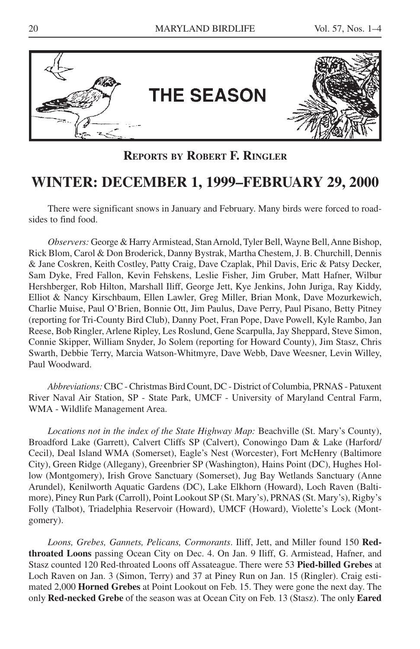

**REPORTS BY ROBERT F. RINGLER**

# **WINTER: DECEMBER 1, 1999–FEBRUARY 29, 2000**

There were significant snows in January and February. Many birds were forced to roadsides to find food.

*Observers:* George & Harry Armistead, Stan Arnold, Tyler Bell, Wayne Bell, Anne Bishop, Rick Blom, Carol & Don Broderick, Danny Bystrak, Martha Chestem, J. B. Churchill, Dennis & Jane Coskren, Keith Costley, Patty Craig, Dave Czaplak, Phil Davis, Eric & Patsy Decker, Sam Dyke, Fred Fallon, Kevin Fehskens, Leslie Fisher, Jim Gruber, Matt Hafner, Wilbur Hershberger, Rob Hilton, Marshall Iliff, George Jett, Kye Jenkins, John Juriga, Ray Kiddy, Elliot & Nancy Kirschbaum, Ellen Lawler, Greg Miller, Brian Monk, Dave Mozurkewich, Charlie Muise, Paul O'Brien, Bonnie Ott, Jim Paulus, Dave Perry, Paul Pisano, Betty Pitney (reporting for Tri-County Bird Club), Danny Poet, Fran Pope, Dave Powell, Kyle Rambo, Jan Reese, Bob Ringler, Arlene Ripley, Les Roslund, Gene Scarpulla, Jay Sheppard, Steve Simon, Connie Skipper, William Snyder, Jo Solem (reporting for Howard County), Jim Stasz, Chris Swarth, Debbie Terry, Marcia Watson-Whitmyre, Dave Webb, Dave Weesner, Levin Willey, Paul Woodward.

*Abbreviations:* CBC - Christmas Bird Count, DC - District of Columbia, PRNAS - Patuxent River Naval Air Station, SP - State Park, UMCF - University of Maryland Central Farm, WMA - Wildlife Management Area.

*Locations not in the index of the State Highway Map:* Beachville (St. Mary's County), Broadford Lake (Garrett), Calvert Cliffs SP (Calvert), Conowingo Dam & Lake (Harford/ Cecil), Deal Island WMA (Somerset), Eagle's Nest (Worcester), Fort McHenry (Baltimore City), Green Ridge (Allegany), Greenbrier SP (Washington), Hains Point (DC), Hughes Hollow (Montgomery), Irish Grove Sanctuary (Somerset), Jug Bay Wetlands Sanctuary (Anne Arundel), Kenilworth Aquatic Gardens (DC), Lake Elkhorn (Howard), Loch Raven (Baltimore), Piney Run Park (Carroll), Point Lookout SP (St. Mary's), PRNAS (St. Mary's), Rigby's Folly (Talbot), Triadelphia Reservoir (Howard), UMCF (Howard), Violette's Lock (Montgomery).

*Loons, Grebes, Gannets, Pelicans, Cormorants*. Iliff, Jett, and Miller found 150 **Redthroated Loons** passing Ocean City on Dec. 4. On Jan. 9 Iliff, G. Armistead, Hafner, and Stasz counted 120 Red-throated Loons off Assateague. There were 53 **Pied-billed Grebes** at Loch Raven on Jan. 3 (Simon, Terry) and 37 at Piney Run on Jan. 15 (Ringler). Craig estimated 2,000 **Horned Grebes** at Point Lookout on Feb. 15. They were gone the next day. The only **Red-necked Grebe** of the season was at Ocean City on Feb. 13 (Stasz). The only **Eared**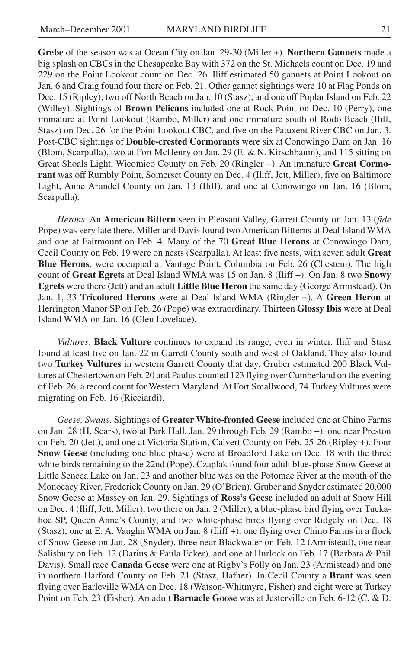**Grebe** of the season was at Ocean City on Jan. 29-30 (Miller +). **Northern Gannets** made a big splash on CBCs in the Chesapeake Bay with 372 on the St. Michaels count on Dec. 19 and 229 on the Point Lookout count on Dec. 26. Iliff estimated 50 gannets at Point Lookout on Jan. 6 and Craig found four there on Feb. 21. Other gannet sightings were 10 at Flag Ponds on Dec. 15 (Ripley), two off North Beach on Jan. 10 (Stasz), and one off Poplar Island on Feb. 22 (Willey). Sightings of **Brown Pelicans** included one at Rock Point on Dec. 10 (Perry), one immature at Point Lookout (Rambo, Miller) and one immature south of Rodo Beach (Iliff, Stasz) on Dec. 26 for the Point Lookout CBC, and five on the Patuxent River CBC on Jan. 3. Post-CBC sightings of **Double-crested Cormorants** were six at Conowingo Dam on Jan. 16 (Blom, Scarpulla), two at Fort McHenry on Jan. 29 (E. & N. Kirschbaum), and 115 sitting on Great Shoals Light, Wicomico County on Feb. 20 (Ringler +). An immature **Great Cormorant** was off Rumbly Point, Somerset County on Dec. 4 (Iliff, Jett, Miller), five on Baltimore Light, Anne Arundel County on Jan. 13 (Iliff), and one at Conowingo on Jan. 16 (Blom, Scarpulla).

*Herons*. An **American Bittern** seen in Pleasant Valley, Garrett County on Jan. 13 (*fide* Pope) was very late there. Miller and Davis found two American Bitterns at Deal Island WMA and one at Fairmount on Feb. 4. Many of the 70 **Great Blue Herons** at Conowingo Dam, Cecil County on Feb. 19 were on nests (Scarpulla). At least five nests, with seven adult **Great Blue Herons**, were occupied at Vantage Point, Columbia on Feb. 26 (Chestem). The high count of **Great Egrets** at Deal Island WMA was 15 on Jan. 8 (Iliff +). On Jan. 8 two **Snowy Egrets** were there (Jett) and an adult **Little Blue Heron** the same day (George Armistead). On Jan. 1, 33 **Tricolored Herons** were at Deal Island WMA (Ringler +). A **Green Heron** at Herrington Manor SP on Feb. 26 (Pope) was extraordinary. Thirteen **Glossy Ibis** were at Deal Island WMA on Jan. 16 (Glen Lovelace).

*Vultures*. **Black Vulture** continues to expand its range, even in winter. Iliff and Stasz found at least five on Jan. 22 in Garrett County south and west of Oakland. They also found two **Turkey Vultures** in western Garrett County that day. Gruber estimated 200 Black Vultures at Chestertown on Feb. 20 and Paulus counted 123 flying over Cumberland on the evening of Feb. 26, a record count for Western Maryland. At Fort Smallwood, 74 Turkey Vultures were migrating on Feb. 16 (Ricciardi).

*Geese, Swans*. Sightings of **Greater White-fronted Geese** included one at Chino Farms on Jan. 28 (H. Sears), two at Park Hall, Jan. 29 through Feb. 29 (Rambo +), one near Preston on Feb. 20 (Jett), and one at Victoria Station, Calvert County on Feb. 25-26 (Ripley +). Four **Snow Geese** (including one blue phase) were at Broadford Lake on Dec. 18 with the three white birds remaining to the 22nd (Pope). Czaplak found four adult blue-phase Snow Geese at Little Seneca Lake on Jan. 23 and another blue was on the Potomac River at the mouth of the Monocacy River, Frederick County on Jan. 29 (O'Brien). Gruber and Snyder estimated 20,000 Snow Geese at Massey on Jan. 29. Sightings of **Ross's Geese** included an adult at Snow Hill on Dec. 4 (Iliff, Jett, Miller), two there on Jan. 2 (Miller), a blue-phase bird flying over Tuckahoe SP, Queen Anne's County, and two white-phase birds flying over Ridgely on Dec. 18 (Stasz), one at E. A. Vaughn WMA on Jan. 8 (Iliff +), one flying over Chino Farms in a flock of Snow Geese on Jan. 28 (Snyder), three near Blackwater on Feb. 12 (Armistead), one near Salisbury on Feb. 12 (Darius & Paula Ecker), and one at Hurlock on Feb. 17 (Barbara & Phil Davis). Small race **Canada Geese** were one at Rigby's Folly on Jan. 23 (Armistead) and one in northern Harford County on Feb. 21 (Stasz, Hafner). In Cecil County a **Brant** was seen flying over Earleville WMA on Dec. 18 (Watson-Whitmyre, Fisher) and eight were at Turkey Point on Feb. 23 (Fisher). An adult **Barnacle Goose** was at Jesterville on Feb. 6-12 (C. & D.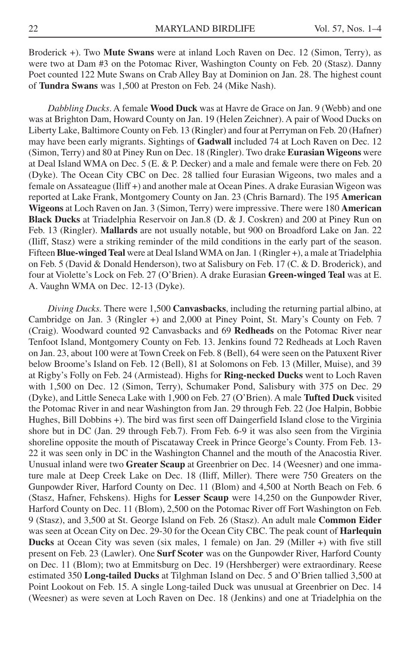Broderick +). Two **Mute Swans** were at inland Loch Raven on Dec. 12 (Simon, Terry), as were two at Dam #3 on the Potomac River, Washington County on Feb. 20 (Stasz). Danny Poet counted 122 Mute Swans on Crab Alley Bay at Dominion on Jan. 28. The highest count of **Tundra Swans** was 1,500 at Preston on Feb. 24 (Mike Nash).

*Dabbling Ducks*. A female **Wood Duck** was at Havre de Grace on Jan. 9 (Webb) and one was at Brighton Dam, Howard County on Jan. 19 (Helen Zeichner). A pair of Wood Ducks on Liberty Lake, Baltimore County on Feb. 13 (Ringler) and four at Perryman on Feb. 20 (Hafner) may have been early migrants. Sightings of **Gadwall** included 74 at Loch Raven on Dec. 12 (Simon, Terry) and 80 at Piney Run on Dec. 18 (Ringler). Two drake **Eurasian Wigeons** were at Deal Island WMA on Dec. 5 (E. & P. Decker) and a male and female were there on Feb. 20 (Dyke). The Ocean City CBC on Dec. 28 tallied four Eurasian Wigeons, two males and a female on Assateague (Iliff +) and another male at Ocean Pines. A drake Eurasian Wigeon was reported at Lake Frank, Montgomery County on Jan. 23 (Chris Barnard). The 195 **American Wigeons** at Loch Raven on Jan. 3 (Simon, Terry) were impressive. There were 180 **American Black Ducks** at Triadelphia Reservoir on Jan.8 (D. & J. Coskren) and 200 at Piney Run on Feb. 13 (Ringler). **Mallards** are not usually notable, but 900 on Broadford Lake on Jan. 22 (Iliff, Stasz) were a striking reminder of the mild conditions in the early part of the season. Fifteen **Blue-winged Teal** were at Deal Island WMA on Jan. 1 (Ringler +), a male at Triadelphia on Feb. 5 (David & Donald Henderson), two at Salisbury on Feb. 17 (C. & D. Broderick), and four at Violette's Lock on Feb. 27 (O'Brien). A drake Eurasian **Green-winged Teal** was at E. A. Vaughn WMA on Dec. 12-13 (Dyke).

*Diving Ducks.* There were 1,500 **Canvasbacks**, including the returning partial albino, at Cambridge on Jan. 3 (Ringler +) and 2,000 at Piney Point, St. Mary's County on Feb. 7 (Craig). Woodward counted 92 Canvasbacks and 69 **Redheads** on the Potomac River near Tenfoot Island, Montgomery County on Feb. 13. Jenkins found 72 Redheads at Loch Raven on Jan. 23, about 100 were at Town Creek on Feb. 8 (Bell), 64 were seen on the Patuxent River below Broome's Island on Feb. 12 (Bell), 81 at Solomons on Feb. 13 (Miller, Muise), and 39 at Rigby's Folly on Feb. 24 (Armistead). Highs for **Ring-necked Ducks** went to Loch Raven with 1,500 on Dec. 12 (Simon, Terry), Schumaker Pond, Salisbury with 375 on Dec. 29 (Dyke), and Little Seneca Lake with 1,900 on Feb. 27 (O'Brien). A male **Tufted Duck** visited the Potomac River in and near Washington from Jan. 29 through Feb. 22 (Joe Halpin, Bobbie Hughes, Bill Dobbins +). The bird was first seen off Daingerfield Island close to the Virginia shore but in DC (Jan. 29 through Feb.7). From Feb. 6-9 it was also seen from the Virginia shoreline opposite the mouth of Piscataway Creek in Prince George's County. From Feb. 13- 22 it was seen only in DC in the Washington Channel and the mouth of the Anacostia River. Unusual inland were two **Greater Scaup** at Greenbrier on Dec. 14 (Weesner) and one immature male at Deep Creek Lake on Dec. 18 (Iliff, Miller). There were 750 Greaters on the Gunpowder River, Harford County on Dec. 11 (Blom) and 4,500 at North Beach on Feb. 6 (Stasz, Hafner, Fehskens). Highs for **Lesser Scaup** were 14,250 on the Gunpowder River, Harford County on Dec. 11 (Blom), 2,500 on the Potomac River off Fort Washington on Feb. 9 (Stasz), and 3,500 at St. George Island on Feb. 26 (Stasz). An adult male **Common Eider** was seen at Ocean City on Dec. 29-30 for the Ocean City CBC. The peak count of **Harlequin Ducks** at Ocean City was seven (six males, 1 female) on Jan. 29 (Miller +) with five still present on Feb. 23 (Lawler). One **Surf Scoter** was on the Gunpowder River, Harford County on Dec. 11 (Blom); two at Emmitsburg on Dec. 19 (Hershberger) were extraordinary. Reese estimated 350 **Long-tailed Ducks** at Tilghman Island on Dec. 5 and O'Brien tallied 3,500 at Point Lookout on Feb. 15. A single Long-tailed Duck was unusual at Greenbrier on Dec. 14 (Weesner) as were seven at Loch Raven on Dec. 18 (Jenkins) and one at Triadelphia on the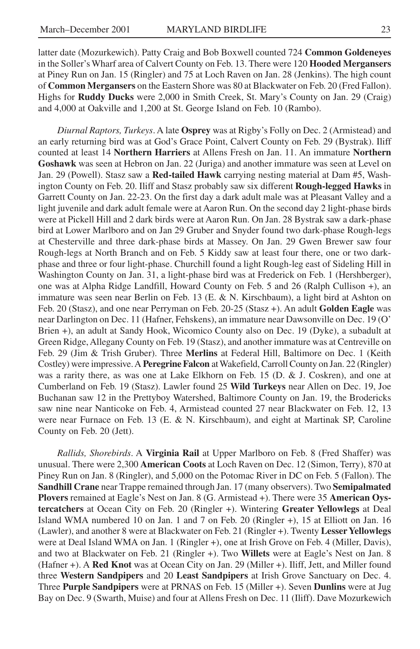latter date (Mozurkewich). Patty Craig and Bob Boxwell counted 724 **Common Goldeneyes** in the Soller's Wharf area of Calvert County on Feb. 13. There were 120 **Hooded Mergansers** at Piney Run on Jan. 15 (Ringler) and 75 at Loch Raven on Jan. 28 (Jenkins). The high count of **Common Mergansers** on the Eastern Shore was 80 at Blackwater on Feb. 20 (Fred Fallon). Highs for **Ruddy Ducks** were 2,000 in Smith Creek, St. Mary's County on Jan. 29 (Craig) and 4,000 at Oakville and 1,200 at St. George Island on Feb. 10 (Rambo).

*Diurnal Raptors, Turkeys*. A late **Osprey** was at Rigby's Folly on Dec. 2 (Armistead) and an early returning bird was at God's Grace Point, Calvert County on Feb. 29 (Bystrak). Iliff counted at least 14 **Northern Harriers** at Allens Fresh on Jan. 11. An immature **Northern Goshawk** was seen at Hebron on Jan. 22 (Juriga) and another immature was seen at Level on Jan. 29 (Powell). Stasz saw a **Red-tailed Hawk** carrying nesting material at Dam #5, Washington County on Feb. 20. Iliff and Stasz probably saw six different **Rough-legged Hawks** in Garrett County on Jan. 22-23. On the first day a dark adult male was at Pleasant Valley and a light juvenile and dark adult female were at Aaron Run. On the second day 2 light-phase birds were at Pickell Hill and 2 dark birds were at Aaron Run. On Jan. 28 Bystrak saw a dark-phase bird at Lower Marlboro and on Jan 29 Gruber and Snyder found two dark-phase Rough-legs at Chesterville and three dark-phase birds at Massey. On Jan. 29 Gwen Brewer saw four Rough-legs at North Branch and on Feb. 5 Kiddy saw at least four there, one or two darkphase and three or four light-phase. Churchill found a light Rough-leg east of Sideling Hill in Washington County on Jan. 31, a light-phase bird was at Frederick on Feb. 1 (Hershberger), one was at Alpha Ridge Landfill, Howard County on Feb. 5 and 26 (Ralph Cullison +), an immature was seen near Berlin on Feb. 13 (E. & N. Kirschbaum), a light bird at Ashton on Feb. 20 (Stasz), and one near Perryman on Feb. 20-25 (Stasz +). An adult **Golden Eagle** was near Darlington on Dec. 11 (Hafner, Fehskens), an immature near Dawsonville on Dec. 19 (O' Brien +), an adult at Sandy Hook, Wicomico County also on Dec. 19 (Dyke), a subadult at Green Ridge, Allegany County on Feb. 19 (Stasz), and another immature was at Centreville on Feb. 29 (Jim & Trish Gruber). Three **Merlins** at Federal Hill, Baltimore on Dec. 1 (Keith Costley) were impressive. A **Peregrine Falcon** at Wakefield, Carroll County on Jan. 22 (Ringler) was a rarity there, as was one at Lake Elkhorn on Feb. 15 (D. & J. Coskren), and one at Cumberland on Feb. 19 (Stasz). Lawler found 25 **Wild Turkeys** near Allen on Dec. 19, Joe Buchanan saw 12 in the Prettyboy Watershed, Baltimore County on Jan. 19, the Brodericks saw nine near Nanticoke on Feb. 4, Armistead counted 27 near Blackwater on Feb. 12, 13 were near Furnace on Feb. 13 (E. & N. Kirschbaum), and eight at Martinak SP, Caroline County on Feb. 20 (Jett).

*Rallids, Shorebirds*. A **Virginia Rail** at Upper Marlboro on Feb. 8 (Fred Shaffer) was unusual. There were 2,300 **American Coots** at Loch Raven on Dec. 12 (Simon, Terry), 870 at Piney Run on Jan. 8 (Ringler), and 5,000 on the Potomac River in DC on Feb. 5 (Fallon). The **Sandhill Crane** near Trappe remained through Jan. 17 (many observers). Two **Semipalmated Plovers** remained at Eagle's Nest on Jan. 8 (G. Armistead +). There were 35 **American Oystercatchers** at Ocean City on Feb. 20 (Ringler +). Wintering **Greater Yellowlegs** at Deal Island WMA numbered 10 on Jan. 1 and 7 on Feb. 20 (Ringler +), 15 at Elliott on Jan. 16 (Lawler), and another 8 were at Blackwater on Feb. 21 (Ringler +). Twenty **Lesser Yellowlegs** were at Deal Island WMA on Jan. 1 (Ringler +), one at Irish Grove on Feb. 4 (Miller, Davis), and two at Blackwater on Feb. 21 (Ringler +). Two **Willets** were at Eagle's Nest on Jan. 8 (Hafner +). A **Red Knot** was at Ocean City on Jan. 29 (Miller +). Iliff, Jett, and Miller found three **Western Sandpipers** and 20 **Least Sandpipers** at Irish Grove Sanctuary on Dec. 4. Three **Purple Sandpipers** were at PRNAS on Feb. 15 (Miller +). Seven **Dunlins** were at Jug Bay on Dec. 9 (Swarth, Muise) and four at Allens Fresh on Dec. 11 (Iliff). Dave Mozurkewich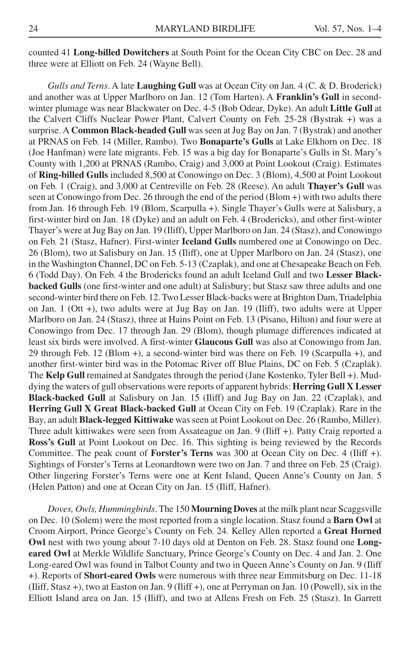counted 41 **Long-billed Dowitchers** at South Point for the Ocean City CBC on Dec. 28 and three were at Elliott on Feb. 24 (Wayne Bell).

*Gulls and Terns*. A late **Laughing Gull** was at Ocean City on Jan. 4 (C. & D. Broderick) and another was at Upper Marlboro on Jan. 12 (Tom Harten). A **Franklin's Gull** in secondwinter plumage was near Blackwater on Dec. 4-5 (Bob Odear, Dyke). An adult **Little Gull** at the Calvert Cliffs Nuclear Power Plant, Calvert County on Feb. 25-28 (Bystrak +) was a surprise. A **Common Black-headed Gull** was seen at Jug Bay on Jan. 7 (Bystrak) and another at PRNAS on Feb. 14 (Miller, Rambo). Two **Bonaparte's Gulls** at Lake Elkhorn on Dec. 18 (Joe Hanfman) were late migrants. Feb. 15 was a big day for Bonaparte's Gulls in St. Mary's County with 1,200 at PRNAS (Rambo, Craig) and 3,000 at Point Lookout (Craig). Estimates of **Ring-billed Gulls** included 8,500 at Conowingo on Dec. 3 (Blom), 4,500 at Point Lookout on Feb. 1 (Craig), and 3,000 at Centreville on Feb. 28 (Reese). An adult **Thayer's Gull** was seen at Conowingo from Dec. 26 through the end of the period (Blom +) with two adults there from Jan. 16 through Feb. 19 (Blom, Scarpulla +). Single Thayer's Gulls were at Salisbury, a first-winter bird on Jan. 18 (Dyke) and an adult on Feb. 4 (Brodericks), and other first-winter Thayer's were at Jug Bay on Jan. 19 (Iliff), Upper Marlboro on Jan. 24 (Stasz), and Conowingo on Feb. 21 (Stasz, Hafner). First-winter **Iceland Gulls** numbered one at Conowingo on Dec. 26 (Blom), two at Salisbury on Jan. 15 (Iliff), one at Upper Marlboro on Jan. 24 (Stasz), one in the Washington Channel, DC on Feb. 5-13 (Czaplak), and one at Chesapeake Beach on Feb. 6 (Todd Day). On Feb. 4 the Brodericks found an adult Iceland Gull and two **Lesser Blackbacked Gulls** (one first-winter and one adult) at Salisbury; but Stasz saw three adults and one second-winter bird there on Feb. 12. Two Lesser Black-backs were at Brighton Dam, Triadelphia on Jan. 1 (Ott +), two adults were at Jug Bay on Jan. 19 (Iliff), two adults were at Upper Marlboro on Jan. 24 (Stasz), three at Hains Point on Feb. 13 (Pisano, Hilton) and four were at Conowingo from Dec. 17 through Jan. 29 (Blom), though plumage differences indicated at least six birds were involved. A first-winter **Glaucous Gull** was also at Conowingo from Jan. 29 through Feb. 12 (Blom +), a second-winter bird was there on Feb. 19 (Scarpulla +), and another first-winter bird was in the Potomac River off Blue Plains, DC on Feb. 5 (Czaplak). The **Kelp Gull** remained at Sandgates through the period (Jane Kostenko, Tyler Bell +). Muddying the waters of gull observations were reports of apparent hybrids: **Herring Gull X Lesser Black-backed Gull** at Salisbury on Jan. 15 (Iliff) and Jug Bay on Jan. 22 (Czaplak), and **Herring Gull X Great Black-backed Gull** at Ocean City on Feb. 19 (Czaplak). Rare in the Bay, an adult **Black-legged Kittiwake** was seen at Point Lookout on Dec. 26 (Rambo, Miller). Three adult kittiwakes were seen from Assateague on Jan. 9 (Iliff +). Patty Craig reported a **Ross's Gull** at Point Lookout on Dec. 16. This sighting is being reviewed by the Records Committee. The peak count of **Forster's Terns** was 300 at Ocean City on Dec. 4 (Iliff +). Sightings of Forster's Terns at Leonardtown were two on Jan. 7 and three on Feb. 25 (Craig). Other lingering Forster's Terns were one at Kent Island, Queen Anne's County on Jan. 5 (Helen Patton) and one at Ocean City on Jan. 15 (Iliff, Hafner).

*Doves, Owls, Hummingbirds*. The 150 **Mourning Doves** at the milk plant near Scaggsville on Dec. 10 (Solem) were the most reported from a single location. Stasz found a **Barn Owl** at Croom Airport, Prince George's County on Feb. 24. Kelley Allen reported a **Great Horned Owl** nest with two young about 7-10 days old at Denton on Feb. 28. Stasz found one **Longeared Owl** at Merkle Wildlife Sanctuary, Prince George's County on Dec. 4 and Jan. 2. One Long-eared Owl was found in Talbot County and two in Queen Anne's County on Jan. 9 (Iliff +). Reports of **Short-eared Owls** were numerous with three near Emmitsburg on Dec. 11-18 (Iliff, Stasz +), two at Easton on Jan. 9 (Iliff +), one at Perryman on Jan. 10 (Powell), six in the Elliott Island area on Jan. 15 (Iliff), and two at Allens Fresh on Feb. 25 (Stasz). In Garrett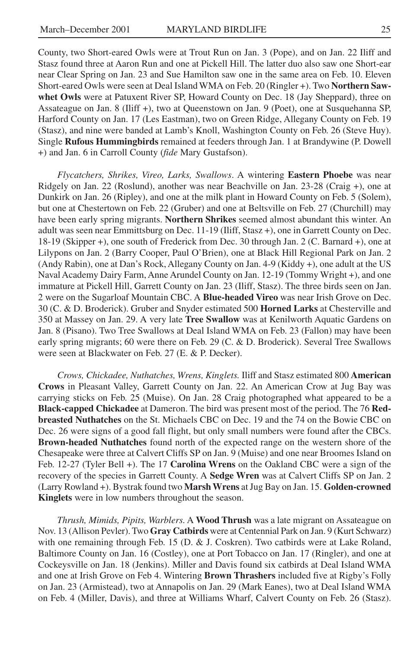County, two Short-eared Owls were at Trout Run on Jan. 3 (Pope), and on Jan. 22 Iliff and Stasz found three at Aaron Run and one at Pickell Hill. The latter duo also saw one Short-ear near Clear Spring on Jan. 23 and Sue Hamilton saw one in the same area on Feb. 10. Eleven Short-eared Owls were seen at Deal Island WMA on Feb. 20 (Ringler +). Two **Northern Sawwhet Owls** were at Patuxent River SP, Howard County on Dec. 18 (Jay Sheppard), three on Assateague on Jan. 8 (Iliff +), two at Queenstown on Jan. 9 (Poet), one at Susquehanna SP, Harford County on Jan. 17 (Les Eastman), two on Green Ridge, Allegany County on Feb. 19 (Stasz), and nine were banded at Lamb's Knoll, Washington County on Feb. 26 (Steve Huy). Single **Rufous Hummingbirds** remained at feeders through Jan. 1 at Brandywine (P. Dowell +) and Jan. 6 in Carroll County (*fide* Mary Gustafson).

*Flycatchers, Shrikes, Vireo, Larks, Swallows*. A wintering **Eastern Phoebe** was near Ridgely on Jan. 22 (Roslund), another was near Beachville on Jan. 23-28 (Craig +), one at Dunkirk on Jan. 26 (Ripley), and one at the milk plant in Howard County on Feb. 5 (Solem), but one at Chestertown on Feb. 22 (Gruber) and one at Beltsville on Feb. 27 (Churchill) may have been early spring migrants. **Northern Shrikes** seemed almost abundant this winter. An adult was seen near Emmittsburg on Dec. 11-19 (Iliff, Stasz +), one in Garrett County on Dec. 18-19 (Skipper +), one south of Frederick from Dec. 30 through Jan. 2 (C. Barnard +), one at Lilypons on Jan. 2 (Barry Cooper, Paul O'Brien), one at Black Hill Regional Park on Jan. 2 (Andy Rabin), one at Dan's Rock, Allegany County on Jan. 4-9 (Kiddy +), one adult at the US Naval Academy Dairy Farm, Anne Arundel County on Jan. 12-19 (Tommy Wright +), and one immature at Pickell Hill, Garrett County on Jan. 23 (Iliff, Stasz). The three birds seen on Jan. 2 were on the Sugarloaf Mountain CBC. A **Blue-headed Vireo** was near Irish Grove on Dec. 30 (C. & D. Broderick). Gruber and Snyder estimated 500 **Horned Larks** at Chesterville and 350 at Massey on Jan. 29. A very late **Tree Swallow** was at Kenilworth Aquatic Gardens on Jan. 8 (Pisano). Two Tree Swallows at Deal Island WMA on Feb. 23 (Fallon) may have been early spring migrants; 60 were there on Feb. 29 (C. & D. Broderick). Several Tree Swallows were seen at Blackwater on Feb. 27 (E. & P. Decker).

*Crows, Chickadee, Nuthatches, Wrens, Kinglets.* Iliff and Stasz estimated 800 **American Crows** in Pleasant Valley, Garrett County on Jan. 22. An American Crow at Jug Bay was carrying sticks on Feb. 25 (Muise). On Jan. 28 Craig photographed what appeared to be a **Black-capped Chickadee** at Dameron. The bird was present most of the period. The 76 **Redbreasted Nuthatches** on the St. Michaels CBC on Dec. 19 and the 74 on the Bowie CBC on Dec. 26 were signs of a good fall flight, but only small numbers were found after the CBCs. **Brown-headed Nuthatches** found north of the expected range on the western shore of the Chesapeake were three at Calvert Cliffs SP on Jan. 9 (Muise) and one near Broomes Island on Feb. 12-27 (Tyler Bell +). The 17 **Carolina Wrens** on the Oakland CBC were a sign of the recovery of the species in Garrett County. A **Sedge Wren** was at Calvert Cliffs SP on Jan. 2 (Larry Rowland +). Bystrak found two **Marsh Wrens** at Jug Bay on Jan. 15. **Golden-crowned Kinglets** were in low numbers throughout the season.

*Thrush, Mimids, Pipits, Warblers.* A **Wood Thrush** was a late migrant on Assateague on Nov. 13 (Allison Pevler). Two **Gray Catbirds** were at Centennial Park on Jan. 9 (Kurt Schwarz) with one remaining through Feb. 15 (D. & J. Coskren). Two catbirds were at Lake Roland, Baltimore County on Jan. 16 (Costley), one at Port Tobacco on Jan. 17 (Ringler), and one at Cockeysville on Jan. 18 (Jenkins). Miller and Davis found six catbirds at Deal Island WMA and one at Irish Grove on Feb 4. Wintering **Brown Thrashers** included five at Rigby's Folly on Jan. 23 (Armistead), two at Annapolis on Jan. 29 (Mark Eanes), two at Deal Island WMA on Feb. 4 (Miller, Davis), and three at Williams Wharf, Calvert County on Feb. 26 (Stasz).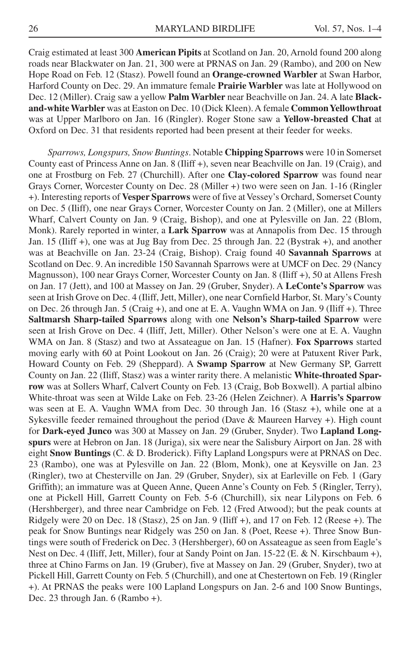Craig estimated at least 300 **American Pipits** at Scotland on Jan. 20, Arnold found 200 along roads near Blackwater on Jan. 21, 300 were at PRNAS on Jan. 29 (Rambo), and 200 on New Hope Road on Feb. 12 (Stasz). Powell found an **Orange-crowned Warbler** at Swan Harbor, Harford County on Dec. 29. An immature female **Prairie Warbler** was late at Hollywood on Dec. 12 (Miller). Craig saw a yellow **Palm Warbler** near Beachville on Jan. 24. A late **Blackand-white Warbler** was at Easton on Dec. 10 (Dick Kleen). A female **Common Yellowthroat** was at Upper Marlboro on Jan. 16 (Ringler). Roger Stone saw a **Yellow-breasted Chat** at Oxford on Dec. 31 that residents reported had been present at their feeder for weeks.

*Sparrows, Longspurs, Snow Buntings*. Notable **Chipping Sparrows** were 10 in Somerset County east of Princess Anne on Jan. 8 (Iliff +), seven near Beachville on Jan. 19 (Craig), and one at Frostburg on Feb. 27 (Churchill). After one **Clay-colored Sparrow** was found near Grays Corner, Worcester County on Dec. 28 (Miller +) two were seen on Jan. 1-16 (Ringler +). Interesting reports of **Vesper Sparrows** were of five at Vessey's Orchard, Somerset County on Dec. 5 (Iliff), one near Grays Corner, Worcester County on Jan. 2 (Miller), one at Millers Wharf, Calvert County on Jan. 9 (Craig, Bishop), and one at Pylesville on Jan. 22 (Blom, Monk). Rarely reported in winter, a **Lark Sparrow** was at Annapolis from Dec. 15 through Jan. 15 (Iliff +), one was at Jug Bay from Dec. 25 through Jan. 22 (Bystrak +), and another was at Beachville on Jan. 23-24 (Craig, Bishop). Craig found 40 **Savannah Sparrows** at Scotland on Dec. 9. An incredible 150 Savannah Sparrows were at UMCF on Dec. 29 (Nancy Magnusson), 100 near Grays Corner, Worcester County on Jan. 8 (Iliff +), 50 at Allens Fresh on Jan. 17 (Jett), and 100 at Massey on Jan. 29 (Gruber, Snyder). A **LeConte's Sparrow** was seen at Irish Grove on Dec. 4 (Iliff, Jett, Miller), one near Cornfield Harbor, St. Mary's County on Dec. 26 through Jan. 5 (Craig +), and one at E. A. Vaughn WMA on Jan. 9 (Iliff +). Three **Saltmarsh Sharp-tailed Sparrows** along with one **Nelson's Sharp-tailed Sparrow** were seen at Irish Grove on Dec. 4 (Iliff, Jett, Miller). Other Nelson's were one at E. A. Vaughn WMA on Jan. 8 (Stasz) and two at Assateague on Jan. 15 (Hafner). **Fox Sparrows** started moving early with 60 at Point Lookout on Jan. 26 (Craig); 20 were at Patuxent River Park, Howard County on Feb. 29 (Sheppard). A **Swamp Sparrow** at New Germany SP, Garrett County on Jan. 22 (Iliff, Stasz) was a winter rarity there. A melanistic **White-throated Sparrow** was at Sollers Wharf, Calvert County on Feb. 13 (Craig, Bob Boxwell). A partial albino White-throat was seen at Wilde Lake on Feb. 23-26 (Helen Zeichner). A **Harris's Sparrow** was seen at E. A. Vaughn WMA from Dec. 30 through Jan. 16 (Stasz +), while one at a Sykesville feeder remained throughout the period (Dave & Maureen Harvey +). High count for **Dark-eyed Junco** was 300 at Massey on Jan. 29 (Gruber, Snyder). Two **Lapland Longspurs** were at Hebron on Jan. 18 (Juriga), six were near the Salisbury Airport on Jan. 28 with eight **Snow Buntings** (C. & D. Broderick). Fifty Lapland Longspurs were at PRNAS on Dec. 23 (Rambo), one was at Pylesville on Jan. 22 (Blom, Monk), one at Keysville on Jan. 23 (Ringler), two at Chesterville on Jan. 29 (Gruber, Snyder), six at Earleville on Feb. 1 (Gary Griffith); an immature was at Queen Anne, Queen Anne's County on Feb. 5 (Ringler, Terry), one at Pickell Hill, Garrett County on Feb. 5-6 (Churchill), six near Lilypons on Feb. 6 (Hershberger), and three near Cambridge on Feb. 12 (Fred Atwood); but the peak counts at Ridgely were 20 on Dec. 18 (Stasz), 25 on Jan. 9 (Iliff +), and 17 on Feb. 12 (Reese +). The peak for Snow Buntings near Ridgely was 250 on Jan. 8 (Poet, Reese +). Three Snow Buntings were south of Frederick on Dec. 3 (Hershberger), 60 on Assateague as seen from Eagle's Nest on Dec. 4 (Iliff, Jett, Miller), four at Sandy Point on Jan. 15-22 (E. & N. Kirschbaum +), three at Chino Farms on Jan. 19 (Gruber), five at Massey on Jan. 29 (Gruber, Snyder), two at Pickell Hill, Garrett County on Feb. 5 (Churchill), and one at Chestertown on Feb. 19 (Ringler +). At PRNAS the peaks were 100 Lapland Longspurs on Jan. 2-6 and 100 Snow Buntings, Dec. 23 through Jan. 6 (Rambo +).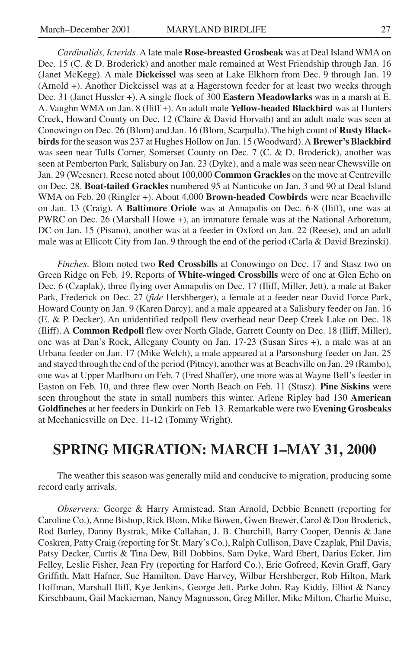*Cardinalids, Icterids*. A late male **Rose-breasted Grosbeak** was at Deal Island WMA on Dec. 15 (C. & D. Broderick) and another male remained at West Friendship through Jan. 16 (Janet McKegg). A male **Dickcissel** was seen at Lake Elkhorn from Dec. 9 through Jan. 19 (Arnold +). Another Dickcissel was at a Hagerstown feeder for at least two weeks through Dec. 31 (Janet Hussler +). A single flock of 300 **Eastern Meadowlarks** was in a marsh at E. A. Vaughn WMA on Jan. 8 (Iliff +). An adult male **Yellow-headed Blackbird** was at Hunters Creek, Howard County on Dec. 12 (Claire & David Horvath) and an adult male was seen at Conowingo on Dec. 26 (Blom) and Jan. 16 (Blom, Scarpulla). The high count of **Rusty Blackbirds** for the season was 237 at Hughes Hollow on Jan. 15 (Woodward). A **Brewer's Blackbird** was seen near Tulls Corner, Somerset County on Dec. 7 (C. & D. Broderick), another was seen at Pemberton Park, Salisbury on Jan. 23 (Dyke), and a male was seen near Chewsville on Jan. 29 (Weesner). Reese noted about 100,000 **Common Grackles** on the move at Centreville on Dec. 28. **Boat-tailed Grackles** numbered 95 at Nanticoke on Jan. 3 and 90 at Deal Island WMA on Feb. 20 (Ringler +). About 4,000 **Brown-headed Cowbirds** were near Beachville on Jan. 13 (Craig). A **Baltimore Oriole** was at Annapolis on Dec. 6-8 (Iliff), one was at PWRC on Dec. 26 (Marshall Howe +), an immature female was at the National Arboretum, DC on Jan. 15 (Pisano), another was at a feeder in Oxford on Jan. 22 (Reese), and an adult male was at Ellicott City from Jan. 9 through the end of the period (Carla & David Brezinski).

*Finches*. Blom noted two **Red Crossbills** at Conowingo on Dec. 17 and Stasz two on Green Ridge on Feb. 19. Reports of **White-winged Crossbills** were of one at Glen Echo on Dec. 6 (Czaplak), three flying over Annapolis on Dec. 17 (Iliff, Miller, Jett), a male at Baker Park, Frederick on Dec. 27 (*fide* Hershberger), a female at a feeder near David Force Park, Howard County on Jan. 9 (Karen Darcy), and a male appeared at a Salisbury feeder on Jan. 16 (E. & P. Decker). An unidentified redpoll flew overhead near Deep Creek Lake on Dec. 18 (Iliff). A **Common Redpoll** flew over North Glade, Garrett County on Dec. 18 (Iliff, Miller), one was at Dan's Rock, Allegany County on Jan. 17-23 (Susan Sires +), a male was at an Urbana feeder on Jan. 17 (Mike Welch), a male appeared at a Parsonsburg feeder on Jan. 25 and stayed through the end of the period (Pitney), another was at Beachville on Jan. 29 (Rambo), one was at Upper Marlboro on Feb. 7 (Fred Shaffer), one more was at Wayne Bell's feeder in Easton on Feb. 10, and three flew over North Beach on Feb. 11 (Stasz). **Pine Siskins** were seen throughout the state in small numbers this winter. Arlene Ripley had 130 **American Goldfinches** at her feeders in Dunkirk on Feb. 13. Remarkable were two **Evening Grosbeaks** at Mechanicsville on Dec. 11-12 (Tommy Wright).

# **SPRING MIGRATION: MARCH 1–MAY 31, 2000**

The weather this season was generally mild and conducive to migration, producing some record early arrivals.

*Observers:* George & Harry Armistead, Stan Arnold, Debbie Bennett (reporting for Caroline Co.), Anne Bishop, Rick Blom, Mike Bowen, Gwen Brewer, Carol & Don Broderick, Rod Burley, Danny Bystrak, Mike Callahan, J. B. Churchill, Barry Cooper, Dennis & Jane Coskren, Patty Craig (reporting for St. Mary's Co.), Ralph Cullison, Dave Czaplak, Phil Davis, Patsy Decker, Curtis & Tina Dew, Bill Dobbins, Sam Dyke, Ward Ebert, Darius Ecker, Jim Felley, Leslie Fisher, Jean Fry (reporting for Harford Co.), Eric Gofreed, Kevin Graff, Gary Griffith, Matt Hafner, Sue Hamilton, Dave Harvey, Wilbur Hershberger, Rob Hilton, Mark Hoffman, Marshall Iliff, Kye Jenkins, George Jett, Parke John, Ray Kiddy, Elliot & Nancy Kirschbaum, Gail Mackiernan, Nancy Magnusson, Greg Miller, Mike Milton, Charlie Muise,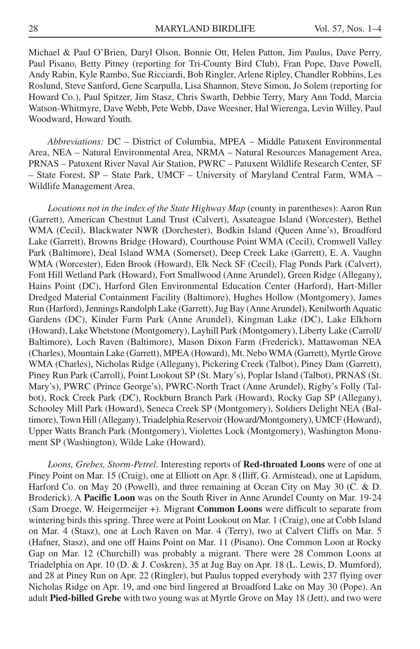Michael & Paul O'Brien, Daryl Olson, Bonnie Ott, Helen Patton, Jim Paulus, Dave Perry, Paul Pisano, Betty Pitney (reporting for Tri-County Bird Club), Fran Pope, Dave Powell, Andy Rabin, Kyle Rambo, Sue Ricciardi, Bob Ringler, Arlene Ripley, Chandler Robbins, Les Roslund, Steve Sanford, Gene Scarpulla, Lisa Shannon, Steve Simon, Jo Solem (reporting for Howard Co.), Paul Spitzer, Jim Stasz, Chris Swarth, Debbie Terry, Mary Ann Todd, Marcia Watson-Whitmyre, Dave Webb, Pete Webb, Dave Weesner, Hal Wierenga, Levin Willey, Paul Woodward, Howard Youth.

*Abbreviations:* DC – District of Columbia, MPEA – Middle Patuxent Environmental Area, NEA – Natural Environmental Area, NRMA – Natural Resources Management Area, PRNAS – Patuxent River Naval Air Station, PWRC – Patuxent Wildlife Research Center, SF – State Forest, SP – State Park, UMCF – University of Maryland Central Farm, WMA – Wildlife Management Area.

*Locations not in the index of the State Highway Map* (county in parentheses): Aaron Run (Garrett), American Chestnut Land Trust (Calvert), Assateague Island (Worcester), Bethel WMA (Cecil), Blackwater NWR (Dorchester), Bodkin Island (Queen Anne's), Broadford Lake (Garrett), Browns Bridge (Howard), Courthouse Point WMA (Cecil), Cromwell Valley Park (Baltimore), Deal Island WMA (Somerset), Deep Creek Lake (Garrett), E. A. Vaughn WMA (Worcester), Eden Brook (Howard), Elk Neck SF (Cecil), Flag Ponds Park (Calvert), Font Hill Wetland Park (Howard), Fort Smallwood (Anne Arundel), Green Ridge (Allegany), Hains Point (DC), Harford Glen Environmental Education Center (Harford), Hart-Miller Dredged Material Containment Facility (Baltimore), Hughes Hollow (Montgomery), James Run (Harford), Jennings Randolph Lake (Garrett), Jug Bay (Anne Arundel), Kenilworth Aquatic Gardens (DC), Kinder Farm Park (Anne Arundel), Kingman Lake (DC), Lake Elkhorn (Howard), Lake Whetstone (Montgomery), Layhill Park (Montgomery), Liberty Lake (Carroll/ Baltimore), Loch Raven (Baltimore), Mason Dixon Farm (Frederick), Mattawoman NEA (Charles), Mountain Lake (Garrett), MPEA (Howard), Mt. Nebo WMA (Garrett), Myrtle Grove WMA (Charles), Nicholas Ridge (Allegany), Pickering Creek (Talbot), Piney Dam (Garrett), Piney Run Park (Carroll), Point Lookout SP (St. Mary's), Poplar Island (Talbot), PRNAS (St. Mary's), PWRC (Prince George's), PWRC-North Tract (Anne Arundel), Rigby's Folly (Talbot), Rock Creek Park (DC), Rockburn Branch Park (Howard), Rocky Gap SP (Allegany), Schooley Mill Park (Howard), Seneca Creek SP (Montgomery), Soldiers Delight NEA (Baltimore), Town Hill (Allegany), Triadelphia Reservoir (Howard/Montgomery), UMCF (Howard), Upper Watts Branch Park (Montgomery), Violettes Lock (Montgomery), Washington Monument SP (Washington), Wilde Lake (Howard).

*Loons, Grebes, Storm-Petrel*. Interesting reports of **Red-throated Loons** were of one at Piney Point on Mar. 15 (Craig), one at Elliott on Apr. 8 (Iliff, G. Armistead), one at Lapidum, Harford Co. on May 20 (Powell), and three remaining at Ocean City on May 30 (C. & D. Broderick). A **Pacific Loon** was on the South River in Anne Arundel County on Mar. 19-24 (Sam Droege, W. Heigermeijer +). Migrant **Common Loons** were difficult to separate from wintering birds this spring. Three were at Point Lookout on Mar. 1 (Craig), one at Cobb Island on Mar. 4 (Stasz), one at Loch Raven on Mar. 4 (Terry), two at Calvert Cliffs on Mar. 5 (Hafner, Stasz), and one off Hains Point on Mar. 11 (Pisano). One Common Loon at Rocky Gap on Mar. 12 (Churchill) was probably a migrant. There were 28 Common Loons at Triadelphia on Apr. 10 (D. & J. Coskren), 35 at Jug Bay on Apr. 18 (L. Lewis, D. Mumford), and 28 at Piney Run on Apr. 22 (Ringler), but Paulus topped everybody with 237 flying over Nicholas Ridge on Apr. 19, and one bird lingered at Broadford Lake on May 30 (Pope). An adult **Pied-billed Grebe** with two young was at Myrtle Grove on May 18 (Jett), and two were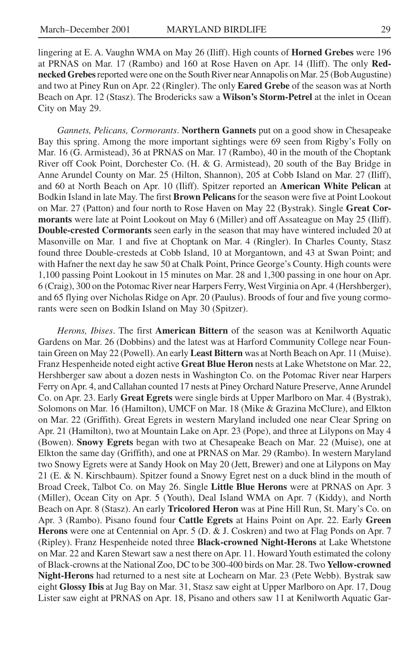lingering at E. A. Vaughn WMA on May 26 (Iliff). High counts of **Horned Grebes** were 196 at PRNAS on Mar. 17 (Rambo) and 160 at Rose Haven on Apr. 14 (Iliff). The only **Rednecked Grebes** reported were one on the South River near Annapolis on Mar. 25 (Bob Augustine) and two at Piney Run on Apr. 22 (Ringler). The only **Eared Grebe** of the season was at North Beach on Apr. 12 (Stasz). The Brodericks saw a **Wilson's Storm-Petrel** at the inlet in Ocean City on May 29.

*Gannets, Pelicans, Cormorants*. **Northern Gannets** put on a good show in Chesapeake Bay this spring. Among the more important sightings were 69 seen from Rigby's Folly on Mar. 16 (G. Armistead), 36 at PRNAS on Mar. 17 (Rambo), 40 in the mouth of the Choptank River off Cook Point, Dorchester Co. (H. & G. Armistead), 20 south of the Bay Bridge in Anne Arundel County on Mar. 25 (Hilton, Shannon), 205 at Cobb Island on Mar. 27 (Iliff), and 60 at North Beach on Apr. 10 (Iliff). Spitzer reported an **American White Pelican** at Bodkin Island in late May. The first **Brown Pelicans** for the season were five at Point Lookout on Mar. 27 (Patton) and four north to Rose Haven on May 22 (Bystrak). Single **Great Cormorants** were late at Point Lookout on May 6 (Miller) and off Assateague on May 25 (Iliff). **Double-crested Cormorants** seen early in the season that may have wintered included 20 at Masonville on Mar. 1 and five at Choptank on Mar. 4 (Ringler). In Charles County, Stasz found three Double-cresteds at Cobb Island, 10 at Morgantown, and 43 at Swan Point; and with Hafner the next day he saw 50 at Chalk Point, Prince George's County. High counts were 1,100 passing Point Lookout in 15 minutes on Mar. 28 and 1,300 passing in one hour on Apr. 6 (Craig), 300 on the Potomac River near Harpers Ferry, West Virginia on Apr. 4 (Hershberger), and 65 flying over Nicholas Ridge on Apr. 20 (Paulus). Broods of four and five young cormorants were seen on Bodkin Island on May 30 (Spitzer).

*Herons, Ibises*. The first **American Bittern** of the season was at Kenilworth Aquatic Gardens on Mar. 26 (Dobbins) and the latest was at Harford Community College near Fountain Green on May 22 (Powell). An early **Least Bittern** was at North Beach on Apr. 11 (Muise). Franz Hespenheide noted eight active **Great Blue Heron** nests at Lake Whetstone on Mar. 22, Hershberger saw about a dozen nests in Washington Co. on the Potomac River near Harpers Ferry on Apr. 4, and Callahan counted 17 nests at Piney Orchard Nature Preserve, Anne Arundel Co. on Apr. 23. Early **Great Egrets** were single birds at Upper Marlboro on Mar. 4 (Bystrak), Solomons on Mar. 16 (Hamilton), UMCF on Mar. 18 (Mike & Grazina McClure), and Elkton on Mar. 22 (Griffith). Great Egrets in western Maryland included one near Clear Spring on Apr. 21 (Hamilton), two at Mountain Lake on Apr. 23 (Pope), and three at Lilypons on May 4 (Bowen). **Snowy Egrets** began with two at Chesapeake Beach on Mar. 22 (Muise), one at Elkton the same day (Griffith), and one at PRNAS on Mar. 29 (Rambo). In western Maryland two Snowy Egrets were at Sandy Hook on May 20 (Jett, Brewer) and one at Lilypons on May 21 (E. & N. Kirschbaum). Spitzer found a Snowy Egret nest on a duck blind in the mouth of Broad Creek, Talbot Co. on May 26. Single **Little Blue Herons** were at PRNAS on Apr. 3 (Miller), Ocean City on Apr. 5 (Youth), Deal Island WMA on Apr. 7 (Kiddy), and North Beach on Apr. 8 (Stasz). An early **Tricolored Heron** was at Pine Hill Run, St. Mary's Co. on Apr. 3 (Rambo). Pisano found four **Cattle Egrets** at Hains Point on Apr. 22. Early **Green Herons** were one at Centennial on Apr. 5 (D. & J. Coskren) and two at Flag Ponds on Apr. 7 (Ripley). Franz Hespenheide noted three **Black-crowned Night-Herons** at Lake Whetstone on Mar. 22 and Karen Stewart saw a nest there on Apr. 11. Howard Youth estimated the colony of Black-crowns at the National Zoo, DC to be 300-400 birds on Mar. 28. Two **Yellow-crowned Night-Herons** had returned to a nest site at Lochearn on Mar. 23 (Pete Webb). Bystrak saw eight **Glossy Ibis** at Jug Bay on Mar. 31, Stasz saw eight at Upper Marlboro on Apr. 17, Doug Lister saw eight at PRNAS on Apr. 18, Pisano and others saw 11 at Kenilworth Aquatic Gar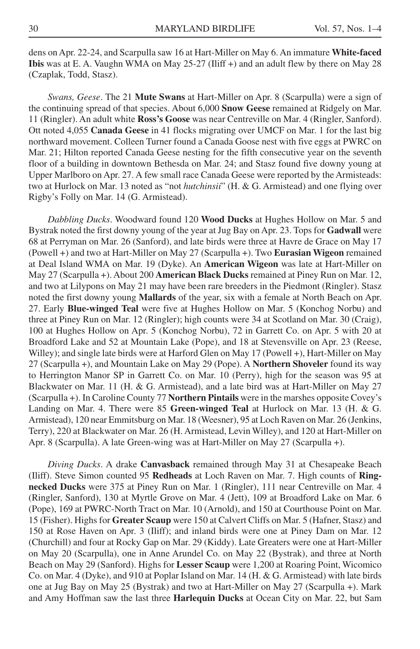dens on Apr. 22-24, and Scarpulla saw 16 at Hart-Miller on May 6. An immature **White-faced Ibis** was at E. A. Vaughn WMA on May 25-27 (Iliff +) and an adult flew by there on May 28 (Czaplak, Todd, Stasz).

*Swans, Geese*. The 21 **Mute Swans** at Hart-Miller on Apr. 8 (Scarpulla) were a sign of the continuing spread of that species. About 6,000 **Snow Geese** remained at Ridgely on Mar. 11 (Ringler). An adult white **Ross's Goose** was near Centreville on Mar. 4 (Ringler, Sanford). Ott noted 4,055 **Canada Geese** in 41 flocks migrating over UMCF on Mar. 1 for the last big northward movement. Colleen Turner found a Canada Goose nest with five eggs at PWRC on Mar. 21; Hilton reported Canada Geese nesting for the fifth consecutive year on the seventh floor of a building in downtown Bethesda on Mar. 24; and Stasz found five downy young at Upper Marlboro on Apr. 27. A few small race Canada Geese were reported by the Armisteads: two at Hurlock on Mar. 13 noted as "not *hutchinsii*" (H. & G. Armistead) and one flying over Rigby's Folly on Mar. 14 (G. Armistead).

*Dabbling Ducks*. Woodward found 120 **Wood Ducks** at Hughes Hollow on Mar. 5 and Bystrak noted the first downy young of the year at Jug Bay on Apr. 23. Tops for **Gadwall** were 68 at Perryman on Mar. 26 (Sanford), and late birds were three at Havre de Grace on May 17 (Powell +) and two at Hart-Miller on May 27 (Scarpulla +). Two **Eurasian Wigeon** remained at Deal Island WMA on Mar. 19 (Dyke). An **American Wigeon** was late at Hart-Miller on May 27 (Scarpulla +). About 200 **American Black Ducks** remained at Piney Run on Mar. 12, and two at Lilypons on May 21 may have been rare breeders in the Piedmont (Ringler). Stasz noted the first downy young **Mallards** of the year, six with a female at North Beach on Apr. 27. Early **Blue-winged Teal** were five at Hughes Hollow on Mar. 5 (Konchog Norbu) and three at Piney Run on Mar. 12 (Ringler); high counts were 34 at Scotland on Mar. 30 (Craig), 100 at Hughes Hollow on Apr. 5 (Konchog Norbu), 72 in Garrett Co. on Apr. 5 with 20 at Broadford Lake and 52 at Mountain Lake (Pope), and 18 at Stevensville on Apr. 23 (Reese, Willey); and single late birds were at Harford Glen on May 17 (Powell +), Hart-Miller on May 27 (Scarpulla +), and Mountain Lake on May 29 (Pope). A **Northern Shoveler** found its way to Herrington Manor SP in Garrett Co. on Mar. 10 (Perry), high for the season was 95 at Blackwater on Mar. 11 (H. & G. Armistead), and a late bird was at Hart-Miller on May 27 (Scarpulla +). In Caroline County 77 **Northern Pintails** were in the marshes opposite Covey's Landing on Mar. 4. There were 85 **Green-winged Teal** at Hurlock on Mar. 13 (H. & G. Armistead), 120 near Emmitsburg on Mar. 18 (Weesner), 95 at Loch Raven on Mar. 26 (Jenkins, Terry), 220 at Blackwater on Mar. 26 (H. Armistead, Levin Willey), and 120 at Hart-Miller on Apr. 8 (Scarpulla). A late Green-wing was at Hart-Miller on May 27 (Scarpulla +).

*Diving Ducks*. A drake **Canvasback** remained through May 31 at Chesapeake Beach (Iliff). Steve Simon counted 95 **Redheads** at Loch Raven on Mar. 7. High counts of **Ringnecked Ducks** were 375 at Piney Run on Mar. 1 (Ringler), 111 near Centreville on Mar. 4 (Ringler, Sanford), 130 at Myrtle Grove on Mar. 4 (Jett), 109 at Broadford Lake on Mar. 6 (Pope), 169 at PWRC-North Tract on Mar. 10 (Arnold), and 150 at Courthouse Point on Mar. 15 (Fisher). Highs for **Greater Scaup** were 150 at Calvert Cliffs on Mar. 5 (Hafner, Stasz) and 150 at Rose Haven on Apr. 3 (Iliff); and inland birds were one at Piney Dam on Mar. 12 (Churchill) and four at Rocky Gap on Mar. 29 (Kiddy). Late Greaters were one at Hart-Miller on May 20 (Scarpulla), one in Anne Arundel Co. on May 22 (Bystrak), and three at North Beach on May 29 (Sanford). Highs for **Lesser Scaup** were 1,200 at Roaring Point, Wicomico Co. on Mar. 4 (Dyke), and 910 at Poplar Island on Mar. 14 (H. & G. Armistead) with late birds one at Jug Bay on May 25 (Bystrak) and two at Hart-Miller on May 27 (Scarpulla +). Mark and Amy Hoffman saw the last three **Harlequin Ducks** at Ocean City on Mar. 22, but Sam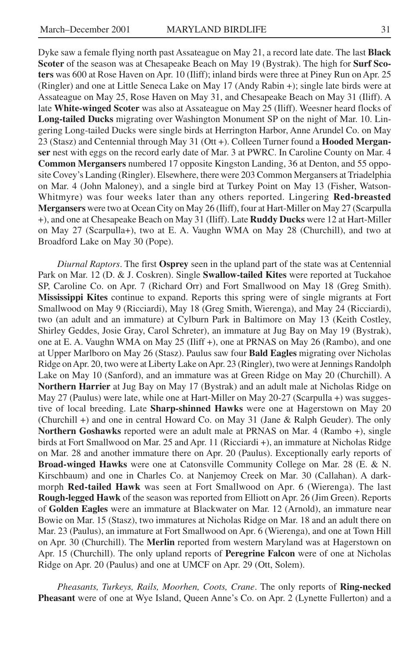Dyke saw a female flying north past Assateague on May 21, a record late date. The last **Black Scoter** of the season was at Chesapeake Beach on May 19 (Bystrak). The high for **Surf Scoters** was 600 at Rose Haven on Apr. 10 (Iliff); inland birds were three at Piney Run on Apr. 25 (Ringler) and one at Little Seneca Lake on May 17 (Andy Rabin +); single late birds were at Assateague on May 25, Rose Haven on May 31, and Chesapeake Beach on May 31 (Iliff). A late **White-winged Scoter** was also at Assateague on May 25 (Iliff). Weesner heard flocks of **Long-tailed Ducks** migrating over Washington Monument SP on the night of Mar. 10. Lingering Long-tailed Ducks were single birds at Herrington Harbor, Anne Arundel Co. on May 23 (Stasz) and Centennial through May 31 (Ott +). Colleen Turner found a **Hooded Merganser** nest with eggs on the record early date of Mar. 3 at PWRC. In Caroline County on Mar. 4 **Common Mergansers** numbered 17 opposite Kingston Landing, 36 at Denton, and 55 opposite Covey's Landing (Ringler). Elsewhere, there were 203 Common Mergansers at Triadelphia on Mar. 4 (John Maloney), and a single bird at Turkey Point on May 13 (Fisher, Watson-Whitmyre) was four weeks later than any others reported. Lingering **Red-breasted Mergansers** were two at Ocean City on May 26 (Iliff), four at Hart-Miller on May 27 (Scarpulla +), and one at Chesapeake Beach on May 31 (Iliff). Late **Ruddy Ducks** were 12 at Hart-Miller on May 27 (Scarpulla+), two at E. A. Vaughn WMA on May 28 (Churchill), and two at Broadford Lake on May 30 (Pope).

*Diurnal Raptors*. The first **Osprey** seen in the upland part of the state was at Centennial Park on Mar. 12 (D. & J. Coskren). Single **Swallow-tailed Kites** were reported at Tuckahoe SP, Caroline Co. on Apr. 7 (Richard Orr) and Fort Smallwood on May 18 (Greg Smith). **Mississippi Kites** continue to expand. Reports this spring were of single migrants at Fort Smallwood on May 9 (Ricciardi), May 18 (Greg Smith, Wierenga), and May 24 (Ricciardi), two (an adult and an immature) at Cylburn Park in Baltimore on May 13 (Keith Costley, Shirley Geddes, Josie Gray, Carol Schreter), an immature at Jug Bay on May 19 (Bystrak), one at E. A. Vaughn WMA on May 25 (Iliff +), one at PRNAS on May 26 (Rambo), and one at Upper Marlboro on May 26 (Stasz). Paulus saw four **Bald Eagles** migrating over Nicholas Ridge on Apr. 20, two were at Liberty Lake on Apr. 23 (Ringler), two were at Jennings Randolph Lake on May 10 (Sanford), and an immature was at Green Ridge on May 20 (Churchill). A **Northern Harrier** at Jug Bay on May 17 (Bystrak) and an adult male at Nicholas Ridge on May 27 (Paulus) were late, while one at Hart-Miller on May 20-27 (Scarpulla +) was suggestive of local breeding. Late **Sharp-shinned Hawks** were one at Hagerstown on May 20 (Churchill +) and one in central Howard Co. on May 31 (Jane & Ralph Geuder). The only **Northern Goshawks** reported were an adult male at PRNAS on Mar. 4 (Rambo +), single birds at Fort Smallwood on Mar. 25 and Apr. 11 (Ricciardi +), an immature at Nicholas Ridge on Mar. 28 and another immature there on Apr. 20 (Paulus). Exceptionally early reports of **Broad-winged Hawks** were one at Catonsville Community College on Mar. 28 (E. & N. Kirschbaum) and one in Charles Co. at Nanjemoy Creek on Mar. 30 (Callahan). A darkmorph **Red-tailed Hawk** was seen at Fort Smallwood on Apr. 6 (Wierenga). The last **Rough-legged Hawk** of the season was reported from Elliott on Apr. 26 (Jim Green). Reports of **Golden Eagles** were an immature at Blackwater on Mar. 12 (Arnold), an immature near Bowie on Mar. 15 (Stasz), two immatures at Nicholas Ridge on Mar. 18 and an adult there on Mar. 23 (Paulus), an immature at Fort Smallwood on Apr. 6 (Wierenga), and one at Town Hill on Apr. 30 (Churchill). The **Merlin** reported from western Maryland was at Hagerstown on Apr. 15 (Churchill). The only upland reports of **Peregrine Falcon** were of one at Nicholas Ridge on Apr. 20 (Paulus) and one at UMCF on Apr. 29 (Ott, Solem).

*Pheasants, Turkeys, Rails, Moorhen, Coots, Crane*. The only reports of **Ring-necked Pheasant** were of one at Wye Island, Queen Anne's Co. on Apr. 2 (Lynette Fullerton) and a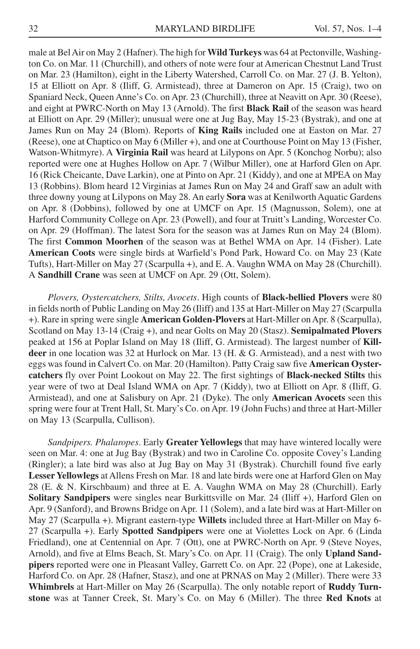male at Bel Air on May 2 (Hafner). The high for **Wild Turkeys** was 64 at Pectonville, Washington Co. on Mar. 11 (Churchill), and others of note were four at American Chestnut Land Trust on Mar. 23 (Hamilton), eight in the Liberty Watershed, Carroll Co. on Mar. 27 (J. B. Yelton), 15 at Elliott on Apr. 8 (Iliff, G. Armistead), three at Dameron on Apr. 15 (Craig), two on Spaniard Neck, Queen Anne's Co. on Apr. 23 (Churchill), three at Neavitt on Apr. 30 (Reese), and eight at PWRC-North on May 13 (Arnold). The first **Black Rail** of the season was heard at Elliott on Apr. 29 (Miller); unusual were one at Jug Bay, May 15-23 (Bystrak), and one at James Run on May 24 (Blom). Reports of **King Rails** included one at Easton on Mar. 27 (Reese), one at Chaptico on May 6 (Miller +), and one at Courthouse Point on May 13 (Fisher, Watson-Whitmyre). A **Virginia Rail** was heard at Lilypons on Apr. 5 (Konchog Norbu); also reported were one at Hughes Hollow on Apr. 7 (Wilbur Miller), one at Harford Glen on Apr. 16 (Rick Cheicante, Dave Larkin), one at Pinto on Apr. 21 (Kiddy), and one at MPEA on May 13 (Robbins). Blom heard 12 Virginias at James Run on May 24 and Graff saw an adult with three downy young at Lilypons on May 28. An early **Sora** was at Kenilworth Aquatic Gardens on Apr. 8 (Dobbins), followed by one at UMCF on Apr. 15 (Magnusson, Solem), one at Harford Community College on Apr. 23 (Powell), and four at Truitt's Landing, Worcester Co. on Apr. 29 (Hoffman). The latest Sora for the season was at James Run on May 24 (Blom). The first **Common Moorhen** of the season was at Bethel WMA on Apr. 14 (Fisher). Late **American Coots** were single birds at Warfield's Pond Park, Howard Co. on May 23 (Kate Tufts), Hart-Miller on May 27 (Scarpulla +), and E. A. Vaughn WMA on May 28 (Churchill). A **Sandhill Crane** was seen at UMCF on Apr. 29 (Ott, Solem).

*Plovers, Oystercatchers, Stilts, Avocets*. High counts of **Black-bellied Plovers** were 80 in fields north of Public Landing on May 26 (Iliff) and 135 at Hart-Miller on May 27 (Scarpulla +). Rare in spring were single **American Golden-Plovers** at Hart-Miller on Apr. 8 (Scarpulla), Scotland on May 13-14 (Craig +), and near Golts on May 20 (Stasz). **Semipalmated Plovers** peaked at 156 at Poplar Island on May 18 (Iliff, G. Armistead). The largest number of **Killdeer** in one location was 32 at Hurlock on Mar. 13 (H. & G. Armistead), and a nest with two eggs was found in Calvert Co. on Mar. 20 (Hamilton). Patty Craig saw five **American Oystercatchers** fly over Point Lookout on May 22. The first sightings of **Black-necked Stilts** this year were of two at Deal Island WMA on Apr. 7 (Kiddy), two at Elliott on Apr. 8 (Iliff, G. Armistead), and one at Salisbury on Apr. 21 (Dyke). The only **American Avocets** seen this spring were four at Trent Hall, St. Mary's Co. on Apr. 19 (John Fuchs) and three at Hart-Miller on May 13 (Scarpulla, Cullison).

*Sandpipers. Phalaropes*. Early **Greater Yellowlegs** that may have wintered locally were seen on Mar. 4: one at Jug Bay (Bystrak) and two in Caroline Co. opposite Covey's Landing (Ringler); a late bird was also at Jug Bay on May 31 (Bystrak). Churchill found five early **Lesser Yellowlegs** at Allens Fresh on Mar. 18 and late birds were one at Harford Glen on May 28 (E. & N. Kirschbaum) and three at E. A. Vaughn WMA on May 28 (Churchill). Early **Solitary Sandpipers** were singles near Burkittsville on Mar. 24 (Iliff +), Harford Glen on Apr. 9 (Sanford), and Browns Bridge on Apr. 11 (Solem), and a late bird was at Hart-Miller on May 27 (Scarpulla +). Migrant eastern-type **Willets** included three at Hart-Miller on May 6- 27 (Scarpulla +). Early **Spotted Sandpipers** were one at Violettes Lock on Apr. 6 (Linda Friedland), one at Centennial on Apr. 7 (Ott), one at PWRC-North on Apr. 9 (Steve Noyes, Arnold), and five at Elms Beach, St. Mary's Co. on Apr. 11 (Craig). The only **Upland Sandpipers** reported were one in Pleasant Valley, Garrett Co. on Apr. 22 (Pope), one at Lakeside, Harford Co. on Apr. 28 (Hafner, Stasz), and one at PRNAS on May 2 (Miller). There were 33 **Whimbrels** at Hart-Miller on May 26 (Scarpulla). The only notable report of **Ruddy Turnstone** was at Tanner Creek, St. Mary's Co. on May 6 (Miller). The three **Red Knots** at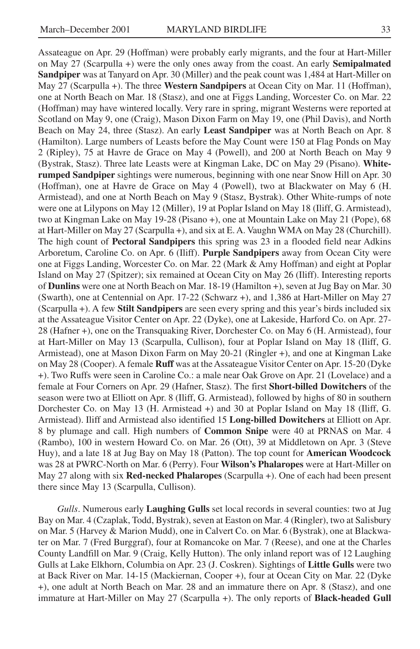Assateague on Apr. 29 (Hoffman) were probably early migrants, and the four at Hart-Miller on May 27 (Scarpulla +) were the only ones away from the coast. An early **Semipalmated Sandpiper** was at Tanyard on Apr. 30 (Miller) and the peak count was 1,484 at Hart-Miller on May 27 (Scarpulla +). The three **Western Sandpipers** at Ocean City on Mar. 11 (Hoffman), one at North Beach on Mar. 18 (Stasz), and one at Figgs Landing, Worcester Co. on Mar. 22 (Hoffman) may have wintered locally. Very rare in spring, migrant Westerns were reported at Scotland on May 9, one (Craig), Mason Dixon Farm on May 19, one (Phil Davis), and North Beach on May 24, three (Stasz). An early **Least Sandpiper** was at North Beach on Apr. 8 (Hamilton). Large numbers of Leasts before the May Count were 150 at Flag Ponds on May 2 (Ripley), 75 at Havre de Grace on May 4 (Powell), and 200 at North Beach on May 9 (Bystrak, Stasz). Three late Leasts were at Kingman Lake, DC on May 29 (Pisano). **Whiterumped Sandpiper** sightings were numerous, beginning with one near Snow Hill on Apr. 30 (Hoffman), one at Havre de Grace on May 4 (Powell), two at Blackwater on May 6 (H. Armistead), and one at North Beach on May 9 (Stasz, Bystrak). Other White-rumps of note were one at Lilypons on May 12 (Miller), 19 at Poplar Island on May 18 (Iliff, G. Armistead), two at Kingman Lake on May 19-28 (Pisano +), one at Mountain Lake on May 21 (Pope), 68 at Hart-Miller on May 27 (Scarpulla +), and six at E. A. Vaughn WMA on May 28 (Churchill). The high count of **Pectoral Sandpipers** this spring was 23 in a flooded field near Adkins Arboretum, Caroline Co. on Apr. 6 (Iliff). **Purple Sandpipers** away from Ocean City were one at Figgs Landing, Worcester Co. on Mar. 22 (Mark & Amy Hoffman) and eight at Poplar Island on May 27 (Spitzer); six remained at Ocean City on May 26 (Iliff). Interesting reports of **Dunlins** were one at North Beach on Mar. 18-19 (Hamilton +), seven at Jug Bay on Mar. 30 (Swarth), one at Centennial on Apr. 17-22 (Schwarz +), and 1,386 at Hart-Miller on May 27 (Scarpulla +). A few **Stilt Sandpipers** are seen every spring and this year's birds included six at the Assateague Visitor Center on Apr. 22 (Dyke), one at Lakeside, Harford Co. on Apr. 27- 28 (Hafner +), one on the Transquaking River, Dorchester Co. on May 6 (H. Armistead), four at Hart-Miller on May 13 (Scarpulla, Cullison), four at Poplar Island on May 18 (Iliff, G. Armistead), one at Mason Dixon Farm on May 20-21 (Ringler +), and one at Kingman Lake on May 28 (Cooper). A female **Ruff** was at the Assateague Visitor Center on Apr. 15-20 (Dyke +). Two Ruffs were seen in Caroline Co.: a male near Oak Grove on Apr. 21 (Lovelace) and a female at Four Corners on Apr. 29 (Hafner, Stasz). The first **Short-billed Dowitchers** of the season were two at Elliott on Apr. 8 (Iliff, G. Armistead), followed by highs of 80 in southern Dorchester Co. on May 13 (H. Armistead +) and 30 at Poplar Island on May 18 (Iliff, G. Armistead). Iliff and Armistead also identified 15 **Long-billed Dowitchers** at Elliott on Apr. 8 by plumage and call. High numbers of **Common Snipe** were 40 at PRNAS on Mar. 4 (Rambo), 100 in western Howard Co. on Mar. 26 (Ott), 39 at Middletown on Apr. 3 (Steve Huy), and a late 18 at Jug Bay on May 18 (Patton). The top count for **American Woodcock** was 28 at PWRC-North on Mar. 6 (Perry). Four **Wilson's Phalaropes** were at Hart-Miller on May 27 along with six **Red-necked Phalaropes** (Scarpulla +). One of each had been present there since May 13 (Scarpulla, Cullison).

*Gulls*. Numerous early **Laughing Gulls** set local records in several counties: two at Jug Bay on Mar. 4 (Czaplak, Todd, Bystrak), seven at Easton on Mar. 4 (Ringler), two at Salisbury on Mar. 5 (Harvey & Marion Mudd), one in Calvert Co. on Mar. 6 (Bystrak), one at Blackwater on Mar. 7 (Fred Burggraf), four at Romancoke on Mar. 7 (Reese), and one at the Charles County Landfill on Mar. 9 (Craig, Kelly Hutton). The only inland report was of 12 Laughing Gulls at Lake Elkhorn, Columbia on Apr. 23 (J. Coskren). Sightings of **Little Gulls** were two at Back River on Mar. 14-15 (Mackiernan, Cooper +), four at Ocean City on Mar. 22 (Dyke +), one adult at North Beach on Mar. 28 and an immature there on Apr. 8 (Stasz), and one immature at Hart-Miller on May 27 (Scarpulla +). The only reports of **Black-headed Gull**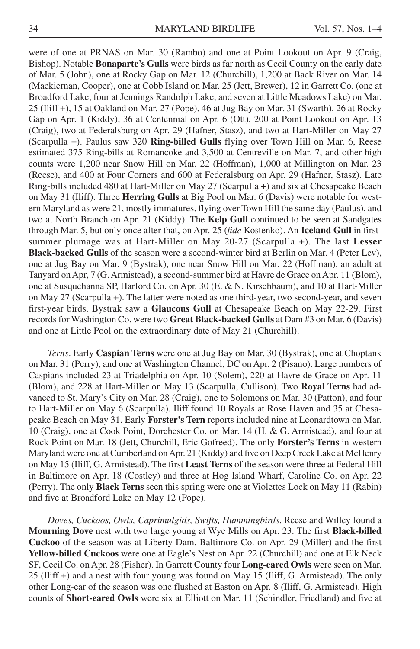were of one at PRNAS on Mar. 30 (Rambo) and one at Point Lookout on Apr. 9 (Craig, Bishop). Notable **Bonaparte's Gulls** were birds as far north as Cecil County on the early date of Mar. 5 (John), one at Rocky Gap on Mar. 12 (Churchill), 1,200 at Back River on Mar. 14 (Mackiernan, Cooper), one at Cobb Island on Mar. 25 (Jett, Brewer), 12 in Garrett Co. (one at Broadford Lake, four at Jennings Randolph Lake, and seven at Little Meadows Lake) on Mar. 25 (Iliff +), 15 at Oakland on Mar. 27 (Pope), 46 at Jug Bay on Mar. 31 (Swarth), 26 at Rocky Gap on Apr. 1 (Kiddy), 36 at Centennial on Apr. 6 (Ott), 200 at Point Lookout on Apr. 13 (Craig), two at Federalsburg on Apr. 29 (Hafner, Stasz), and two at Hart-Miller on May 27 (Scarpulla +). Paulus saw 320 **Ring-billed Gulls** flying over Town Hill on Mar. 6, Reese estimated 375 Ring-bills at Romancoke and 3,500 at Centreville on Mar. 7, and other high counts were 1,200 near Snow Hill on Mar. 22 (Hoffman), 1,000 at Millington on Mar. 23 (Reese), and 400 at Four Corners and 600 at Federalsburg on Apr. 29 (Hafner, Stasz). Late Ring-bills included 480 at Hart-Miller on May 27 (Scarpulla +) and six at Chesapeake Beach on May 31 (Iliff). Three **Herring Gulls** at Big Pool on Mar. 6 (Davis) were notable for western Maryland as were 21, mostly immatures, flying over Town Hill the same day (Paulus), and two at North Branch on Apr. 21 (Kiddy). The **Kelp Gull** continued to be seen at Sandgates through Mar. 5, but only once after that, on Apr. 25 (*fide* Kostenko). An **Iceland Gull** in firstsummer plumage was at Hart-Miller on May 20-27 (Scarpulla +). The last **Lesser Black-backed Gulls** of the season were a second-winter bird at Berlin on Mar. 4 (Peter Lev), one at Jug Bay on Mar. 9 (Bystrak), one near Snow Hill on Mar. 22 (Hoffman), an adult at Tanyard on Apr, 7 (G. Armistead), a second-summer bird at Havre de Grace on Apr. 11 (Blom), one at Susquehanna SP, Harford Co. on Apr. 30 (E. & N. Kirschbaum), and 10 at Hart-Miller on May 27 (Scarpulla +). The latter were noted as one third-year, two second-year, and seven first-year birds. Bystrak saw a **Glaucous Gull** at Chesapeake Beach on May 22-29. First records for Washington Co. were two **Great Black-backed Gulls** at Dam #3 on Mar. 6 (Davis) and one at Little Pool on the extraordinary date of May 21 (Churchill).

*Terns*. Early **Caspian Terns** were one at Jug Bay on Mar. 30 (Bystrak), one at Choptank on Mar. 31 (Perry), and one at Washington Channel, DC on Apr. 2 (Pisano). Large numbers of Caspians included 23 at Triadelphia on Apr. 10 (Solem), 220 at Havre de Grace on Apr. 11 (Blom), and 228 at Hart-Miller on May 13 (Scarpulla, Cullison). Two **Royal Terns** had advanced to St. Mary's City on Mar. 28 (Craig), one to Solomons on Mar. 30 (Patton), and four to Hart-Miller on May 6 (Scarpulla). Iliff found 10 Royals at Rose Haven and 35 at Chesapeake Beach on May 31. Early **Forster's Tern** reports included nine at Leonardtown on Mar. 10 (Craig), one at Cook Point, Dorchester Co. on Mar. 14 (H. & G. Armistead), and four at Rock Point on Mar. 18 (Jett, Churchill, Eric Gofreed). The only **Forster's Terns** in western Maryland were one at Cumberland on Apr. 21 (Kiddy) and five on Deep Creek Lake at McHenry on May 15 (Iliff, G. Armistead). The first **Least Terns** of the season were three at Federal Hill in Baltimore on Apr. 18 (Costley) and three at Hog Island Wharf, Caroline Co. on Apr. 22 (Perry). The only **Black Terns** seen this spring were one at Violettes Lock on May 11 (Rabin) and five at Broadford Lake on May 12 (Pope).

*Doves, Cuckoos, Owls, Caprimulgids, Swifts, Hummingbirds*. Reese and Willey found a **Mourning Dove** nest with two large young at Wye Mills on Apr. 23. The first **Black-billed Cuckoo** of the season was at Liberty Dam, Baltimore Co. on Apr. 29 (Miller) and the first **Yellow-billed Cuckoos** were one at Eagle's Nest on Apr. 22 (Churchill) and one at Elk Neck SF, Cecil Co. on Apr. 28 (Fisher). In Garrett County four **Long-eared Owls** were seen on Mar. 25 (Iliff +) and a nest with four young was found on May 15 (Iliff, G. Armistead). The only other Long-ear of the season was one flushed at Easton on Apr. 8 (Iliff, G. Armistead). High counts of **Short-eared Owls** were six at Elliott on Mar. 11 (Schindler, Friedland) and five at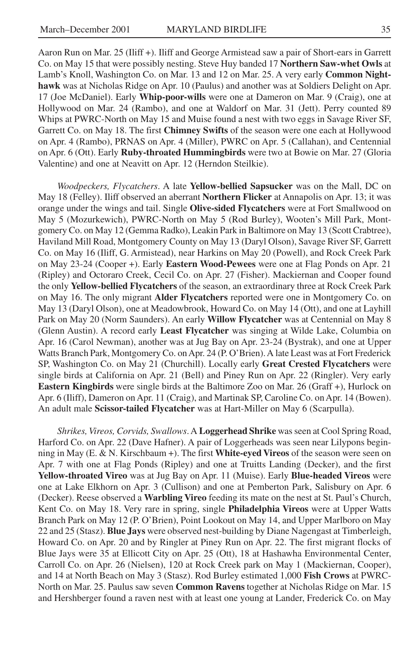Aaron Run on Mar. 25 (Iliff +). Iliff and George Armistead saw a pair of Short-ears in Garrett Co. on May 15 that were possibly nesting. Steve Huy banded 17 **Northern Saw-whet Owls** at Lamb's Knoll, Washington Co. on Mar. 13 and 12 on Mar. 25. A very early **Common Nighthawk** was at Nicholas Ridge on Apr. 10 (Paulus) and another was at Soldiers Delight on Apr. 17 (Joe McDaniel). Early **Whip-poor-wills** were one at Dameron on Mar. 9 (Craig), one at Hollywood on Mar. 24 (Rambo), and one at Waldorf on Mar. 31 (Jett). Perry counted 89 Whips at PWRC-North on May 15 and Muise found a nest with two eggs in Savage River SF, Garrett Co. on May 18. The first **Chimney Swifts** of the season were one each at Hollywood on Apr. 4 (Rambo), PRNAS on Apr. 4 (Miller), PWRC on Apr. 5 (Callahan), and Centennial on Apr. 6 (Ott). Early **Ruby-throated Hummingbirds** were two at Bowie on Mar. 27 (Gloria Valentine) and one at Neavitt on Apr. 12 (Herndon Steilkie).

*Woodpeckers, Flycatchers*. A late **Yellow-bellied Sapsucker** was on the Mall, DC on May 18 (Felley). Iliff observed an aberrant **Northern Flicker** at Annapolis on Apr. 13; it was orange under the wings and tail. Single **Olive-sided Flycatchers** were at Fort Smallwood on May 5 (Mozurkewich), PWRC-North on May 5 (Rod Burley), Wooten's Mill Park, Montgomery Co. on May 12 (Gemma Radko), Leakin Park in Baltimore on May 13 (Scott Crabtree), Haviland Mill Road, Montgomery County on May 13 (Daryl Olson), Savage River SF, Garrett Co. on May 16 (Iliff, G. Armistead), near Harkins on May 20 (Powell), and Rock Creek Park on May 23-24 (Cooper +). Early **Eastern Wood-Pewees** were one at Flag Ponds on Apr. 21 (Ripley) and Octoraro Creek, Cecil Co. on Apr. 27 (Fisher). Mackiernan and Cooper found the only **Yellow-bellied Flycatchers** of the season, an extraordinary three at Rock Creek Park on May 16. The only migrant **Alder Flycatchers** reported were one in Montgomery Co. on May 13 (Daryl Olson), one at Meadowbrook, Howard Co. on May 14 (Ott), and one at Layhill Park on May 20 (Norm Saunders). An early **Willow Flycatcher** was at Centennial on May 8 (Glenn Austin). A record early **Least Flycatcher** was singing at Wilde Lake, Columbia on Apr. 16 (Carol Newman), another was at Jug Bay on Apr. 23-24 (Bystrak), and one at Upper Watts Branch Park, Montgomery Co. on Apr. 24 (P. O'Brien). A late Least was at Fort Frederick SP, Washington Co. on May 21 (Churchill). Locally early **Great Crested Flycatchers** were single birds at California on Apr. 21 (Bell) and Piney Run on Apr. 22 (Ringler). Very early **Eastern Kingbirds** were single birds at the Baltimore Zoo on Mar. 26 (Graff +), Hurlock on Apr. 6 (Iliff), Dameron on Apr. 11 (Craig), and Martinak SP, Caroline Co. on Apr. 14 (Bowen). An adult male **Scissor-tailed Flycatcher** was at Hart-Miller on May 6 (Scarpulla).

*Shrikes, Vireos, Corvids, Swallows*. A **Loggerhead Shrike** was seen at Cool Spring Road, Harford Co. on Apr. 22 (Dave Hafner). A pair of Loggerheads was seen near Lilypons beginning in May (E. & N. Kirschbaum +). The first **White-eyed Vireos** of the season were seen on Apr. 7 with one at Flag Ponds (Ripley) and one at Truitts Landing (Decker), and the first **Yellow-throated Vireo** was at Jug Bay on Apr. 11 (Muise). Early **Blue-headed Vireos** were one at Lake Elkhorn on Apr. 3 (Cullison) and one at Pemberton Park, Salisbury on Apr. 6 (Decker). Reese observed a **Warbling Vireo** feeding its mate on the nest at St. Paul's Church, Kent Co. on May 18. Very rare in spring, single **Philadelphia Vireos** were at Upper Watts Branch Park on May 12 (P. O'Brien), Point Lookout on May 14, and Upper Marlboro on May 22 and 25 (Stasz). **Blue Jays** were observed nest-building by Diane Nagengast at Timberleigh, Howard Co. on Apr. 20 and by Ringler at Piney Run on Apr. 22. The first migrant flocks of Blue Jays were 35 at Ellicott City on Apr. 25 (Ott), 18 at Hashawha Environmental Center, Carroll Co. on Apr. 26 (Nielsen), 120 at Rock Creek park on May 1 (Mackiernan, Cooper), and 14 at North Beach on May 3 (Stasz). Rod Burley estimated 1,000 **Fish Crows** at PWRC-North on Mar. 25. Paulus saw seven **Common Ravens** together at Nicholas Ridge on Mar. 15 and Hershberger found a raven nest with at least one young at Lander, Frederick Co. on May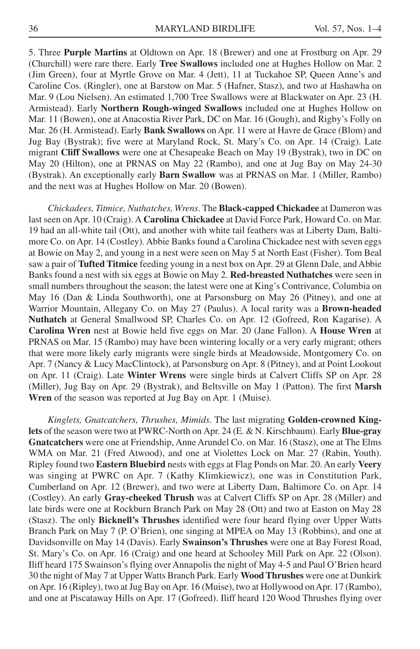5. Three **Purple Martins** at Oldtown on Apr. 18 (Brewer) and one at Frostburg on Apr. 29 (Churchill) were rare there. Early **Tree Swallows** included one at Hughes Hollow on Mar. 2 (Jim Green), four at Myrtle Grove on Mar. 4 (Jett), 11 at Tuckahoe SP, Queen Anne's and Caroline Cos. (Ringler), one at Barstow on Mar. 5 (Hafner, Stasz), and two at Hashawha on Mar. 9 (Lou Nielsen). An estimated 1,700 Tree Swallows were at Blackwater on Apr. 23 (H. Armistead). Early **Northern Rough-winged Swallows** included one at Hughes Hollow on Mar. 11 (Bowen), one at Anacostia River Park, DC on Mar. 16 (Gough), and Rigby's Folly on Mar. 26 (H. Armistead). Early **Bank Swallows** on Apr. 11 were at Havre de Grace (Blom) and Jug Bay (Bystrak); five were at Maryland Rock, St. Mary's Co. on Apr. 14 (Craig). Late migrant **Cliff Swallows** were one at Chesapeake Beach on May 19 (Bystrak), two in DC on May 20 (Hilton), one at PRNAS on May 22 (Rambo), and one at Jug Bay on May 24-30 (Bystrak). An exceptionally early **Barn Swallow** was at PRNAS on Mar. 1 (Miller, Rambo) and the next was at Hughes Hollow on Mar. 20 (Bowen).

*Chickadees, Titmice, Nuthatches, Wrens*. The **Black-capped Chickadee** at Dameron was last seen on Apr. 10 (Craig). A **Carolina Chickadee** at David Force Park, Howard Co. on Mar. 19 had an all-white tail (Ott), and another with white tail feathers was at Liberty Dam, Baltimore Co. on Apr. 14 (Costley). Abbie Banks found a Carolina Chickadee nest with seven eggs at Bowie on May 2, and young in a nest were seen on May 5 at North East (Fisher). Tom Beal saw a pair of **Tufted Titmice** feeding young in a nest box on Apr. 29 at Glenn Dale, and Abbie Banks found a nest with six eggs at Bowie on May 2. **Red-breasted Nuthatches** were seen in small numbers throughout the season; the latest were one at King's Contrivance, Columbia on May 16 (Dan & Linda Southworth), one at Parsonsburg on May 26 (Pitney), and one at Warrior Mountain, Allegany Co. on May 27 (Paulus). A local rarity was a **Brown-headed Nuthatch** at General Smallwood SP, Charles Co. on Apr. 12 (Gofreed, Ron Kagarise). A **Carolina Wren** nest at Bowie held five eggs on Mar. 20 (Jane Fallon). A **House Wren** at PRNAS on Mar. 15 (Rambo) may have been wintering locally or a very early migrant; others that were more likely early migrants were single birds at Meadowside, Montgomery Co. on Apr. 7 (Nancy & Lucy MacClintock), at Parsonsburg on Apr. 8 (Pitney), and at Point Lookout on Apr. 11 (Craig). Late **Winter Wrens** were single birds at Calvert Cliffs SP on Apr. 28 (Miller), Jug Bay on Apr. 29 (Bystrak), and Beltsville on May 1 (Patton). The first **Marsh Wren** of the season was reported at Jug Bay on Apr. 1 (Muise).

*Kinglets, Gnatcatchers, Thrushes, Mimids*. The last migrating **Golden-crowned Kinglets** of the season were two at PWRC-North on Apr. 24 (E. & N. Kirschbaum). Early **Blue-gray Gnatcatchers** were one at Friendship, Anne Arundel Co. on Mar. 16 (Stasz), one at The Elms WMA on Mar. 21 (Fred Atwood), and one at Violettes Lock on Mar. 27 (Rabin, Youth). Ripley found two **Eastern Bluebird** nests with eggs at Flag Ponds on Mar. 20. An early **Veery** was singing at PWRC on Apr. 7 (Kathy Klimkiewicz), one was in Constitution Park, Cumberland on Apr. 12 (Brewer), and two were at Liberty Dam, Baltimore Co. on Apr. 14 (Costley). An early **Gray-cheeked Thrush** was at Calvert Cliffs SP on Apr. 28 (Miller) and late birds were one at Rockburn Branch Park on May 28 (Ott) and two at Easton on May 28 (Stasz). The only **Bicknell's Thrushes** identified were four heard flying over Upper Watts Branch Park on May 7 (P. O'Brien), one singing at MPEA on May 13 (Robbins), and one at Davidsonville on May 14 (Davis). Early **Swainson's Thrushes** were one at Bay Forest Road, St. Mary's Co. on Apr. 16 (Craig) and one heard at Schooley Mill Park on Apr. 22 (Olson). Iliff heard 175 Swainson's flying over Annapolis the night of May 4-5 and Paul O'Brien heard 30 the night of May 7 at Upper Watts Branch Park. Early **Wood Thrushes** were one at Dunkirk on Apr. 16 (Ripley), two at Jug Bay on Apr. 16 (Muise), two at Hollywood on Apr. 17 (Rambo), and one at Piscataway Hills on Apr. 17 (Gofreed). Iliff heard 120 Wood Thrushes flying over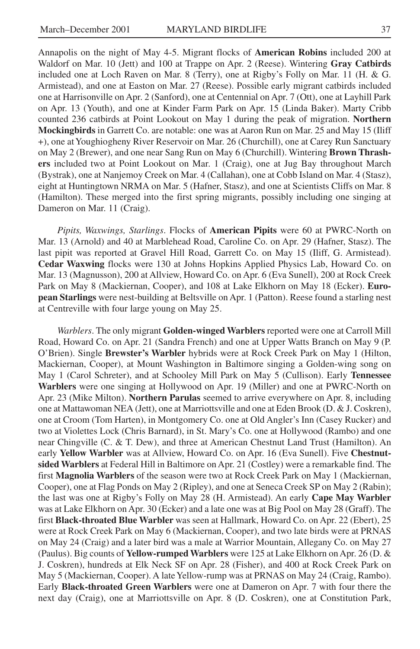Annapolis on the night of May 4-5. Migrant flocks of **American Robins** included 200 at Waldorf on Mar. 10 (Jett) and 100 at Trappe on Apr. 2 (Reese). Wintering **Gray Catbirds** included one at Loch Raven on Mar. 8 (Terry), one at Rigby's Folly on Mar. 11 (H. & G. Armistead), and one at Easton on Mar. 27 (Reese). Possible early migrant catbirds included one at Harrisonville on Apr. 2 (Sanford), one at Centennial on Apr. 7 (Ott), one at Layhill Park on Apr. 13 (Youth), and one at Kinder Farm Park on Apr. 15 (Linda Baker). Marty Cribb counted 236 catbirds at Point Lookout on May 1 during the peak of migration. **Northern Mockingbirds** in Garrett Co. are notable: one was at Aaron Run on Mar. 25 and May 15 (Iliff +), one at Youghiogheny River Reservoir on Mar. 26 (Churchill), one at Carey Run Sanctuary on May 2 (Brewer), and one near Sang Run on May 6 (Churchill). Wintering **Brown Thrashers** included two at Point Lookout on Mar. 1 (Craig), one at Jug Bay throughout March (Bystrak), one at Nanjemoy Creek on Mar. 4 (Callahan), one at Cobb Island on Mar. 4 (Stasz), eight at Huntingtown NRMA on Mar. 5 (Hafner, Stasz), and one at Scientists Cliffs on Mar. 8 (Hamilton). These merged into the first spring migrants, possibly including one singing at Dameron on Mar. 11 (Craig).

*Pipits, Waxwings, Starlings*. Flocks of **American Pipits** were 60 at PWRC-North on Mar. 13 (Arnold) and 40 at Marblehead Road, Caroline Co. on Apr. 29 (Hafner, Stasz). The last pipit was reported at Gravel Hill Road, Garrett Co. on May 15 (Iliff, G. Armistead). **Cedar Waxwing** flocks were 130 at Johns Hopkins Applied Physics Lab, Howard Co. on Mar. 13 (Magnusson), 200 at Allview, Howard Co. on Apr. 6 (Eva Sunell), 200 at Rock Creek Park on May 8 (Mackiernan, Cooper), and 108 at Lake Elkhorn on May 18 (Ecker). **European Starlings** were nest-building at Beltsville on Apr. 1 (Patton). Reese found a starling nest at Centreville with four large young on May 25.

*Warblers*. The only migrant **Golden-winged Warblers** reported were one at Carroll Mill Road, Howard Co. on Apr. 21 (Sandra French) and one at Upper Watts Branch on May 9 (P. O'Brien). Single **Brewster's Warbler** hybrids were at Rock Creek Park on May 1 (Hilton, Mackiernan, Cooper), at Mount Washington in Baltimore singing a Golden-wing song on May 1 (Carol Schreter), and at Schooley Mill Park on May 5 (Cullison). Early **Tennessee Warblers** were one singing at Hollywood on Apr. 19 (Miller) and one at PWRC-North on Apr. 23 (Mike Milton). **Northern Parulas** seemed to arrive everywhere on Apr. 8, including one at Mattawoman NEA (Jett), one at Marriottsville and one at Eden Brook (D. & J. Coskren), one at Croom (Tom Harten), in Montgomery Co. one at Old Angler's Inn (Casey Rucker) and two at Violettes Lock (Chris Barnard), in St. Mary's Co. one at Hollywood (Rambo) and one near Chingville (C. & T. Dew), and three at American Chestnut Land Trust (Hamilton). An early **Yellow Warbler** was at Allview, Howard Co. on Apr. 16 (Eva Sunell). Five **Chestnutsided Warblers** at Federal Hill in Baltimore on Apr. 21 (Costley) were a remarkable find. The first **Magnolia Warblers** of the season were two at Rock Creek Park on May 1 (Mackiernan, Cooper), one at Flag Ponds on May 2 (Ripley), and one at Seneca Creek SP on May 2 (Rabin); the last was one at Rigby's Folly on May 28 (H. Armistead). An early **Cape May Warbler** was at Lake Elkhorn on Apr. 30 (Ecker) and a late one was at Big Pool on May 28 (Graff). The first **Black-throated Blue Warbler** was seen at Hallmark, Howard Co. on Apr. 22 (Ebert), 25 were at Rock Creek Park on May 6 (Mackiernan, Cooper), and two late birds were at PRNAS on May 24 (Craig) and a later bird was a male at Warrior Mountain, Allegany Co. on May 27 (Paulus). Big counts of **Yellow-rumped Warblers** were 125 at Lake Elkhorn on Apr. 26 (D. & J. Coskren), hundreds at Elk Neck SF on Apr. 28 (Fisher), and 400 at Rock Creek Park on May 5 (Mackiernan, Cooper). A late Yellow-rump was at PRNAS on May 24 (Craig, Rambo). Early **Black-throated Green Warblers** were one at Dameron on Apr. 7 with four there the next day (Craig), one at Marriottsville on Apr. 8 (D. Coskren), one at Constitution Park,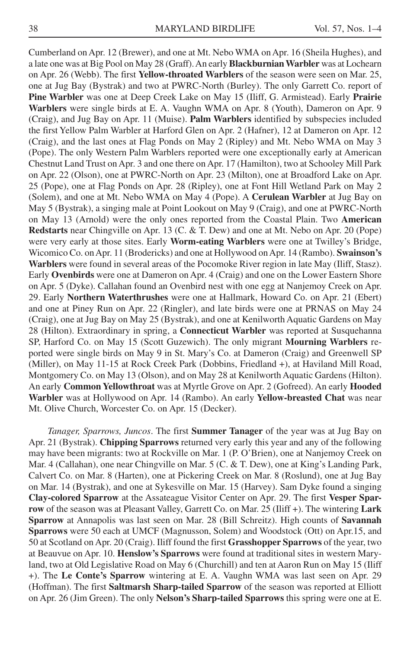Cumberland on Apr. 12 (Brewer), and one at Mt. Nebo WMA on Apr. 16 (Sheila Hughes), and a late one was at Big Pool on May 28 (Graff). An early **Blackburnian Warbler** was at Lochearn on Apr. 26 (Webb). The first **Yellow-throated Warblers** of the season were seen on Mar. 25, one at Jug Bay (Bystrak) and two at PWRC-North (Burley). The only Garrett Co. report of **Pine Warbler** was one at Deep Creek Lake on May 15 (Iliff, G. Armistead). Early **Prairie Warblers** were single birds at E. A. Vaughn WMA on Apr. 8 (Youth), Dameron on Apr. 9 (Craig), and Jug Bay on Apr. 11 (Muise). **Palm Warblers** identified by subspecies included the first Yellow Palm Warbler at Harford Glen on Apr. 2 (Hafner), 12 at Dameron on Apr. 12 (Craig), and the last ones at Flag Ponds on May 2 (Ripley) and Mt. Nebo WMA on May 3 (Pope). The only Western Palm Warblers reported were one exceptionally early at American Chestnut Land Trust on Apr. 3 and one there on Apr. 17 (Hamilton), two at Schooley Mill Park on Apr. 22 (Olson), one at PWRC-North on Apr. 23 (Milton), one at Broadford Lake on Apr. 25 (Pope), one at Flag Ponds on Apr. 28 (Ripley), one at Font Hill Wetland Park on May 2 (Solem), and one at Mt. Nebo WMA on May 4 (Pope). A **Cerulean Warbler** at Jug Bay on May 5 (Bystrak), a singing male at Point Lookout on May 9 (Craig), and one at PWRC-North on May 13 (Arnold) were the only ones reported from the Coastal Plain. Two **American Redstarts** near Chingville on Apr. 13 (C. & T. Dew) and one at Mt. Nebo on Apr. 20 (Pope) were very early at those sites. Early **Worm-eating Warblers** were one at Twilley's Bridge, Wicomico Co. on Apr. 11 (Brodericks) and one at Hollywood on Apr. 14 (Rambo). **Swainson's Warblers** were found in several areas of the Pocomoke River region in late May (Iliff, Stasz). Early **Ovenbirds** were one at Dameron on Apr. 4 (Craig) and one on the Lower Eastern Shore on Apr. 5 (Dyke). Callahan found an Ovenbird nest with one egg at Nanjemoy Creek on Apr. 29. Early **Northern Waterthrushes** were one at Hallmark, Howard Co. on Apr. 21 (Ebert) and one at Piney Run on Apr. 22 (Ringler), and late birds were one at PRNAS on May 24 (Craig), one at Jug Bay on May 25 (Bystrak), and one at Kenilworth Aquatic Gardens on May 28 (Hilton). Extraordinary in spring, a **Connecticut Warbler** was reported at Susquehanna SP, Harford Co. on May 15 (Scott Guzewich). The only migrant **Mourning Warblers** reported were single birds on May 9 in St. Mary's Co. at Dameron (Craig) and Greenwell SP (Miller), on May 11-15 at Rock Creek Park (Dobbins, Friedland +), at Haviland Mill Road, Montgomery Co. on May 13 (Olson), and on May 28 at Kenilworth Aquatic Gardens (Hilton). An early **Common Yellowthroat** was at Myrtle Grove on Apr. 2 (Gofreed). An early **Hooded Warbler** was at Hollywood on Apr. 14 (Rambo). An early **Yellow-breasted Chat** was near Mt. Olive Church, Worcester Co. on Apr. 15 (Decker).

*Tanager, Sparrows, Juncos*. The first **Summer Tanager** of the year was at Jug Bay on Apr. 21 (Bystrak). **Chipping Sparrows** returned very early this year and any of the following may have been migrants: two at Rockville on Mar. 1 (P. O'Brien), one at Nanjemoy Creek on Mar. 4 (Callahan), one near Chingville on Mar. 5 (C. & T. Dew), one at King's Landing Park, Calvert Co. on Mar. 8 (Harten), one at Pickering Creek on Mar. 8 (Roslund), one at Jug Bay on Mar. 14 (Bystrak), and one at Sykesville on Mar. 15 (Harvey). Sam Dyke found a singing **Clay-colored Sparrow** at the Assateague Visitor Center on Apr. 29. The first **Vesper Sparrow** of the season was at Pleasant Valley, Garrett Co. on Mar. 25 (Iliff +). The wintering **Lark Sparrow** at Annapolis was last seen on Mar. 28 (Bill Schreitz). High counts of **Savannah Sparrows** were 50 each at UMCF (Magnusson, Solem) and Woodstock (Ott) on Apr.15, and 50 at Scotland on Apr. 20 (Craig). Iliff found the first **Grasshopper Sparrows** of the year, two at Beauvue on Apr. 10. **Henslow's Sparrows** were found at traditional sites in western Maryland, two at Old Legislative Road on May 6 (Churchill) and ten at Aaron Run on May 15 (Iliff +). The **Le Conte's Sparrow** wintering at E. A. Vaughn WMA was last seen on Apr. 29 (Hoffman). The first **Saltmarsh Sharp-tailed Sparrow** of the season was reported at Elliott on Apr. 26 (Jim Green). The only **Nelson's Sharp-tailed Sparrows** this spring were one at E.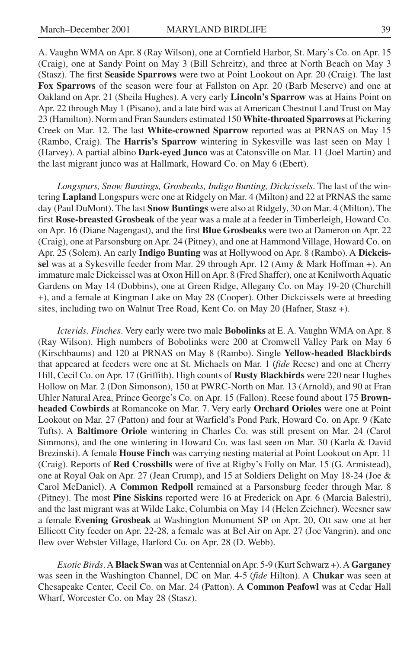A. Vaughn WMA on Apr. 8 (Ray Wilson), one at Cornfield Harbor, St. Mary's Co. on Apr. 15 (Craig), one at Sandy Point on May 3 (Bill Schreitz), and three at North Beach on May 3 (Stasz). The first **Seaside Sparrows** were two at Point Lookout on Apr. 20 (Craig). The last **Fox Sparrows** of the season were four at Fallston on Apr. 20 (Barb Meserve) and one at Oakland on Apr. 21 (Sheila Hughes). A very early **Lincoln's Sparrow** was at Hains Point on Apr. 22 through May 1 (Pisano), and a late bird was at American Chestnut Land Trust on May 23 (Hamilton). Norm and Fran Saunders estimated 150 **White-throated Sparrows** at Pickering Creek on Mar. 12. The last **White-crowned Sparrow** reported was at PRNAS on May 15 (Rambo, Craig). The **Harris's Sparrow** wintering in Sykesville was last seen on May 1 (Harvey). A partial albino **Dark-eyed Junco** was at Catonsville on Mar. 11 (Joel Martin) and the last migrant junco was at Hallmark, Howard Co. on May 6 (Ebert).

*Longspurs, Snow Buntings, Grosbeaks, Indigo Bunting, Dickcissels*. The last of the wintering **Lapland** Longspurs were one at Ridgely on Mar. 4 (Milton) and 22 at PRNAS the same day (Paul DuMont). The last **Snow Buntings** were also at Ridgely, 30 on Mar. 4 (Milton). The first **Rose-breasted Grosbeak** of the year was a male at a feeder in Timberleigh, Howard Co. on Apr. 16 (Diane Nagengast), and the first **Blue Grosbeaks** were two at Dameron on Apr. 22 (Craig), one at Parsonsburg on Apr. 24 (Pitney), and one at Hammond Village, Howard Co. on Apr. 25 (Solem). An early **Indigo Bunting** was at Hollywood on Apr. 8 (Rambo). A **Dickcissel** was at a Sykesville feeder from Mar. 29 through Apr. 12 (Amy & Mark Hoffman +). An immature male Dickcissel was at Oxon Hill on Apr. 8 (Fred Shaffer), one at Kenilworth Aquatic Gardens on May 14 (Dobbins), one at Green Ridge, Allegany Co. on May 19-20 (Churchill +), and a female at Kingman Lake on May 28 (Cooper). Other Dickcissels were at breeding sites, including two on Walnut Tree Road, Kent Co. on May 20 (Hafner, Stasz +).

*Icterids, Finches*. Very early were two male **Bobolinks** at E. A. Vaughn WMA on Apr. 8 (Ray Wilson). High numbers of Bobolinks were 200 at Cromwell Valley Park on May 6 (Kirschbaums) and 120 at PRNAS on May 8 (Rambo). Single **Yellow-headed Blackbirds** that appeared at feeders were one at St. Michaels on Mar. 1 (*fide* Reese) and one at Cherry Hill, Cecil Co. on Apr. 17 (Griffith). High counts of **Rusty Blackbirds** were 220 near Hughes Hollow on Mar. 2 (Don Simonson), 150 at PWRC-North on Mar. 13 (Arnold), and 90 at Fran Uhler Natural Area, Prince George's Co. on Apr. 15 (Fallon). Reese found about 175 **Brownheaded Cowbirds** at Romancoke on Mar. 7. Very early **Orchard Orioles** were one at Point Lookout on Mar. 27 (Patton) and four at Warfield's Pond Park, Howard Co. on Apr. 9 (Kate Tufts). A **Baltimore Oriole** wintering in Charles Co. was still present on Mar. 24 (Carol Simmons), and the one wintering in Howard Co. was last seen on Mar. 30 (Karla & David Brezinski). A female **House Finch** was carrying nesting material at Point Lookout on Apr. 11 (Craig). Reports of **Red Crossbills** were of five at Rigby's Folly on Mar. 15 (G. Armistead), one at Royal Oak on Apr. 27 (Jean Crump), and 15 at Soldiers Delight on May 18-24 (Joe & Carol McDaniel). A **Common Redpoll** remained at a Parsonsburg feeder through Mar. 8 (Pitney). The most **Pine Siskins** reported were 16 at Frederick on Apr. 6 (Marcia Balestri), and the last migrant was at Wilde Lake, Columbia on May 14 (Helen Zeichner). Weesner saw a female **Evening Grosbeak** at Washington Monument SP on Apr. 20, Ott saw one at her Ellicott City feeder on Apr. 22-28, a female was at Bel Air on Apr. 27 (Joe Vangrin), and one flew over Webster Village, Harford Co. on Apr. 28 (D. Webb).

*Exotic Birds*. A **Black Swan** was at Centennial on Apr. 5-9 (Kurt Schwarz +). A **Garganey** was seen in the Washington Channel, DC on Mar. 4-5 (*fide* Hilton). A **Chukar** was seen at Chesapeake Center, Cecil Co. on Mar. 24 (Patton). A **Common Peafowl** was at Cedar Hall Wharf, Worcester Co. on May 28 (Stasz).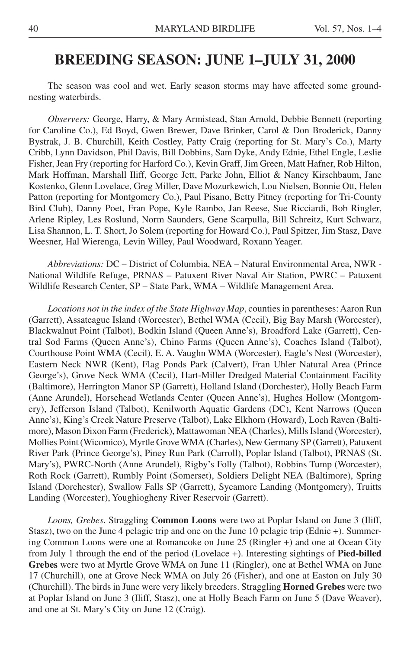### **BREEDING SEASON: JUNE 1–JULY 31, 2000**

The season was cool and wet. Early season storms may have affected some groundnesting waterbirds.

*Observers:* George, Harry, & Mary Armistead, Stan Arnold, Debbie Bennett (reporting for Caroline Co.), Ed Boyd, Gwen Brewer, Dave Brinker, Carol & Don Broderick, Danny Bystrak, J. B. Churchill, Keith Costley, Patty Craig (reporting for St. Mary's Co.), Marty Cribb, Lynn Davidson, Phil Davis, Bill Dobbins, Sam Dyke, Andy Ednie, Ethel Engle, Leslie Fisher, Jean Fry (reporting for Harford Co.), Kevin Graff, Jim Green, Matt Hafner, Rob Hilton, Mark Hoffman, Marshall Iliff, George Jett, Parke John, Elliot & Nancy Kirschbaum, Jane Kostenko, Glenn Lovelace, Greg Miller, Dave Mozurkewich, Lou Nielsen, Bonnie Ott, Helen Patton (reporting for Montgomery Co.), Paul Pisano, Betty Pitney (reporting for Tri-County Bird Club), Danny Poet, Fran Pope, Kyle Rambo, Jan Reese, Sue Ricciardi, Bob Ringler, Arlene Ripley, Les Roslund, Norm Saunders, Gene Scarpulla, Bill Schreitz, Kurt Schwarz, Lisa Shannon, L. T. Short, Jo Solem (reporting for Howard Co.), Paul Spitzer, Jim Stasz, Dave Weesner, Hal Wierenga, Levin Willey, Paul Woodward, Roxann Yeager.

*Abbreviations:* DC – District of Columbia, NEA – Natural Environmental Area, NWR - National Wildlife Refuge, PRNAS – Patuxent River Naval Air Station, PWRC – Patuxent Wildlife Research Center, SP – State Park, WMA – Wildlife Management Area.

*Locations not in the index of the State Highway Map*, counties in parentheses: Aaron Run (Garrett), Assateague Island (Worcester), Bethel WMA (Cecil), Big Bay Marsh (Worcester), Blackwalnut Point (Talbot), Bodkin Island (Queen Anne's), Broadford Lake (Garrett), Central Sod Farms (Queen Anne's), Chino Farms (Queen Anne's), Coaches Island (Talbot), Courthouse Point WMA (Cecil), E. A. Vaughn WMA (Worcester), Eagle's Nest (Worcester), Eastern Neck NWR (Kent), Flag Ponds Park (Calvert), Fran Uhler Natural Area (Prince George's), Grove Neck WMA (Cecil), Hart-Miller Dredged Material Containment Facility (Baltimore), Herrington Manor SP (Garrett), Holland Island (Dorchester), Holly Beach Farm (Anne Arundel), Horsehead Wetlands Center (Queen Anne's), Hughes Hollow (Montgomery), Jefferson Island (Talbot), Kenilworth Aquatic Gardens (DC), Kent Narrows (Queen Anne's), King's Creek Nature Preserve (Talbot), Lake Elkhorn (Howard), Loch Raven (Baltimore), Mason Dixon Farm (Frederick), Mattawoman NEA (Charles), Mills Island (Worcester), Mollies Point (Wicomico), Myrtle Grove WMA (Charles), New Germany SP (Garrett), Patuxent River Park (Prince George's), Piney Run Park (Carroll), Poplar Island (Talbot), PRNAS (St. Mary's), PWRC-North (Anne Arundel), Rigby's Folly (Talbot), Robbins Tump (Worcester), Roth Rock (Garrett), Rumbly Point (Somerset), Soldiers Delight NEA (Baltimore), Spring Island (Dorchester), Swallow Falls SP (Garrett), Sycamore Landing (Montgomery), Truitts Landing (Worcester), Youghiogheny River Reservoir (Garrett).

*Loons, Grebes*. Straggling **Common Loons** were two at Poplar Island on June 3 (Iliff, Stasz), two on the June 4 pelagic trip and one on the June 10 pelagic trip (Ednie +). Summering Common Loons were one at Romancoke on June 25 (Ringler +) and one at Ocean City from July 1 through the end of the period (Lovelace +). Interesting sightings of **Pied-billed Grebes** were two at Myrtle Grove WMA on June 11 (Ringler), one at Bethel WMA on June 17 (Churchill), one at Grove Neck WMA on July 26 (Fisher), and one at Easton on July 30 (Churchill). The birds in June were very likely breeders. Straggling **Horned Grebes** were two at Poplar Island on June 3 (Iliff, Stasz), one at Holly Beach Farm on June 5 (Dave Weaver), and one at St. Mary's City on June 12 (Craig).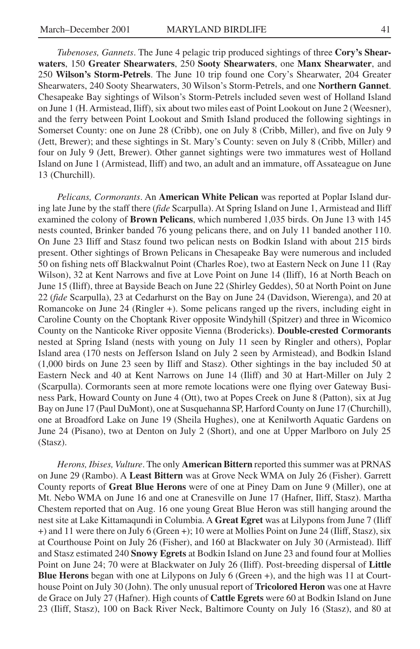*Tubenoses, Gannets*. The June 4 pelagic trip produced sightings of three **Cory's Shearwaters**, 150 **Greater Shearwaters**, 250 **Sooty Shearwaters**, one **Manx Shearwater**, and 250 **Wilson's Storm-Petrels**. The June 10 trip found one Cory's Shearwater, 204 Greater Shearwaters, 240 Sooty Shearwaters, 30 Wilson's Storm-Petrels, and one **Northern Gannet**. Chesapeake Bay sightings of Wilson's Storm-Petrels included seven west of Holland Island on June 1 (H. Armistead, Iliff), six about two miles east of Point Lookout on June 2 (Weesner), and the ferry between Point Lookout and Smith Island produced the following sightings in Somerset County: one on June 28 (Cribb), one on July 8 (Cribb, Miller), and five on July 9 (Jett, Brewer); and these sightings in St. Mary's County: seven on July 8 (Cribb, Miller) and four on July 9 (Jett, Brewer). Other gannet sightings were two immatures west of Holland Island on June 1 (Armistead, Iliff) and two, an adult and an immature, off Assateague on June 13 (Churchill).

*Pelicans, Cormorants*. An **American White Pelican** was reported at Poplar Island during late June by the staff there (*fide* Scarpulla). At Spring Island on June 1, Armistead and Iliff examined the colony of **Brown Pelicans**, which numbered 1,035 birds. On June 13 with 145 nests counted, Brinker banded 76 young pelicans there, and on July 11 banded another 110. On June 23 Iliff and Stasz found two pelican nests on Bodkin Island with about 215 birds present. Other sightings of Brown Pelicans in Chesapeake Bay were numerous and included 50 on fishing nets off Blackwalnut Point (Charles Roe), two at Eastern Neck on June 11 (Ray Wilson), 32 at Kent Narrows and five at Love Point on June 14 (Iliff), 16 at North Beach on June 15 (Iliff), three at Bayside Beach on June 22 (Shirley Geddes), 50 at North Point on June 22 (*fide* Scarpulla), 23 at Cedarhurst on the Bay on June 24 (Davidson, Wierenga), and 20 at Romancoke on June 24 (Ringler +). Some pelicans ranged up the rivers, including eight in Caroline County on the Choptank River opposite Windyhill (Spitzer) and three in Wicomico County on the Nanticoke River opposite Vienna (Brodericks). **Double-crested Cormorants** nested at Spring Island (nests with young on July 11 seen by Ringler and others), Poplar Island area (170 nests on Jefferson Island on July 2 seen by Armistead), and Bodkin Island (1,000 birds on June 23 seen by Iliff and Stasz). Other sightings in the bay included 50 at Eastern Neck and 40 at Kent Narrows on June 14 (Iliff) and 30 at Hart-Miller on July 2 (Scarpulla). Cormorants seen at more remote locations were one flying over Gateway Business Park, Howard County on June 4 (Ott), two at Popes Creek on June 8 (Patton), six at Jug Bay on June 17 (Paul DuMont), one at Susquehanna SP, Harford County on June 17 (Churchill), one at Broadford Lake on June 19 (Sheila Hughes), one at Kenilworth Aquatic Gardens on June 24 (Pisano), two at Denton on July 2 (Short), and one at Upper Marlboro on July 25 (Stasz).

*Herons, Ibises, Vulture*. The only **American Bittern** reported this summer was at PRNAS on June 29 (Rambo). A **Least Bittern** was at Grove Neck WMA on July 26 (Fisher). Garrett County reports of **Great Blue Herons** were of one at Piney Dam on June 9 (Miller), one at Mt. Nebo WMA on June 16 and one at Cranesville on June 17 (Hafner, Iliff, Stasz). Martha Chestem reported that on Aug. 16 one young Great Blue Heron was still hanging around the nest site at Lake Kittamaqundi in Columbia. A **Great Egret** was at Lilypons from June 7 (Iliff +) and 11 were there on July 6 (Green +); 10 were at Mollies Point on June 24 (Iliff, Stasz), six at Courthouse Point on July 26 (Fisher), and 160 at Blackwater on July 30 (Armistead). Iliff and Stasz estimated 240 **Snowy Egrets** at Bodkin Island on June 23 and found four at Mollies Point on June 24; 70 were at Blackwater on July 26 (Iliff). Post-breeding dispersal of **Little Blue Herons** began with one at Lilypons on July 6 (Green +), and the high was 11 at Courthouse Point on July 30 (John). The only unusual report of **Tricolored Heron** was one at Havre de Grace on July 27 (Hafner). High counts of **Cattle Egrets** were 60 at Bodkin Island on June 23 (Iliff, Stasz), 100 on Back River Neck, Baltimore County on July 16 (Stasz), and 80 at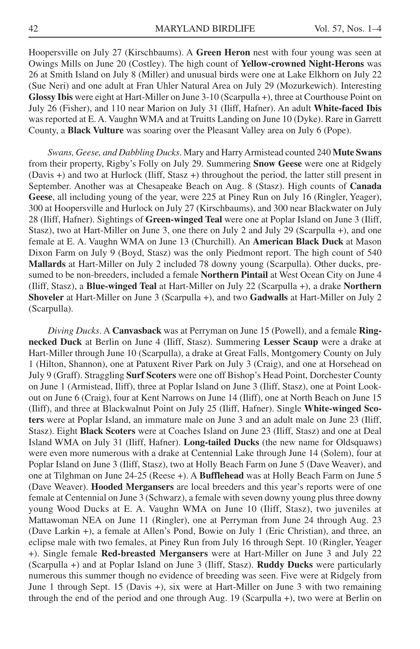Hoopersville on July 27 (Kirschbaums). A **Green Heron** nest with four young was seen at Owings Mills on June 20 (Costley). The high count of **Yellow-crowned Night-Herons** was 26 at Smith Island on July 8 (Miller) and unusual birds were one at Lake Elkhorn on July 22 (Sue Neri) and one adult at Fran Uhler Natural Area on July 29 (Mozurkewich). Interesting **Glossy Ibis** were eight at Hart-Miller on June 3-10 (Scarpulla +), three at Courthouse Point on July 26 (Fisher), and 110 near Marion on July 31 (Iliff, Hafner). An adult **White-faced Ibis** was reported at E. A. Vaughn WMA and at Truitts Landing on June 10 (Dyke). Rare in Garrett County, a **Black Vulture** was soaring over the Pleasant Valley area on July 6 (Pope).

*Swans, Geese, and Dabbling Ducks*. Mary and Harry Armistead counted 240 **Mute Swans** from their property, Rigby's Folly on July 29. Summering **Snow Geese** were one at Ridgely (Davis +) and two at Hurlock (Iliff, Stasz +) throughout the period, the latter still present in September. Another was at Chesapeake Beach on Aug. 8 (Stasz). High counts of **Canada Geese**, all including young of the year, were 225 at Piney Run on July 16 (Ringler, Yeager), 300 at Hoopersville and Hurlock on July 27 (Kirschbaums), and 300 near Blackwater on July 28 (Iliff, Hafner). Sightings of **Green-winged Teal** were one at Poplar Island on June 3 (Iliff, Stasz), two at Hart-Miller on June 3, one there on July 2 and July 29 (Scarpulla +), and one female at E. A. Vaughn WMA on June 13 (Churchill). An **American Black Duck** at Mason Dixon Farm on July 9 (Boyd, Stasz) was the only Piedmont report. The high count of 540 **Mallards** at Hart-Miller on July 2 included 78 downy young (Scarpulla). Other ducks, presumed to be non-breeders, included a female **Northern Pintail** at West Ocean City on June 4 (Iliff, Stasz), a **Blue-winged Teal** at Hart-Miller on July 22 (Scarpulla +), a drake **Northern Shoveler** at Hart-Miller on June 3 (Scarpulla +), and two **Gadwalls** at Hart-Miller on July 2 (Scarpulla).

*Diving Ducks*. A **Canvasback** was at Perryman on June 15 (Powell), and a female **Ringnecked Duck** at Berlin on June 4 (Iliff, Stasz). Summering **Lesser Scaup** were a drake at Hart-Miller through June 10 (Scarpulla), a drake at Great Falls, Montgomery County on July 1 (Hilton, Shannon), one at Patuxent River Park on July 3 (Craig), and one at Horsehead on July 9 (Graff). Straggling **Surf Scoters** were one off Bishop's Head Point, Dorchester County on June 1 (Armistead, Iliff), three at Poplar Island on June 3 (Iliff, Stasz), one at Point Lookout on June 6 (Craig), four at Kent Narrows on June 14 (Iliff), one at North Beach on June 15 (Iliff), and three at Blackwalnut Point on July 25 (Iliff, Hafner). Single **White-winged Scoters** were at Poplar Island, an immature male on June 3 and an adult male on June 23 (Iliff, Stasz). Eight **Black Scoters** were at Coaches Island on June 23 (Iliff, Stasz) and one at Deal Island WMA on July 31 (Iliff, Hafner). **Long-tailed Ducks** (the new name for Oldsquaws) were even more numerous with a drake at Centennial Lake through June 14 (Solem), four at Poplar Island on June 3 (Iliff, Stasz), two at Holly Beach Farm on June 5 (Dave Weaver), and one at Tilghman on June 24-25 (Reese +). A **Bufflehead** was at Holly Beach Farm on June 5 (Dave Weaver). **Hooded Mergansers** are local breeders and this year's reports were of one female at Centennial on June 3 (Schwarz), a female with seven downy young plus three downy young Wood Ducks at E. A. Vaughn WMA on June 10 (Iliff, Stasz), two juveniles at Mattawoman NEA on June 11 (Ringler), one at Perryman from June 24 through Aug. 23 (Dave Larkin +), a female at Allen's Pond, Bowie on July 1 (Eric Christian), and three, an eclipse male with two females, at Piney Run from July 16 through Sept. 10 (Ringler, Yeager +). Single female **Red-breasted Mergansers** were at Hart-Miller on June 3 and July 22 (Scarpulla +) and at Poplar Island on June 3 (Iliff, Stasz). **Ruddy Ducks** were particularly numerous this summer though no evidence of breeding was seen. Five were at Ridgely from June 1 through Sept. 15 (Davis +), six were at Hart-Miller on June 3 with two remaining through the end of the period and one through Aug. 19 (Scarpulla +), two were at Berlin on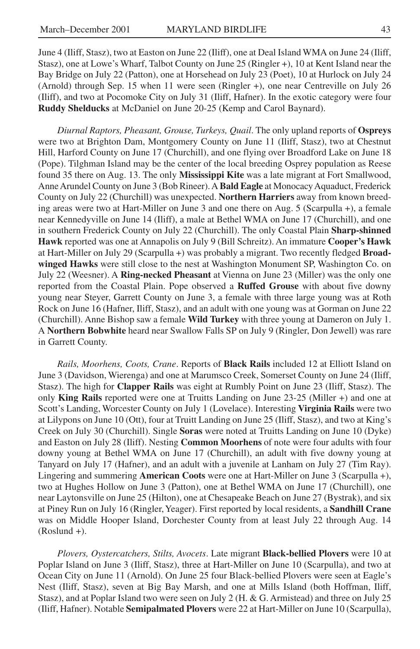June 4 (Iliff, Stasz), two at Easton on June 22 (Iliff), one at Deal Island WMA on June 24 (Iliff, Stasz), one at Lowe's Wharf, Talbot County on June 25 (Ringler +), 10 at Kent Island near the Bay Bridge on July 22 (Patton), one at Horsehead on July 23 (Poet), 10 at Hurlock on July 24 (Arnold) through Sep. 15 when 11 were seen (Ringler +), one near Centreville on July 26 (Iliff), and two at Pocomoke City on July 31 (Iliff, Hafner). In the exotic category were four **Ruddy Shelducks** at McDaniel on June 20-25 (Kemp and Carol Baynard).

*Diurnal Raptors, Pheasant, Grouse, Turkeys, Quail*. The only upland reports of **Ospreys** were two at Brighton Dam, Montgomery County on June 11 (Iliff, Stasz), two at Chestnut Hill, Harford County on June 17 (Churchill), and one flying over Broadford Lake on June 18 (Pope). Tilghman Island may be the center of the local breeding Osprey population as Reese found 35 there on Aug. 13. The only **Mississippi Kite** was a late migrant at Fort Smallwood, Anne Arundel County on June 3 (Bob Rineer). A **Bald Eagle** at Monocacy Aquaduct, Frederick County on July 22 (Churchill) was unexpected. **Northern Harriers** away from known breeding areas were two at Hart-Miller on June 3 and one there on Aug. 5 (Scarpulla +), a female near Kennedyville on June 14 (Iliff), a male at Bethel WMA on June 17 (Churchill), and one in southern Frederick County on July 22 (Churchill). The only Coastal Plain **Sharp-shinned Hawk** reported was one at Annapolis on July 9 (Bill Schreitz). An immature **Cooper's Hawk** at Hart-Miller on July 29 (Scarpulla +) was probably a migrant. Two recently fledged **Broadwinged Hawks** were still close to the nest at Washington Monument SP, Washington Co. on July 22 (Weesner). A **Ring-necked Pheasant** at Vienna on June 23 (Miller) was the only one reported from the Coastal Plain. Pope observed a **Ruffed Grouse** with about five downy young near Steyer, Garrett County on June 3, a female with three large young was at Roth Rock on June 16 (Hafner, Iliff, Stasz), and an adult with one young was at Gorman on June 22 (Churchill). Anne Bishop saw a female **Wild Turkey** with three young at Dameron on July 1. A **Northern Bobwhite** heard near Swallow Falls SP on July 9 (Ringler, Don Jewell) was rare in Garrett County.

*Rails, Moorhens, Coots, Crane*. Reports of **Black Rails** included 12 at Elliott Island on June 3 (Davidson, Wierenga) and one at Marumsco Creek, Somerset County on June 24 (Iliff, Stasz). The high for **Clapper Rails** was eight at Rumbly Point on June 23 (Iliff, Stasz). The only **King Rails** reported were one at Truitts Landing on June 23-25 (Miller +) and one at Scott's Landing, Worcester County on July 1 (Lovelace). Interesting **Virginia Rails** were two at Lilypons on June 10 (Ott), four at Truitt Landing on June 25 (Iliff, Stasz), and two at King's Creek on July 30 (Churchill). Single **Soras** were noted at Truitts Landing on June 10 (Dyke) and Easton on July 28 (Iliff). Nesting **Common Moorhens** of note were four adults with four downy young at Bethel WMA on June 17 (Churchill), an adult with five downy young at Tanyard on July 17 (Hafner), and an adult with a juvenile at Lanham on July 27 (Tim Ray). Lingering and summering **American Coots** were one at Hart-Miller on June 3 (Scarpulla +), two at Hughes Hollow on June 3 (Patton), one at Bethel WMA on June 17 (Churchill), one near Laytonsville on June 25 (Hilton), one at Chesapeake Beach on June 27 (Bystrak), and six at Piney Run on July 16 (Ringler, Yeager). First reported by local residents, a **Sandhill Crane** was on Middle Hooper Island, Dorchester County from at least July 22 through Aug. 14 (Roslund +).

*Plovers, Oystercatchers, Stilts, Avocets*. Late migrant **Black-bellied Plovers** were 10 at Poplar Island on June 3 (Iliff, Stasz), three at Hart-Miller on June 10 (Scarpulla), and two at Ocean City on June 11 (Arnold). On June 25 four Black-bellied Plovers were seen at Eagle's Nest (Iliff, Stasz), seven at Big Bay Marsh, and one at Mills Island (both Hoffman, Iliff, Stasz), and at Poplar Island two were seen on July 2 (H. & G. Armistead) and three on July 25 (Iliff, Hafner). Notable **Semipalmated Plovers** were 22 at Hart-Miller on June 10 (Scarpulla),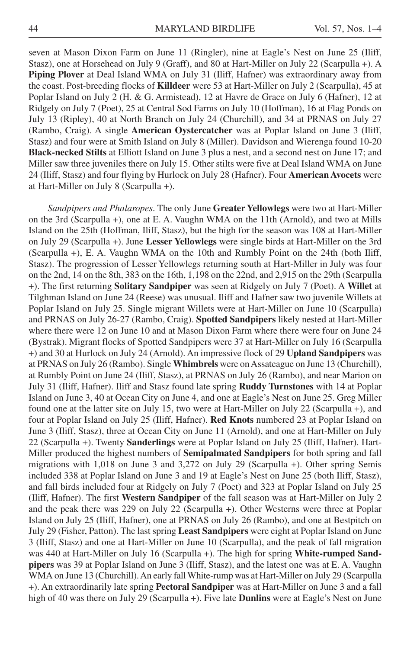seven at Mason Dixon Farm on June 11 (Ringler), nine at Eagle's Nest on June 25 (Iliff, Stasz), one at Horsehead on July 9 (Graff), and 80 at Hart-Miller on July 22 (Scarpulla +). A **Piping Plover** at Deal Island WMA on July 31 (Iliff, Hafner) was extraordinary away from the coast. Post-breeding flocks of **Killdeer** were 53 at Hart-Miller on July 2 (Scarpulla), 45 at Poplar Island on July 2 (H. & G. Armistead), 12 at Havre de Grace on July 6 (Hafner), 12 at Ridgely on July 7 (Poet), 25 at Central Sod Farms on July 10 (Hoffman), 16 at Flag Ponds on July 13 (Ripley), 40 at North Branch on July 24 (Churchill), and 34 at PRNAS on July 27 (Rambo, Craig). A single **American Oystercatcher** was at Poplar Island on June 3 (Iliff, Stasz) and four were at Smith Island on July 8 (Miller). Davidson and Wierenga found 10-20 **Black-necked Stilts** at Elliott Island on June 3 plus a nest, and a second nest on June 17; and Miller saw three juveniles there on July 15. Other stilts were five at Deal Island WMA on June 24 (Iliff, Stasz) and four flying by Hurlock on July 28 (Hafner). Four **American Avocets** were at Hart-Miller on July 8 (Scarpulla +).

*Sandpipers and Phalaropes*. The only June **Greater Yellowlegs** were two at Hart-Miller on the 3rd (Scarpulla +), one at E. A. Vaughn WMA on the 11th (Arnold), and two at Mills Island on the 25th (Hoffman, Iliff, Stasz), but the high for the season was 108 at Hart-Miller on July 29 (Scarpulla +). June **Lesser Yellowlegs** were single birds at Hart-Miller on the 3rd (Scarpulla +), E. A. Vaughn WMA on the 10th and Rumbly Point on the 24th (both Iliff, Stasz). The progression of Lesser Yellowlegs returning south at Hart-Miller in July was four on the 2nd, 14 on the 8th, 383 on the 16th, 1,198 on the 22nd, and 2,915 on the 29th (Scarpulla +). The first returning **Solitary Sandpiper** was seen at Ridgely on July 7 (Poet). A **Willet** at Tilghman Island on June 24 (Reese) was unusual. Iliff and Hafner saw two juvenile Willets at Poplar Island on July 25. Single migrant Willets were at Hart-Miller on June 10 (Scarpulla) and PRNAS on July 26-27 (Rambo, Craig). **Spotted Sandpipers** likely nested at Hart-Miller where there were 12 on June 10 and at Mason Dixon Farm where there were four on June 24 (Bystrak). Migrant flocks of Spotted Sandpipers were 37 at Hart-Miller on July 16 (Scarpulla +) and 30 at Hurlock on July 24 (Arnold). An impressive flock of 29 **Upland Sandpipers** was at PRNAS on July 26 (Rambo). Single **Whimbrels** were on Assateague on June 13 (Churchill), at Rumbly Point on June 24 (Iliff, Stasz), at PRNAS on July 26 (Rambo), and near Marion on July 31 (Iliff, Hafner). Iliff and Stasz found late spring **Ruddy Turnstones** with 14 at Poplar Island on June 3, 40 at Ocean City on June 4, and one at Eagle's Nest on June 25. Greg Miller found one at the latter site on July 15, two were at Hart-Miller on July 22 (Scarpulla +), and four at Poplar Island on July 25 (Iliff, Hafner). **Red Knots** numbered 23 at Poplar Island on June 3 (Iliff, Stasz), three at Ocean City on June 11 (Arnold), and one at Hart-Miller on July 22 (Scarpulla +). Twenty **Sanderlings** were at Poplar Island on July 25 (Iliff, Hafner). Hart-Miller produced the highest numbers of **Semipalmated Sandpipers** for both spring and fall migrations with 1,018 on June 3 and 3,272 on July 29 (Scarpulla +). Other spring Semis included 338 at Poplar Island on June 3 and 19 at Eagle's Nest on June 25 (both Iliff, Stasz), and fall birds included four at Ridgely on July 7 (Poet) and 323 at Poplar Island on July 25 (Iliff, Hafner). The first **Western Sandpiper** of the fall season was at Hart-Miller on July 2 and the peak there was 229 on July 22 (Scarpulla +). Other Westerns were three at Poplar Island on July 25 (Iliff, Hafner), one at PRNAS on July 26 (Rambo), and one at Bestpitch on July 29 (Fisher, Patton). The last spring **Least Sandpipers** were eight at Poplar Island on June 3 (Iliff, Stasz) and one at Hart-Miller on June 10 (Scarpulla), and the peak of fall migration was 440 at Hart-Miller on July 16 (Scarpulla +). The high for spring **White-rumped Sandpipers** was 39 at Poplar Island on June 3 (Iliff, Stasz), and the latest one was at E. A. Vaughn WMA on June 13 (Churchill). An early fall White-rump was at Hart-Miller on July 29 (Scarpulla +). An extraordinarily late spring **Pectoral Sandpiper** was at Hart-Miller on June 3 and a fall high of 40 was there on July 29 (Scarpulla +). Five late **Dunlins** were at Eagle's Nest on June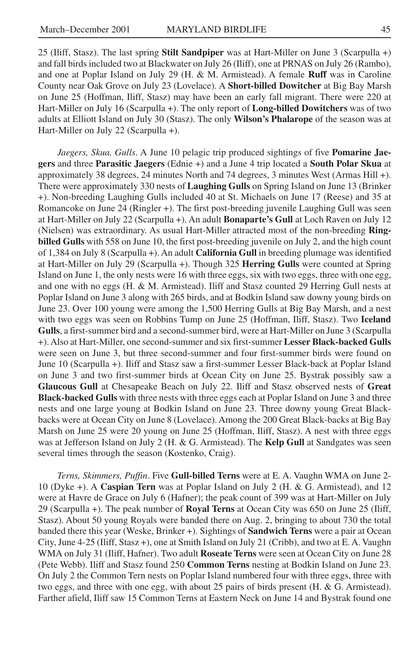25 (Iliff, Stasz). The last spring **Stilt Sandpiper** was at Hart-Miller on June 3 (Scarpulla +) and fall birds included two at Blackwater on July 26 (Iliff), one at PRNAS on July 26 (Rambo), and one at Poplar Island on July 29 (H. & M. Armistead). A female **Ruff** was in Caroline County near Oak Grove on July 23 (Lovelace). A **Short-billed Dowitcher** at Big Bay Marsh on June 25 (Hoffman, Iliff, Stasz) may have been an early fall migrant. There were 220 at Hart-Miller on July 16 (Scarpulla +). The only report of **Long-billed Dowitchers** was of two adults at Elliott Island on July 30 (Stasz). The only **Wilson's Phalarope** of the season was at Hart-Miller on July 22 (Scarpulla +).

*Jaegers, Skua, Gulls*. A June 10 pelagic trip produced sightings of five **Pomarine Jaegers** and three **Parasitic Jaegers** (Ednie +) and a June 4 trip located a **South Polar Skua** at approximately 38 degrees, 24 minutes North and 74 degrees, 3 minutes West (Armas Hill +). There were approximately 330 nests of **Laughing Gulls** on Spring Island on June 13 (Brinker +). Non-breeding Laughing Gulls included 40 at St. Michaels on June 17 (Reese) and 35 at Romancoke on June 24 (Ringler +). The first post-breeding juvenile Laughing Gull was seen at Hart-Miller on July 22 (Scarpulla +). An adult **Bonaparte's Gull** at Loch Raven on July 12 (Nielsen) was extraordinary. As usual Hart-Miller attracted most of the non-breeding **Ringbilled Gulls** with 558 on June 10, the first post-breeding juvenile on July 2, and the high count of 1,384 on July 8 (Scarpulla +). An adult **California Gull** in breeding plumage was identified at Hart-Miller on July 29 (Scarpulla +). Though 325 **Herring Gulls** were counted at Spring Island on June 1, the only nests were 16 with three eggs, six with two eggs, three with one egg, and one with no eggs (H. & M. Armistead). Iliff and Stasz counted 29 Herring Gull nests at Poplar Island on June 3 along with 265 birds, and at Bodkin Island saw downy young birds on June 23. Over 100 young were among the 1,500 Herring Gulls at Big Bay Marsh, and a nest with two eggs was seen on Robbins Tump on June 25 (Hoffman, Iliff, Stasz). Two **Iceland Gulls**, a first-summer bird and a second-summer bird, were at Hart-Miller on June 3 (Scarpulla +). Also at Hart-Miller, one second-summer and six first-summer **Lesser Black-backed Gulls** were seen on June 3, but three second-summer and four first-summer birds were found on June 10 (Scarpulla +). Iliff and Stasz saw a first-summer Lesser Black-back at Poplar Island on June 3 and two first-summer birds at Ocean City on June 25. Bystrak possibly saw a **Glaucous Gull** at Chesapeake Beach on July 22. Iliff and Stasz observed nests of **Great Black-backed Gulls** with three nests with three eggs each at Poplar Island on June 3 and three nests and one large young at Bodkin Island on June 23. Three downy young Great Blackbacks were at Ocean City on June 8 (Lovelace). Among the 200 Great Black-backs at Big Bay Marsh on June 25 were 20 young on June 25 (Hoffman, Iliff, Stasz). A nest with three eggs was at Jefferson Island on July 2 (H. & G. Armistead). The **Kelp Gull** at Sandgates was seen several times through the season (Kostenko, Craig).

*Terns, Skimmers, Puffin*. Five **Gull-billed Terns** were at E. A. Vaughn WMA on June 2- 10 (Dyke +). A **Caspian Tern** was at Poplar Island on July 2 (H. & G. Armistead), and 12 were at Havre de Grace on July 6 (Hafner); the peak count of 399 was at Hart-Miller on July 29 (Scarpulla +). The peak number of **Royal Terns** at Ocean City was 650 on June 25 (Iliff, Stasz). About 50 young Royals were banded there on Aug. 2, bringing to about 730 the total banded there this year (Weske, Brinker +). Sightings of **Sandwich Terns** were a pair at Ocean City, June 4-25 (Iliff, Stasz +), one at Smith Island on July 21 (Cribb), and two at E. A. Vaughn WMA on July 31 (Iliff, Hafner). Two adult **Roseate Terns** were seen at Ocean City on June 28 (Pete Webb). Iliff and Stasz found 250 **Common Terns** nesting at Bodkin Island on June 23. On July 2 the Common Tern nests on Poplar Island numbered four with three eggs, three with two eggs, and three with one egg, with about 25 pairs of birds present (H. & G. Armistead). Farther afield, Iliff saw 15 Common Terns at Eastern Neck on June 14 and Bystrak found one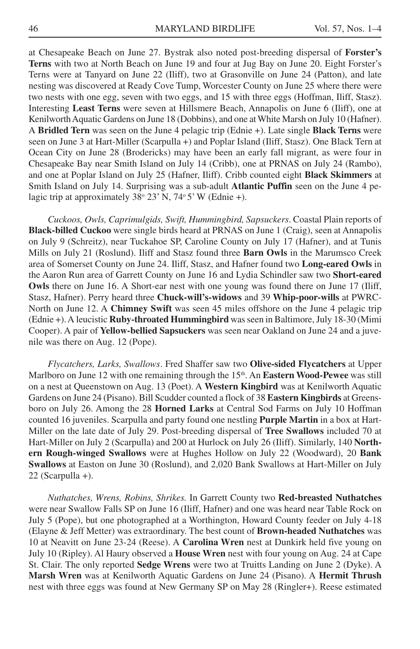at Chesapeake Beach on June 27. Bystrak also noted post-breeding dispersal of **Forster's Terns** with two at North Beach on June 19 and four at Jug Bay on June 20. Eight Forster's Terns were at Tanyard on June 22 (Iliff), two at Grasonville on June 24 (Patton), and late nesting was discovered at Ready Cove Tump, Worcester County on June 25 where there were two nests with one egg, seven with two eggs, and 15 with three eggs (Hoffman, Iliff, Stasz). Interesting **Least Terns** were seven at Hillsmere Beach, Annapolis on June 6 (Iliff), one at Kenilworth Aquatic Gardens on June 18 (Dobbins), and one at White Marsh on July 10 (Hafner). A **Bridled Tern** was seen on the June 4 pelagic trip (Ednie +). Late single **Black Terns** were seen on June 3 at Hart-Miller (Scarpulla +) and Poplar Island (Iliff, Stasz). One Black Tern at Ocean City on June 28 (Brodericks) may have been an early fall migrant, as were four in Chesapeake Bay near Smith Island on July 14 (Cribb), one at PRNAS on July 24 (Rambo), and one at Poplar Island on July 25 (Hafner, Iliff). Cribb counted eight **Black Skimmers** at Smith Island on July 14. Surprising was a sub-adult **Atlantic Puffin** seen on the June 4 pelagic trip at approximately 38° 23' N, 74° 5' W (Ednie +).

*Cuckoos, Owls, Caprimulgids, Swift, Hummingbird, Sapsuckers*. Coastal Plain reports of **Black-billed Cuckoo** were single birds heard at PRNAS on June 1 (Craig), seen at Annapolis on July 9 (Schreitz), near Tuckahoe SP, Caroline County on July 17 (Hafner), and at Tunis Mills on July 21 (Roslund). Iliff and Stasz found three **Barn Owls** in the Marumsco Creek area of Somerset County on June 24. Iliff, Stasz, and Hafner found two **Long-eared Owls** in the Aaron Run area of Garrett County on June 16 and Lydia Schindler saw two **Short-eared Owls** there on June 16. A Short-ear nest with one young was found there on June 17 (Iliff, Stasz, Hafner). Perry heard three **Chuck-will's-widows** and 39 **Whip-poor-wills** at PWRC-North on June 12. A **Chimney Swift** was seen 45 miles offshore on the June 4 pelagic trip (Ednie +). A leucistic **Ruby-throated Hummingbird** was seen in Baltimore, July 18-30 (Mimi Cooper). A pair of **Yellow-bellied Sapsuckers** was seen near Oakland on June 24 and a juvenile was there on Aug. 12 (Pope).

*Flycatchers, Larks, Swallows*. Fred Shaffer saw two **Olive-sided Flycatchers** at Upper Marlboro on June 12 with one remaining through the 15<sup>th</sup>. An **Eastern Wood-Pewee** was still on a nest at Queenstown on Aug. 13 (Poet). A **Western Kingbird** was at Kenilworth Aquatic Gardens on June 24 (Pisano). Bill Scudder counted a flock of 38 **Eastern Kingbirds** at Greensboro on July 26. Among the 28 **Horned Larks** at Central Sod Farms on July 10 Hoffman counted 16 juveniles. Scarpulla and party found one nestling **Purple Martin** in a box at Hart-Miller on the late date of July 29. Post-breeding dispersal of **Tree Swallows** included 70 at Hart-Miller on July 2 (Scarpulla) and 200 at Hurlock on July 26 (Iliff). Similarly, 140 **Northern Rough-winged Swallows** were at Hughes Hollow on July 22 (Woodward), 20 **Bank Swallows** at Easton on June 30 (Roslund), and 2,020 Bank Swallows at Hart-Miller on July 22 (Scarpulla +).

*Nuthatches, Wrens, Robins, Shrikes.* In Garrett County two **Red-breasted Nuthatches** were near Swallow Falls SP on June 16 (Iliff, Hafner) and one was heard near Table Rock on July 5 (Pope), but one photographed at a Worthington, Howard County feeder on July 4-18 (Elayne & Jeff Metter) was extraordinary. The best count of **Brown-headed Nuthatches** was 10 at Neavitt on June 23-24 (Reese). A **Carolina Wren** nest at Dunkirk held five young on July 10 (Ripley). Al Haury observed a **House Wren** nest with four young on Aug. 24 at Cape St. Clair. The only reported **Sedge Wrens** were two at Truitts Landing on June 2 (Dyke). A **Marsh Wren** was at Kenilworth Aquatic Gardens on June 24 (Pisano). A **Hermit Thrush** nest with three eggs was found at New Germany SP on May 28 (Ringler+). Reese estimated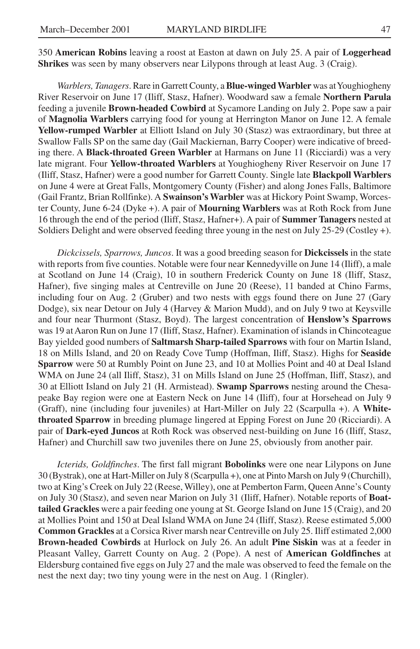350 **American Robins** leaving a roost at Easton at dawn on July 25. A pair of **Loggerhead Shrikes** was seen by many observers near Lilypons through at least Aug. 3 (Craig).

*Warblers, Tanagers*. Rare in Garrett County, a **Blue-winged Warbler** was at Youghiogheny River Reservoir on June 17 (Iliff, Stasz, Hafner). Woodward saw a female **Northern Parula** feeding a juvenile **Brown-headed Cowbird** at Sycamore Landing on July 2. Pope saw a pair of **Magnolia Warblers** carrying food for young at Herrington Manor on June 12. A female **Yellow-rumped Warbler** at Elliott Island on July 30 (Stasz) was extraordinary, but three at Swallow Falls SP on the same day (Gail Mackiernan, Barry Cooper) were indicative of breeding there. A **Black-throated Green Warbler** at Harmans on June 11 (Ricciardi) was a very late migrant. Four **Yellow-throated Warblers** at Youghiogheny River Reservoir on June 17 (Iliff, Stasz, Hafner) were a good number for Garrett County. Single late **Blackpoll Warblers** on June 4 were at Great Falls, Montgomery County (Fisher) and along Jones Falls, Baltimore (Gail Frantz, Brian Rollfinke). A **Swainson's Warbler** was at Hickory Point Swamp, Worcester County, June 6-24 (Dyke +). A pair of **Mourning Warblers** was at Roth Rock from June 16 through the end of the period (Iliff, Stasz, Hafner+). A pair of **Summer Tanagers** nested at Soldiers Delight and were observed feeding three young in the nest on July 25-29 (Costley +).

*Dickcissels, Sparrows, Juncos*. It was a good breeding season for **Dickcissels** in the state with reports from five counties. Notable were four near Kennedyville on June 14 (Iliff), a male at Scotland on June 14 (Craig), 10 in southern Frederick County on June 18 (Iliff, Stasz, Hafner), five singing males at Centreville on June 20 (Reese), 11 banded at Chino Farms, including four on Aug. 2 (Gruber) and two nests with eggs found there on June 27 (Gary Dodge), six near Detour on July 4 (Harvey & Marion Mudd), and on July 9 two at Keysville and four near Thurmont (Stasz, Boyd). The largest concentration of **Henslow's Sparrows** was 19 at Aaron Run on June 17 (Iliff, Stasz, Hafner). Examination of islands in Chincoteague Bay yielded good numbers of **Saltmarsh Sharp-tailed Sparrows** with four on Martin Island, 18 on Mills Island, and 20 on Ready Cove Tump (Hoffman, Iliff, Stasz). Highs for **Seaside Sparrow** were 50 at Rumbly Point on June 23, and 10 at Mollies Point and 40 at Deal Island WMA on June 24 (all Iliff, Stasz), 31 on Mills Island on June 25 (Hoffman, Iliff, Stasz), and 30 at Elliott Island on July 21 (H. Armistead). **Swamp Sparrows** nesting around the Chesapeake Bay region were one at Eastern Neck on June 14 (Iliff), four at Horsehead on July 9 (Graff), nine (including four juveniles) at Hart-Miller on July 22 (Scarpulla +). A **Whitethroated Sparrow** in breeding plumage lingered at Epping Forest on June 20 (Ricciardi). A pair of **Dark-eyed Juncos** at Roth Rock was observed nest-building on June 16 (Iliff, Stasz, Hafner) and Churchill saw two juveniles there on June 25, obviously from another pair.

*Icterids, Goldfinches*. The first fall migrant **Bobolinks** were one near Lilypons on June 30 (Bystrak), one at Hart-Miller on July 8 (Scarpulla +), one at Pinto Marsh on July 9 (Churchill), two at King's Creek on July 22 (Reese, Willey), one at Pemberton Farm, Queen Anne's County on July 30 (Stasz), and seven near Marion on July 31 (Iliff, Hafner). Notable reports of **Boattailed Grackles** were a pair feeding one young at St. George Island on June 15 (Craig), and 20 at Mollies Point and 150 at Deal Island WMA on June 24 (Iliff, Stasz). Reese estimated 5,000 **Common Grackles** at a Corsica River marsh near Centreville on July 25. Iliff estimated 2,000 **Brown-headed Cowbirds** at Hurlock on July 26. An adult **Pine Siskin** was at a feeder in Pleasant Valley, Garrett County on Aug. 2 (Pope). A nest of **American Goldfinches** at Eldersburg contained five eggs on July 27 and the male was observed to feed the female on the nest the next day; two tiny young were in the nest on Aug. 1 (Ringler).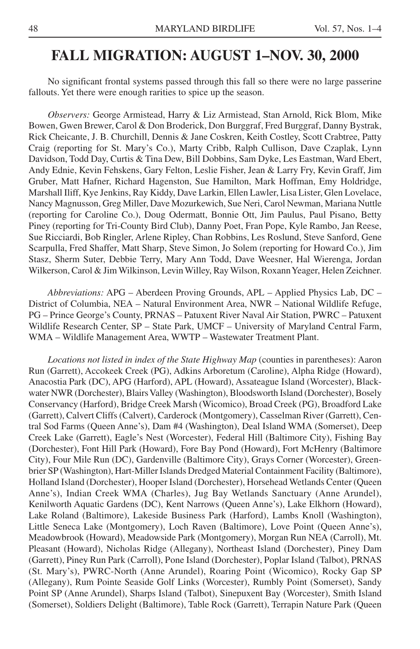# **FALL MIGRATION: AUGUST 1–NOV. 30, 2000**

No significant frontal systems passed through this fall so there were no large passerine fallouts. Yet there were enough rarities to spice up the season.

*Observers:* George Armistead, Harry & Liz Armistead, Stan Arnold, Rick Blom, Mike Bowen, Gwen Brewer, Carol & Don Broderick, Don Burggraf, Fred Burggraf, Danny Bystrak, Rick Cheicante, J. B. Churchill, Dennis & Jane Coskren, Keith Costley, Scott Crabtree, Patty Craig (reporting for St. Mary's Co.), Marty Cribb, Ralph Cullison, Dave Czaplak, Lynn Davidson, Todd Day, Curtis & Tina Dew, Bill Dobbins, Sam Dyke, Les Eastman, Ward Ebert, Andy Ednie, Kevin Fehskens, Gary Felton, Leslie Fisher, Jean & Larry Fry, Kevin Graff, Jim Gruber, Matt Hafner, Richard Hagenston, Sue Hamilton, Mark Hoffman, Emy Holdridge, Marshall Iliff, Kye Jenkins, Ray Kiddy, Dave Larkin, Ellen Lawler, Lisa Lister, Glen Lovelace, Nancy Magnusson, Greg Miller, Dave Mozurkewich, Sue Neri, Carol Newman, Mariana Nuttle (reporting for Caroline Co.), Doug Odermatt, Bonnie Ott, Jim Paulus, Paul Pisano, Betty Piney (reporting for Tri-County Bird Club), Danny Poet, Fran Pope, Kyle Rambo, Jan Reese, Sue Ricciardi, Bob Ringler, Arlene Ripley, Chan Robbins, Les Roslund, Steve Sanford, Gene Scarpulla, Fred Shaffer, Matt Sharp, Steve Simon, Jo Solem (reporting for Howard Co.), Jim Stasz, Sherm Suter, Debbie Terry, Mary Ann Todd, Dave Weesner, Hal Wierenga, Jordan Wilkerson, Carol & Jim Wilkinson, Levin Willey, Ray Wilson, Roxann Yeager, Helen Zeichner.

*Abbreviations:* APG – Aberdeen Proving Grounds, APL – Applied Physics Lab, DC – District of Columbia, NEA – Natural Environment Area, NWR – National Wildlife Refuge, PG – Prince George's County, PRNAS – Patuxent River Naval Air Station, PWRC – Patuxent Wildlife Research Center, SP – State Park, UMCF – University of Maryland Central Farm, WMA – Wildlife Management Area, WWTP – Wastewater Treatment Plant.

*Locations not listed in index of the State Highway Map* (counties in parentheses): Aaron Run (Garrett), Accokeek Creek (PG), Adkins Arboretum (Caroline), Alpha Ridge (Howard), Anacostia Park (DC), APG (Harford), APL (Howard), Assateague Island (Worcester), Blackwater NWR (Dorchester), Blairs Valley (Washington), Bloodsworth Island (Dorchester), Bosely Conservancy (Harford), Bridge Creek Marsh (Wicomico), Broad Creek (PG), Broadford Lake (Garrett), Calvert Cliffs (Calvert), Carderock (Montgomery), Casselman River (Garrett), Central Sod Farms (Queen Anne's), Dam #4 (Washington), Deal Island WMA (Somerset), Deep Creek Lake (Garrett), Eagle's Nest (Worcester), Federal Hill (Baltimore City), Fishing Bay (Dorchester), Font Hill Park (Howard), Fore Bay Pond (Howard), Fort McHenry (Baltimore City), Four Mile Run (DC), Gardenville (Baltimore City), Grays Corner (Worcester), Greenbrier SP (Washington), Hart-Miller Islands Dredged Material Containment Facility (Baltimore), Holland Island (Dorchester), Hooper Island (Dorchester), Horsehead Wetlands Center (Queen Anne's), Indian Creek WMA (Charles), Jug Bay Wetlands Sanctuary (Anne Arundel), Kenilworth Aquatic Gardens (DC), Kent Narrows (Queen Anne's), Lake Elkhorn (Howard), Lake Roland (Baltimore), Lakeside Business Park (Harford), Lambs Knoll (Washington), Little Seneca Lake (Montgomery), Loch Raven (Baltimore), Love Point (Queen Anne's), Meadowbrook (Howard), Meadowside Park (Montgomery), Morgan Run NEA (Carroll), Mt. Pleasant (Howard), Nicholas Ridge (Allegany), Northeast Island (Dorchester), Piney Dam (Garrett), Piney Run Park (Carroll), Pone Island (Dorchester), Poplar Island (Talbot), PRNAS (St. Mary's), PWRC-North (Anne Arundel), Roaring Point (Wicomico), Rocky Gap SP (Allegany), Rum Pointe Seaside Golf Links (Worcester), Rumbly Point (Somerset), Sandy Point SP (Anne Arundel), Sharps Island (Talbot), Sinepuxent Bay (Worcester), Smith Island (Somerset), Soldiers Delight (Baltimore), Table Rock (Garrett), Terrapin Nature Park (Queen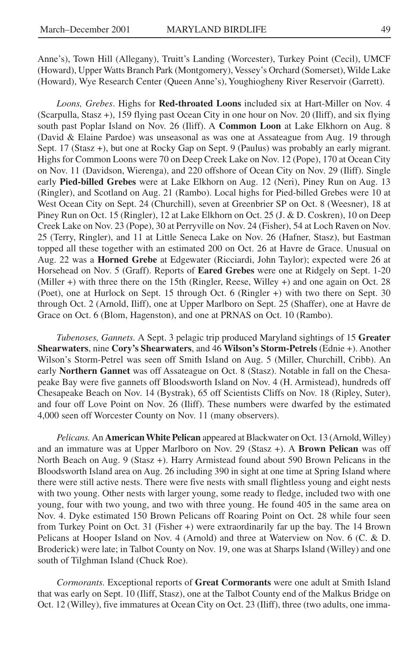Anne's), Town Hill (Allegany), Truitt's Landing (Worcester), Turkey Point (Cecil), UMCF (Howard), Upper Watts Branch Park (Montgomery), Vessey's Orchard (Somerset), Wilde Lake (Howard), Wye Research Center (Queen Anne's), Youghiogheny River Reservoir (Garrett).

*Loons, Grebes*. Highs for **Red-throated Loons** included six at Hart-Miller on Nov. 4 (Scarpulla, Stasz +), 159 flying past Ocean City in one hour on Nov. 20 (Iliff), and six flying south past Poplar Island on Nov. 26 (Iliff). A **Common Loon** at Lake Elkhorn on Aug. 8 (David & Elaine Pardoe) was unseasonal as was one at Assateague from Aug. 19 through Sept. 17 (Stasz +), but one at Rocky Gap on Sept. 9 (Paulus) was probably an early migrant. Highs for Common Loons were 70 on Deep Creek Lake on Nov. 12 (Pope), 170 at Ocean City on Nov. 11 (Davidson, Wierenga), and 220 offshore of Ocean City on Nov. 29 (Iliff). Single early **Pied-billed Grebes** were at Lake Elkhorn on Aug. 12 (Neri), Piney Run on Aug. 13 (Ringler), and Scotland on Aug. 21 (Rambo). Local highs for Pied-billed Grebes were 10 at West Ocean City on Sept. 24 (Churchill), seven at Greenbrier SP on Oct. 8 (Weesner), 18 at Piney Run on Oct. 15 (Ringler), 12 at Lake Elkhorn on Oct. 25 (J. & D. Coskren), 10 on Deep Creek Lake on Nov. 23 (Pope), 30 at Perryville on Nov. 24 (Fisher), 54 at Loch Raven on Nov. 25 (Terry, Ringler), and 11 at Little Seneca Lake on Nov. 26 (Hafner, Stasz), but Eastman topped all these together with an estimated 200 on Oct. 26 at Havre de Grace. Unusual on Aug. 22 was a **Horned Grebe** at Edgewater (Ricciardi, John Taylor); expected were 26 at Horsehead on Nov. 5 (Graff). Reports of **Eared Grebes** were one at Ridgely on Sept. 1-20 (Miller +) with three there on the 15th (Ringler, Reese, Willey +) and one again on Oct. 28 (Poet), one at Hurlock on Sept. 15 through Oct. 6 (Ringler +) with two there on Sept. 30 through Oct. 2 (Arnold, Iliff), one at Upper Marlboro on Sept. 25 (Shaffer), one at Havre de Grace on Oct. 6 (Blom, Hagenston), and one at PRNAS on Oct. 10 (Rambo).

*Tubenoses, Gannets.* A Sept. 3 pelagic trip produced Maryland sightings of 15 **Greater Shearwaters**, nine **Cory's Shearwaters**, and 46 **Wilson's Storm-Petrels** (Ednie +). Another Wilson's Storm-Petrel was seen off Smith Island on Aug. 5 (Miller, Churchill, Cribb). An early **Northern Gannet** was off Assateague on Oct. 8 (Stasz). Notable in fall on the Chesapeake Bay were five gannets off Bloodsworth Island on Nov. 4 (H. Armistead), hundreds off Chesapeake Beach on Nov. 14 (Bystrak), 65 off Scientists Cliffs on Nov. 18 (Ripley, Suter), and four off Love Point on Nov. 26 (Iliff). These numbers were dwarfed by the estimated 4,000 seen off Worcester County on Nov. 11 (many observers).

*Pelicans.* An **American White Pelican** appeared at Blackwater on Oct. 13 (Arnold, Willey) and an immature was at Upper Marlboro on Nov. 29 (Stasz +). A **Brown Pelican** was off North Beach on Aug. 9 (Stasz +). Harry Armistead found about 590 Brown Pelicans in the Bloodsworth Island area on Aug. 26 including 390 in sight at one time at Spring Island where there were still active nests. There were five nests with small flightless young and eight nests with two young. Other nests with larger young, some ready to fledge, included two with one young, four with two young, and two with three young. He found 405 in the same area on Nov. 4. Dyke estimated 150 Brown Pelicans off Roaring Point on Oct. 28 while four seen from Turkey Point on Oct. 31 (Fisher +) were extraordinarily far up the bay. The 14 Brown Pelicans at Hooper Island on Nov. 4 (Arnold) and three at Waterview on Nov. 6 (C. & D. Broderick) were late; in Talbot County on Nov. 19, one was at Sharps Island (Willey) and one south of Tilghman Island (Chuck Roe).

*Cormorants.* Exceptional reports of **Great Cormorants** were one adult at Smith Island that was early on Sept. 10 (Iliff, Stasz), one at the Talbot County end of the Malkus Bridge on Oct. 12 (Willey), five immatures at Ocean City on Oct. 23 (Iliff), three (two adults, one imma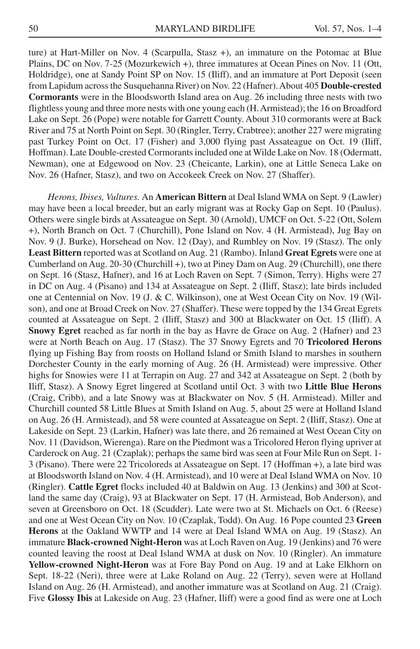ture) at Hart-Miller on Nov. 4 (Scarpulla, Stasz +), an immature on the Potomac at Blue Plains, DC on Nov. 7-25 (Mozurkewich +), three immatures at Ocean Pines on Nov. 11 (Ott, Holdridge), one at Sandy Point SP on Nov. 15 (Iliff), and an immature at Port Deposit (seen from Lapidum across the Susquehanna River) on Nov. 22 (Hafner). About 405 **Double-crested Cormorants** were in the Bloodsworth Island area on Aug. 26 including three nests with two flightless young and three more nests with one young each (H. Armistead); the 16 on Broadford Lake on Sept. 26 (Pope) were notable for Garrett County. About 310 cormorants were at Back River and 75 at North Point on Sept. 30 (Ringler, Terry, Crabtree); another 227 were migrating past Turkey Point on Oct. 17 (Fisher) and 3,000 flying past Assateague on Oct. 19 (Iliff, Hoffman). Late Double-crested Cormorants included one at Wilde Lake on Nov. 18 (Odermatt, Newman), one at Edgewood on Nov. 23 (Cheicante, Larkin), one at Little Seneca Lake on Nov. 26 (Hafner, Stasz), and two on Accokeek Creek on Nov. 27 (Shaffer).

*Herons, Ibises, Vultures.* An **American Bittern** at Deal Island WMA on Sept. 9 (Lawler) may have been a local breeder, but an early migrant was at Rocky Gap on Sept. 10 (Paulus). Others were single birds at Assateague on Sept. 30 (Arnold), UMCF on Oct. 5-22 (Ott, Solem +), North Branch on Oct. 7 (Churchill), Pone Island on Nov. 4 (H. Armistead), Jug Bay on Nov. 9 (J. Burke), Horsehead on Nov. 12 (Day), and Rumbley on Nov. 19 (Stasz). The only **Least Bittern** reported was at Scotland on Aug. 21 (Rambo). Inland **Great Egrets** were one at Cumberland on Aug. 20-30 (Churchill +), two at Piney Dam on Aug. 29 (Churchill), one there on Sept. 16 (Stasz, Hafner), and 16 at Loch Raven on Sept. 7 (Simon, Terry). Highs were 27 in DC on Aug. 4 (Pisano) and 134 at Assateague on Sept. 2 (Iliff, Stasz); late birds included one at Centennial on Nov. 19 (J. & C. Wilkinson), one at West Ocean City on Nov. 19 (Wilson), and one at Broad Creek on Nov. 27 (Shaffer). These were topped by the 134 Great Egrets counted at Assateague on Sept. 2 (Iliff, Stasz) and 300 at Blackwater on Oct. 15 (Iliff). A **Snowy Egret** reached as far north in the bay as Havre de Grace on Aug. 2 (Hafner) and 23 were at North Beach on Aug. 17 (Stasz). The 37 Snowy Egrets and 70 **Tricolored Herons** flying up Fishing Bay from roosts on Holland Island or Smith Island to marshes in southern Dorchester County in the early morning of Aug. 26 (H. Armistead) were impressive. Other highs for Snowies were 11 at Terrapin on Aug. 27 and 342 at Assateague on Sept. 2 (both by Iliff, Stasz). A Snowy Egret lingered at Scotland until Oct. 3 with two **Little Blue Herons** (Craig, Cribb), and a late Snowy was at Blackwater on Nov. 5 (H. Armistead). Miller and Churchill counted 58 Little Blues at Smith Island on Aug. 5, about 25 were at Holland Island on Aug. 26 (H. Armistead), and 58 were counted at Assateague on Sept. 2 (Iliff, Stasz). One at Lakeside on Sept. 23 (Larkin, Hafner) was late there, and 26 remained at West Ocean City on Nov. 11 (Davidson, Wierenga). Rare on the Piedmont was a Tricolored Heron flying upriver at Carderock on Aug. 21 (Czaplak); perhaps the same bird was seen at Four Mile Run on Sept. 1- 3 (Pisano). There were 22 Tricoloreds at Assateague on Sept. 17 (Hoffman +), a late bird was at Bloodsworth Island on Nov. 4 (H. Armistead), and 10 were at Deal Island WMA on Nov. 10 (Ringler). **Cattle Egret** flocks included 40 at Baldwin on Aug. 13 (Jenkins) and 300 at Scotland the same day (Craig), 93 at Blackwater on Sept. 17 (H. Armistead, Bob Anderson), and seven at Greensboro on Oct. 18 (Scudder). Late were two at St. Michaels on Oct. 6 (Reese) and one at West Ocean City on Nov. 10 (Czaplak, Todd). On Aug. 16 Pope counted 23 **Green Herons** at the Oakland WWTP and 14 were at Deal Island WMA on Aug. 19 (Stasz). An immature **Black-crowned Night-Heron** was at Loch Raven on Aug. 19 (Jenkins) and 76 were counted leaving the roost at Deal Island WMA at dusk on Nov. 10 (Ringler). An immature **Yellow-crowned Night-Heron** was at Fore Bay Pond on Aug. 19 and at Lake Elkhorn on Sept. 18-22 (Neri), three were at Lake Roland on Aug. 22 (Terry), seven were at Holland Island on Aug. 26 (H. Armistead), and another immature was at Scotland on Aug. 21 (Craig). Five **Glossy Ibis** at Lakeside on Aug. 23 (Hafner, Iliff) were a good find as were one at Loch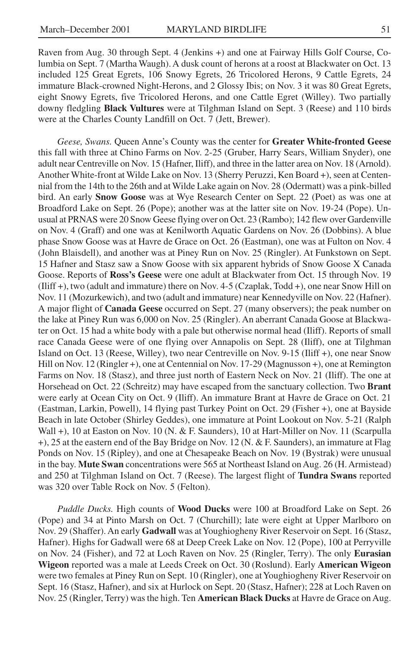Raven from Aug. 30 through Sept. 4 (Jenkins +) and one at Fairway Hills Golf Course, Columbia on Sept. 7 (Martha Waugh). A dusk count of herons at a roost at Blackwater on Oct. 13 included 125 Great Egrets, 106 Snowy Egrets, 26 Tricolored Herons, 9 Cattle Egrets, 24 immature Black-crowned Night-Herons, and 2 Glossy Ibis; on Nov. 3 it was 80 Great Egrets, eight Snowy Egrets, five Tricolored Herons, and one Cattle Egret (Willey). Two partially downy fledgling **Black Vultures** were at Tilghman Island on Sept. 3 (Reese) and 110 birds were at the Charles County Landfill on Oct. 7 (Jett, Brewer).

*Geese, Swans.* Queen Anne's County was the center for **Greater White-fronted Geese** this fall with three at Chino Farms on Nov. 2-25 (Gruber, Harry Sears, William Snyder), one adult near Centreville on Nov. 15 (Hafner, Iliff), and three in the latter area on Nov. 18 (Arnold). Another White-front at Wilde Lake on Nov. 13 (Sherry Peruzzi, Ken Board +), seen at Centennial from the 14th to the 26th and at Wilde Lake again on Nov. 28 (Odermatt) was a pink-billed bird. An early **Snow Goose** was at Wye Research Center on Sept. 22 (Poet) as was one at Broadford Lake on Sept. 26 (Pope); another was at the latter site on Nov. 19-24 (Pope). Unusual at PRNAS were 20 Snow Geese flying over on Oct. 23 (Rambo); 142 flew over Gardenville on Nov. 4 (Graff) and one was at Kenilworth Aquatic Gardens on Nov. 26 (Dobbins). A blue phase Snow Goose was at Havre de Grace on Oct. 26 (Eastman), one was at Fulton on Nov. 4 (John Blaisdell), and another was at Piney Run on Nov. 25 (Ringler). At Funkstown on Sept. 15 Hafner and Stasz saw a Snow Goose with six apparent hybrids of Snow Goose X Canada Goose. Reports of **Ross's Geese** were one adult at Blackwater from Oct. 15 through Nov. 19 (Iliff +), two (adult and immature) there on Nov. 4-5 (Czaplak, Todd +), one near Snow Hill on Nov. 11 (Mozurkewich), and two (adult and immature) near Kennedyville on Nov. 22 (Hafner). A major flight of **Canada Geese** occurred on Sept. 27 (many observers); the peak number on the lake at Piney Run was 6,000 on Nov. 25 (Ringler). An aberrant Canada Goose at Blackwater on Oct. 15 had a white body with a pale but otherwise normal head (Iliff). Reports of small race Canada Geese were of one flying over Annapolis on Sept. 28 (Iliff), one at Tilghman Island on Oct. 13 (Reese, Willey), two near Centreville on Nov. 9-15 (Iliff +), one near Snow Hill on Nov. 12 (Ringler +), one at Centennial on Nov. 17-29 (Magnusson +), one at Remington Farms on Nov. 18 (Stasz), and three just north of Eastern Neck on Nov. 21 (Iliff). The one at Horsehead on Oct. 22 (Schreitz) may have escaped from the sanctuary collection. Two **Brant** were early at Ocean City on Oct. 9 (Iliff). An immature Brant at Havre de Grace on Oct. 21 (Eastman, Larkin, Powell), 14 flying past Turkey Point on Oct. 29 (Fisher +), one at Bayside Beach in late October (Shirley Geddes), one immature at Point Lookout on Nov. 5-21 (Ralph Wall +), 10 at Easton on Nov. 10 (N. & F. Saunders), 10 at Hart-Miller on Nov. 11 (Scarpulla  $+$ ), 25 at the eastern end of the Bay Bridge on Nov. 12 (N. & F. Saunders), an immature at Flag Ponds on Nov. 15 (Ripley), and one at Chesapeake Beach on Nov. 19 (Bystrak) were unusual in the bay. **Mute Swan** concentrations were 565 at Northeast Island on Aug. 26 (H. Armistead) and 250 at Tilghman Island on Oct. 7 (Reese). The largest flight of **Tundra Swans** reported was 320 over Table Rock on Nov. 5 (Felton).

*Puddle Ducks.* High counts of **Wood Ducks** were 100 at Broadford Lake on Sept. 26 (Pope) and 34 at Pinto Marsh on Oct. 7 (Churchill); late were eight at Upper Marlboro on Nov. 29 (Shaffer). An early **Gadwall** was at Youghiogheny River Reservoir on Sept. 16 (Stasz, Hafner). Highs for Gadwall were 68 at Deep Creek Lake on Nov. 12 (Pope), 100 at Perryville on Nov. 24 (Fisher), and 72 at Loch Raven on Nov. 25 (Ringler, Terry). The only **Eurasian Wigeon** reported was a male at Leeds Creek on Oct. 30 (Roslund). Early **American Wigeon** were two females at Piney Run on Sept. 10 (Ringler), one at Youghiogheny River Reservoir on Sept. 16 (Stasz, Hafner), and six at Hurlock on Sept. 20 (Stasz, Hafner); 228 at Loch Raven on Nov. 25 (Ringler, Terry) was the high. Ten **American Black Ducks** at Havre de Grace on Aug.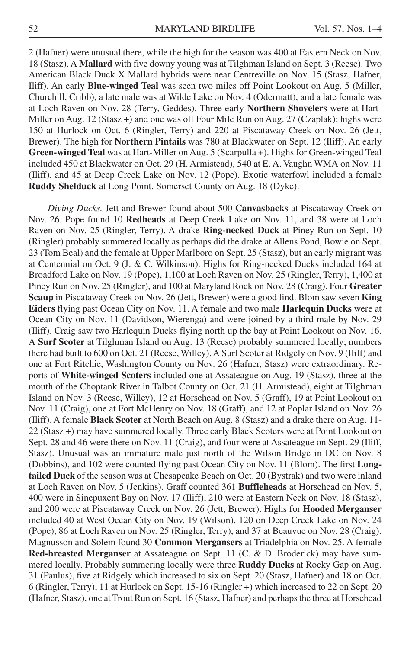2 (Hafner) were unusual there, while the high for the season was 400 at Eastern Neck on Nov. 18 (Stasz). A **Mallard** with five downy young was at Tilghman Island on Sept. 3 (Reese). Two American Black Duck X Mallard hybrids were near Centreville on Nov. 15 (Stasz, Hafner, Iliff). An early **Blue-winged Teal** was seen two miles off Point Lookout on Aug. 5 (Miller, Churchill, Cribb), a late male was at Wilde Lake on Nov. 4 (Odermatt), and a late female was at Loch Raven on Nov. 28 (Terry, Geddes). Three early **Northern Shovelers** were at Hart-Miller on Aug. 12 (Stasz +) and one was off Four Mile Run on Aug. 27 (Czaplak); highs were 150 at Hurlock on Oct. 6 (Ringler, Terry) and 220 at Piscataway Creek on Nov. 26 (Jett, Brewer). The high for **Northern Pintails** was 780 at Blackwater on Sept. 12 (Iliff). An early **Green-winged Teal** was at Hart-Miller on Aug. 5 (Scarpulla +). Highs for Green-winged Teal included 450 at Blackwater on Oct. 29 (H. Armistead), 540 at E. A. Vaughn WMA on Nov. 11 (Iliff), and 45 at Deep Creek Lake on Nov. 12 (Pope). Exotic waterfowl included a female **Ruddy Shelduck** at Long Point, Somerset County on Aug. 18 (Dyke).

*Diving Ducks.* Jett and Brewer found about 500 **Canvasbacks** at Piscataway Creek on Nov. 26. Pope found 10 **Redheads** at Deep Creek Lake on Nov. 11, and 38 were at Loch Raven on Nov. 25 (Ringler, Terry). A drake **Ring-necked Duck** at Piney Run on Sept. 10 (Ringler) probably summered locally as perhaps did the drake at Allens Pond, Bowie on Sept. 23 (Tom Beal) and the female at Upper Marlboro on Sept. 25 (Stasz), but an early migrant was at Centennial on Oct. 9 (J. & C. Wilkinson). Highs for Ring-necked Ducks included 164 at Broadford Lake on Nov. 19 (Pope), 1,100 at Loch Raven on Nov. 25 (Ringler, Terry), 1,400 at Piney Run on Nov. 25 (Ringler), and 100 at Maryland Rock on Nov. 28 (Craig). Four **Greater Scaup** in Piscataway Creek on Nov. 26 (Jett, Brewer) were a good find. Blom saw seven **King Eiders** flying past Ocean City on Nov. 11. A female and two male **Harlequin Ducks** were at Ocean City on Nov. 11 (Davidson, Wierenga) and were joined by a third male by Nov. 29 (Iliff). Craig saw two Harlequin Ducks flying north up the bay at Point Lookout on Nov. 16. A **Surf Scoter** at Tilghman Island on Aug. 13 (Reese) probably summered locally; numbers there had built to 600 on Oct. 21 (Reese, Willey). A Surf Scoter at Ridgely on Nov. 9 (Iliff) and one at Fort Ritchie, Washington County on Nov. 26 (Hafner, Stasz) were extraordinary. Reports of **White-winged Scoters** included one at Assateague on Aug. 19 (Stasz), three at the mouth of the Choptank River in Talbot County on Oct. 21 (H. Armistead), eight at Tilghman Island on Nov. 3 (Reese, Willey), 12 at Horsehead on Nov. 5 (Graff), 19 at Point Lookout on Nov. 11 (Craig), one at Fort McHenry on Nov. 18 (Graff), and 12 at Poplar Island on Nov. 26 (Iliff). A female **Black Scoter** at North Beach on Aug. 8 (Stasz) and a drake there on Aug. 11- 22 (Stasz +) may have summered locally. Three early Black Scoters were at Point Lookout on Sept. 28 and 46 were there on Nov. 11 (Craig), and four were at Assateague on Sept. 29 (Iliff, Stasz). Unusual was an immature male just north of the Wilson Bridge in DC on Nov. 8 (Dobbins), and 102 were counted flying past Ocean City on Nov. 11 (Blom). The first **Longtailed Duck** of the season was at Chesapeake Beach on Oct. 20 (Bystrak) and two were inland at Loch Raven on Nov. 5 (Jenkins). Graff counted 361 **Buffleheads** at Horsehead on Nov. 5, 400 were in Sinepuxent Bay on Nov. 17 (Iliff), 210 were at Eastern Neck on Nov. 18 (Stasz), and 200 were at Piscataway Creek on Nov. 26 (Jett, Brewer). Highs for **Hooded Merganser** included 40 at West Ocean City on Nov. 19 (Wilson), 120 on Deep Creek Lake on Nov. 24 (Pope), 86 at Loch Raven on Nov. 25 (Ringler, Terry), and 37 at Beauvue on Nov. 28 (Craig). Magnusson and Solem found 30 **Common Mergansers** at Triadelphia on Nov. 25. A female **Red-breasted Merganser** at Assateague on Sept. 11 (C. & D. Broderick) may have summered locally. Probably summering locally were three **Ruddy Ducks** at Rocky Gap on Aug. 31 (Paulus), five at Ridgely which increased to six on Sept. 20 (Stasz, Hafner) and 18 on Oct. 6 (Ringler, Terry), 11 at Hurlock on Sept. 15-16 (Ringler +) which increased to 22 on Sept. 20 (Hafner, Stasz), one at Trout Run on Sept. 16 (Stasz, Hafner) and perhaps the three at Horsehead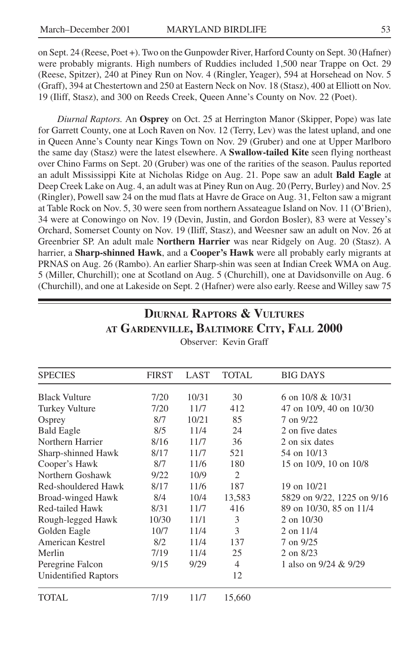on Sept. 24 (Reese, Poet +). Two on the Gunpowder River, Harford County on Sept. 30 (Hafner) were probably migrants. High numbers of Ruddies included 1,500 near Trappe on Oct. 29 (Reese, Spitzer), 240 at Piney Run on Nov. 4 (Ringler, Yeager), 594 at Horsehead on Nov. 5 (Graff), 394 at Chestertown and 250 at Eastern Neck on Nov. 18 (Stasz), 400 at Elliott on Nov. 19 (Iliff, Stasz), and 300 on Reeds Creek, Queen Anne's County on Nov. 22 (Poet).

*Diurnal Raptors.* An **Osprey** on Oct. 25 at Herrington Manor (Skipper, Pope) was late for Garrett County, one at Loch Raven on Nov. 12 (Terry, Lev) was the latest upland, and one in Queen Anne's County near Kings Town on Nov. 29 (Gruber) and one at Upper Marlboro the same day (Stasz) were the latest elsewhere. A **Swallow-tailed Kite** seen flying northeast over Chino Farms on Sept. 20 (Gruber) was one of the rarities of the season. Paulus reported an adult Mississippi Kite at Nicholas Ridge on Aug. 21. Pope saw an adult **Bald Eagle** at Deep Creek Lake on Aug. 4, an adult was at Piney Run on Aug. 20 (Perry, Burley) and Nov. 25 (Ringler), Powell saw 24 on the mud flats at Havre de Grace on Aug. 31, Felton saw a migrant at Table Rock on Nov. 5, 30 were seen from northern Assateague Island on Nov. 11 (O'Brien), 34 were at Conowingo on Nov. 19 (Devin, Justin, and Gordon Bosler), 83 were at Vessey's Orchard, Somerset County on Nov. 19 (Iliff, Stasz), and Weesner saw an adult on Nov. 26 at Greenbrier SP. An adult male **Northern Harrier** was near Ridgely on Aug. 20 (Stasz). A harrier, a **Sharp-shinned Hawk**, and a **Cooper's Hawk** were all probably early migrants at PRNAS on Aug. 26 (Rambo). An earlier Sharp-shin was seen at Indian Creek WMA on Aug. 5 (Miller, Churchill); one at Scotland on Aug. 5 (Churchill), one at Davidsonville on Aug. 6 (Churchill), and one at Lakeside on Sept. 2 (Hafner) were also early. Reese and Willey saw 75

| <b>SPECIES</b>       | <b>FIRST</b> | LAST  | <b>TOTAL</b> | <b>BIG DAYS</b>            |
|----------------------|--------------|-------|--------------|----------------------------|
| <b>Black Vulture</b> | 7/20         | 10/31 | 30           | 6 on $10/8$ & $10/31$      |
| Turkey Vulture       | 7/20         | 11/7  | 412          | 47 on 10/9, 40 on 10/30    |
| Osprey               | 8/7          | 10/21 | 85           | 7 on 9/22                  |
| <b>Bald Eagle</b>    | 8/5          | 11/4  | 24           | 2 on five dates            |
| Northern Harrier     | 8/16         | 11/7  | 36           | 2 on six dates             |
| Sharp-shinned Hawk   | 8/17         | 11/7  | 521          | 54 on 10/13                |
| Cooper's Hawk        | 8/7          | 11/6  | 180          | 15 on 10/9, 10 on 10/8     |
| Northern Goshawk     | 9/22         | 10/9  | 2            |                            |
| Red-shouldered Hawk  | 8/17         | 11/6  | 187          | 19 on $10/21$              |
| Broad-winged Hawk    | 8/4          | 10/4  | 13,583       | 5829 on 9/22, 1225 on 9/16 |
| Red-tailed Hawk      | 8/31         | 11/7  | 416          | 89 on 10/30, 85 on 11/4    |
| Rough-legged Hawk    | 10/30        | 11/1  | 3            | 2 on 10/30                 |
| Golden Eagle         | 10/7         | 11/4  | 3            | $2$ on $11/4$              |
| American Kestrel     | 8/2          | 11/4  | 137          | 7 on 9/25                  |
| Merlin               | 7/19         | 11/4  | 25           | 2 on 8/23                  |
| Peregrine Falcon     | 9/15         | 9/29  | 4            | 1 also on 9/24 & 9/29      |
| Unidentified Raptors |              |       | 12           |                            |
| TOTAL                | 7/19         | 11/7  | 15,660       |                            |

**AT GARDENVILLE, BALTIMORE CITY, FALL 2000** Observer: Kevin Graff

**DIURNAL RAPTORS & VULTURES**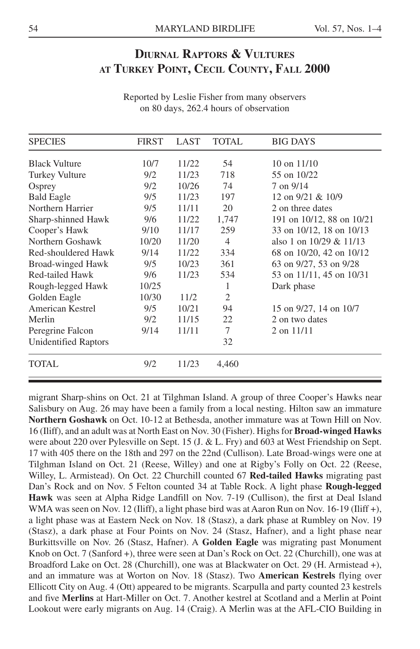### **DIURNAL RAPTORS & VULTURES AT TURKEY POINT, CECIL COUNTY, FALL 2000**

| <b>SPECIES</b>              | <b>FIRST</b> | LAST  | <b>TOTAL</b>   | <b>BIG DAYS</b>           |
|-----------------------------|--------------|-------|----------------|---------------------------|
| <b>Black Vulture</b>        | 10/7         | 11/22 | 54             | $10$ on $11/10$           |
| <b>Turkey Vulture</b>       | 9/2          | 11/23 | 718            | 55 on 10/22               |
| Osprey                      | 9/2          | 10/26 | 74             | 7 on 9/14                 |
| <b>Bald Eagle</b>           | 9/5          | 11/23 | 197            | 12 on 9/21 & 10/9         |
| Northern Harrier            | 9/5          | 11/11 | 20             | 2 on three dates          |
| Sharp-shinned Hawk          | 9/6          | 11/22 | 1,747          | 191 on 10/12, 88 on 10/21 |
| Cooper's Hawk               | 9/10         | 11/17 | 259            | 33 on 10/12, 18 on 10/13  |
| Northern Goshawk            | 10/20        | 11/20 | $\overline{4}$ | also 1 on $10/29 & 11/13$ |
| Red-shouldered Hawk         | 9/14         | 11/22 | 334            | 68 on 10/20, 42 on 10/12  |
| Broad-winged Hawk           | 9/5          | 10/23 | 361            | 63 on 9/27, 53 on 9/28    |
| Red-tailed Hawk             | 9/6          | 11/23 | 534            | 53 on 11/11, 45 on 10/31  |
| Rough-legged Hawk           | 10/25        |       | 1              | Dark phase                |
| Golden Eagle                | 10/30        | 11/2  | $\overline{2}$ |                           |
| American Kestrel            | 9/5          | 10/21 | 94             | 15 on 9/27, 14 on 10/7    |
| Merlin                      | 9/2          | 11/15 | 22             | 2 on two dates            |
| Peregrine Falcon            | 9/14         | 11/11 | 7              | $2$ on $11/11$            |
| <b>Unidentified Raptors</b> |              |       | 32             |                           |
| TOTAL                       | 9/2          | 11/23 | 4,460          |                           |

Reported by Leslie Fisher from many observers on 80 days, 262.4 hours of observation

migrant Sharp-shins on Oct. 21 at Tilghman Island. A group of three Cooper's Hawks near Salisbury on Aug. 26 may have been a family from a local nesting. Hilton saw an immature **Northern Goshawk** on Oct. 10-12 at Bethesda, another immature was at Town Hill on Nov. 16 (Iliff), and an adult was at North East on Nov. 30 (Fisher). Highs for **Broad-winged Hawks** were about 220 over Pylesville on Sept. 15 (J. & L. Fry) and 603 at West Friendship on Sept. 17 with 405 there on the 18th and 297 on the 22nd (Cullison). Late Broad-wings were one at Tilghman Island on Oct. 21 (Reese, Willey) and one at Rigby's Folly on Oct. 22 (Reese, Willey, L. Armistead). On Oct. 22 Churchill counted 67 **Red-tailed Hawks** migrating past Dan's Rock and on Nov. 5 Felton counted 34 at Table Rock. A light phase **Rough-legged Hawk** was seen at Alpha Ridge Landfill on Nov. 7-19 (Cullison), the first at Deal Island WMA was seen on Nov. 12 (Iliff), a light phase bird was at Aaron Run on Nov. 16-19 (Iliff +), a light phase was at Eastern Neck on Nov. 18 (Stasz), a dark phase at Rumbley on Nov. 19 (Stasz), a dark phase at Four Points on Nov. 24 (Stasz, Hafner), and a light phase near Burkittsville on Nov. 26 (Stasz, Hafner). A **Golden Eagle** was migrating past Monument Knob on Oct. 7 (Sanford +), three were seen at Dan's Rock on Oct. 22 (Churchill), one was at Broadford Lake on Oct. 28 (Churchill), one was at Blackwater on Oct. 29 (H. Armistead +), and an immature was at Worton on Nov. 18 (Stasz). Two **American Kestrels** flying over Ellicott City on Aug. 4 (Ott) appeared to be migrants. Scarpulla and party counted 23 kestrels and five **Merlins** at Hart-Miller on Oct. 7. Another kestrel at Scotland and a Merlin at Point Lookout were early migrants on Aug. 14 (Craig). A Merlin was at the AFL-CIO Building in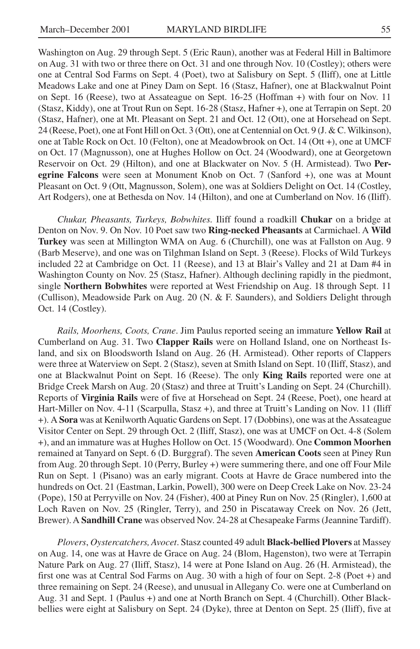Washington on Aug. 29 through Sept. 5 (Eric Raun), another was at Federal Hill in Baltimore on Aug. 31 with two or three there on Oct. 31 and one through Nov. 10 (Costley); others were one at Central Sod Farms on Sept. 4 (Poet), two at Salisbury on Sept. 5 (Iliff), one at Little Meadows Lake and one at Piney Dam on Sept. 16 (Stasz, Hafner), one at Blackwalnut Point on Sept. 16 (Reese), two at Assateague on Sept. 16-25 (Hoffman +) with four on Nov. 11 (Stasz, Kiddy), one at Trout Run on Sept. 16-28 (Stasz, Hafner +), one at Terrapin on Sept. 20 (Stasz, Hafner), one at Mt. Pleasant on Sept. 21 and Oct. 12 (Ott), one at Horsehead on Sept. 24 (Reese, Poet), one at Font Hill on Oct. 3 (Ott), one at Centennial on Oct. 9 (J. & C. Wilkinson), one at Table Rock on Oct. 10 (Felton), one at Meadowbrook on Oct. 14 (Ott +), one at UMCF on Oct. 17 (Magnusson), one at Hughes Hollow on Oct. 24 (Woodward), one at Georgetown Reservoir on Oct. 29 (Hilton), and one at Blackwater on Nov. 5 (H. Armistead). Two **Peregrine Falcons** were seen at Monument Knob on Oct. 7 (Sanford +), one was at Mount Pleasant on Oct. 9 (Ott, Magnusson, Solem), one was at Soldiers Delight on Oct. 14 (Costley, Art Rodgers), one at Bethesda on Nov. 14 (Hilton), and one at Cumberland on Nov. 16 (Iliff).

*Chukar, Pheasants, Turkeys, Bobwhites.* Iliff found a roadkill **Chukar** on a bridge at Denton on Nov. 9. On Nov. 10 Poet saw two **Ring-necked Pheasants** at Carmichael. A **Wild Turkey** was seen at Millington WMA on Aug. 6 (Churchill), one was at Fallston on Aug. 9 (Barb Meserve), and one was on Tilghman Island on Sept. 3 (Reese). Flocks of Wild Turkeys included 22 at Cambridge on Oct. 11 (Reese), and 13 at Blair's Valley and 21 at Dam #4 in Washington County on Nov. 25 (Stasz, Hafner). Although declining rapidly in the piedmont, single **Northern Bobwhites** were reported at West Friendship on Aug. 18 through Sept. 11 (Cullison), Meadowside Park on Aug. 20 (N. & F. Saunders), and Soldiers Delight through Oct. 14 (Costley).

*Rails, Moorhens, Coots, Crane*. Jim Paulus reported seeing an immature **Yellow Rail** at Cumberland on Aug. 31. Two **Clapper Rails** were on Holland Island, one on Northeast Island, and six on Bloodsworth Island on Aug. 26 (H. Armistead). Other reports of Clappers were three at Waterview on Sept. 2 (Stasz), seven at Smith Island on Sept. 10 (Iliff, Stasz), and one at Blackwalnut Point on Sept. 16 (Reese). The only **King Rails** reported were one at Bridge Creek Marsh on Aug. 20 (Stasz) and three at Truitt's Landing on Sept. 24 (Churchill). Reports of **Virginia Rails** were of five at Horsehead on Sept. 24 (Reese, Poet), one heard at Hart-Miller on Nov. 4-11 (Scarpulla, Stasz +), and three at Truitt's Landing on Nov. 11 (Iliff +). A **Sora** was at Kenilworth Aquatic Gardens on Sept. 17 (Dobbins), one was at the Assateague Visitor Center on Sept. 29 through Oct. 2 (Iliff, Stasz), one was at UMCF on Oct. 4-8 (Solem +), and an immature was at Hughes Hollow on Oct. 15 (Woodward). One **Common Moorhen** remained at Tanyard on Sept. 6 (D. Burggraf). The seven **American Coots** seen at Piney Run from Aug. 20 through Sept. 10 (Perry, Burley +) were summering there, and one off Four Mile Run on Sept. 1 (Pisano) was an early migrant. Coots at Havre de Grace numbered into the hundreds on Oct. 21 (Eastman, Larkin, Powell), 300 were on Deep Creek Lake on Nov. 23-24 (Pope), 150 at Perryville on Nov. 24 (Fisher), 400 at Piney Run on Nov. 25 (Ringler), 1,600 at Loch Raven on Nov. 25 (Ringler, Terry), and 250 in Piscataway Creek on Nov. 26 (Jett, Brewer). A **Sandhill Crane** was observed Nov. 24-28 at Chesapeake Farms (Jeannine Tardiff).

*Plovers*, *Oystercatchers, Avocet*. Stasz counted 49 adult **Black-bellied Plovers** at Massey on Aug. 14, one was at Havre de Grace on Aug. 24 (Blom, Hagenston), two were at Terrapin Nature Park on Aug. 27 (Iliff, Stasz), 14 were at Pone Island on Aug. 26 (H. Armistead), the first one was at Central Sod Farms on Aug. 30 with a high of four on Sept. 2-8 (Poet +) and three remaining on Sept. 24 (Reese), and unusual in Allegany Co. were one at Cumberland on Aug. 31 and Sept. 1 (Paulus +) and one at North Branch on Sept. 4 (Churchill). Other Blackbellies were eight at Salisbury on Sept. 24 (Dyke), three at Denton on Sept. 25 (Iliff), five at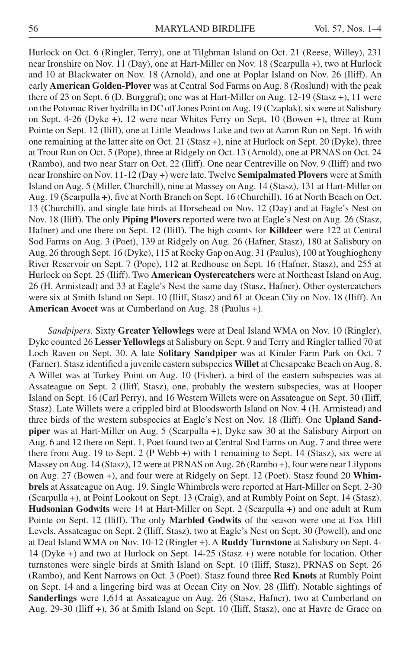Hurlock on Oct. 6 (Ringler, Terry), one at Tilghman Island on Oct. 21 (Reese, Willey), 231 near Ironshire on Nov. 11 (Day), one at Hart-Miller on Nov. 18 (Scarpulla +), two at Hurlock and 10 at Blackwater on Nov. 18 (Arnold), and one at Poplar Island on Nov. 26 (Iliff). An early **American Golden-Plover** was at Central Sod Farms on Aug. 8 (Roslund) with the peak there of 23 on Sept. 6 (D. Burggraf); one was at Hart-Miller on Aug. 12-19 (Stasz +), 11 were on the Potomac River hydrilla in DC off Jones Point on Aug. 19 (Czaplak), six were at Salisbury on Sept. 4-26 (Dyke +), 12 were near Whites Ferry on Sept. 10 (Bowen +), three at Rum Pointe on Sept. 12 (Iliff), one at Little Meadows Lake and two at Aaron Run on Sept. 16 with one remaining at the latter site on Oct. 21 (Stasz +), nine at Hurlock on Sept. 20 (Dyke), three at Trout Run on Oct. 5 (Pope), three at Ridgely on Oct. 13 (Arnold), one at PRNAS on Oct. 24 (Rambo), and two near Starr on Oct. 22 (Iliff). One near Centreville on Nov. 9 (Iliff) and two near Ironshire on Nov. 11-12 (Day +) were late. Twelve **Semipalmated Plovers** were at Smith Island on Aug. 5 (Miller, Churchill), nine at Massey on Aug. 14 (Stasz), 131 at Hart-Miller on Aug. 19 (Scarpulla +), five at North Branch on Sept. 16 (Churchill), 16 at North Beach on Oct. 13 (Churchill), and single late birds at Horsehead on Nov. 12 (Day) and at Eagle's Nest on Nov. 18 (Iliff). The only **Piping Plovers** reported were two at Eagle's Nest on Aug. 26 (Stasz, Hafner) and one there on Sept. 12 (Iliff). The high counts for **Killdeer** were 122 at Central Sod Farms on Aug. 3 (Poet), 139 at Ridgely on Aug. 26 (Hafner, Stasz), 180 at Salisbury on Aug. 26 through Sept. 16 (Dyke), 115 at Rocky Gap on Aug. 31 (Paulus), 100 at Youghiogheny River Reservoir on Sept. 7 (Pope), 112 at Redhouse on Sept. 16 (Hafner, Stasz), and 255 at Hurlock on Sept. 25 (Iliff). Two **American Oystercatchers** were at Northeast Island on Aug. 26 (H. Armistead) and 33 at Eagle's Nest the same day (Stasz, Hafner). Other oystercatchers were six at Smith Island on Sept. 10 (Iliff, Stasz) and 61 at Ocean City on Nov. 18 (Iliff). An **American Avocet** was at Cumberland on Aug. 28 (Paulus +).

*Sandpipers*. Sixty **Greater Yellowlegs** were at Deal Island WMA on Nov. 10 (Ringler). Dyke counted 26 **Lesser Yellowlegs** at Salisbury on Sept. 9 and Terry and Ringler tallied 70 at Loch Raven on Sept. 30. A late **Solitary Sandpiper** was at Kinder Farm Park on Oct. 7 (Farner). Stasz identified a juvenile eastern subspecies **Willet** at Chesapeake Beach on Aug. 8. A Willet was at Turkey Point on Aug. 10 (Fisher), a bird of the eastern subspecies was at Assateague on Sept. 2 (Iliff, Stasz), one, probably the western subspecies, was at Hooper Island on Sept. 16 (Carl Perry), and 16 Western Willets were on Assateague on Sept. 30 (Iliff, Stasz). Late Willets were a crippled bird at Bloodsworth Island on Nov. 4 (H. Armistead) and three birds of the western subspecies at Eagle's Nest on Nov. 18 (Iliff). One **Upland Sandpiper** was at Hart-Miller on Aug. 5 (Scarpulla +), Dyke saw 30 at the Salisbury Airport on Aug. 6 and 12 there on Sept. 1, Poet found two at Central Sod Farms on Aug. 7 and three were there from Aug. 19 to Sept. 2 (P Webb +) with 1 remaining to Sept. 14 (Stasz), six were at Massey on Aug. 14 (Stasz), 12 were at PRNAS on Aug. 26 (Rambo +), four were near Lilypons on Aug. 27 (Bowen +), and four were at Ridgely on Sept. 12 (Poet). Stasz found 20 **Whimbrels** at Assateague on Aug. 19. Single Whimbrels were reported at Hart-Miller on Sept. 2-30 (Scarpulla +), at Point Lookout on Sept. 13 (Craig), and at Rumbly Point on Sept. 14 (Stasz). **Hudsonian Godwits** were 14 at Hart-Miller on Sept. 2 (Scarpulla +) and one adult at Rum Pointe on Sept. 12 (Iliff). The only **Marbled Godwits** of the season were one at Fox Hill Levels, Assateague on Sept. 2 (Iliff, Stasz), two at Eagle's Nest on Sept. 30 (Powell), and one at Deal Island WMA on Nov. 10-12 (Ringler +). A **Ruddy Turnstone** at Salisbury on Sept. 4- 14 (Dyke +) and two at Hurlock on Sept. 14-25 (Stasz +) were notable for location. Other turnstones were single birds at Smith Island on Sept. 10 (Iliff, Stasz), PRNAS on Sept. 26 (Rambo), and Kent Narrows on Oct. 3 (Poet). Stasz found three **Red Knots** at Rumbly Point on Sept. 14 and a lingering bird was at Ocean City on Nov. 28 (Iliff). Notable sightings of **Sanderlings** were 1,614 at Assateague on Aug. 26 (Stasz, Hafner), two at Cumberland on Aug. 29-30 (Iliff +), 36 at Smith Island on Sept. 10 (Iliff, Stasz), one at Havre de Grace on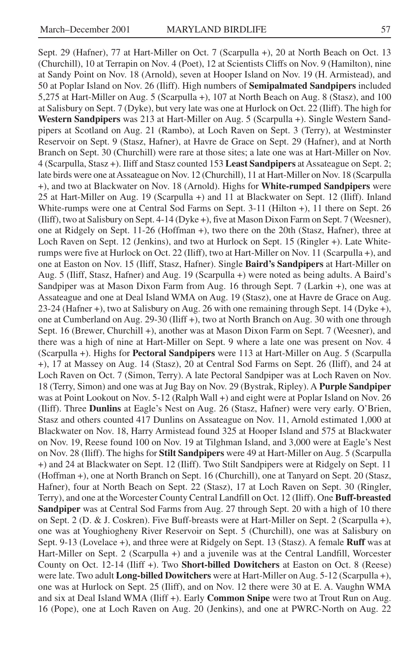Sept. 29 (Hafner), 77 at Hart-Miller on Oct. 7 (Scarpulla +), 20 at North Beach on Oct. 13 (Churchill), 10 at Terrapin on Nov. 4 (Poet), 12 at Scientists Cliffs on Nov. 9 (Hamilton), nine at Sandy Point on Nov. 18 (Arnold), seven at Hooper Island on Nov. 19 (H. Armistead), and 50 at Poplar Island on Nov. 26 (Iliff). High numbers of **Semipalmated Sandpipers** included 5,275 at Hart-Miller on Aug. 5 (Scarpulla +), 107 at North Beach on Aug. 8 (Stasz), and 100 at Salisbury on Sept. 7 (Dyke), but very late was one at Hurlock on Oct. 22 (Iliff). The high for **Western Sandpipers** was 213 at Hart-Miller on Aug. 5 (Scarpulla +). Single Western Sandpipers at Scotland on Aug. 21 (Rambo), at Loch Raven on Sept. 3 (Terry), at Westminster Reservoir on Sept. 9 (Stasz, Hafner), at Havre de Grace on Sept. 29 (Hafner), and at North Branch on Sept. 30 (Churchill) were rare at those sites; a late one was at Hart-Miller on Nov. 4 (Scarpulla, Stasz +). Iliff and Stasz counted 153 **Least Sandpipers** at Assateague on Sept. 2; late birds were one at Assateague on Nov. 12 (Churchill), 11 at Hart-Miller on Nov. 18 (Scarpulla +), and two at Blackwater on Nov. 18 (Arnold). Highs for **White-rumped Sandpipers** were 25 at Hart-Miller on Aug. 19 (Scarpulla +) and 11 at Blackwater on Sept. 12 (Iliff). Inland White-rumps were one at Central Sod Farms on Sept. 3-11 (Hilton +), 11 there on Sept. 26 (Iliff), two at Salisbury on Sept. 4-14 (Dyke +), five at Mason Dixon Farm on Sept. 7 (Weesner), one at Ridgely on Sept. 11-26 (Hoffman +), two there on the 20th (Stasz, Hafner), three at Loch Raven on Sept. 12 (Jenkins), and two at Hurlock on Sept. 15 (Ringler +). Late Whiterumps were five at Hurlock on Oct. 22 (Iliff), two at Hart-Miller on Nov. 11 (Scarpulla +), and one at Easton on Nov. 15 (Iliff, Stasz, Hafner). Single **Baird's Sandpipers** at Hart-Miller on Aug. 5 (Iliff, Stasz, Hafner) and Aug. 19 (Scarpulla +) were noted as being adults. A Baird's Sandpiper was at Mason Dixon Farm from Aug. 16 through Sept. 7 (Larkin +), one was at Assateague and one at Deal Island WMA on Aug. 19 (Stasz), one at Havre de Grace on Aug. 23-24 (Hafner +), two at Salisbury on Aug. 26 with one remaining through Sept. 14 (Dyke +), one at Cumberland on Aug. 29-30 (Iliff +), two at North Branch on Aug. 30 with one through Sept. 16 (Brewer, Churchill +), another was at Mason Dixon Farm on Sept. 7 (Weesner), and there was a high of nine at Hart-Miller on Sept. 9 where a late one was present on Nov. 4 (Scarpulla +). Highs for **Pectoral Sandpipers** were 113 at Hart-Miller on Aug. 5 (Scarpulla +), 17 at Massey on Aug. 14 (Stasz), 20 at Central Sod Farms on Sept. 26 (Iliff), and 24 at Loch Raven on Oct. 7 (Simon, Terry). A late Pectoral Sandpiper was at Loch Raven on Nov. 18 (Terry, Simon) and one was at Jug Bay on Nov. 29 (Bystrak, Ripley). A **Purple Sandpiper** was at Point Lookout on Nov. 5-12 (Ralph Wall +) and eight were at Poplar Island on Nov. 26 (Iliff). Three **Dunlins** at Eagle's Nest on Aug. 26 (Stasz, Hafner) were very early. O'Brien, Stasz and others counted 417 Dunlins on Assateague on Nov. 11, Arnold estimated 1,000 at Blackwater on Nov. 18, Harry Armistead found 325 at Hooper Island and 575 at Blackwater on Nov. 19, Reese found 100 on Nov. 19 at Tilghman Island, and 3,000 were at Eagle's Nest on Nov. 28 (Iliff). The highs for **Stilt Sandpipers** were 49 at Hart-Miller on Aug. 5 (Scarpulla +) and 24 at Blackwater on Sept. 12 (Iliff). Two Stilt Sandpipers were at Ridgely on Sept. 11 (Hoffman +), one at North Branch on Sept. 16 (Churchill), one at Tanyard on Sept. 20 (Stasz, Hafner), four at North Beach on Sept. 22 (Stasz), 17 at Loch Raven on Sept. 30 (Ringler, Terry), and one at the Worcester County Central Landfill on Oct. 12 (Iliff). One **Buff-breasted Sandpiper** was at Central Sod Farms from Aug. 27 through Sept. 20 with a high of 10 there on Sept. 2 (D. & J. Coskren). Five Buff-breasts were at Hart-Miller on Sept. 2 (Scarpulla +), one was at Youghiogheny River Reservoir on Sept. 5 (Churchill), one was at Salisbury on Sept. 9-13 (Lovelace +), and three were at Ridgely on Sept. 13 (Stasz). A female **Ruff** was at Hart-Miller on Sept. 2 (Scarpulla +) and a juvenile was at the Central Landfill, Worcester County on Oct. 12-14 (Iliff +). Two **Short-billed Dowitchers** at Easton on Oct. 8 (Reese) were late. Two adult **Long-billed Dowitchers** were at Hart-Miller on Aug. 5-12 (Scarpulla +), one was at Hurlock on Sept. 25 (Iliff), and on Nov. 12 there were 30 at E. A. Vaughn WMA and six at Deal Island WMA (Iliff +). Early **Common Snipe** were two at Trout Run on Aug. 16 (Pope), one at Loch Raven on Aug. 20 (Jenkins), and one at PWRC-North on Aug. 22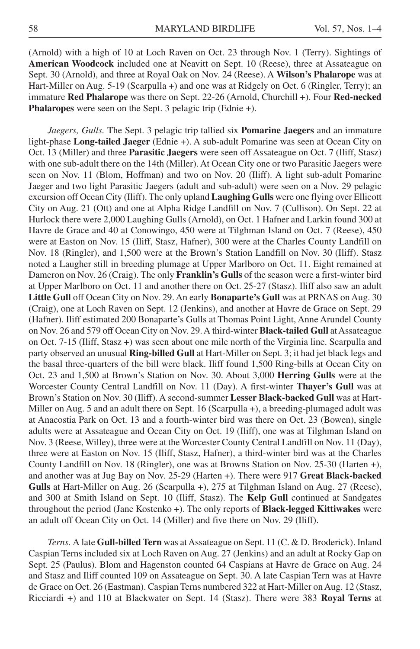(Arnold) with a high of 10 at Loch Raven on Oct. 23 through Nov. 1 (Terry). Sightings of **American Woodcock** included one at Neavitt on Sept. 10 (Reese), three at Assateague on Sept. 30 (Arnold), and three at Royal Oak on Nov. 24 (Reese). A **Wilson's Phalarope** was at Hart-Miller on Aug. 5-19 (Scarpulla +) and one was at Ridgely on Oct. 6 (Ringler, Terry); an immature **Red Phalarope** was there on Sept. 22-26 (Arnold, Churchill +). Four **Red-necked Phalaropes** were seen on the Sept. 3 pelagic trip (Ednie +).

*Jaegers, Gulls.* The Sept. 3 pelagic trip tallied six **Pomarine Jaegers** and an immature light-phase **Long-tailed Jaeger** (Ednie +). A sub-adult Pomarine was seen at Ocean City on Oct. 13 (Miller) and three **Parasitic Jaegers** were seen off Assateague on Oct. 7 (Iliff, Stasz) with one sub-adult there on the 14th (Miller). At Ocean City one or two Parasitic Jaegers were seen on Nov. 11 (Blom, Hoffman) and two on Nov. 20 (Iliff). A light sub-adult Pomarine Jaeger and two light Parasitic Jaegers (adult and sub-adult) were seen on a Nov. 29 pelagic excursion off Ocean City (Iliff). The only upland **Laughing Gulls** were one flying over Ellicott City on Aug. 21 (Ott) and one at Alpha Ridge Landfill on Nov. 7 (Cullison). On Sept. 22 at Hurlock there were 2,000 Laughing Gulls (Arnold), on Oct. 1 Hafner and Larkin found 300 at Havre de Grace and 40 at Conowingo, 450 were at Tilghman Island on Oct. 7 (Reese), 450 were at Easton on Nov. 15 (Iliff, Stasz, Hafner), 300 were at the Charles County Landfill on Nov. 18 (Ringler), and 1,500 were at the Brown's Station Landfill on Nov. 30 (Iliff). Stasz noted a Laugher still in breeding plumage at Upper Marlboro on Oct. 11. Eight remained at Dameron on Nov. 26 (Craig). The only **Franklin's Gulls** of the season were a first-winter bird at Upper Marlboro on Oct. 11 and another there on Oct. 25-27 (Stasz). Iliff also saw an adult **Little Gull** off Ocean City on Nov. 29. An early **Bonaparte's Gull** was at PRNAS on Aug. 30 (Craig), one at Loch Raven on Sept. 12 (Jenkins), and another at Havre de Grace on Sept. 29 (Hafner). Iliff estimated 200 Bonaparte's Gulls at Thomas Point Light, Anne Arundel County on Nov. 26 and 579 off Ocean City on Nov. 29. A third-winter **Black-tailed Gull** at Assateague on Oct. 7-15 (Iliff, Stasz +) was seen about one mile north of the Virginia line. Scarpulla and party observed an unusual **Ring-billed Gull** at Hart-Miller on Sept. 3; it had jet black legs and the basal three-quarters of the bill were black. Iliff found 1,500 Ring-bills at Ocean City on Oct. 23 and 1,500 at Brown's Station on Nov. 30. About 3,000 **Herring Gulls** were at the Worcester County Central Landfill on Nov. 11 (Day). A first-winter **Thayer's Gull** was at Brown's Station on Nov. 30 (Iliff). A second-summer **Lesser Black-backed Gull** was at Hart-Miller on Aug. 5 and an adult there on Sept. 16 (Scarpulla +), a breeding-plumaged adult was at Anacostia Park on Oct. 13 and a fourth-winter bird was there on Oct. 23 (Bowen), single adults were at Assateague and Ocean City on Oct. 19 (Iliff), one was at Tilghman Island on Nov. 3 (Reese, Willey), three were at the Worcester County Central Landfill on Nov. 11 (Day), three were at Easton on Nov. 15 (Iliff, Stasz, Hafner), a third-winter bird was at the Charles County Landfill on Nov. 18 (Ringler), one was at Browns Station on Nov. 25-30 (Harten +), and another was at Jug Bay on Nov. 25-29 (Harten +). There were 917 **Great Black-backed Gulls** at Hart-Miller on Aug. 26 (Scarpulla +), 275 at Tilghman Island on Aug. 27 (Reese), and 300 at Smith Island on Sept. 10 (Iliff, Stasz). The **Kelp Gull** continued at Sandgates throughout the period (Jane Kostenko +). The only reports of **Black-legged Kittiwakes** were an adult off Ocean City on Oct. 14 (Miller) and five there on Nov. 29 (Iliff).

*Terns.* A late **Gull-billed Tern** was at Assateague on Sept. 11 (C. & D. Broderick). Inland Caspian Terns included six at Loch Raven on Aug. 27 (Jenkins) and an adult at Rocky Gap on Sept. 25 (Paulus). Blom and Hagenston counted 64 Caspians at Havre de Grace on Aug. 24 and Stasz and Iliff counted 109 on Assateague on Sept. 30. A late Caspian Tern was at Havre de Grace on Oct. 26 (Eastman). Caspian Terns numbered 322 at Hart-Miller on Aug. 12 (Stasz, Ricciardi +) and 110 at Blackwater on Sept. 14 (Stasz). There were 383 **Royal Terns** at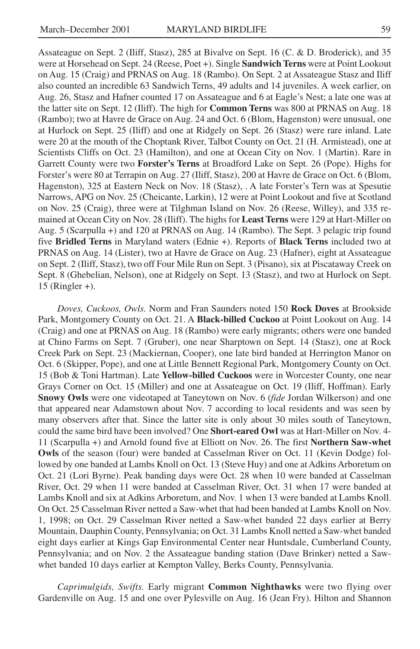Assateague on Sept. 2 (Iliff, Stasz), 285 at Bivalve on Sept. 16 (C. & D. Broderick), and 35 were at Horsehead on Sept. 24 (Reese, Poet +). Single **Sandwich Terns** were at Point Lookout on Aug. 15 (Craig) and PRNAS on Aug. 18 (Rambo). On Sept. 2 at Assateague Stasz and Iliff also counted an incredible 63 Sandwich Terns, 49 adults and 14 juveniles. A week earlier, on Aug. 26, Stasz and Hafner counted 17 on Assateague and 6 at Eagle's Nest; a late one was at the latter site on Sept. 12 (Iliff). The high for **Common Terns** was 800 at PRNAS on Aug. 18 (Rambo); two at Havre de Grace on Aug. 24 and Oct. 6 (Blom, Hagenston) were unusual, one at Hurlock on Sept. 25 (Iliff) and one at Ridgely on Sept. 26 (Stasz) were rare inland. Late were 20 at the mouth of the Choptank River, Talbot County on Oct. 21 (H. Armistead), one at Scientists Cliffs on Oct. 23 (Hamilton), and one at Ocean City on Nov. 1 (Martin). Rare in Garrett County were two **Forster's Terns** at Broadford Lake on Sept. 26 (Pope). Highs for Forster's were 80 at Terrapin on Aug. 27 (Iliff, Stasz), 200 at Havre de Grace on Oct. 6 (Blom, Hagenston), 325 at Eastern Neck on Nov. 18 (Stasz), . A late Forster's Tern was at Spesutie Narrows, APG on Nov. 25 (Cheicante, Larkin), 12 were at Point Lookout and five at Scotland on Nov. 25 (Craig), three were at Tilghman Island on Nov. 26 (Reese, Willey), and 335 remained at Ocean City on Nov. 28 (Iliff). The highs for **Least Terns** were 129 at Hart-Miller on Aug. 5 (Scarpulla +) and 120 at PRNAS on Aug. 14 (Rambo). The Sept. 3 pelagic trip found five **Bridled Terns** in Maryland waters (Ednie +). Reports of **Black Terns** included two at PRNAS on Aug. 14 (Lister), two at Havre de Grace on Aug. 23 (Hafner), eight at Assateague on Sept. 2 (Iliff, Stasz), two off Four Mile Run on Sept. 3 (Pisano), six at Piscataway Creek on Sept. 8 (Ghebelian, Nelson), one at Ridgely on Sept. 13 (Stasz), and two at Hurlock on Sept. 15 (Ringler +).

*Doves, Cuckoos, Owls.* Norm and Fran Saunders noted 150 **Rock Doves** at Brookside Park, Montgomery County on Oct. 21. A **Black-billed Cuckoo** at Point Lookout on Aug. 14 (Craig) and one at PRNAS on Aug. 18 (Rambo) were early migrants; others were one banded at Chino Farms on Sept. 7 (Gruber), one near Sharptown on Sept. 14 (Stasz), one at Rock Creek Park on Sept. 23 (Mackiernan, Cooper), one late bird banded at Herrington Manor on Oct. 6 (Skipper, Pope), and one at Little Bennett Regional Park, Montgomery County on Oct. 15 (Bob & Toni Hartman). Late **Yellow-billed Cuckoos** were in Worcester County, one near Grays Corner on Oct. 15 (Miller) and one at Assateague on Oct. 19 (Iliff, Hoffman). Early **Snowy Owls** were one videotaped at Taneytown on Nov. 6 (*fide* Jordan Wilkerson) and one that appeared near Adamstown about Nov. 7 according to local residents and was seen by many observers after that. Since the latter site is only about 30 miles south of Taneytown, could the same bird have been involved? One **Short-eared Owl** was at Hart-Miller on Nov. 4- 11 (Scarpulla +) and Arnold found five at Elliott on Nov. 26. The first **Northern Saw-whet Owls** of the season (four) were banded at Casselman River on Oct. 11 (Kevin Dodge) followed by one banded at Lambs Knoll on Oct. 13 (Steve Huy) and one at Adkins Arboretum on Oct. 21 (Lori Byrne). Peak banding days were Oct. 28 when 10 were banded at Casselman River, Oct. 29 when 11 were banded at Casselman River, Oct. 31 when 17 were banded at Lambs Knoll and six at Adkins Arboretum, and Nov. 1 when 13 were banded at Lambs Knoll. On Oct. 25 Casselman River netted a Saw-whet that had been banded at Lambs Knoll on Nov. 1, 1998; on Oct. 29 Casselman River netted a Saw-whet banded 22 days earlier at Berry Mountain, Dauphin County, Pennsylvania; on Oct. 31 Lambs Knoll netted a Saw-whet banded eight days earlier at Kings Gap Environmental Center near Huntsdale, Cumberland County, Pennsylvania; and on Nov. 2 the Assateague banding station (Dave Brinker) netted a Sawwhet banded 10 days earlier at Kempton Valley, Berks County, Pennsylvania.

*Caprimulgids, Swifts.* Early migrant **Common Nighthawks** were two flying over Gardenville on Aug. 15 and one over Pylesville on Aug. 16 (Jean Fry). Hilton and Shannon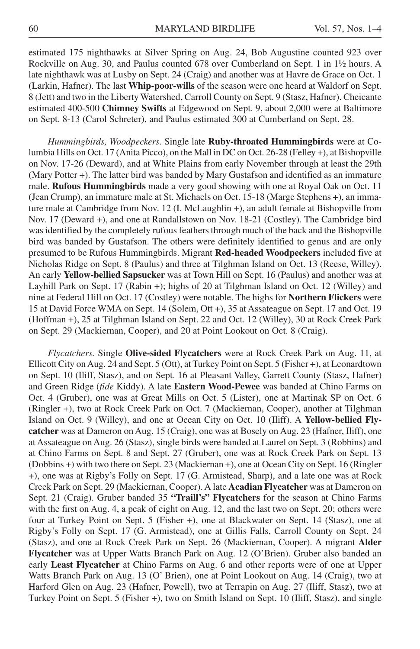estimated 175 nighthawks at Silver Spring on Aug. 24, Bob Augustine counted 923 over Rockville on Aug. 30, and Paulus counted 678 over Cumberland on Sept. 1 in 1½ hours. A late nighthawk was at Lusby on Sept. 24 (Craig) and another was at Havre de Grace on Oct. 1 (Larkin, Hafner). The last **Whip-poor-wills** of the season were one heard at Waldorf on Sept. 8 (Jett) and two in the Liberty Watershed, Carroll County on Sept. 9 (Stasz, Hafner). Cheicante estimated 400-500 **Chimney Swifts** at Edgewood on Sept. 9, about 2,000 were at Baltimore on Sept. 8-13 (Carol Schreter), and Paulus estimated 300 at Cumberland on Sept. 28.

*Hummingbirds, Woodpeckers.* Single late **Ruby-throated Hummingbirds** were at Columbia Hills on Oct. 17 (Anita Picco), on the Mall in DC on Oct. 26-28 (Felley +), at Bishopville on Nov. 17-26 (Deward), and at White Plains from early November through at least the 29th (Mary Potter +). The latter bird was banded by Mary Gustafson and identified as an immature male. **Rufous Hummingbirds** made a very good showing with one at Royal Oak on Oct. 11 (Jean Crump), an immature male at St. Michaels on Oct. 15-18 (Marge Stephens +), an immature male at Cambridge from Nov. 12 (I. McLaughlin +), an adult female at Bishopville from Nov. 17 (Deward +), and one at Randallstown on Nov. 18-21 (Costley). The Cambridge bird was identified by the completely rufous feathers through much of the back and the Bishopville bird was banded by Gustafson. The others were definitely identified to genus and are only presumed to be Rufous Hummingbirds. Migrant **Red-headed Woodpeckers** included five at Nicholas Ridge on Sept. 8 (Paulus) and three at Tilghman Island on Oct. 13 (Reese, Willey). An early **Yellow-bellied Sapsucker** was at Town Hill on Sept. 16 (Paulus) and another was at Layhill Park on Sept. 17 (Rabin +); highs of 20 at Tilghman Island on Oct. 12 (Willey) and nine at Federal Hill on Oct. 17 (Costley) were notable. The highs for **Northern Flickers** were 15 at David Force WMA on Sept. 14 (Solem, Ott +), 35 at Assateague on Sept. 17 and Oct. 19 (Hoffman +), 25 at Tilghman Island on Sept. 22 and Oct. 12 (Willey), 30 at Rock Creek Park on Sept. 29 (Mackiernan, Cooper), and 20 at Point Lookout on Oct. 8 (Craig).

*Flycatchers.* Single **Olive-sided Flycatchers** were at Rock Creek Park on Aug. 11, at Ellicott City on Aug. 24 and Sept. 5 (Ott), at Turkey Point on Sept. 5 (Fisher +), at Leonardtown on Sept. 10 (Iliff, Stasz), and on Sept. 16 at Pleasant Valley, Garrett County (Stasz, Hafner) and Green Ridge (*fide* Kiddy). A late **Eastern Wood-Pewee** was banded at Chino Farms on Oct. 4 (Gruber), one was at Great Mills on Oct. 5 (Lister), one at Martinak SP on Oct. 6 (Ringler +), two at Rock Creek Park on Oct. 7 (Mackiernan, Cooper), another at Tilghman Island on Oct. 9 (Willey), and one at Ocean City on Oct. 10 (Iliff). A **Yellow-bellied Flycatcher** was at Dameron on Aug. 15 (Craig), one was at Bosely on Aug. 23 (Hafner, Iliff), one at Assateague on Aug. 26 (Stasz), single birds were banded at Laurel on Sept. 3 (Robbins) and at Chino Farms on Sept. 8 and Sept. 27 (Gruber), one was at Rock Creek Park on Sept. 13 (Dobbins +) with two there on Sept. 23 (Mackiernan +), one at Ocean City on Sept. 16 (Ringler +), one was at Rigby's Folly on Sept. 17 (G. Armistead, Sharp), and a late one was at Rock Creek Park on Sept. 29 (Mackiernan, Cooper). A late **Acadian Flycatcher** was at Dameron on Sept. 21 (Craig). Gruber banded 35 **"Traill's" Flycatchers** for the season at Chino Farms with the first on Aug. 4, a peak of eight on Aug. 12, and the last two on Sept. 20; others were four at Turkey Point on Sept. 5 (Fisher +), one at Blackwater on Sept. 14 (Stasz), one at Rigby's Folly on Sept. 17 (G. Armistead), one at Gillis Falls, Carroll County on Sept. 24 (Stasz), and one at Rock Creek Park on Sept. 26 (Mackiernan, Cooper). A migrant **Alder Flycatcher** was at Upper Watts Branch Park on Aug. 12 (O'Brien). Gruber also banded an early **Least Flycatcher** at Chino Farms on Aug. 6 and other reports were of one at Upper Watts Branch Park on Aug. 13 (O' Brien), one at Point Lookout on Aug. 14 (Craig), two at Harford Glen on Aug. 23 (Hafner, Powell), two at Terrapin on Aug. 27 (Iliff, Stasz), two at Turkey Point on Sept. 5 (Fisher +), two on Smith Island on Sept. 10 (Iliff, Stasz), and single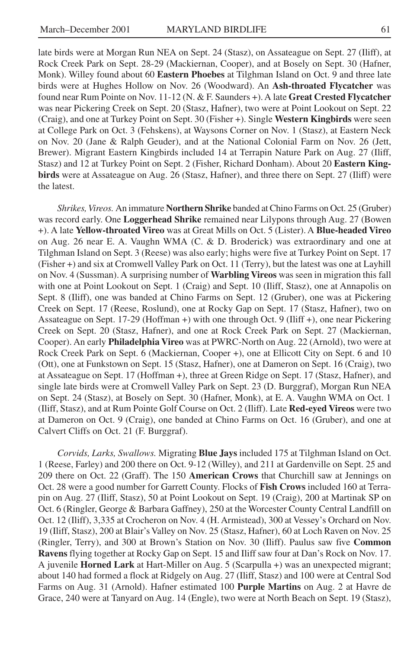late birds were at Morgan Run NEA on Sept. 24 (Stasz), on Assateague on Sept. 27 (Iliff), at Rock Creek Park on Sept. 28-29 (Mackiernan, Cooper), and at Bosely on Sept. 30 (Hafner, Monk). Willey found about 60 **Eastern Phoebes** at Tilghman Island on Oct. 9 and three late birds were at Hughes Hollow on Nov. 26 (Woodward). An **Ash-throated Flycatcher** was found near Rum Pointe on Nov. 11-12 (N. & F. Saunders +). A late **Great Crested Flycatcher** was near Pickering Creek on Sept. 20 (Stasz, Hafner), two were at Point Lookout on Sept. 22 (Craig), and one at Turkey Point on Sept. 30 (Fisher +). Single **Western Kingbirds** were seen at College Park on Oct. 3 (Fehskens), at Waysons Corner on Nov. 1 (Stasz), at Eastern Neck on Nov. 20 (Jane & Ralph Geuder), and at the National Colonial Farm on Nov. 26 (Jett, Brewer). Migrant Eastern Kingbirds included 14 at Terrapin Nature Park on Aug. 27 (Iliff, Stasz) and 12 at Turkey Point on Sept. 2 (Fisher, Richard Donham). About 20 **Eastern Kingbirds** were at Assateague on Aug. 26 (Stasz, Hafner), and three there on Sept. 27 (Iliff) were the latest.

*Shrikes, Vireos.* An immature **Northern Shrike** banded at Chino Farms on Oct. 25 (Gruber) was record early. One **Loggerhead Shrike** remained near Lilypons through Aug. 27 (Bowen +). A late **Yellow-throated Vireo** was at Great Mills on Oct. 5 (Lister). A **Blue-headed Vireo** on Aug. 26 near E. A. Vaughn WMA (C. & D. Broderick) was extraordinary and one at Tilghman Island on Sept. 3 (Reese) was also early; highs were five at Turkey Point on Sept. 17 (Fisher +) and six at Cromwell Valley Park on Oct. 11 (Terry), but the latest was one at Layhill on Nov. 4 (Sussman). A surprising number of **Warbling Vireos** was seen in migration this fall with one at Point Lookout on Sept. 1 (Craig) and Sept. 10 (Iliff, Stasz), one at Annapolis on Sept. 8 (Iliff), one was banded at Chino Farms on Sept. 12 (Gruber), one was at Pickering Creek on Sept. 17 (Reese, Roslund), one at Rocky Gap on Sept. 17 (Stasz, Hafner), two on Assateague on Sept. 17-29 (Hoffman +) with one through Oct. 9 (Iliff +), one near Pickering Creek on Sept. 20 (Stasz, Hafner), and one at Rock Creek Park on Sept. 27 (Mackiernan, Cooper). An early **Philadelphia Vireo** was at PWRC-North on Aug. 22 (Arnold), two were at Rock Creek Park on Sept. 6 (Mackiernan, Cooper +), one at Ellicott City on Sept. 6 and 10 (Ott), one at Funkstown on Sept. 15 (Stasz, Hafner), one at Dameron on Sept. 16 (Craig), two at Assateague on Sept. 17 (Hoffman +), three at Green Ridge on Sept. 17 (Stasz, Hafner), and single late birds were at Cromwell Valley Park on Sept. 23 (D. Burggraf), Morgan Run NEA on Sept. 24 (Stasz), at Bosely on Sept. 30 (Hafner, Monk), at E. A. Vaughn WMA on Oct. 1 (Iliff, Stasz), and at Rum Pointe Golf Course on Oct. 2 (Iliff). Late **Red-eyed Vireos** were two at Dameron on Oct. 9 (Craig), one banded at Chino Farms on Oct. 16 (Gruber), and one at Calvert Cliffs on Oct. 21 (F. Burggraf).

*Corvids, Larks, Swallows.* Migrating **Blue Jays** included 175 at Tilghman Island on Oct. 1 (Reese, Farley) and 200 there on Oct. 9-12 (Willey), and 211 at Gardenville on Sept. 25 and 209 there on Oct. 22 (Graff). The 150 **American Crows** that Churchill saw at Jennings on Oct. 28 were a good number for Garrett County. Flocks of **Fish Crows** included 160 at Terrapin on Aug. 27 (Iliff, Stasz), 50 at Point Lookout on Sept. 19 (Craig), 200 at Martinak SP on Oct. 6 (Ringler, George & Barbara Gaffney), 250 at the Worcester County Central Landfill on Oct. 12 (Iliff), 3,335 at Crocheron on Nov. 4 (H. Armistead), 300 at Vessey's Orchard on Nov. 19 (Iliff, Stasz), 200 at Blair's Valley on Nov. 25 (Stasz, Hafner), 60 at Loch Raven on Nov. 25 (Ringler, Terry), and 300 at Brown's Station on Nov. 30 (Iliff). Paulus saw five **Common Ravens** flying together at Rocky Gap on Sept. 15 and Iliff saw four at Dan's Rock on Nov. 17. A juvenile **Horned Lark** at Hart-Miller on Aug. 5 (Scarpulla +) was an unexpected migrant; about 140 had formed a flock at Ridgely on Aug. 27 (Iliff, Stasz) and 100 were at Central Sod Farms on Aug. 31 (Arnold). Hafner estimated 100 **Purple Martins** on Aug. 2 at Havre de Grace, 240 were at Tanyard on Aug. 14 (Engle), two were at North Beach on Sept. 19 (Stasz),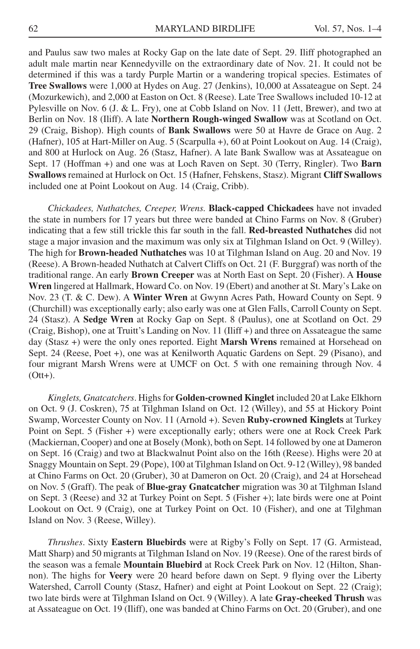and Paulus saw two males at Rocky Gap on the late date of Sept. 29. Iliff photographed an adult male martin near Kennedyville on the extraordinary date of Nov. 21. It could not be determined if this was a tardy Purple Martin or a wandering tropical species. Estimates of **Tree Swallows** were 1,000 at Hydes on Aug. 27 (Jenkins), 10,000 at Assateague on Sept. 24 (Mozurkewich), and 2,000 at Easton on Oct. 8 (Reese). Late Tree Swallows included 10-12 at Pylesville on Nov. 6 (J. & L. Fry), one at Cobb Island on Nov. 11 (Jett, Brewer), and two at Berlin on Nov. 18 (Iliff). A late **Northern Rough-winged Swallow** was at Scotland on Oct. 29 (Craig, Bishop). High counts of **Bank Swallows** were 50 at Havre de Grace on Aug. 2 (Hafner), 105 at Hart-Miller on Aug. 5 (Scarpulla +), 60 at Point Lookout on Aug. 14 (Craig), and 800 at Hurlock on Aug. 26 (Stasz, Hafner). A late Bank Swallow was at Assateague on Sept. 17 (Hoffman +) and one was at Loch Raven on Sept. 30 (Terry, Ringler). Two **Barn Swallows** remained at Hurlock on Oct. 15 (Hafner, Fehskens, Stasz). Migrant **Cliff Swallows** included one at Point Lookout on Aug. 14 (Craig, Cribb).

*Chickadees, Nuthatches, Creeper, Wrens.* **Black-capped Chickadees** have not invaded the state in numbers for 17 years but three were banded at Chino Farms on Nov. 8 (Gruber) indicating that a few still trickle this far south in the fall. **Red-breasted Nuthatches** did not stage a major invasion and the maximum was only six at Tilghman Island on Oct. 9 (Willey). The high for **Brown-headed Nuthatches** was 10 at Tilghman Island on Aug. 20 and Nov. 19 (Reese). A Brown-headed Nuthatch at Calvert Cliffs on Oct. 21 (F. Burggraf) was north of the traditional range. An early **Brown Creeper** was at North East on Sept. 20 (Fisher). A **House Wren** lingered at Hallmark, Howard Co. on Nov. 19 (Ebert) and another at St. Mary's Lake on Nov. 23 (T. & C. Dew). A **Winter Wren** at Gwynn Acres Path, Howard County on Sept. 9 (Churchill) was exceptionally early; also early was one at Glen Falls, Carroll County on Sept. 24 (Stasz). A **Sedge Wren** at Rocky Gap on Sept. 8 (Paulus), one at Scotland on Oct. 29 (Craig, Bishop), one at Truitt's Landing on Nov. 11 (Iliff +) and three on Assateague the same day (Stasz +) were the only ones reported. Eight **Marsh Wrens** remained at Horsehead on Sept. 24 (Reese, Poet +), one was at Kenilworth Aquatic Gardens on Sept. 29 (Pisano), and four migrant Marsh Wrens were at UMCF on Oct. 5 with one remaining through Nov. 4 (Ott+).

*Kinglets, Gnatcatchers*. Highs for **Golden-crowned Kinglet** included 20 at Lake Elkhorn on Oct. 9 (J. Coskren), 75 at Tilghman Island on Oct. 12 (Willey), and 55 at Hickory Point Swamp, Worcester County on Nov. 11 (Arnold +). Seven **Ruby-crowned Kinglets** at Turkey Point on Sept. 5 (Fisher +) were exceptionally early; others were one at Rock Creek Park (Mackiernan, Cooper) and one at Bosely (Monk), both on Sept. 14 followed by one at Dameron on Sept. 16 (Craig) and two at Blackwalnut Point also on the 16th (Reese). Highs were 20 at Snaggy Mountain on Sept. 29 (Pope), 100 at Tilghman Island on Oct. 9-12 (Willey), 98 banded at Chino Farms on Oct. 20 (Gruber), 30 at Dameron on Oct. 20 (Craig), and 24 at Horsehead on Nov. 5 (Graff). The peak of **Blue-gray Gnatcatcher** migration was 30 at Tilghman Island on Sept. 3 (Reese) and 32 at Turkey Point on Sept. 5 (Fisher +); late birds were one at Point Lookout on Oct. 9 (Craig), one at Turkey Point on Oct. 10 (Fisher), and one at Tilghman Island on Nov. 3 (Reese, Willey).

*Thrushes*. Sixty **Eastern Bluebirds** were at Rigby's Folly on Sept. 17 (G. Armistead, Matt Sharp) and 50 migrants at Tilghman Island on Nov. 19 (Reese). One of the rarest birds of the season was a female **Mountain Bluebird** at Rock Creek Park on Nov. 12 (Hilton, Shannon). The highs for **Veery** were 20 heard before dawn on Sept. 9 flying over the Liberty Watershed, Carroll County (Stasz, Hafner) and eight at Point Lookout on Sept. 22 (Craig); two late birds were at Tilghman Island on Oct. 9 (Willey). A late **Gray-cheeked Thrush** was at Assateague on Oct. 19 (Iliff), one was banded at Chino Farms on Oct. 20 (Gruber), and one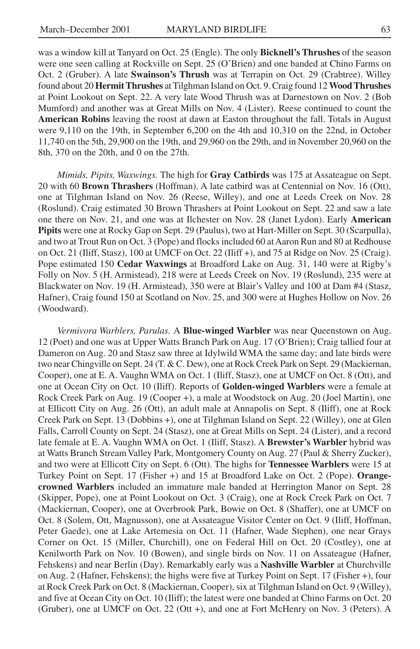was a window kill at Tanyard on Oct. 25 (Engle). The only **Bicknell's Thrushes** of the season were one seen calling at Rockville on Sept. 25 (O'Brien) and one banded at Chino Farms on Oct. 2 (Gruber). A late **Swainson's Thrush** was at Terrapin on Oct. 29 (Crabtree). Willey found about 20 **Hermit Thrushes** at Tilghman Island on Oct. 9. Craig found 12 **Wood Thrushes** at Point Lookout on Sept. 22. A very late Wood Thrush was at Darnestown on Nov. 2 (Bob Mumford) and another was at Great Mills on Nov. 4 (Lister). Reese continued to count the **American Robins** leaving the roost at dawn at Easton throughout the fall. Totals in August were 9,110 on the 19th, in September 6,200 on the 4th and 10,310 on the 22nd, in October 11,740 on the 5th, 29,900 on the 19th, and 29,960 on the 29th, and in November 20,960 on the 8th, 370 on the 20th, and 0 on the 27th.

*Mimids, Pipits, Waxwings.* The high for **Gray Catbirds** was 175 at Assateague on Sept. 20 with 60 **Brown Thrashers** (Hoffman). A late catbird was at Centennial on Nov. 16 (Ott), one at Tilghman Island on Nov. 26 (Reese, Willey), and one at Leeds Creek on Nov. 28 (Roslund). Craig estimated 30 Brown Thrashers at Point Lookout on Sept. 22 and saw a late one there on Nov. 21, and one was at Ilchester on Nov. 28 (Janet Lydon). Early **American Pipits** were one at Rocky Gap on Sept. 29 (Paulus), two at Hart-Miller on Sept. 30 (Scarpulla), and two at Trout Run on Oct. 3 (Pope) and flocks included 60 at Aaron Run and 80 at Redhouse on Oct. 21 (Iliff, Stasz), 100 at UMCF on Oct. 22 (Iliff +), and 75 at Ridge on Nov. 25 (Craig). Pope estimated 150 **Cedar Waxwings** at Broadford Lake on Aug. 31, 140 were at Rigby's Folly on Nov. 5 (H. Armistead), 218 were at Leeds Creek on Nov. 19 (Roslund), 235 were at Blackwater on Nov. 19 (H. Armistead), 350 were at Blair's Valley and 100 at Dam #4 (Stasz, Hafner), Craig found 150 at Scotland on Nov. 25, and 300 were at Hughes Hollow on Nov. 26 (Woodward).

*Vermivora Warblers, Parulas.* A **Blue-winged Warbler** was near Queenstown on Aug. 12 (Poet) and one was at Upper Watts Branch Park on Aug. 17 (O'Brien); Craig tallied four at Dameron on Aug. 20 and Stasz saw three at Idylwild WMA the same day; and late birds were two near Chingville on Sept. 24 (T. & C. Dew), one at Rock Creek Park on Sept. 29 (Mackiernan, Cooper), one at E. A. Vaughn WMA on Oct. 1 (Iliff, Stasz), one at UMCF on Oct. 8 (Ott), and one at Ocean City on Oct. 10 (Iliff). Reports of **Golden-winged Warblers** were a female at Rock Creek Park on Aug. 19 (Cooper +), a male at Woodstock on Aug. 20 (Joel Martin), one at Ellicott City on Aug. 26 (Ott), an adult male at Annapolis on Sept. 8 (Iliff), one at Rock Creek Park on Sept. 13 (Dobbins +), one at Tilghman Island on Sept. 22 (Willey), one at Glen Falls, Carroll County on Sept. 24 (Stasz), one at Great Mills on Sept. 24 (Lister), and a record late female at E. A. Vaughn WMA on Oct. 1 (Iliff, Stasz). A **Brewster's Warbler** hybrid was at Watts Branch Stream Valley Park, Montgomery County on Aug. 27 (Paul & Sherry Zucker), and two were at Ellicott City on Sept. 6 (Ott). The highs for **Tennessee Warblers** were 15 at Turkey Point on Sept. 17 (Fisher +) and 15 at Broadford Lake on Oct. 2 (Pope). **Orangecrowned Warblers** included an immature male banded at Herrington Manor on Sept. 28 (Skipper, Pope), one at Point Lookout on Oct. 3 (Craig), one at Rock Creek Park on Oct. 7 (Mackiernan, Cooper), one at Overbrook Park, Bowie on Oct. 8 (Shaffer), one at UMCF on Oct. 8 (Solem, Ott, Magnusson), one at Assateague Visitor Center on Oct. 9 (Iliff, Hoffman, Peter Gaede), one at Lake Artemesia on Oct. 11 (Hafner, Wade Stephen), one near Grays Corner on Oct. 15 (Miller, Churchill), one on Federal Hill on Oct. 20 (Costley), one at Kenilworth Park on Nov. 10 (Bowen), and single birds on Nov. 11 on Assateague (Hafner, Fehskens) and near Berlin (Day). Remarkably early was a **Nashville Warbler** at Churchville on Aug. 2 (Hafner, Fehskens); the highs were five at Turkey Point on Sept. 17 (Fisher +), four at Rock Creek Park on Oct. 8 (Mackiernan, Cooper), six at Tilghman Island on Oct. 9 (Willey), and five at Ocean City on Oct. 10 (Iliff); the latest were one banded at Chino Farms on Oct. 20 (Gruber), one at UMCF on Oct. 22 (Ott +), and one at Fort McHenry on Nov. 3 (Peters). A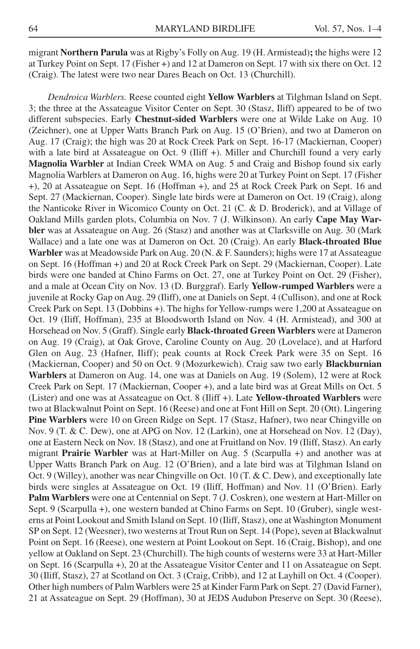migrant **Northern Parula** was at Rigby's Folly on Aug. 19 (H. Armistead)**;** the highs were 12 at Turkey Point on Sept. 17 (Fisher +) and 12 at Dameron on Sept. 17 with six there on Oct. 12 (Craig). The latest were two near Dares Beach on Oct. 13 (Churchill).

*Dendroica Warblers.* Reese counted eight **Yellow Warblers** at Tilghman Island on Sept. 3; the three at the Assateague Visitor Center on Sept. 30 (Stasz, Iliff) appeared to be of two different subspecies. Early **Chestnut-sided Warblers** were one at Wilde Lake on Aug. 10 (Zeichner), one at Upper Watts Branch Park on Aug. 15 (O'Brien), and two at Dameron on Aug. 17 (Craig); the high was 20 at Rock Creek Park on Sept. 16-17 (Mackiernan, Cooper) with a late bird at Assateague on Oct. 9 (Iliff +). Miller and Churchill found a very early **Magnolia Warbler** at Indian Creek WMA on Aug. 5 and Craig and Bishop found six early Magnolia Warblers at Dameron on Aug. 16, highs were 20 at Turkey Point on Sept. 17 (Fisher +), 20 at Assateague on Sept. 16 (Hoffman +), and 25 at Rock Creek Park on Sept. 16 and Sept. 27 (Mackiernan, Cooper). Single late birds were at Dameron on Oct. 19 (Craig), along the Nanticoke River in Wicomico County on Oct. 21 (C. & D. Broderick), and at Village of Oakland Mills garden plots, Columbia on Nov. 7 (J. Wilkinson). An early **Cape May Warbler** was at Assateague on Aug. 26 (Stasz) and another was at Clarksville on Aug. 30 (Mark Wallace) and a late one was at Dameron on Oct. 20 (Craig). An early **Black-throated Blue Warbler** was at Meadowside Park on Aug. 20 (N. & F. Saunders); highs were 17 at Assateague on Sept. 16 (Hoffman +) and 20 at Rock Creek Park on Sept. 29 (Mackiernan, Cooper). Late birds were one banded at Chino Farms on Oct. 27, one at Turkey Point on Oct. 29 (Fisher), and a male at Ocean City on Nov. 13 (D. Burggraf). Early **Yellow-rumped Warblers** were a juvenile at Rocky Gap on Aug. 29 (Iliff), one at Daniels on Sept. 4 (Cullison), and one at Rock Creek Park on Sept. 13 (Dobbins +). The highs for Yellow-rumps were 1,200 at Assateague on Oct. 19 (Iliff, Hoffman), 235 at Bloodsworth Island on Nov. 4 (H. Armistead), and 300 at Horsehead on Nov. 5 (Graff). Single early **Black-throated Green Warblers** were at Dameron on Aug. 19 (Craig), at Oak Grove, Caroline County on Aug. 20 (Lovelace), and at Harford Glen on Aug. 23 (Hafner, Iliff); peak counts at Rock Creek Park were 35 on Sept. 16 (Mackiernan, Cooper) and 50 on Oct. 9 (Mozurkewich). Craig saw two early **Blackburnian Warblers** at Dameron on Aug. 14, one was at Daniels on Aug. 19 (Solem), 12 were at Rock Creek Park on Sept. 17 (Mackiernan, Cooper +), and a late bird was at Great Mills on Oct. 5 (Lister) and one was at Assateague on Oct. 8 (Iliff +). Late **Yellow-throated Warblers** were two at Blackwalnut Point on Sept. 16 (Reese) and one at Font Hill on Sept. 20 (Ott). Lingering **Pine Warblers** were 10 on Green Ridge on Sept. 17 (Stasz, Hafner), two near Chingville on Nov. 9 (T. & C. Dew), one at APG on Nov. 12 (Larkin), one at Horsehead on Nov. 12 (Day), one at Eastern Neck on Nov. 18 (Stasz), and one at Fruitland on Nov. 19 (Iliff, Stasz). An early migrant **Prairie Warbler** was at Hart-Miller on Aug. 5 (Scarpulla +) and another was at Upper Watts Branch Park on Aug. 12 (O'Brien), and a late bird was at Tilghman Island on Oct. 9 (Willey), another was near Chingville on Oct. 10 (T. & C. Dew), and exceptionally late birds were singles at Assateague on Oct. 19 (Iliff, Hoffman) and Nov. 11 (O'Brien). Early **Palm Warblers** were one at Centennial on Sept. 7 (J. Coskren), one western at Hart-Miller on Sept. 9 (Scarpulla +), one western banded at Chino Farms on Sept. 10 (Gruber), single westerns at Point Lookout and Smith Island on Sept. 10 (Iliff, Stasz), one at Washington Monument SP on Sept. 12 (Weesner), two westerns at Trout Run on Sept. 14 (Pope), seven at Blackwalnut Point on Sept. 16 (Reese), one western at Point Lookout on Sept. 16 (Craig, Bishop), and one yellow at Oakland on Sept. 23 (Churchill). The high counts of westerns were 33 at Hart-Miller on Sept. 16 (Scarpulla +), 20 at the Assateague Visitor Center and 11 on Assateague on Sept. 30 (Iliff, Stasz), 27 at Scotland on Oct. 3 (Craig, Cribb), and 12 at Layhill on Oct. 4 (Cooper). Other high numbers of Palm Warblers were 25 at Kinder Farm Park on Sept. 27 (David Farner), 21 at Assateague on Sept. 29 (Hoffman), 30 at JEDS Audubon Preserve on Sept. 30 (Reese),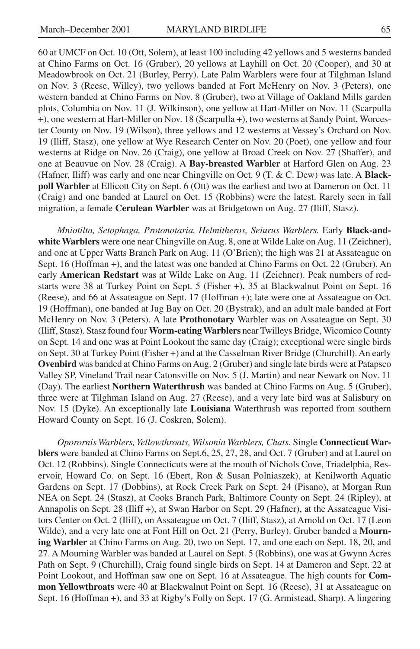60 at UMCF on Oct. 10 (Ott, Solem), at least 100 including 42 yellows and 5 westerns banded at Chino Farms on Oct. 16 (Gruber), 20 yellows at Layhill on Oct. 20 (Cooper), and 30 at Meadowbrook on Oct. 21 (Burley, Perry). Late Palm Warblers were four at Tilghman Island on Nov. 3 (Reese, Willey), two yellows banded at Fort McHenry on Nov. 3 (Peters), one western banded at Chino Farms on Nov. 8 (Gruber), two at Village of Oakland Mills garden plots, Columbia on Nov. 11 (J. Wilkinson), one yellow at Hart-Miller on Nov. 11 (Scarpulla +), one western at Hart-Miller on Nov. 18 (Scarpulla +), two westerns at Sandy Point, Worcester County on Nov. 19 (Wilson), three yellows and 12 westerns at Vessey's Orchard on Nov. 19 (Iliff, Stasz), one yellow at Wye Research Center on Nov. 20 (Poet), one yellow and four westerns at Ridge on Nov. 26 (Craig), one yellow at Broad Creek on Nov. 27 (Shaffer), and one at Beauvue on Nov. 28 (Craig). A **Bay-breasted Warbler** at Harford Glen on Aug. 23 (Hafner, Iliff) was early and one near Chingville on Oct. 9 (T. & C. Dew) was late. A **Blackpoll Warbler** at Ellicott City on Sept. 6 (Ott) was the earliest and two at Dameron on Oct. 11 (Craig) and one banded at Laurel on Oct. 15 (Robbins) were the latest. Rarely seen in fall migration, a female **Cerulean Warbler** was at Bridgetown on Aug. 27 (Iliff, Stasz).

*Mniotilta, Setophaga, Protonotaria, Helmitheros, Seiurus Warblers.* Early **Black-andwhite Warblers** were one near Chingville on Aug. 8, one at Wilde Lake on Aug. 11 (Zeichner), and one at Upper Watts Branch Park on Aug. 11 (O'Brien); the high was 21 at Assateague on Sept. 16 (Hoffman +), and the latest was one banded at Chino Farms on Oct. 22 (Gruber). An early **American Redstart** was at Wilde Lake on Aug. 11 (Zeichner). Peak numbers of redstarts were 38 at Turkey Point on Sept. 5 (Fisher +), 35 at Blackwalnut Point on Sept. 16 (Reese), and 66 at Assateague on Sept. 17 (Hoffman +); late were one at Assateague on Oct. 19 (Hoffman), one banded at Jug Bay on Oct. 20 (Bystrak), and an adult male banded at Fort McHenry on Nov. 3 (Peters). A late **Prothonotary** Warbler was on Assateague on Sept. 30 (Iliff, Stasz). Stasz found four **Worm-eating Warblers** near Twilleys Bridge, Wicomico County on Sept. 14 and one was at Point Lookout the same day (Craig); exceptional were single birds on Sept. 30 at Turkey Point (Fisher +) and at the Casselman River Bridge (Churchill). An early **Ovenbird** was banded at Chino Farms on Aug. 2 (Gruber) and single late birds were at Patapsco Valley SP, Vineland Trail near Catonsville on Nov. 5 (J. Martin) and near Newark on Nov. 11 (Day). The earliest **Northern Waterthrush** was banded at Chino Farms on Aug. 5 (Gruber), three were at Tilghman Island on Aug. 27 (Reese), and a very late bird was at Salisbury on Nov. 15 (Dyke). An exceptionally late **Louisiana** Waterthrush was reported from southern Howard County on Sept. 16 (J. Coskren, Solem).

*Oporornis Warblers, Yellowthroats, Wilsonia Warblers, Chats.* Single **Connecticut Warblers** were banded at Chino Farms on Sept.6, 25, 27, 28, and Oct. 7 (Gruber) and at Laurel on Oct. 12 (Robbins). Single Connecticuts were at the mouth of Nichols Cove, Triadelphia, Reservoir, Howard Co. on Sept. 16 (Ebert, Ron & Susan Polniaszek), at Kenilworth Aquatic Gardens on Sept. 17 (Dobbins), at Rock Creek Park on Sept. 24 (Pisano), at Morgan Run NEA on Sept. 24 (Stasz), at Cooks Branch Park, Baltimore County on Sept. 24 (Ripley), at Annapolis on Sept. 28 (Iliff +), at Swan Harbor on Sept. 29 (Hafner), at the Assateague Visitors Center on Oct. 2 (Iliff), on Assateague on Oct. 7 (Iliff, Stasz), at Arnold on Oct. 17 (Leon Wilde), and a very late one at Font Hill on Oct. 21 (Perry, Burley). Gruber banded a **Mourning Warbler** at Chino Farms on Aug. 20, two on Sept. 17, and one each on Sept. 18, 20, and 27. A Mourning Warbler was banded at Laurel on Sept. 5 (Robbins), one was at Gwynn Acres Path on Sept. 9 (Churchill), Craig found single birds on Sept. 14 at Dameron and Sept. 22 at Point Lookout, and Hoffman saw one on Sept. 16 at Assateague. The high counts for **Common Yellowthroats** were 40 at Blackwalnut Point on Sept. 16 (Reese), 31 at Assateague on Sept. 16 (Hoffman +), and 33 at Rigby's Folly on Sept. 17 (G. Armistead, Sharp). A lingering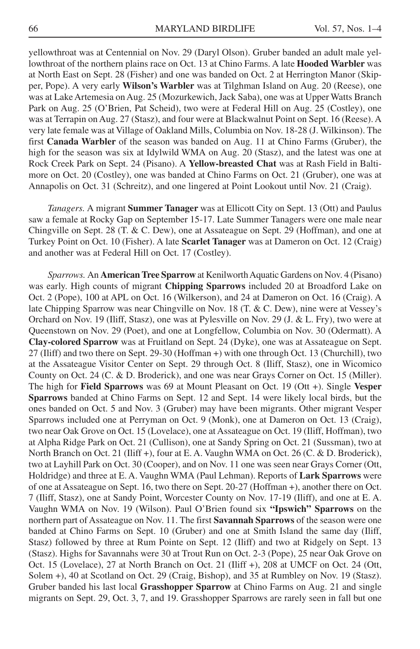yellowthroat was at Centennial on Nov. 29 (Daryl Olson). Gruber banded an adult male yellowthroat of the northern plains race on Oct. 13 at Chino Farms. A late **Hooded Warbler** was at North East on Sept. 28 (Fisher) and one was banded on Oct. 2 at Herrington Manor (Skipper, Pope). A very early **Wilson's Warbler** was at Tilghman Island on Aug. 20 (Reese), one was at Lake Artemesia on Aug. 25 (Mozurkewich, Jack Saba), one was at Upper Watts Branch Park on Aug. 25 (O'Brien, Pat Scheid), two were at Federal Hill on Aug. 25 (Costley), one was at Terrapin on Aug. 27 (Stasz), and four were at Blackwalnut Point on Sept. 16 (Reese). A very late female was at Village of Oakland Mills, Columbia on Nov. 18-28 (J. Wilkinson). The first **Canada Warbler** of the season was banded on Aug. 11 at Chino Farms (Gruber), the high for the season was six at Idylwild WMA on Aug. 20 (Stasz), and the latest was one at Rock Creek Park on Sept. 24 (Pisano). A **Yellow-breasted Chat** was at Rash Field in Baltimore on Oct. 20 (Costley), one was banded at Chino Farms on Oct. 21 (Gruber), one was at Annapolis on Oct. 31 (Schreitz), and one lingered at Point Lookout until Nov. 21 (Craig).

*Tanagers.* A migrant **Summer Tanager** was at Ellicott City on Sept. 13 (Ott) and Paulus saw a female at Rocky Gap on September 15-17. Late Summer Tanagers were one male near Chingville on Sept. 28 (T. & C. Dew), one at Assateague on Sept. 29 (Hoffman), and one at Turkey Point on Oct. 10 (Fisher). A late **Scarlet Tanager** was at Dameron on Oct. 12 (Craig) and another was at Federal Hill on Oct. 17 (Costley).

*Sparrows.* An **American Tree Sparrow** at Kenilworth Aquatic Gardens on Nov. 4 (Pisano) was early. High counts of migrant **Chipping Sparrows** included 20 at Broadford Lake on Oct. 2 (Pope), 100 at APL on Oct. 16 (Wilkerson), and 24 at Dameron on Oct. 16 (Craig). A late Chipping Sparrow was near Chingville on Nov. 18 (T. & C. Dew), nine were at Vessey's Orchard on Nov. 19 (Iliff, Stasz), one was at Pylesville on Nov. 29 (J. & L. Fry), two were at Queenstown on Nov. 29 (Poet), and one at Longfellow, Columbia on Nov. 30 (Odermatt). A **Clay-colored Sparrow** was at Fruitland on Sept. 24 (Dyke), one was at Assateague on Sept. 27 (Iliff) and two there on Sept. 29-30 (Hoffman +) with one through Oct. 13 (Churchill), two at the Assateague Visitor Center on Sept. 29 through Oct. 8 (Iliff, Stasz), one in Wicomico County on Oct. 24 (C. & D. Broderick), and one was near Grays Corner on Oct. 15 (Miller). The high for **Field Sparrows** was 69 at Mount Pleasant on Oct. 19 (Ott +). Single **Vesper Sparrows** banded at Chino Farms on Sept. 12 and Sept. 14 were likely local birds, but the ones banded on Oct. 5 and Nov. 3 (Gruber) may have been migrants. Other migrant Vesper Sparrows included one at Perryman on Oct. 9 (Monk), one at Dameron on Oct. 13 (Craig), two near Oak Grove on Oct. 15 (Lovelace), one at Assateague on Oct. 19 (Iliff, Hoffman), two at Alpha Ridge Park on Oct. 21 (Cullison), one at Sandy Spring on Oct. 21 (Sussman), two at North Branch on Oct. 21 (Iliff +), four at E. A. Vaughn WMA on Oct. 26 (C. & D. Broderick), two at Layhill Park on Oct. 30 (Cooper), and on Nov. 11 one was seen near Grays Corner (Ott, Holdridge) and three at E. A. Vaughn WMA (Paul Lehman). Reports of **Lark Sparrows** were of one at Assateague on Sept. 16, two there on Sept. 20-27 (Hoffman +), another there on Oct. 7 (Iliff, Stasz), one at Sandy Point, Worcester County on Nov. 17-19 (Iliff), and one at E. A. Vaughn WMA on Nov. 19 (Wilson). Paul O'Brien found six **"Ipswich" Sparrows** on the northern part of Assateague on Nov. 11. The first **Savannah Sparrows** of the season were one banded at Chino Farms on Sept. 10 (Gruber) and one at Smith Island the same day (Iliff, Stasz) followed by three at Rum Pointe on Sept. 12 (Iliff) and two at Ridgely on Sept. 13 (Stasz). Highs for Savannahs were 30 at Trout Run on Oct. 2-3 (Pope), 25 near Oak Grove on Oct. 15 (Lovelace), 27 at North Branch on Oct. 21 (Iliff +), 208 at UMCF on Oct. 24 (Ott, Solem +), 40 at Scotland on Oct. 29 (Craig, Bishop), and 35 at Rumbley on Nov. 19 (Stasz). Gruber banded his last local **Grasshopper Sparrow** at Chino Farms on Aug. 21 and single migrants on Sept. 29, Oct. 3, 7, and 19. Grasshopper Sparrows are rarely seen in fall but one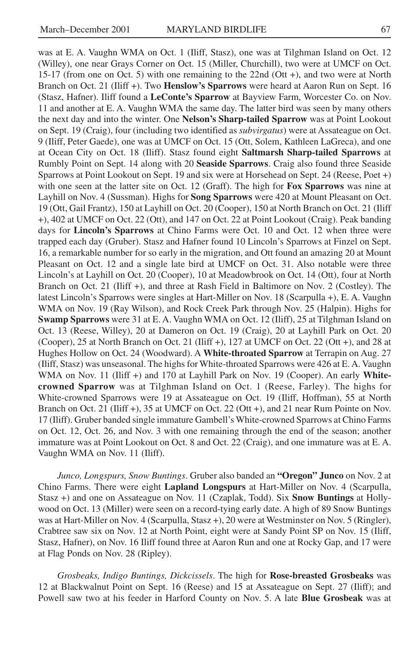was at E. A. Vaughn WMA on Oct. 1 (Iliff, Stasz), one was at Tilghman Island on Oct. 12 (Willey), one near Grays Corner on Oct. 15 (Miller, Churchill), two were at UMCF on Oct. 15-17 (from one on Oct. 5) with one remaining to the 22nd (Ott +), and two were at North Branch on Oct. 21 (Iliff +). Two **Henslow's Sparrows** were heard at Aaron Run on Sept. 16 (Stasz, Hafner). Iliff found a **LeConte's Sparrow** at Bayview Farm, Worcester Co. on Nov. 11 and another at E. A. Vaughn WMA the same day. The latter bird was seen by many others the next day and into the winter. One **Nelson's Sharp-tailed Sparrow** was at Point Lookout on Sept. 19 (Craig), four (including two identified as *subvirgatus*) were at Assateague on Oct. 9 (Iliff, Peter Gaede), one was at UMCF on Oct. 15 (Ott, Solem, Kathleen LaGreca), and one at Ocean City on Oct. 18 (Iliff). Stasz found eight **Saltmarsh Sharp-tailed Sparrows** at Rumbly Point on Sept. 14 along with 20 **Seaside Sparrows**. Craig also found three Seaside Sparrows at Point Lookout on Sept. 19 and six were at Horsehead on Sept. 24 (Reese, Poet +) with one seen at the latter site on Oct. 12 (Graff). The high for **Fox Sparrows** was nine at Layhill on Nov. 4 (Sussman). Highs for **Song Sparrows** were 420 at Mount Pleasant on Oct. 19 (Ott, Gail Frantz), 150 at Layhill on Oct. 20 (Cooper), 150 at North Branch on Oct. 21 (Iliff +), 402 at UMCF on Oct. 22 (Ott), and 147 on Oct. 22 at Point Lookout (Craig). Peak banding days for **Lincoln's Sparrows** at Chino Farms were Oct. 10 and Oct. 12 when three were trapped each day (Gruber). Stasz and Hafner found 10 Lincoln's Sparrows at Finzel on Sept. 16, a remarkable number for so early in the migration, and Ott found an amazing 20 at Mount Pleasant on Oct. 12 and a single late bird at UMCF on Oct. 31. Also notable were three Lincoln's at Layhill on Oct. 20 (Cooper), 10 at Meadowbrook on Oct. 14 (Ott), four at North Branch on Oct. 21 (Iliff +), and three at Rash Field in Baltimore on Nov. 2 (Costley). The latest Lincoln's Sparrows were singles at Hart-Miller on Nov. 18 (Scarpulla +), E. A. Vaughn WMA on Nov. 19 (Ray Wilson), and Rock Creek Park through Nov. 25 (Halpin). Highs for **Swamp Sparrows** were 31 at E. A. Vaughn WMA on Oct. 12 (Iliff), 25 at Tilghman Island on Oct. 13 (Reese, Willey), 20 at Dameron on Oct. 19 (Craig), 20 at Layhill Park on Oct. 20 (Cooper), 25 at North Branch on Oct. 21 (Iliff +), 127 at UMCF on Oct. 22 (Ott +), and 28 at Hughes Hollow on Oct. 24 (Woodward). A **White-throated Sparrow** at Terrapin on Aug. 27 (Iliff, Stasz) was unseasonal. The highs for White-throated Sparrows were 426 at E. A. Vaughn WMA on Nov. 11 (Iliff +) and 170 at Layhill Park on Nov. 19 (Cooper). An early **Whitecrowned Sparrow** was at Tilghman Island on Oct. 1 (Reese, Farley). The highs for White-crowned Sparrows were 19 at Assateague on Oct. 19 (Iliff, Hoffman), 55 at North Branch on Oct. 21 (Iliff +), 35 at UMCF on Oct. 22 (Ott +), and 21 near Rum Pointe on Nov. 17 (Iliff). Gruber banded single immature Gambell's White-crowned Sparrows at Chino Farms on Oct. 12, Oct. 26, and Nov. 3 with one remaining through the end of the season; another immature was at Point Lookout on Oct. 8 and Oct. 22 (Craig), and one immature was at E. A. Vaughn WMA on Nov. 11 (Iliff).

*Junco, Longspurs, Snow Buntings*. Gruber also banded an **"Oregon" Junco** on Nov. 2 at Chino Farms. There were eight **Lapland Longspurs** at Hart-Miller on Nov. 4 (Scarpulla, Stasz +) and one on Assateague on Nov. 11 (Czaplak, Todd). Six **Snow Buntings** at Hollywood on Oct. 13 (Miller) were seen on a record-tying early date. A high of 89 Snow Buntings was at Hart-Miller on Nov. 4 (Scarpulla, Stasz +), 20 were at Westminster on Nov. 5 (Ringler), Crabtree saw six on Nov. 12 at North Point, eight were at Sandy Point SP on Nov. 15 (Iliff, Stasz, Hafner), on Nov. 16 Iliff found three at Aaron Run and one at Rocky Gap, and 17 were at Flag Ponds on Nov. 28 (Ripley).

*Grosbeaks, Indigo Buntings, Dickcissels*. The high for **Rose-breasted Grosbeaks** was 12 at Blackwalnut Point on Sept. 16 (Reese) and 15 at Assateague on Sept. 27 (Iliff); and Powell saw two at his feeder in Harford County on Nov. 5. A late **Blue Grosbeak** was at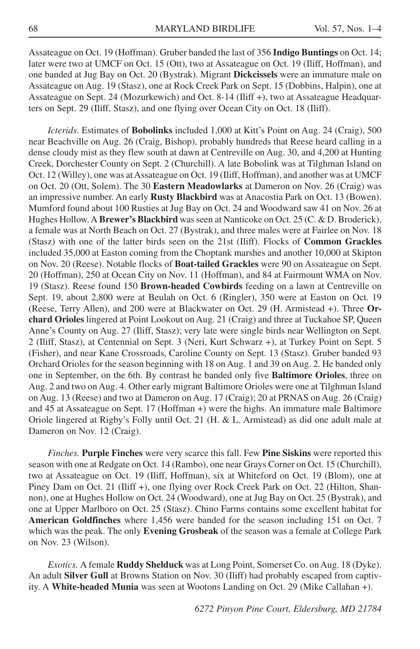Assateague on Oct. 19 (Hoffman). Gruber banded the last of 356 **Indigo Buntings** on Oct. 14; later were two at UMCF on Oct. 15 (Ott), two at Assateague on Oct. 19 (Iliff, Hoffman), and one banded at Jug Bay on Oct. 20 (Bystrak). Migrant **Dickcissels** were an immature male on Assateague on Aug. 19 (Stasz), one at Rock Creek Park on Sept. 15 (Dobbins, Halpin), one at Assateague on Sept. 24 (Mozurkewich) and Oct. 8-14 (Iliff +), two at Assateague Headquarters on Sept. 29 (Iliff, Stasz), and one flying over Ocean City on Oct. 18 (Iliff).

*Icterids.* Estimates of **Bobolinks** included 1,000 at Kitt's Point on Aug. 24 (Craig), 500 near Beachville on Aug. 26 (Craig, Bishop), probably hundreds that Reese heard calling in a dense cloudy mist as they flew south at dawn at Centreville on Aug. 30, and 4,200 at Hunting Creek, Dorchester County on Sept. 2 (Churchill). A late Bobolink was at Tilghman Island on Oct. 12 (Willey), one was at Assateague on Oct. 19 (Iliff, Hoffman), and another was at UMCF on Oct. 20 (Ott, Solem). The 30 **Eastern Meadowlarks** at Dameron on Nov. 26 (Craig) was an impressive number. An early **Rusty Blackbird** was at Anacostia Park on Oct. 13 (Bowen). Mumford found about 100 Rusties at Jug Bay on Oct. 24 and Woodward saw 41 on Nov. 26 at Hughes Hollow. A **Brewer's Blackbird** was seen at Nanticoke on Oct. 25 (C. & D. Broderick), a female was at North Beach on Oct. 27 (Bystrak), and three males were at Fairlee on Nov. 18 (Stasz) with one of the latter birds seen on the 21st (Iliff). Flocks of **Common Grackles** included 35,000 at Easton coming from the Choptank marshes and another 10,000 at Skipton on Nov. 20 (Reese). Notable flocks of **Boat-tailed Grackles** were 90 on Assateague on Sept. 20 (Hoffman), 250 at Ocean City on Nov. 11 (Hoffman), and 84 at Fairmount WMA on Nov. 19 (Stasz). Reese found 150 **Brown-headed Cowbirds** feeding on a lawn at Centreville on Sept. 19, about 2,800 were at Beulah on Oct. 6 (Ringler), 350 were at Easton on Oct. 19 (Reese, Terry Allen), and 200 were at Blackwater on Oct. 29 (H. Armistead +). Three **Orchard Orioles** lingered at Point Lookout on Aug. 21 (Craig) and three at Tuckahoe SP, Queen Anne's County on Aug. 27 (Iliff, Stasz); very late were single birds near Wellington on Sept. 2 (Iliff, Stasz), at Centennial on Sept. 3 (Neri, Kurt Schwarz +), at Turkey Point on Sept. 5 (Fisher), and near Kane Crossroads, Caroline County on Sept. 13 (Stasz). Gruber banded 93 Orchard Orioles for the season beginning with 18 on Aug. 1 and 39 on Aug. 2. He banded only one in September, on the 6th. By contrast he banded only five **Baltimore Orioles**, three on Aug. 2 and two on Aug. 4. Other early migrant Baltimore Orioles were one at Tilghman Island on Aug. 13 (Reese) and two at Dameron on Aug. 17 (Craig); 20 at PRNAS on Aug. 26 (Craig) and 45 at Assateague on Sept. 17 (Hoffman +) were the highs. An immature male Baltimore Oriole lingered at Rigby's Folly until Oct. 21 (H. & L. Armistead) as did one adult male at Dameron on Nov. 12 (Craig).

*Finches.* **Purple Finches** were very scarce this fall. Few **Pine Siskins** were reported this season with one at Redgate on Oct. 14 (Rambo), one near Grays Corner on Oct. 15 (Churchill), two at Assateague on Oct. 19 (Iliff, Hoffman), six at Whiteford on Oct. 19 (Blom), one at Piney Dam on Oct. 21 (Iliff +), one flying over Rock Creek Park on Oct. 22 (Hilton, Shannon), one at Hughes Hollow on Oct. 24 (Woodward), one at Jug Bay on Oct. 25 (Bystrak), and one at Upper Marlboro on Oct. 25 (Stasz). Chino Farms contains some excellent habitat for **American Goldfinches** where 1,456 were banded for the season including 151 on Oct. 7 which was the peak. The only **Evening Grosbeak** of the season was a female at College Park on Nov. 23 (Wilson).

*Exotics.* A female **Ruddy Shelduck** was at Long Point, Somerset Co. on Aug. 18 (Dyke). An adult **Silver Gull** at Browns Station on Nov. 30 (Iliff) had probably escaped from captivity. A **White-headed Munia** was seen at Wootons Landing on Oct. 29 (Mike Callahan +).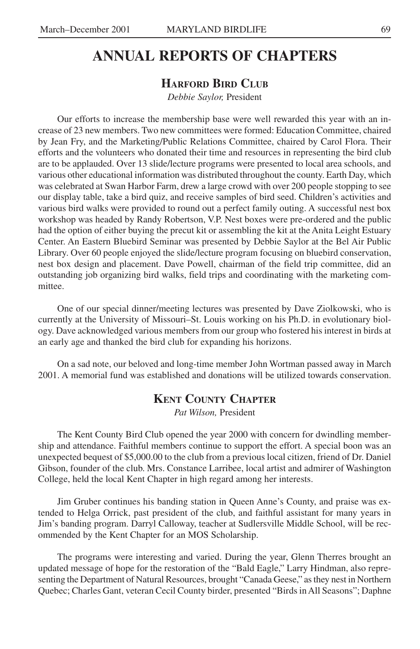# **ANNUAL REPORTS OF CHAPTERS**

#### **HARFORD BIRD CLUB**

*Debbie Saylor,* President

Our efforts to increase the membership base were well rewarded this year with an increase of 23 new members. Two new committees were formed: Education Committee, chaired by Jean Fry, and the Marketing/Public Relations Committee, chaired by Carol Flora. Their efforts and the volunteers who donated their time and resources in representing the bird club are to be applauded. Over 13 slide/lecture programs were presented to local area schools, and various other educational information was distributed throughout the county. Earth Day, which was celebrated at Swan Harbor Farm, drew a large crowd with over 200 people stopping to see our display table, take a bird quiz, and receive samples of bird seed. Children's activities and various bird walks were provided to round out a perfect family outing. A successful nest box workshop was headed by Randy Robertson, V.P. Nest boxes were pre-ordered and the public had the option of either buying the precut kit or assembling the kit at the Anita Leight Estuary Center. An Eastern Bluebird Seminar was presented by Debbie Saylor at the Bel Air Public Library. Over 60 people enjoyed the slide/lecture program focusing on bluebird conservation, nest box design and placement. Dave Powell, chairman of the field trip committee, did an outstanding job organizing bird walks, field trips and coordinating with the marketing committee.

One of our special dinner/meeting lectures was presented by Dave Ziolkowski, who is currently at the University of Missouri–St. Louis working on his Ph.D. in evolutionary biology. Dave acknowledged various members from our group who fostered his interest in birds at an early age and thanked the bird club for expanding his horizons.

On a sad note, our beloved and long-time member John Wortman passed away in March 2001. A memorial fund was established and donations will be utilized towards conservation.

#### **KENT COUNTY CHAPTER**

*Pat Wilson,* President

The Kent County Bird Club opened the year 2000 with concern for dwindling membership and attendance. Faithful members continue to support the effort. A special boon was an unexpected bequest of \$5,000.00 to the club from a previous local citizen, friend of Dr. Daniel Gibson, founder of the club. Mrs. Constance Larribee, local artist and admirer of Washington College, held the local Kent Chapter in high regard among her interests.

Jim Gruber continues his banding station in Queen Anne's County, and praise was extended to Helga Orrick, past president of the club, and faithful assistant for many years in Jim's banding program. Darryl Calloway, teacher at Sudlersville Middle School, will be recommended by the Kent Chapter for an MOS Scholarship.

The programs were interesting and varied. During the year, Glenn Therres brought an updated message of hope for the restoration of the "Bald Eagle," Larry Hindman, also representing the Department of Natural Resources, brought "Canada Geese," as they nest in Northern Quebec; Charles Gant, veteran Cecil County birder, presented "Birds in All Seasons"; Daphne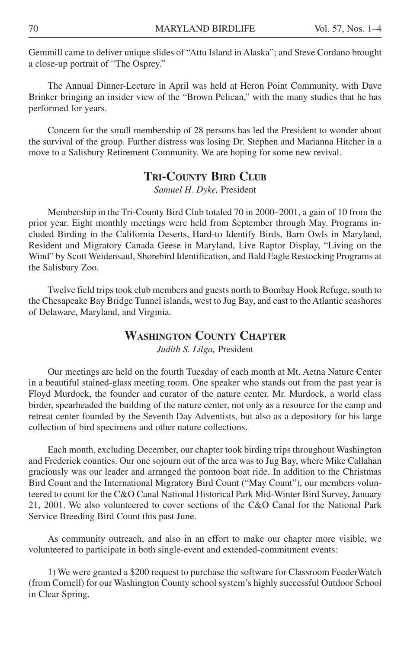Gemmill came to deliver unique slides of "Attu Island in Alaska"; and Steve Cordano brought a close-up portrait of "The Osprey."

The Annual Dinner-Lecture in April was held at Heron Point Community, with Dave Brinker bringing an insider view of the "Brown Pelican," with the many studies that he has performed for years.

Concern for the small membership of 28 persons has led the President to wonder about the survival of the group. Further distress was losing Dr. Stephen and Marianna Hitcher in a move to a Salisbury Retirement Community. We are hoping for some new revival.

#### **TRI-COUNTY BIRD CLUB**

*Samuel H. Dyke,* President

Membership in the Tri-County Bird Club totaled 70 in 2000–2001, a gain of 10 from the prior year. Eight monthly meetings were held from September through May. Programs included Birding in the California Deserts, Hard-to Identify Birds, Barn Owls in Maryland, Resident and Migratory Canada Geese in Maryland, Live Raptor Display, "Living on the Wind" by Scott Weidensaul, Shorebird Identification, and Bald Eagle Restocking Programs at the Salisbury Zoo.

Twelve field trips took club members and guests north to Bombay Hook Refuge, south to the Chesapeake Bay Bridge Tunnel islands, west to Jug Bay, and east to the Atlantic seashores of Delaware, Maryland, and Virginia.

#### **WASHINGTON COUNTY CHAPTER**

*Judith S. Lilga,* President

Our meetings are held on the fourth Tuesday of each month at Mt. Aetna Nature Center in a beautiful stained-glass meeting room. One speaker who stands out from the past year is Floyd Murdock, the founder and curator of the nature center. Mr. Murdock, a world class birder, spearheaded the building of the nature center, not only as a resource for the camp and retreat center founded by the Seventh Day Adventists, but also as a depository for his large collection of bird specimens and other nature collections.

Each month, excluding December, our chapter took birding trips throughout Washington and Frederick counties. Our one sojourn out of the area was to Jug Bay, where Mike Callahan graciously was our leader and arranged the pontoon boat ride. In addition to the Christmas Bird Count and the International Migratory Bird Count ("May Count"), our members volunteered to count for the C&O Canal National Historical Park Mid-Winter Bird Survey, January 21, 2001. We also volunteered to cover sections of the C&O Canal for the National Park Service Breeding Bird Count this past June.

As community outreach, and also in an effort to make our chapter more visible, we volunteered to participate in both single-event and extended-commitment events:

1) We were granted a \$200 request to purchase the software for Classroom FeederWatch (from Cornell) for our Washington County school system's highly successful Outdoor School in Clear Spring.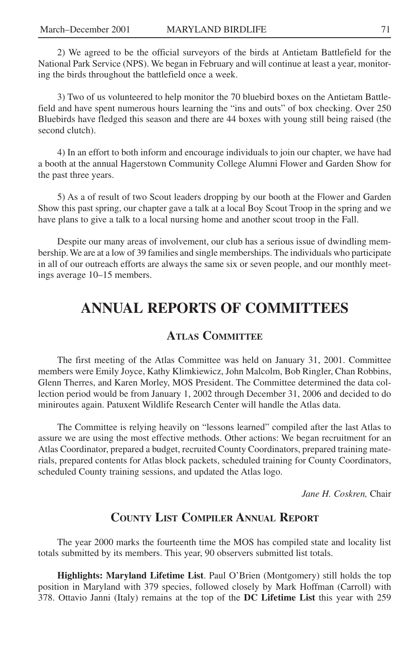2) We agreed to be the official surveyors of the birds at Antietam Battlefield for the National Park Service (NPS). We began in February and will continue at least a year, monitoring the birds throughout the battlefield once a week.

3) Two of us volunteered to help monitor the 70 bluebird boxes on the Antietam Battlefield and have spent numerous hours learning the "ins and outs" of box checking. Over 250 Bluebirds have fledged this season and there are 44 boxes with young still being raised (the second clutch).

4) In an effort to both inform and encourage individuals to join our chapter, we have had a booth at the annual Hagerstown Community College Alumni Flower and Garden Show for the past three years.

5) As a of result of two Scout leaders dropping by our booth at the Flower and Garden Show this past spring, our chapter gave a talk at a local Boy Scout Troop in the spring and we have plans to give a talk to a local nursing home and another scout troop in the Fall.

Despite our many areas of involvement, our club has a serious issue of dwindling membership. We are at a low of 39 families and single memberships. The individuals who participate in all of our outreach efforts are always the same six or seven people, and our monthly meetings average 10–15 members.

## **ANNUAL REPORTS OF COMMITTEES**

#### **ATLAS COMMITTEE**

The first meeting of the Atlas Committee was held on January 31, 2001. Committee members were Emily Joyce, Kathy Klimkiewicz, John Malcolm, Bob Ringler, Chan Robbins, Glenn Therres, and Karen Morley, MOS President. The Committee determined the data collection period would be from January 1, 2002 through December 31, 2006 and decided to do miniroutes again. Patuxent Wildlife Research Center will handle the Atlas data.

The Committee is relying heavily on "lessons learned" compiled after the last Atlas to assure we are using the most effective methods. Other actions: We began recruitment for an Atlas Coordinator, prepared a budget, recruited County Coordinators, prepared training materials, prepared contents for Atlas block packets, scheduled training for County Coordinators, scheduled County training sessions, and updated the Atlas logo.

*Jane H. Coskren,* Chair

#### **COUNTY LIST COMPILER ANNUAL REPORT**

The year 2000 marks the fourteenth time the MOS has compiled state and locality list totals submitted by its members. This year, 90 observers submitted list totals.

**Highlights: Maryland Lifetime List**. Paul O'Brien (Montgomery) still holds the top position in Maryland with 379 species, followed closely by Mark Hoffman (Carroll) with 378. Ottavio Janni (Italy) remains at the top of the **DC Lifetime List** this year with 259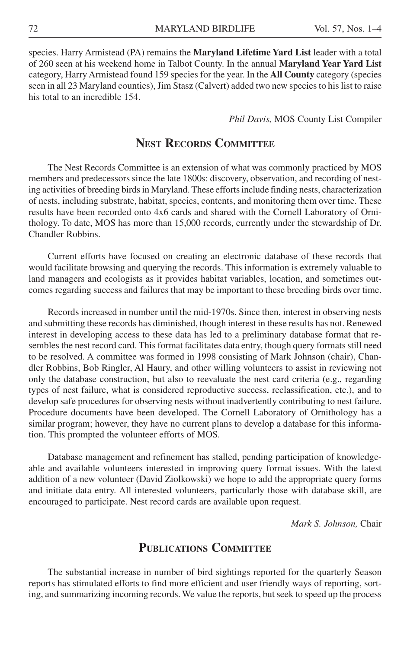species. Harry Armistead (PA) remains the **Maryland Lifetime Yard List** leader with a total of 260 seen at his weekend home in Talbot County. In the annual **Maryland Year Yard List** category, Harry Armistead found 159 species for the year. In the **All County** category (species seen in all 23 Maryland counties), Jim Stasz (Calvert) added two new species to his list to raise his total to an incredible 154.

*Phil Davis,* MOS County List Compiler

#### **NEST RECORDS COMMITTEE**

The Nest Records Committee is an extension of what was commonly practiced by MOS members and predecessors since the late 1800s: discovery, observation, and recording of nesting activities of breeding birds in Maryland. These efforts include finding nests, characterization of nests, including substrate, habitat, species, contents, and monitoring them over time. These results have been recorded onto 4x6 cards and shared with the Cornell Laboratory of Ornithology. To date, MOS has more than 15,000 records, currently under the stewardship of Dr. Chandler Robbins.

Current efforts have focused on creating an electronic database of these records that would facilitate browsing and querying the records. This information is extremely valuable to land managers and ecologists as it provides habitat variables, location, and sometimes outcomes regarding success and failures that may be important to these breeding birds over time.

Records increased in number until the mid-1970s. Since then, interest in observing nests and submitting these records has diminished, though interest in these results has not. Renewed interest in developing access to these data has led to a preliminary database format that resembles the nest record card. This format facilitates data entry, though query formats still need to be resolved. A committee was formed in 1998 consisting of Mark Johnson (chair), Chandler Robbins, Bob Ringler, Al Haury, and other willing volunteers to assist in reviewing not only the database construction, but also to reevaluate the nest card criteria (e.g., regarding types of nest failure, what is considered reproductive success, reclassification, etc.), and to develop safe procedures for observing nests without inadvertently contributing to nest failure. Procedure documents have been developed. The Cornell Laboratory of Ornithology has a similar program; however, they have no current plans to develop a database for this information. This prompted the volunteer efforts of MOS.

Database management and refinement has stalled, pending participation of knowledgeable and available volunteers interested in improving query format issues. With the latest addition of a new volunteer (David Ziolkowski) we hope to add the appropriate query forms and initiate data entry. All interested volunteers, particularly those with database skill, are encouraged to participate. Nest record cards are available upon request.

*Mark S. Johnson,* Chair

#### **PUBLICATIONS COMMITTEE**

The substantial increase in number of bird sightings reported for the quarterly Season reports has stimulated efforts to find more efficient and user friendly ways of reporting, sorting, and summarizing incoming records. We value the reports, but seek to speed up the process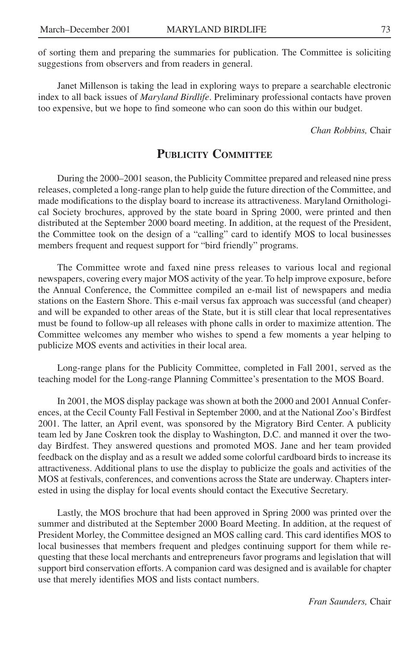of sorting them and preparing the summaries for publication. The Committee is soliciting suggestions from observers and from readers in general.

Janet Millenson is taking the lead in exploring ways to prepare a searchable electronic index to all back issues of *Maryland Birdlife*. Preliminary professional contacts have proven too expensive, but we hope to find someone who can soon do this within our budget.

*Chan Robbins,* Chair

## **PUBLICITY COMMITTEE**

During the 2000–2001 season, the Publicity Committee prepared and released nine press releases, completed a long-range plan to help guide the future direction of the Committee, and made modifications to the display board to increase its attractiveness. Maryland Ornithological Society brochures, approved by the state board in Spring 2000, were printed and then distributed at the September 2000 board meeting. In addition, at the request of the President, the Committee took on the design of a "calling" card to identify MOS to local businesses members frequent and request support for "bird friendly" programs.

The Committee wrote and faxed nine press releases to various local and regional newspapers, covering every major MOS activity of the year. To help improve exposure, before the Annual Conference, the Committee compiled an e-mail list of newspapers and media stations on the Eastern Shore. This e-mail versus fax approach was successful (and cheaper) and will be expanded to other areas of the State, but it is still clear that local representatives must be found to follow-up all releases with phone calls in order to maximize attention. The Committee welcomes any member who wishes to spend a few moments a year helping to publicize MOS events and activities in their local area.

Long-range plans for the Publicity Committee, completed in Fall 2001, served as the teaching model for the Long-range Planning Committee's presentation to the MOS Board.

In 2001, the MOS display package was shown at both the 2000 and 2001 Annual Conferences, at the Cecil County Fall Festival in September 2000, and at the National Zoo's Birdfest 2001. The latter, an April event, was sponsored by the Migratory Bird Center. A publicity team led by Jane Coskren took the display to Washington, D.C. and manned it over the twoday Birdfest. They answered questions and promoted MOS. Jane and her team provided feedback on the display and as a result we added some colorful cardboard birds to increase its attractiveness. Additional plans to use the display to publicize the goals and activities of the MOS at festivals, conferences, and conventions across the State are underway. Chapters interested in using the display for local events should contact the Executive Secretary.

Lastly, the MOS brochure that had been approved in Spring 2000 was printed over the summer and distributed at the September 2000 Board Meeting. In addition, at the request of President Morley, the Committee designed an MOS calling card. This card identifies MOS to local businesses that members frequent and pledges continuing support for them while requesting that these local merchants and entrepreneurs favor programs and legislation that will support bird conservation efforts. A companion card was designed and is available for chapter use that merely identifies MOS and lists contact numbers.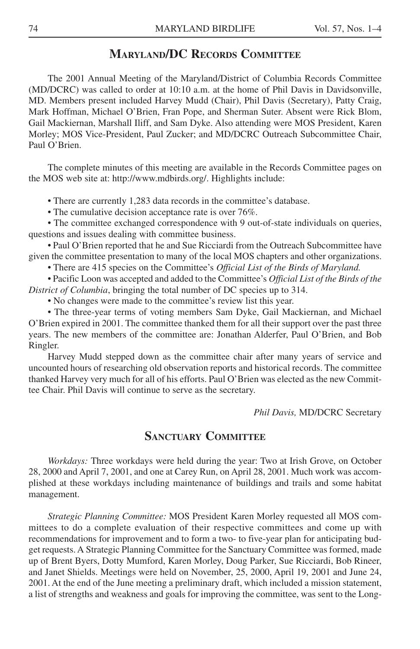### **MARYLAND/DC RECORDS COMMITTEE**

The 2001 Annual Meeting of the Maryland/District of Columbia Records Committee (MD/DCRC) was called to order at 10:10 a.m. at the home of Phil Davis in Davidsonville, MD. Members present included Harvey Mudd (Chair), Phil Davis (Secretary), Patty Craig, Mark Hoffman, Michael O'Brien, Fran Pope, and Sherman Suter. Absent were Rick Blom, Gail Mackiernan, Marshall Iliff, and Sam Dyke. Also attending were MOS President, Karen Morley; MOS Vice-President, Paul Zucker; and MD/DCRC Outreach Subcommittee Chair, Paul O'Brien.

The complete minutes of this meeting are available in the Records Committee pages on the MOS web site at: http://www.mdbirds.org/. Highlights include:

• There are currently 1,283 data records in the committee's database.

• The cumulative decision acceptance rate is over 76%.

• The committee exchanged correspondence with 9 out-of-state individuals on queries, questions and issues dealing with committee business.

• Paul O'Brien reported that he and Sue Ricciardi from the Outreach Subcommittee have given the committee presentation to many of the local MOS chapters and other organizations.

• There are 415 species on the Committee's *Official List of the Birds of Maryland.*

• Pacific Loon was accepted and added to the Committee's *Official List of the Birds of the District of Columbia*, bringing the total number of DC species up to 314.

• No changes were made to the committee's review list this year.

• The three-year terms of voting members Sam Dyke, Gail Mackiernan, and Michael O'Brien expired in 2001. The committee thanked them for all their support over the past three years. The new members of the committee are: Jonathan Alderfer, Paul O'Brien, and Bob Ringler.

Harvey Mudd stepped down as the committee chair after many years of service and uncounted hours of researching old observation reports and historical records. The committee thanked Harvey very much for all of his efforts. Paul O'Brien was elected as the new Committee Chair. Phil Davis will continue to serve as the secretary.

*Phil Davis,* MD/DCRC Secretary

### **SANCTUARY COMMITTEE**

*Workdays:* Three workdays were held during the year: Two at Irish Grove, on October 28, 2000 and April 7, 2001, and one at Carey Run, on April 28, 2001. Much work was accomplished at these workdays including maintenance of buildings and trails and some habitat management.

*Strategic Planning Committee:* MOS President Karen Morley requested all MOS committees to do a complete evaluation of their respective committees and come up with recommendations for improvement and to form a two- to five-year plan for anticipating budget requests. A Strategic Planning Committee for the Sanctuary Committee was formed, made up of Brent Byers, Dotty Mumford, Karen Morley, Doug Parker, Sue Ricciardi, Bob Rineer, and Janet Shields. Meetings were held on November, 25, 2000, April 19, 2001 and June 24, 2001. At the end of the June meeting a preliminary draft, which included a mission statement, a list of strengths and weakness and goals for improving the committee, was sent to the Long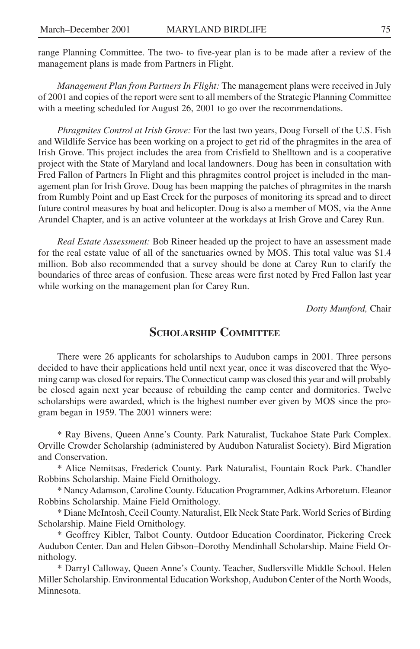range Planning Committee. The two- to five-year plan is to be made after a review of the management plans is made from Partners in Flight.

*Management Plan from Partners In Flight:* The management plans were received in July of 2001 and copies of the report were sent to all members of the Strategic Planning Committee with a meeting scheduled for August 26, 2001 to go over the recommendations.

*Phragmites Control at Irish Grove:* For the last two years, Doug Forsell of the U.S. Fish and Wildlife Service has been working on a project to get rid of the phragmites in the area of Irish Grove. This project includes the area from Crisfield to Shelltown and is a cooperative project with the State of Maryland and local landowners. Doug has been in consultation with Fred Fallon of Partners In Flight and this phragmites control project is included in the management plan for Irish Grove. Doug has been mapping the patches of phragmites in the marsh from Rumbly Point and up East Creek for the purposes of monitoring its spread and to direct future control measures by boat and helicopter. Doug is also a member of MOS, via the Anne Arundel Chapter, and is an active volunteer at the workdays at Irish Grove and Carey Run.

*Real Estate Assessment:* Bob Rineer headed up the project to have an assessment made for the real estate value of all of the sanctuaries owned by MOS. This total value was \$1.4 million. Bob also recommended that a survey should be done at Carey Run to clarify the boundaries of three areas of confusion. These areas were first noted by Fred Fallon last year while working on the management plan for Carey Run.

*Dotty Mumford,* Chair

### **SCHOLARSHIP COMMITTEE**

There were 26 applicants for scholarships to Audubon camps in 2001. Three persons decided to have their applications held until next year, once it was discovered that the Wyoming camp was closed for repairs. The Connecticut camp was closed this year and will probably be closed again next year because of rebuilding the camp center and dormitories. Twelve scholarships were awarded, which is the highest number ever given by MOS since the program began in 1959. The 2001 winners were:

\* Ray Bivens, Queen Anne's County. Park Naturalist, Tuckahoe State Park Complex. Orville Crowder Scholarship (administered by Audubon Naturalist Society). Bird Migration and Conservation.

\* Alice Nemitsas, Frederick County. Park Naturalist, Fountain Rock Park. Chandler Robbins Scholarship. Maine Field Ornithology.

\* Nancy Adamson, Caroline County. Education Programmer, Adkins Arboretum. Eleanor Robbins Scholarship. Maine Field Ornithology.

\* Diane McIntosh, Cecil County. Naturalist, Elk Neck State Park. World Series of Birding Scholarship. Maine Field Ornithology.

\* Geoffrey Kibler, Talbot County. Outdoor Education Coordinator, Pickering Creek Audubon Center. Dan and Helen Gibson–Dorothy Mendinhall Scholarship. Maine Field Ornithology.

\* Darryl Calloway, Queen Anne's County. Teacher, Sudlersville Middle School. Helen Miller Scholarship. Environmental Education Workshop, Audubon Center of the North Woods, Minnesota.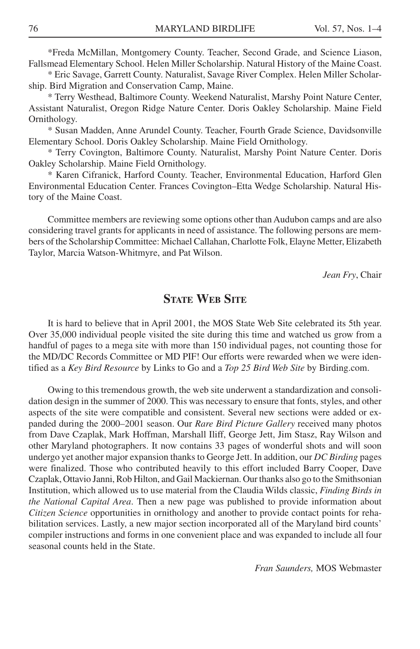\*Freda McMillan, Montgomery County. Teacher, Second Grade, and Science Liason, Fallsmead Elementary School. Helen Miller Scholarship. Natural History of the Maine Coast.

\* Eric Savage, Garrett County. Naturalist, Savage River Complex. Helen Miller Scholarship. Bird Migration and Conservation Camp, Maine.

\* Terry Westhead, Baltimore County. Weekend Naturalist, Marshy Point Nature Center, Assistant Naturalist, Oregon Ridge Nature Center. Doris Oakley Scholarship. Maine Field Ornithology.

\* Susan Madden, Anne Arundel County. Teacher, Fourth Grade Science, Davidsonville Elementary School. Doris Oakley Scholarship. Maine Field Ornithology.

\* Terry Covington, Baltimore County. Naturalist, Marshy Point Nature Center. Doris Oakley Scholarship. Maine Field Ornithology.

\* Karen Cifranick, Harford County. Teacher, Environmental Education, Harford Glen Environmental Education Center. Frances Covington–Etta Wedge Scholarship. Natural History of the Maine Coast.

Committee members are reviewing some options other than Audubon camps and are also considering travel grants for applicants in need of assistance. The following persons are members of the Scholarship Committee: Michael Callahan, Charlotte Folk, Elayne Metter, Elizabeth Taylor, Marcia Watson-Whitmyre, and Pat Wilson.

*Jean Fry*, Chair

## **STATE WEB SITE**

It is hard to believe that in April 2001, the MOS State Web Site celebrated its 5th year. Over 35,000 individual people visited the site during this time and watched us grow from a handful of pages to a mega site with more than 150 individual pages, not counting those for the MD/DC Records Committee or MD PIF! Our efforts were rewarded when we were identified as a *Key Bird Resource* by Links to Go and a *Top 25 Bird Web Site* by Birding.com.

Owing to this tremendous growth, the web site underwent a standardization and consolidation design in the summer of 2000. This was necessary to ensure that fonts, styles, and other aspects of the site were compatible and consistent. Several new sections were added or expanded during the 2000–2001 season. Our *Rare Bird Picture Gallery* received many photos from Dave Czaplak, Mark Hoffman, Marshall Iliff, George Jett, Jim Stasz, Ray Wilson and other Maryland photographers. It now contains 33 pages of wonderful shots and will soon undergo yet another major expansion thanks to George Jett. In addition, our *DC Birding* pages were finalized. Those who contributed heavily to this effort included Barry Cooper, Dave Czaplak, Ottavio Janni, Rob Hilton, and Gail Mackiernan. Our thanks also go to the Smithsonian Institution, which allowed us to use material from the Claudia Wilds classic, *Finding Birds in the National Capital Area*. Then a new page was published to provide information about *Citizen Science* opportunities in ornithology and another to provide contact points for rehabilitation services. Lastly, a new major section incorporated all of the Maryland bird counts' compiler instructions and forms in one convenient place and was expanded to include all four seasonal counts held in the State.

*Fran Saunders,* MOS Webmaster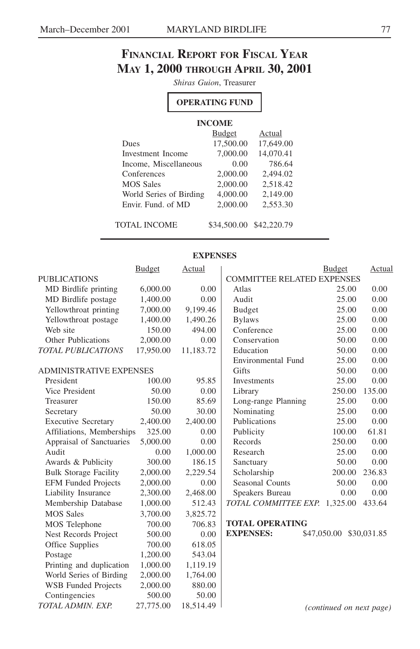## **FINANCIAL REPORT FOR FISCAL YEAR MAY 1, 2000 THROUGH APRIL 30, 2001**

*Shiras Guion*, Treasurer

## **OPERATING FUND**

#### **INCOME**

|                         | <b>Budget</b> | Actual    |
|-------------------------|---------------|-----------|
| Dues                    | 17,500.00     | 17,649.00 |
| Investment Income       | 7,000.00      | 14,070.41 |
| Income, Miscellaneous   | 0.00          | 786.64    |
| Conferences             | 2,000.00      | 2,494.02  |
| <b>MOS Sales</b>        | 2,000.00      | 2.518.42  |
| World Series of Birding | 4,000.00      | 2,149.00  |
| Envir. Fund. of MD      | 2,000.00      | 2.553.30  |
|                         |               |           |

TOTAL INCOME \$34,500.00 \$42,220.79

#### **EXPENSES**

|                                | <b>Budget</b> | Actual    |                                   | Budget                   | Actual |
|--------------------------------|---------------|-----------|-----------------------------------|--------------------------|--------|
| <b>PUBLICATIONS</b>            |               |           | <b>COMMITTEE RELATED EXPENSES</b> |                          |        |
| MD Birdlife printing           | 6,000.00      | 0.00      | Atlas                             | 25.00                    | 0.00   |
| MD Birdlife postage            | 1,400.00      | 0.00      | Audit                             | 25.00                    | 0.00   |
| Yellowthroat printing          | 7,000.00      | 9,199.46  | Budget                            | 25.00                    | 0.00   |
| Yellowthroat postage           | 1,400.00      | 1,490.26  | <b>Bylaws</b>                     | 25.00                    | 0.00   |
| Web site                       | 150.00        | 494.00    | Conference                        | 25.00                    | 0.00   |
| <b>Other Publications</b>      | 2,000.00      | 0.00      | Conservation                      | 50.00                    | 0.00   |
| <b>TOTAL PUBLICATIONS</b>      | 17,950.00     | 11,183.72 | Education                         | 50.00                    | 0.00   |
|                                |               |           | <b>Environmental Fund</b>         | 25.00                    | 0.00   |
| <b>ADMINISTRATIVE EXPENSES</b> |               |           | Gifts                             | 50.00                    | 0.00   |
| President                      | 100.00        | 95.85     | <b>Investments</b>                | 25.00                    | 0.00   |
| Vice President                 | 50.00         | 0.00      | Library                           | 250.00                   | 135.00 |
| Treasurer                      | 150.00        | 85.69     | Long-range Planning               | 25.00                    | 0.00   |
| Secretary                      | 50.00         | 30.00     | Nominating                        | 25.00                    | 0.00   |
| <b>Executive Secretary</b>     | 2,400.00      | 2,400.00  | Publications                      | 25.00                    | 0.00   |
| Affiliations, Memberships      | 325.00        | 0.00      | Publicity                         | 100.00                   | 61.81  |
| Appraisal of Sanctuaries       | 5,000.00      | 0.00      | Records                           | 250.00                   | 0.00   |
| Audit                          | 0.00          | 1,000.00  | Research                          | 25.00                    | 0.00   |
| Awards & Publicity             | 300.00        | 186.15    | Sanctuary                         | 50.00                    | 0.00   |
| <b>Bulk Storage Facility</b>   | 2,000.00      | 2,229.54  | Scholarship                       | 200.00                   | 236.83 |
| <b>EFM Funded Projects</b>     | 2,000.00      | 0.00      | Seasonal Counts                   | 50.00                    | 0.00   |
| Liability Insurance            | 2,300.00      | 2,468.00  | Speakers Bureau                   | 0.00                     | 0.00   |
| Membership Database            | 1,000.00      | 512.43    | TOTAL COMMITTEE EXP.              | 1,325.00                 | 433.64 |
| <b>MOS Sales</b>               | 3,700.00      | 3,825.72  |                                   |                          |        |
| MOS Telephone                  | 700.00        | 706.83    | <b>TOTAL OPERATING</b>            |                          |        |
| Nest Records Project           | 500.00        | 0.00      | <b>EXPENSES:</b>                  | \$47,050.00 \$30,031.85  |        |
| Office Supplies                | 700.00        | 618.05    |                                   |                          |        |
| Postage                        | 1,200.00      | 543.04    |                                   |                          |        |
| Printing and duplication       | 1,000.00      | 1,119.19  |                                   |                          |        |
| World Series of Birding        | 2,000.00      | 1,764.00  |                                   |                          |        |
| <b>WSB</b> Funded Projects     | 2,000.00      | 880.00    |                                   |                          |        |
| Contingencies                  | 500.00        | 50.00     |                                   |                          |        |
| TOTAL ADMIN. EXP.              | 27,775.00     | 18,514.49 |                                   | (continued on next page) |        |
|                                |               |           |                                   |                          |        |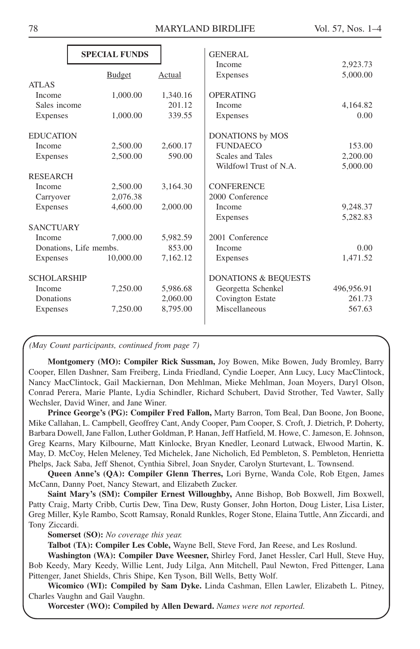|                    | <b>SPECIAL FUNDS</b>   |          | <b>GENERAL</b>                  |            |
|--------------------|------------------------|----------|---------------------------------|------------|
|                    |                        |          | Income                          | 2,923.73   |
|                    | <b>Budget</b>          | Actual   | Expenses                        | 5,000.00   |
| ATLAS              |                        |          |                                 |            |
| Income             | 1,000.00               | 1,340.16 | <b>OPERATING</b>                |            |
| Sales income       |                        | 201.12   | Income                          | 4,164.82   |
| Expenses           | 1,000.00               | 339.55   | Expenses                        | 0.00       |
| <b>EDUCATION</b>   |                        |          | <b>DONATIONS</b> by MOS         |            |
| Income             | 2,500.00               | 2,600.17 | <b>FUNDAECO</b>                 | 153.00     |
| Expenses           | 2.500.00               | 590.00   | Scales and Tales                | 2,200.00   |
|                    |                        |          | Wildfowl Trust of N.A.          | 5,000.00   |
| <b>RESEARCH</b>    |                        |          |                                 |            |
| Income             | 2,500.00               | 3,164.30 | <b>CONFERENCE</b>               |            |
| Carryover          | 2,076.38               |          | 2000 Conference                 |            |
| Expenses           | 4,600.00               | 2,000.00 | Income                          | 9,248.37   |
|                    |                        |          | Expenses                        | 5,282.83   |
| <b>SANCTUARY</b>   |                        |          |                                 |            |
| Income             | 7,000.00               | 5,982.59 | 2001 Conference                 |            |
|                    | Donations, Life membs. | 853.00   | Income                          | 0.00       |
| Expenses           | 10,000.00              | 7,162.12 | Expenses                        | 1,471.52   |
| <b>SCHOLARSHIP</b> |                        |          | <b>DONATIONS &amp; BEQUESTS</b> |            |
| Income             | 7,250.00               | 5,986.68 | Georgetta Schenkel              | 496,956.91 |
| Donations          |                        | 2,060.00 | Covington Estate                | 261.73     |
| Expenses           | 7,250.00               | 8,795.00 | Miscellaneous                   | 567.63     |
|                    |                        |          |                                 |            |

*(May Count participants, continued from page 7)*

**Montgomery (MO): Compiler Rick Sussman,** Joy Bowen, Mike Bowen, Judy Bromley, Barry Cooper, Ellen Dashner, Sam Freiberg, Linda Friedland, Cyndie Loeper, Ann Lucy, Lucy MacClintock, Nancy MacClintock, Gail Mackiernan, Don Mehlman, Mieke Mehlman, Joan Moyers, Daryl Olson, Conrad Perera, Marie Plante, Lydia Schindler, Richard Schubert, David Strother, Ted Vawter, Sally Wechsler, David Winer, and Jane Winer.

**Prince George's (PG): Compiler Fred Fallon,** Marty Barron, Tom Beal, Dan Boone, Jon Boone, Mike Callahan, L. Campbell, Geoffrey Cant, Andy Cooper, Pam Cooper, S. Croft, J. Dietrich, P. Doherty, Barbara Dowell, Jane Fallon, Luther Goldman, P. Hanan, Jeff Hatfield, M. Howe, C. Jameson, E. Johnson, Greg Kearns, Mary Kilbourne, Matt Kinlocke, Bryan Knedler, Leonard Lutwack, Elwood Martin, K. May, D. McCoy, Helen Meleney, Ted Michelek, Jane Nicholich, Ed Pembleton, S. Pembleton, Henrietta Phelps, Jack Saba, Jeff Shenot, Cynthia Sibrel, Joan Snyder, Carolyn Sturtevant, L. Townsend.

**Queen Anne's (QA): Compiler Glenn Therres,** Lori Byrne, Wanda Cole, Rob Etgen, James McCann, Danny Poet, Nancy Stewart, and Elizabeth Zucker.

**Saint Mary's (SM): Compiler Ernest Willoughby,** Anne Bishop, Bob Boxwell, Jim Boxwell, Patty Craig, Marty Cribb, Curtis Dew, Tina Dew, Rusty Gonser, John Horton, Doug Lister, Lisa Lister, Greg Miller, Kyle Rambo, Scott Ramsay, Ronald Runkles, Roger Stone, Elaina Tuttle, Ann Ziccardi, and Tony Ziccardi.

**Somerset (SO):** *No coverage this year.*

**Talbot (TA): Compiler Les Coble,** Wayne Bell, Steve Ford, Jan Reese, and Les Roslund.

**Washington (WA): Compiler Dave Weesner,** Shirley Ford, Janet Hessler, Carl Hull, Steve Huy, Bob Keedy, Mary Keedy, Willie Lent, Judy Lilga, Ann Mitchell, Paul Newton, Fred Pittenger, Lana Pittenger, Janet Shields, Chris Shipe, Ken Tyson, Bill Wells, Betty Wolf.

**Wicomico (WI): Compiled by Sam Dyke.** Linda Cashman, Ellen Lawler, Elizabeth L. Pitney, Charles Vaughn and Gail Vaughn.

**Worcester (WO): Compiled by Allen Deward.** *Names were not reported.*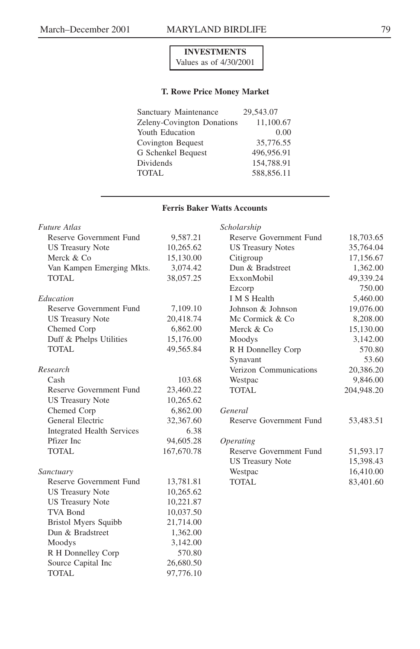#### **INVESTMENTS** Values as of 4/30/2001

#### **T. Rowe Price Money Market**

| Sanctuary Maintenance             | 29.543.07  |
|-----------------------------------|------------|
| <b>Zeleny-Covington Donations</b> | 11,100.67  |
| Youth Education                   | 0.00       |
| Covington Bequest                 | 35,776.55  |
| G Schenkel Bequest                | 496.956.91 |
| Dividends                         | 154,788.91 |
| <b>TOTAL</b>                      | 588.856.11 |
|                                   |            |

#### **Ferris Baker Watts Accounts**

| <b>Future Atlas</b>               |            | Scholarship              |            |
|-----------------------------------|------------|--------------------------|------------|
| Reserve Government Fund           | 9,587.21   | Reserve Government Fund  | 18,703.65  |
| <b>US Treasury Note</b>           | 10,265.62  | <b>US Treasury Notes</b> | 35,764.04  |
| Merck & Co                        | 15,130.00  | Citigroup                | 17,156.67  |
| Van Kampen Emerging Mkts.         | 3,074.42   | Dun & Bradstreet         | 1,362.00   |
| TOTAL                             | 38,057.25  | ExxonMobil               | 49,339.24  |
|                                   |            | Ezcorp                   | 750.00     |
| Education                         |            | <b>I</b> M S Health      | 5,460.00   |
| Reserve Government Fund           | 7,109.10   | Johnson & Johnson        | 19,076.00  |
| <b>US Treasury Note</b>           | 20,418.74  | Mc Cormick & Co.         | 8,208.00   |
| Chemed Corp                       | 6,862.00   | Merck & Co               | 15,130.00  |
| Duff & Phelps Utilities           | 15,176.00  | Moodys                   | 3,142.00   |
| <b>TOTAL</b>                      | 49,565.84  | R H Donnelley Corp       | 570.80     |
|                                   |            | Synavant                 | 53.60      |
| Research                          |            | Verizon Communications   | 20,386.20  |
| Cash                              | 103.68     | Westpac                  | 9,846.00   |
| Reserve Government Fund           | 23,460.22  | TOTAL                    | 204,948.20 |
| <b>US Treasury Note</b>           | 10,265.62  |                          |            |
| Chemed Corp                       | 6,862.00   | General                  |            |
| General Electric                  | 32,367.60  | Reserve Government Fund  | 53,483.51  |
| <b>Integrated Health Services</b> | 6.38       |                          |            |
| Pfizer Inc                        | 94,605.28  | <i><b>Operating</b></i>  |            |
| TOTAL                             | 167,670.78 | Reserve Government Fund  | 51,593.17  |
|                                   |            | <b>US Treasury Note</b>  | 15,398.43  |
| Sanctuary                         |            | Westpac                  | 16,410.00  |
| Reserve Government Fund           | 13,781.81  | TOTAL                    | 83,401.60  |
| <b>US Treasury Note</b>           | 10,265.62  |                          |            |
| <b>US Treasury Note</b>           | 10,221.87  |                          |            |
| TVA Bond                          | 10,037.50  |                          |            |
| <b>Bristol Myers Squibb</b>       | 21,714.00  |                          |            |
| Dun & Bradstreet                  | 1,362.00   |                          |            |
| Moodys                            | 3,142.00   |                          |            |
| R H Donnelley Corp                | 570.80     |                          |            |
| Source Capital Inc                | 26,680.50  |                          |            |
| TOTAL                             | 97,776.10  |                          |            |